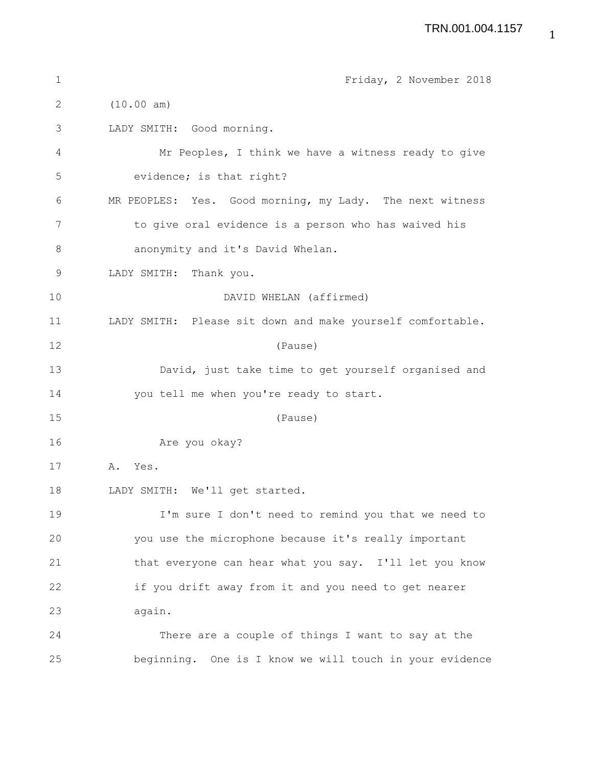| 1            | Friday, 2 November 2018                                    |
|--------------|------------------------------------------------------------|
| $\mathbf{2}$ | (10.00 am)                                                 |
| 3            | LADY SMITH: Good morning.                                  |
| 4            | Mr Peoples, I think we have a witness ready to give        |
| 5            | evidence; is that right?                                   |
| 6            | MR PEOPLES: Yes. Good morning, my Lady. The next witness   |
| 7            | to give oral evidence is a person who has waived his       |
| 8            | anonymity and it's David Whelan.                           |
| 9            | LADY SMITH: Thank you.                                     |
| 10           | DAVID WHELAN (affirmed)                                    |
| 11           | LADY SMITH: Please sit down and make yourself comfortable. |
| 12           | (Pause)                                                    |
| 13           | David, just take time to get yourself organised and        |
| 14           | you tell me when you're ready to start.                    |
| 15           | (Pause)                                                    |
| 16           | Are you okay?                                              |
| 17           | Yes.<br>Α.                                                 |
| 18           | LADY SMITH: We'll get started.                             |
| 19           | I'm sure I don't need to remind you that we need to        |
| 20           | you use the microphone because it's really important       |
| 21           | that everyone can hear what you say. I'll let you know     |
| 22           | if you drift away from it and you need to get nearer       |
| 23           | again.                                                     |
| 24           | There are a couple of things I want to say at the          |
| 25           | beginning. One is I know we will touch in your evidence    |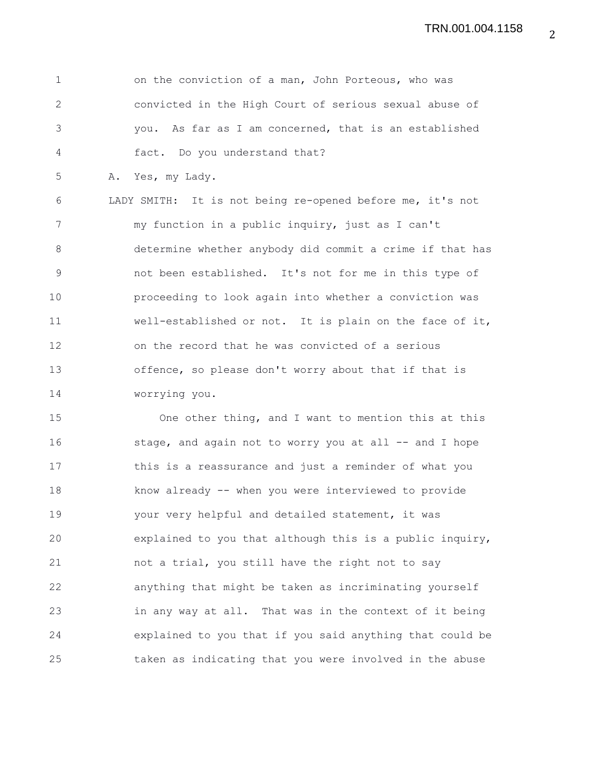1 on the conviction of a man, John Porteous, who was 2 convicted in the High Court of serious sexual abuse of 3 you. As far as I am concerned, that is an established 4 fact. Do you understand that?

5 A. Yes, my Lady.

6 LADY SMITH: It is not being re-opened before me, it's not 7 my function in a public inquiry, just as I can't 8 determine whether anybody did commit a crime if that has 9 not been established. It's not for me in this type of 10 proceeding to look again into whether a conviction was 11 well-established or not. It is plain on the face of it, 12 on the record that he was convicted of a serious 13 offence, so please don't worry about that if that is 14 worrying you.

15 One other thing, and I want to mention this at this 16 stage, and again not to worry you at all -- and I hope 17 this is a reassurance and just a reminder of what you 18 know already -- when you were interviewed to provide 19 your very helpful and detailed statement, it was 20 explained to you that although this is a public inquiry, 21 not a trial, you still have the right not to say 22 anything that might be taken as incriminating yourself 23 in any way at all. That was in the context of it being 24 explained to you that if you said anything that could be 25 taken as indicating that you were involved in the abuse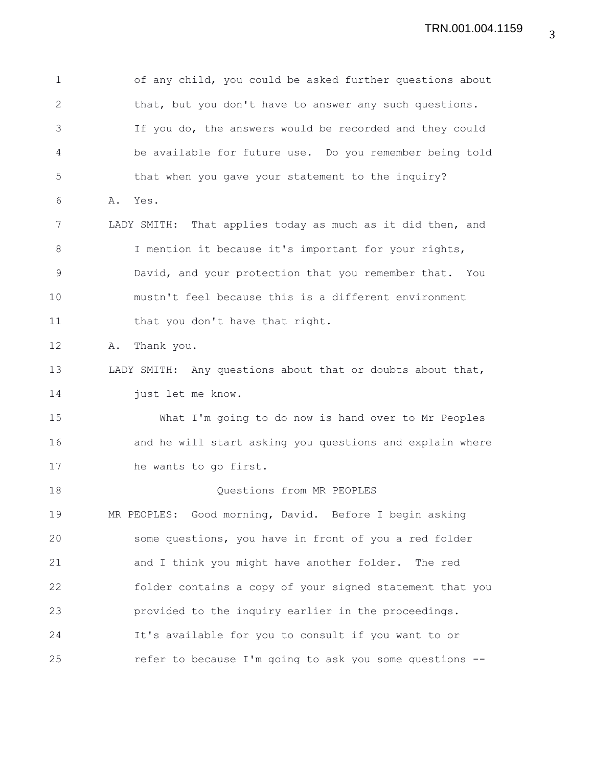1 of any child, you could be asked further questions about 2 that, but you don't have to answer any such questions. 3 If you do, the answers would be recorded and they could 4 be available for future use. Do you remember being told 5 that when you gave your statement to the inquiry? 6 A. Yes. 7 LADY SMITH: That applies today as much as it did then, and 8 I mention it because it's important for your rights, 9 David, and your protection that you remember that. You 10 mustn't feel because this is a different environment 11 that you don't have that right. 12 A. Thank you. 13 LADY SMITH: Any questions about that or doubts about that, 14 just let me know. 15 What I'm going to do now is hand over to Mr Peoples 16 and he will start asking you questions and explain where 17 he wants to go first. 18 Questions from MR PEOPLES 19 MR PEOPLES: Good morning, David. Before I begin asking 20 some questions, you have in front of you a red folder 21 and I think you might have another folder. The red 22 folder contains a copy of your signed statement that you 23 provided to the inquiry earlier in the proceedings. 24 It's available for you to consult if you want to or 25 refer to because I'm going to ask you some questions --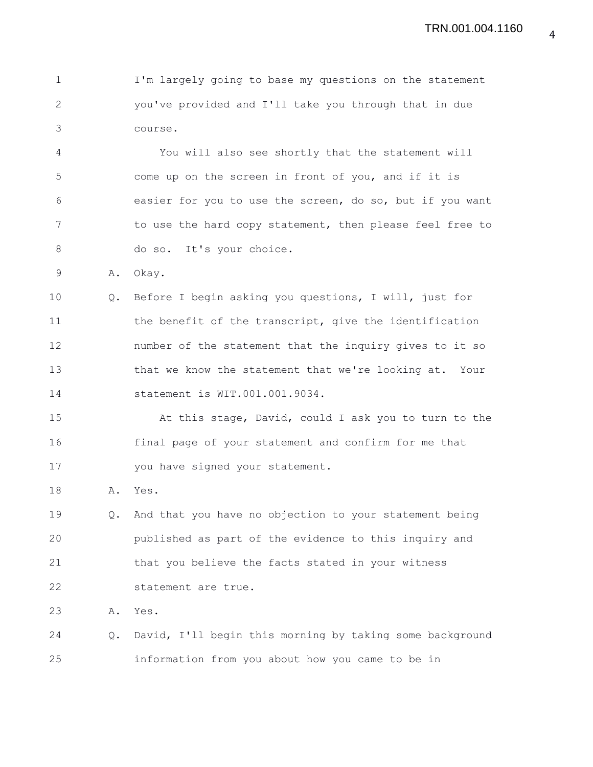1 I'm largely going to base my questions on the statement 2 you've provided and I'll take you through that in due 3 course.

4 You will also see shortly that the statement will 5 come up on the screen in front of you, and if it is 6 easier for you to use the screen, do so, but if you want 7 to use the hard copy statement, then please feel free to 8 do so. It's your choice.

9 A. Okay.

10 Q. Before I begin asking you questions, I will, just for 11 the benefit of the transcript, give the identification 12 number of the statement that the inquiry gives to it so 13 that we know the statement that we're looking at. Your 14 statement is WIT.001.001.9034.

15 At this stage, David, could I ask you to turn to the 16 final page of your statement and confirm for me that 17 you have signed your statement.

18 A. Yes.

19 Q. And that you have no objection to your statement being 20 published as part of the evidence to this inquiry and 21 that you believe the facts stated in your witness 22 statement are true.

23 A. Yes.

24 Q. David, I'll begin this morning by taking some background 25 information from you about how you came to be in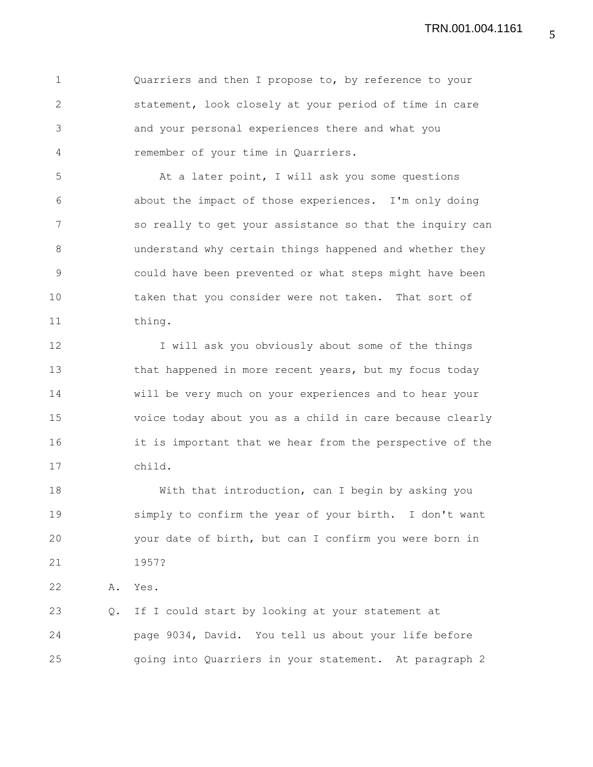1 Quarriers and then I propose to, by reference to your 2 statement, look closely at your period of time in care 3 and your personal experiences there and what you 4 remember of your time in Quarriers.

5 At a later point, I will ask you some questions 6 about the impact of those experiences. I'm only doing 7 so really to get your assistance so that the inquiry can 8 understand why certain things happened and whether they 9 could have been prevented or what steps might have been 10 taken that you consider were not taken. That sort of 11 thing.

12 I will ask you obviously about some of the things 13 that happened in more recent years, but my focus today 14 will be very much on your experiences and to hear your 15 voice today about you as a child in care because clearly 16 it is important that we hear from the perspective of the 17 child.

18 With that introduction, can I begin by asking you 19 simply to confirm the year of your birth. I don't want 20 your date of birth, but can I confirm you were born in 21 1957?

22 A. Yes.

23 Q. If I could start by looking at your statement at 24 page 9034, David. You tell us about your life before 25 going into Quarriers in your statement. At paragraph 2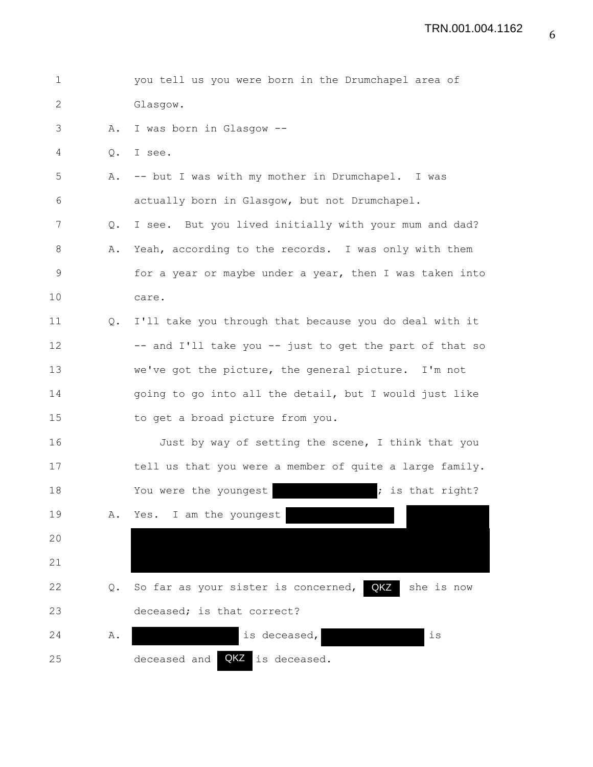| 1            |    | you tell us you were born in the Drumchapel area of      |
|--------------|----|----------------------------------------------------------|
| $\mathbf{2}$ |    | Glasgow.                                                 |
| 3            | Α. | I was born in Glasgow --                                 |
| 4            | Q. | I see.                                                   |
| 5            | Α. | -- but I was with my mother in Drumchapel. I was         |
| 6            |    | actually born in Glasgow, but not Drumchapel.            |
| 7            | Q. | I see. But you lived initially with your mum and dad?    |
| 8            | Α. | Yeah, according to the records. I was only with them     |
| $\mathsf 9$  |    | for a year or maybe under a year, then I was taken into  |
| 10           |    | care.                                                    |
| 11           | Q. | I'll take you through that because you do deal with it   |
| 12           |    | -- and I'll take you -- just to get the part of that so  |
| 13           |    | we've got the picture, the general picture. I'm not      |
| 14           |    | going to go into all the detail, but I would just like   |
| 15           |    | to get a broad picture from you.                         |
| 16           |    | Just by way of setting the scene, I think that you       |
| 17           |    | tell us that you were a member of quite a large family.  |
| 18           |    | ; is that right?<br>You were the youngest                |
| 19           | Α. | Yes. I am the youngest                                   |
| 20           |    |                                                          |
| 21           |    |                                                          |
| 22           | Q. | So far as your sister is concerned,<br>she is now<br>QKZ |
| 23           |    | deceased; is that correct?                               |
| 24           | Α. | is deceased,<br>is                                       |
| 25           |    | QKZ<br>deceased and<br>is deceased.                      |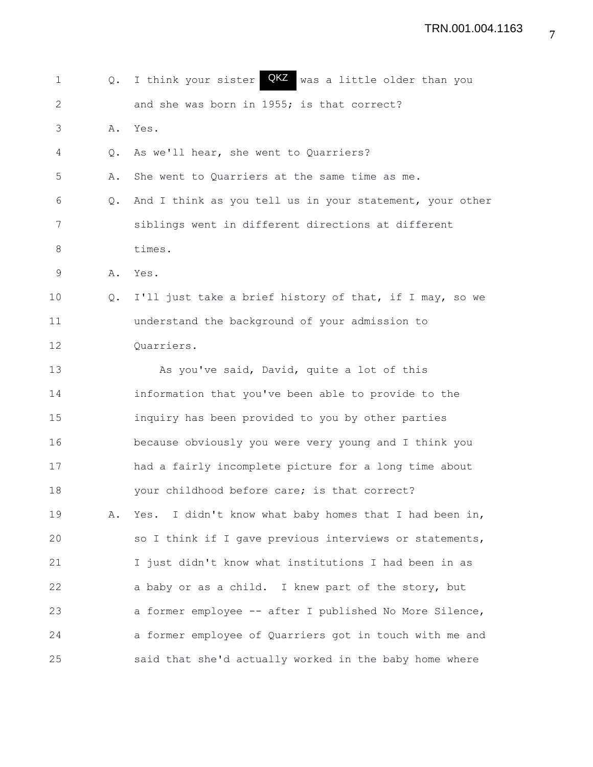1 Q. I think your sister **QKZ** was a little older than you 2 and she was born in 1955; is that correct? 3 A. Yes. 4 Q. As we'll hear, she went to Quarriers? 5 A. She went to Quarriers at the same time as me. 6 Q. And I think as you tell us in your statement, your other 7 siblings went in different directions at different 8 times. 9 A. Yes. 10 Q. I'll just take a brief history of that, if I may, so we 11 understand the background of your admission to 12 Quarriers. 13 As you've said, David, quite a lot of this 14 information that you've been able to provide to the 15 inquiry has been provided to you by other parties 16 because obviously you were very young and I think you 17 had a fairly incomplete picture for a long time about 18 your childhood before care; is that correct? 19 A. Yes. I didn't know what baby homes that I had been in, 20 so I think if I gave previous interviews or statements, 21 I just didn't know what institutions I had been in as 22 a baby or as a child. I knew part of the story, but 23 a former employee -- after I published No More Silence, 24 a former employee of Quarriers got in touch with me and 25 said that she'd actually worked in the baby home where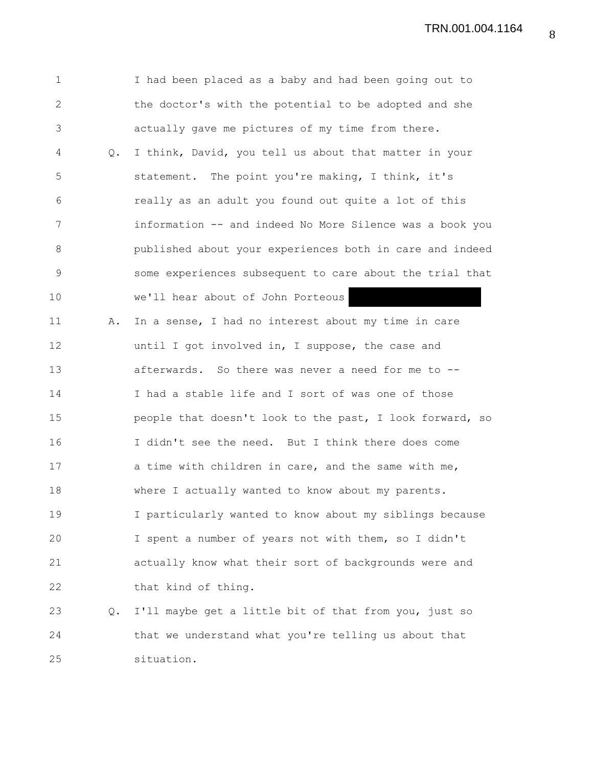1 I had been placed as a baby and had been going out to 2 the doctor's with the potential to be adopted and she 3 actually gave me pictures of my time from there. 4 Q. I think, David, you tell us about that matter in your 5 statement. The point you're making, I think, it's 6 really as an adult you found out quite a lot of this 7 information -- and indeed No More Silence was a book you 8 published about your experiences both in care and indeed 9 some experiences subsequent to care about the trial that 10 we'll hear about of John Porteous 11 A. In a sense, I had no interest about my time in care 12 until I got involved in, I suppose, the case and 13 afterwards. So there was never a need for me to -- 14 I had a stable life and I sort of was one of those 15 people that doesn't look to the past, I look forward, so 16 I didn't see the need. But I think there does come 17 a time with children in care, and the same with me, 18 where I actually wanted to know about my parents. 19 I particularly wanted to know about my siblings because 20 I spent a number of years not with them, so I didn't 21 actually know what their sort of backgrounds were and 22 that kind of thing. 23 Q. I'll maybe get a little bit of that from you, just so 24 that we understand what you're telling us about that 25 situation.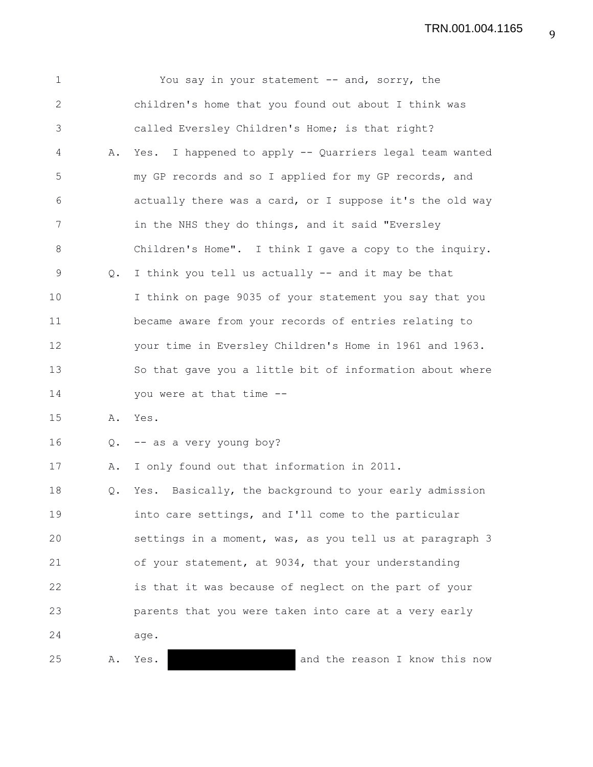1 You say in your statement -- and, sorry, the 2 children's home that you found out about I think was 3 called Eversley Children's Home; is that right? 4 A. Yes. I happened to apply -- Quarriers legal team wanted 5 my GP records and so I applied for my GP records, and 6 actually there was a card, or I suppose it's the old way 7 1 in the NHS they do things, and it said "Eversley 8 Children's Home". I think I gave a copy to the inquiry. 9 Q. I think you tell us actually -- and it may be that 10 I think on page 9035 of your statement you say that you 11 became aware from your records of entries relating to 12 your time in Eversley Children's Home in 1961 and 1963. 13 So that gave you a little bit of information about where 14 you were at that time -- 15 A. Yes. 16 Q. -- as a very young boy? 17 A. I only found out that information in 2011. 18 Q. Yes. Basically, the background to your early admission 19 into care settings, and I'll come to the particular 20 settings in a moment, was, as you tell us at paragraph 3 21 of your statement, at 9034, that your understanding 22 is that it was because of neglect on the part of your 23 parents that you were taken into care at a very early 24 age. 25 A. Yes. **A. Superset A. A. A.** Assemble 25 A. Yes.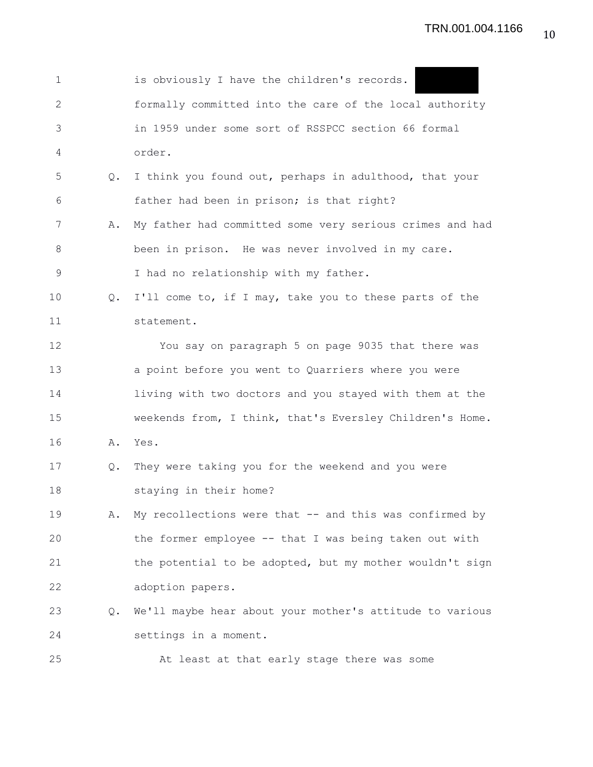| $\mathbf 1$  |    | is obviously I have the children's records.               |
|--------------|----|-----------------------------------------------------------|
| $\mathbf{2}$ |    | formally committed into the care of the local authority   |
| 3            |    | in 1959 under some sort of RSSPCC section 66 formal       |
| 4            |    | order.                                                    |
| 5            | Q. | I think you found out, perhaps in adulthood, that your    |
| 6            |    | father had been in prison; is that right?                 |
| 7            | Α. | My father had committed some very serious crimes and had  |
| 8            |    | been in prison. He was never involved in my care.         |
| 9            |    | I had no relationship with my father.                     |
| 10           |    | Q. I'll come to, if I may, take you to these parts of the |
| 11           |    | statement.                                                |
| 12           |    | You say on paragraph 5 on page 9035 that there was        |
| 13           |    | a point before you went to Quarriers where you were       |
| 14           |    | living with two doctors and you stayed with them at the   |
| 15           |    | weekends from, I think, that's Eversley Children's Home.  |
| 16           | Α. | Yes.                                                      |
| 17           | Q. | They were taking you for the weekend and you were         |
| 18           |    | staying in their home?                                    |
| 19           | Α. | My recollections were that -- and this was confirmed by   |
| 20           |    | the former employee -- that I was being taken out with    |
| 21           |    | the potential to be adopted, but my mother wouldn't sign  |
| 22           |    | adoption papers.                                          |
| 23           | Q. | We'll maybe hear about your mother's attitude to various  |
| 24           |    | settings in a moment.                                     |
| 25           |    | At least at that early stage there was some               |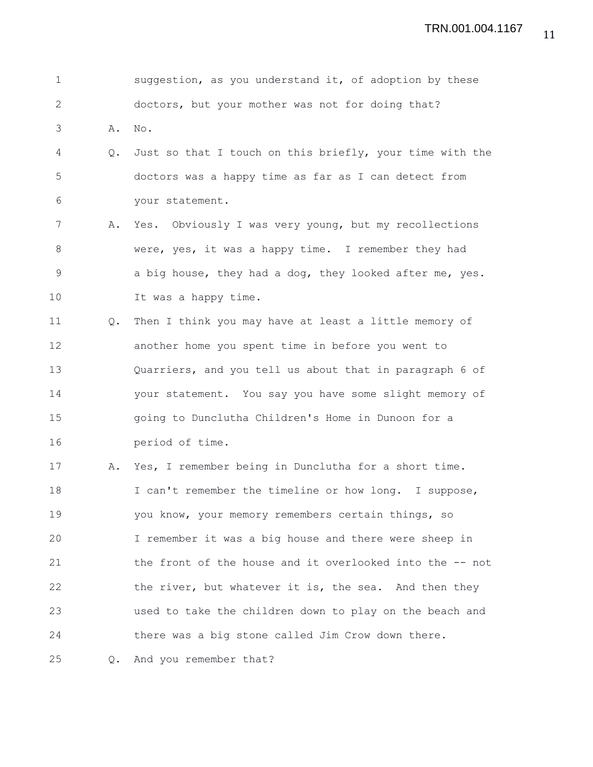| $\mathbf 1$ |               | suggestion, as you understand it, of adoption by these   |
|-------------|---------------|----------------------------------------------------------|
| 2           |               | doctors, but your mother was not for doing that?         |
| 3           | Α.            | No.                                                      |
| 4           | $Q_{\bullet}$ | Just so that I touch on this briefly, your time with the |
| 5           |               | doctors was a happy time as far as I can detect from     |
| 6           |               | your statement.                                          |
| 7           | Α.            | Yes. Obviously I was very young, but my recollections    |
| 8           |               | were, yes, it was a happy time. I remember they had      |
| $\mathsf 9$ |               | a big house, they had a dog, they looked after me, yes.  |
| 10          |               | It was a happy time.                                     |
| 11          | Q.            | Then I think you may have at least a little memory of    |
| 12          |               | another home you spent time in before you went to        |
| 13          |               | Quarriers, and you tell us about that in paragraph 6 of  |
| 14          |               | your statement. You say you have some slight memory of   |
| 15          |               | going to Dunclutha Children's Home in Dunoon for a       |
| 16          |               | period of time.                                          |
| 17          | Α.            | Yes, I remember being in Dunclutha for a short time.     |
| 18          |               | I can't remember the timeline or how long. I suppose,    |
| 19          |               | you know, your memory remembers certain things, so       |
| 20          |               | I remember it was a big house and there were sheep in    |
| 21          |               | the front of the house and it overlooked into the -- not |
| 22          |               | the river, but whatever it is, the sea. And then they    |
| 23          |               | used to take the children down to play on the beach and  |
| 24          |               | there was a big stone called Jim Crow down there.        |
| 25          | Q.            | And you remember that?                                   |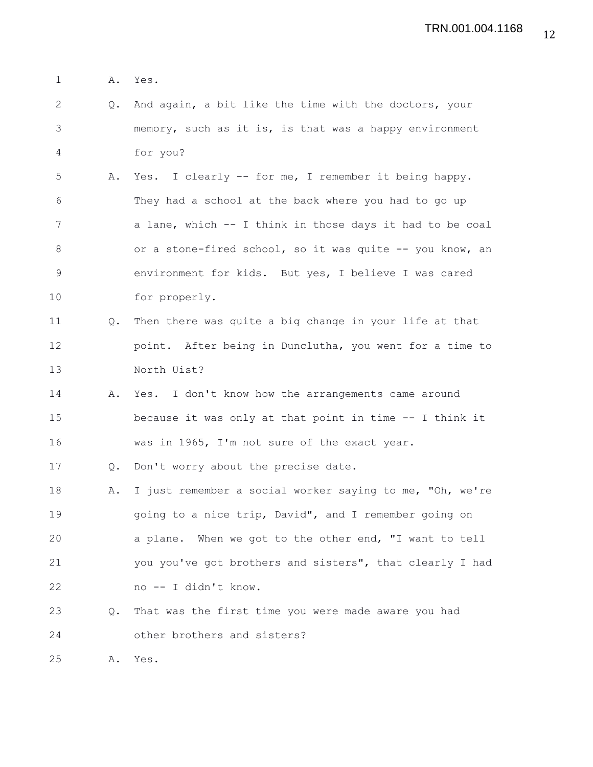1 A. Yes.

2 Q. And again, a bit like the time with the doctors, your 3 memory, such as it is, is that was a happy environment 4 for you?

5 A. Yes. I clearly -- for me, I remember it being happy. 6 They had a school at the back where you had to go up 7 a lane, which -- I think in those days it had to be coal 8 or a stone-fired school, so it was quite -- you know, an 9 environment for kids. But yes, I believe I was cared 10 for properly.

- 11 Q. Then there was quite a big change in your life at that 12 point. After being in Dunclutha, you went for a time to 13 North Uist?
- 14 A. Yes. I don't know how the arrangements came around 15 because it was only at that point in time -- I think it 16 was in 1965, I'm not sure of the exact year.

17 Q. Don't worry about the precise date.

- 18 A. I just remember a social worker saying to me, "Oh, we're 19 going to a nice trip, David", and I remember going on 20 a plane. When we got to the other end, "I want to tell 21 you you've got brothers and sisters", that clearly I had 22 no -- I didn't know.
- 23 Q. That was the first time you were made aware you had 24 other brothers and sisters?

25 A. Yes.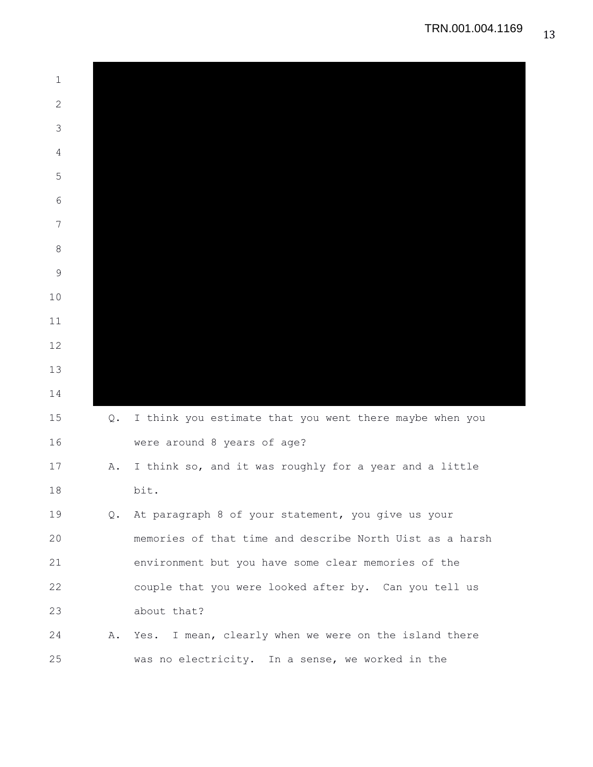| $\mathbf 1$  |    |                                                          |
|--------------|----|----------------------------------------------------------|
| $\mathbf{2}$ |    |                                                          |
| 3            |    |                                                          |
| 4            |    |                                                          |
| 5            |    |                                                          |
| 6            |    |                                                          |
| 7            |    |                                                          |
| 8            |    |                                                          |
| 9            |    |                                                          |
| $10$         |    |                                                          |
| 11           |    |                                                          |
| 12           |    |                                                          |
| 13           |    |                                                          |
| 14           |    |                                                          |
| 15           | Q. | I think you estimate that you went there maybe when you  |
| 16           |    | were around 8 years of age?                              |
| 17           | Α. | I think so, and it was roughly for a year and a little   |
| 18           |    | bit.                                                     |
| 19           |    | Q. At paragraph 8 of your statement, you give us your    |
| 20           |    | memories of that time and describe North Uist as a harsh |
| 21           |    | environment but you have some clear memories of the      |
| 22           |    | couple that you were looked after by. Can you tell us    |
| 23           |    | about that?                                              |
| 24           | Α. | Yes. I mean, clearly when we were on the island there    |
| 25           |    | was no electricity. In a sense, we worked in the         |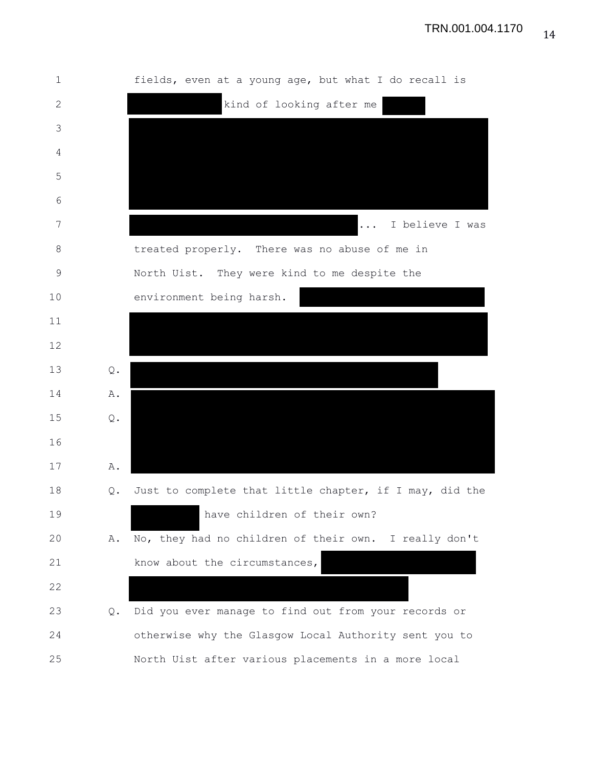| 1  |       | fields, even at a young age, but what I do recall is    |
|----|-------|---------------------------------------------------------|
| 2  |       | kind of looking after me                                |
| 3  |       |                                                         |
| 4  |       |                                                         |
| 5  |       |                                                         |
| 6  |       |                                                         |
| 7  |       | I believe I was                                         |
| 8  |       | treated properly. There was no abuse of me in           |
| 9  |       | North Uist. They were kind to me despite the            |
| 10 |       | environment being harsh.                                |
| 11 |       |                                                         |
| 12 |       |                                                         |
| 13 | $Q$ . |                                                         |
| 14 | Α.    |                                                         |
| 15 | $Q$ . |                                                         |
| 16 |       |                                                         |
| 17 | Α.    |                                                         |
| 18 | Q.    | Just to complete that little chapter, if I may, did the |
| 19 |       | have children of their own?                             |
| 20 | Α.    | No, they had no children of their own. I really don't   |
| 21 |       | know about the circumstances,                           |
| 22 |       |                                                         |
| 23 | Q.    | Did you ever manage to find out from your records or    |
| 24 |       | otherwise why the Glasgow Local Authority sent you to   |
| 25 |       | North Uist after various placements in a more local     |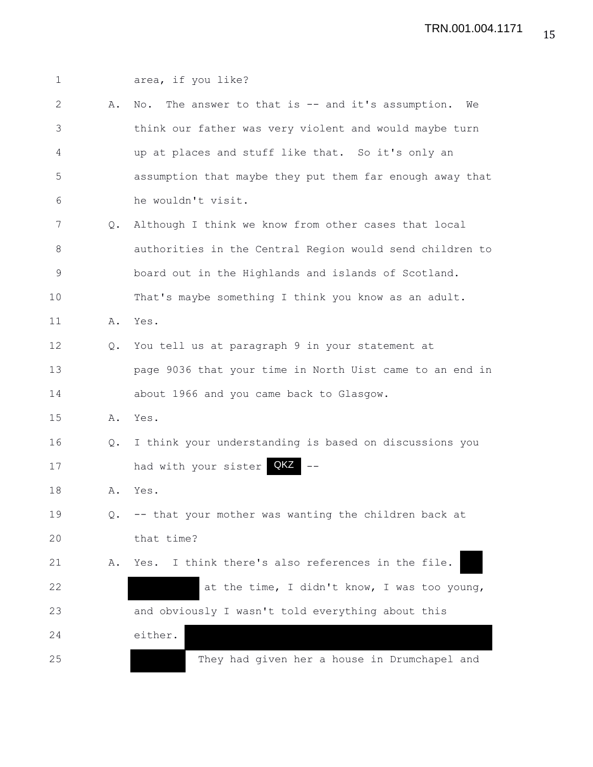| $\mathbf 1$ |    | area, if you like?                                         |
|-------------|----|------------------------------------------------------------|
| 2           | Α. | The answer to that is -- and it's assumption.<br>No.<br>We |
| 3           |    | think our father was very violent and would maybe turn     |
| 4           |    | up at places and stuff like that. So it's only an          |
| 5           |    | assumption that maybe they put them far enough away that   |
| 6           |    | he wouldn't visit.                                         |
| 7           | Q. | Although I think we know from other cases that local       |
| 8           |    | authorities in the Central Region would send children to   |
| $\mathsf 9$ |    | board out in the Highlands and islands of Scotland.        |
| 10          |    | That's maybe something I think you know as an adult.       |
| 11          |    | A. Yes.                                                    |
| 12          |    | Q. You tell us at paragraph 9 in your statement at         |
| 13          |    | page 9036 that your time in North Uist came to an end in   |
| 14          |    | about 1966 and you came back to Glasgow.                   |
| 15          |    | A. Yes.                                                    |
| 16          | Q. | I think your understanding is based on discussions you     |
| 17          |    | had with your sister QKZ                                   |
| 18          | Α. | Yes.                                                       |
| 19          |    | Q. -- that your mother was wanting the children back at    |
| 20          |    | that time?                                                 |
| 21          | Α. | Yes. I think there's also references in the file.          |
| 22          |    | at the time, I didn't know, I was too young,               |
| 23          |    | and obviously I wasn't told everything about this          |
| 24          |    | either.                                                    |
| 25          |    | They had given her a house in Drumchapel and               |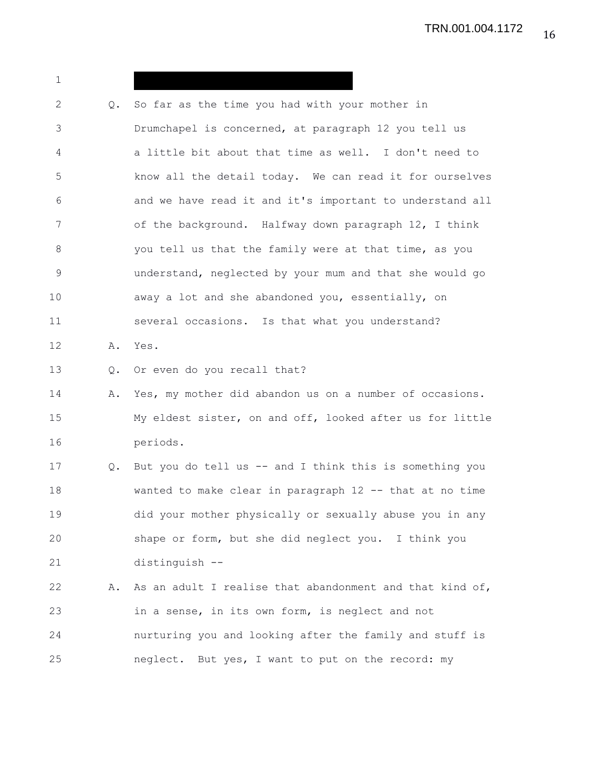1 2 Q. So far as the time you had with your mother in 3 Drumchapel is concerned, at paragraph 12 you tell us 4 a little bit about that time as well. I don't need to 5 know all the detail today. We can read it for ourselves 6 and we have read it and it's important to understand all 7 of the background. Halfway down paragraph 12, I think 8 you tell us that the family were at that time, as you 9 understand, neglected by your mum and that she would go 10 away a lot and she abandoned you, essentially, on 11 several occasions. Is that what you understand? 12 A. Yes. 13 Q. Or even do you recall that? 14 A. Yes, my mother did abandon us on a number of occasions. 15 My eldest sister, on and off, looked after us for little 16 periods. 17 Q. But you do tell us -- and I think this is something you 18 wanted to make clear in paragraph 12 -- that at no time 19 did your mother physically or sexually abuse you in any 20 shape or form, but she did neglect you. I think you 21 distinguish -- 22 A. As an adult I realise that abandonment and that kind of, 23 in a sense, in its own form, is neglect and not 24 nurturing you and looking after the family and stuff is 25 neglect. But yes, I want to put on the record: my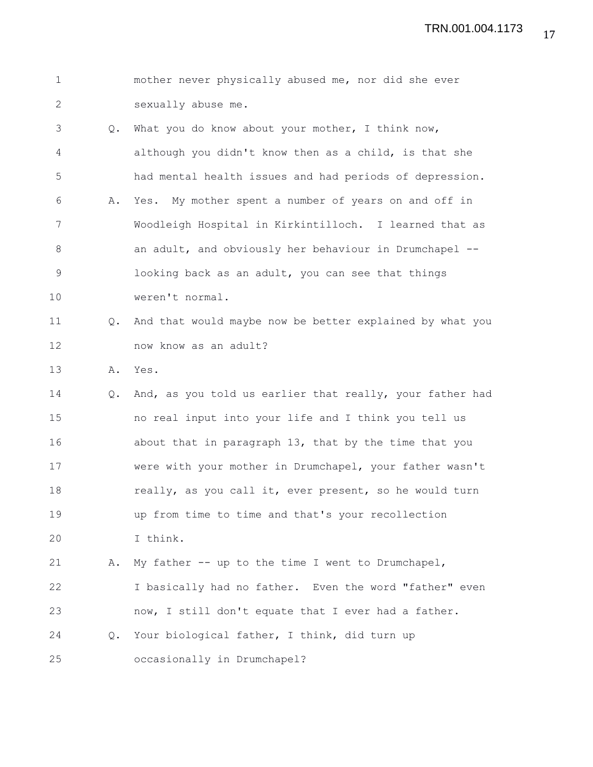1 mother never physically abused me, nor did she ever 2 sexually abuse me. 3 Q. What you do know about your mother, I think now, 4 although you didn't know then as a child, is that she 5 had mental health issues and had periods of depression. 6 A. Yes. My mother spent a number of years on and off in 7 Woodleigh Hospital in Kirkintilloch. I learned that as 8 an adult, and obviously her behaviour in Drumchapel -- 9 looking back as an adult, you can see that things 10 weren't normal. 11 Q. And that would maybe now be better explained by what you 12 now know as an adult? 13 A. Yes. 14 Q. And, as you told us earlier that really, your father had 15 no real input into your life and I think you tell us 16 about that in paragraph 13, that by the time that you 17 were with your mother in Drumchapel, your father wasn't 18 really, as you call it, ever present, so he would turn 19 up from time to time and that's your recollection 20 I think. 21 A. My father -- up to the time I went to Drumchapel, 22 I basically had no father. Even the word "father" even 23 now, I still don't equate that I ever had a father. 24 Q. Your biological father, I think, did turn up 25 occasionally in Drumchapel?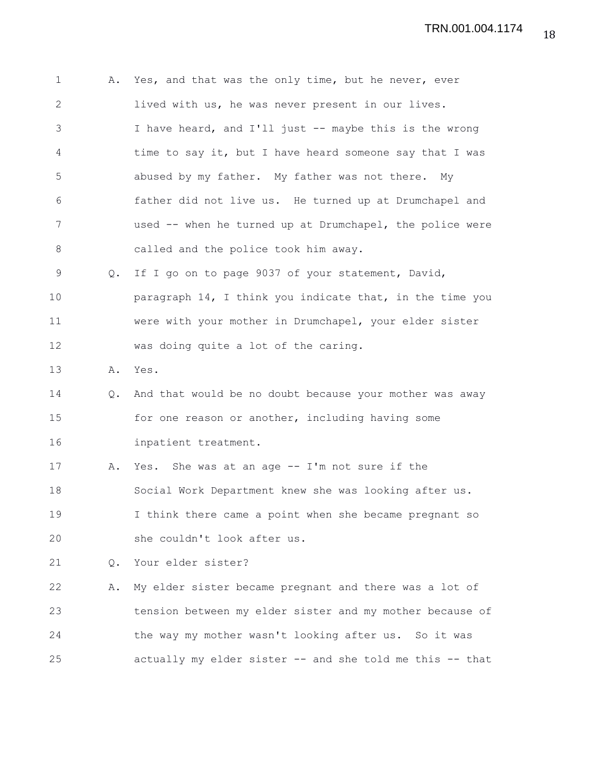1 A. Yes, and that was the only time, but he never, ever 2 lived with us, he was never present in our lives. 3 I have heard, and I'll just -- maybe this is the wrong 4 time to say it, but I have heard someone say that I was 5 abused by my father. My father was not there. My 6 father did not live us. He turned up at Drumchapel and 7 used -- when he turned up at Drumchapel, the police were 8 called and the police took him away. 9 Q. If I go on to page 9037 of your statement, David, 10 paragraph 14, I think you indicate that, in the time you 11 were with your mother in Drumchapel, your elder sister 12 was doing quite a lot of the caring. 13 A. Yes. 14 Q. And that would be no doubt because your mother was away 15 for one reason or another, including having some 16 inpatient treatment. 17 A. Yes. She was at an age -- I'm not sure if the 18 Social Work Department knew she was looking after us. 19 I think there came a point when she became pregnant so 20 she couldn't look after us. 21 Q. Your elder sister? 22 A. My elder sister became pregnant and there was a lot of 23 tension between my elder sister and my mother because of 24 the way my mother wasn't looking after us. So it was 25 actually my elder sister -- and she told me this -- that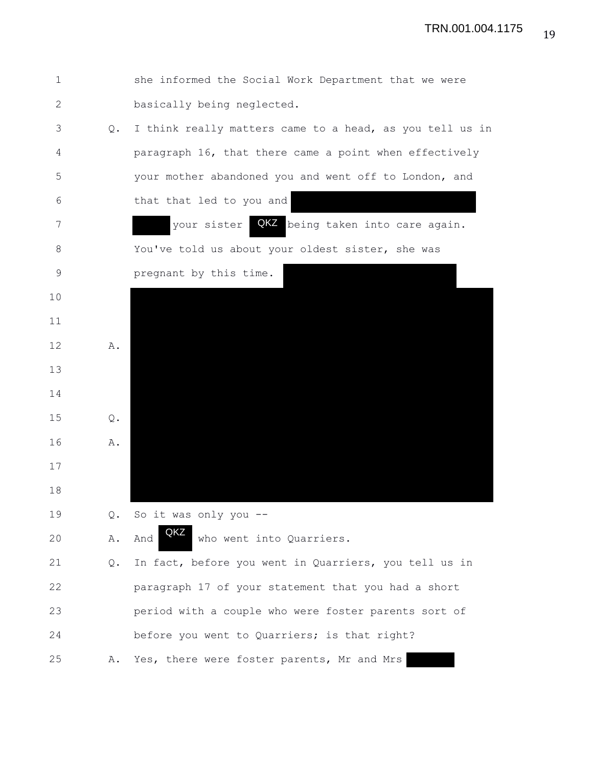| $\mathbf 1$ |       | she informed the Social Work Department that we were     |
|-------------|-------|----------------------------------------------------------|
| 2           |       | basically being neglected.                               |
| 3           | Q.    | I think really matters came to a head, as you tell us in |
| 4           |       | paragraph 16, that there came a point when effectively   |
| 5           |       | your mother abandoned you and went off to London, and    |
| 6           |       | that that led to you and                                 |
| 7           |       | QKZ<br>being taken into care again.<br>your sister       |
| 8           |       | You've told us about your oldest sister, she was         |
| $\mathsf 9$ |       | pregnant by this time.                                   |
| 10          |       |                                                          |
| 11          |       |                                                          |
| 12          | Α.    |                                                          |
| 13          |       |                                                          |
| 14          |       |                                                          |
| 15          | Q.    |                                                          |
| 16          | Α.    |                                                          |
| 17          |       |                                                          |
| 18          |       |                                                          |
| 19          | $Q$ . | So it was only you --                                    |
| 20          | Α.    | QKZ<br>who went into Quarriers.<br>And                   |
| 21          | Q.    | In fact, before you went in Quarriers, you tell us in    |
| 22          |       | paragraph 17 of your statement that you had a short      |
| 23          |       | period with a couple who were foster parents sort of     |
| 24          |       | before you went to Quarriers; is that right?             |
| 25          | Α.    | Yes, there were foster parents, Mr and Mrs               |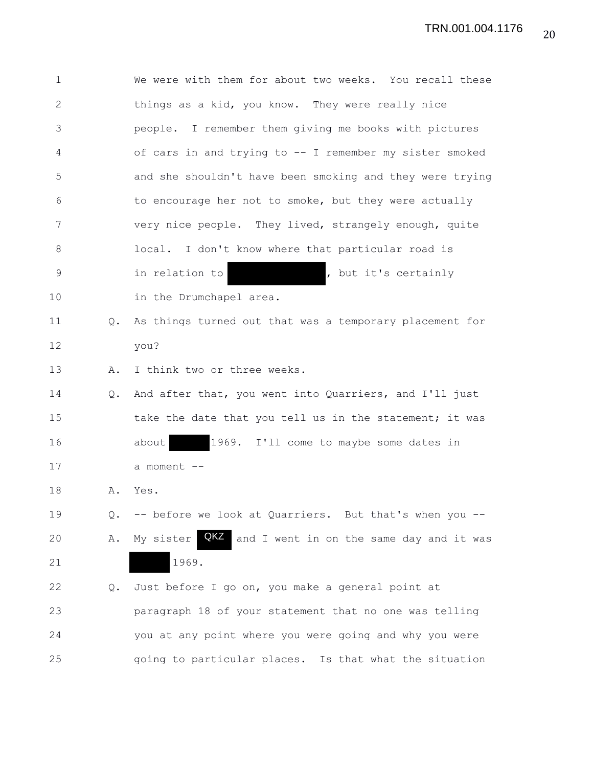| $\mathbf 1$  |               | We were with them for about two weeks. You recall these      |
|--------------|---------------|--------------------------------------------------------------|
| $\mathbf{2}$ |               | things as a kid, you know. They were really nice             |
| 3            |               | people. I remember them giving me books with pictures        |
| 4            |               | of cars in and trying to -- I remember my sister smoked      |
| 5            |               | and she shouldn't have been smoking and they were trying     |
| 6            |               | to encourage her not to smoke, but they were actually        |
| 7            |               | very nice people. They lived, strangely enough, quite        |
| 8            |               | local. I don't know where that particular road is            |
| $\mathsf 9$  |               | , but it's certainly<br>in relation to                       |
| 10           |               | in the Drumchapel area.                                      |
| 11           | $Q_{\bullet}$ | As things turned out that was a temporary placement for      |
| 12           |               | you?                                                         |
| 13           | Α.            | I think two or three weeks.                                  |
| 14           | $Q_{\bullet}$ | And after that, you went into Quarriers, and I'll just       |
| 15           |               | take the date that you tell us in the statement; it was      |
| 16           |               | 1969. I'll come to maybe some dates in<br>about              |
| 17           |               | a moment --                                                  |
| 18           | Α.            | Yes.                                                         |
| 19           | Q.            | -- before we look at Quarriers. But that's when you --       |
| 20           | Α.            | QKZ<br>My sister<br>and I went in on the same day and it was |
| 21           |               | 1969.                                                        |
| 22           | Q.            | Just before I go on, you make a general point at             |
| 23           |               | paragraph 18 of your statement that no one was telling       |
| 24           |               | you at any point where you were going and why you were       |
| 25           |               | going to particular places. Is that what the situation       |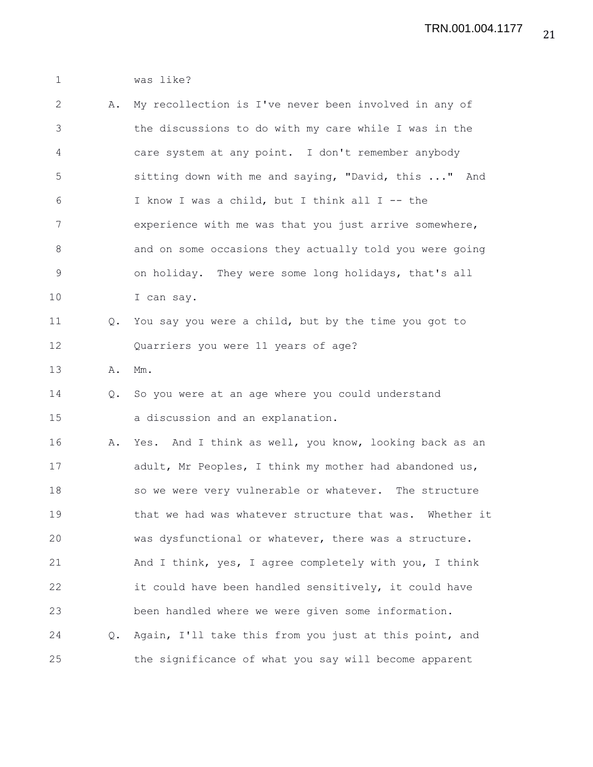1 was like?

| $\mathbf{2}$   | Α.            | My recollection is I've never been involved in any of   |
|----------------|---------------|---------------------------------------------------------|
| 3              |               | the discussions to do with my care while I was in the   |
| 4              |               | care system at any point. I don't remember anybody      |
| 5              |               | sitting down with me and saying, "David, this " And     |
| 6              |               | I know I was a child, but I think all I -- the          |
| $7\phantom{.}$ |               | experience with me was that you just arrive somewhere,  |
| $8\,$          |               | and on some occasions they actually told you were going |
| 9              |               | on holiday. They were some long holidays, that's all    |
| 10             |               | I can say.                                              |
| 11             | $Q_{\bullet}$ | You say you were a child, but by the time you got to    |
| 12             |               | Quarriers you were 11 years of age?                     |
| 13             | Α.            | Mm.                                                     |
| 14             | $Q_{\bullet}$ | So you were at an age where you could understand        |
| 15             |               | a discussion and an explanation.                        |
| 16             | Α.            | Yes. And I think as well, you know, looking back as an  |
| 17             |               | adult, Mr Peoples, I think my mother had abandoned us,  |
| 18             |               | so we were very vulnerable or whatever. The structure   |
| 19             |               | that we had was whatever structure that was. Whether it |
| 20             |               | was dysfunctional or whatever, there was a structure.   |
| 21             |               | And I think, yes, I agree completely with you, I think  |
| 22             |               | it could have been handled sensitively, it could have   |
| 23             |               | been handled where we were given some information.      |
| 24             | $Q_{\bullet}$ | Again, I'll take this from you just at this point, and  |
| 25             |               | the significance of what you say will become apparent   |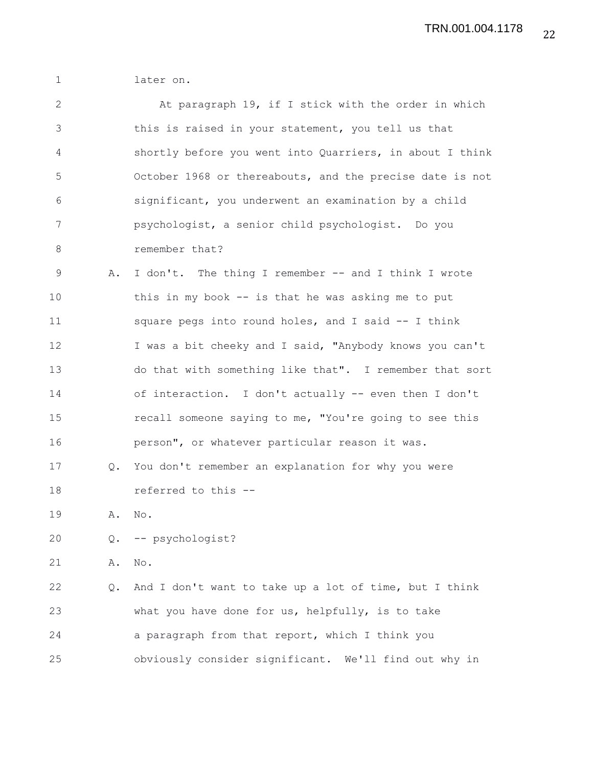1 later on.

| $\mathbf{2}$ |    | At paragraph 19, if I stick with the order in which      |
|--------------|----|----------------------------------------------------------|
| 3            |    | this is raised in your statement, you tell us that       |
| 4            |    | shortly before you went into Quarriers, in about I think |
| 5            |    | October 1968 or thereabouts, and the precise date is not |
| 6            |    | significant, you underwent an examination by a child     |
| 7            |    | psychologist, a senior child psychologist. Do you        |
| $8\,$        |    | remember that?                                           |
| 9            | Α. | I don't. The thing I remember -- and I think I wrote     |
| 10           |    | this in my book -- is that he was asking me to put       |
| 11           |    | square pegs into round holes, and I said -- I think      |
| 12           |    | I was a bit cheeky and I said, "Anybody knows you can't  |
| 13           |    | do that with something like that". I remember that sort  |
| 14           |    | of interaction. I don't actually -- even then I don't    |
| 15           |    | recall someone saying to me, "You're going to see this   |
| 16           |    | person", or whatever particular reason it was.           |
| 17           | Q. | You don't remember an explanation for why you were       |
| 18           |    | referred to this --                                      |
| 19           | Α. | No.                                                      |
| 20           | Q. | -- psychologist?                                         |
| 21           | Α. | No.                                                      |
| 22           | Q. | And I don't want to take up a lot of time, but I think   |
| 23           |    | what you have done for us, helpfully, is to take         |
| 24           |    | a paragraph from that report, which I think you          |
| 25           |    | obviously consider significant. We'll find out why in    |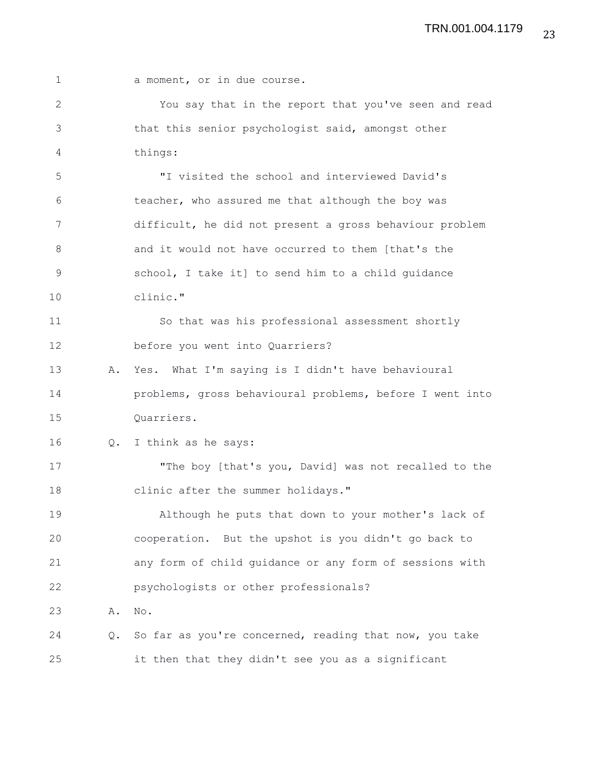| $\mathbf 1$   |    | a moment, or in due course.                              |
|---------------|----|----------------------------------------------------------|
| $\mathbf{2}$  |    | You say that in the report that you've seen and read     |
| $\mathcal{S}$ |    | that this senior psychologist said, amongst other        |
| 4             |    | things:                                                  |
| 5             |    | "I visited the school and interviewed David's            |
| 6             |    | teacher, who assured me that although the boy was        |
| 7             |    | difficult, he did not present a gross behaviour problem  |
| 8             |    | and it would not have occurred to them [that's the       |
| $\mathsf 9$   |    | school, I take it] to send him to a child guidance       |
| 10            |    | clinic."                                                 |
| 11            |    | So that was his professional assessment shortly          |
| 12            |    | before you went into Quarriers?                          |
| 13            | Α. | Yes. What I'm saying is I didn't have behavioural        |
| 14            |    | problems, gross behavioural problems, before I went into |
| 15            |    | Quarriers.                                               |
| 16            | Q. | I think as he says:                                      |
| 17            |    | "The boy [that's you, David] was not recalled to the     |
| 18            |    | clinic after the summer holidays."                       |
| 19            |    | Although he puts that down to your mother's lack of      |
| 20            |    | cooperation. But the upshot is you didn't go back to     |
| 21            |    | any form of child guidance or any form of sessions with  |
| 22            |    | psychologists or other professionals?                    |
| 23            | Α. | No.                                                      |
| 24            | Q. | So far as you're concerned, reading that now, you take   |
| 25            |    | it then that they didn't see you as a significant        |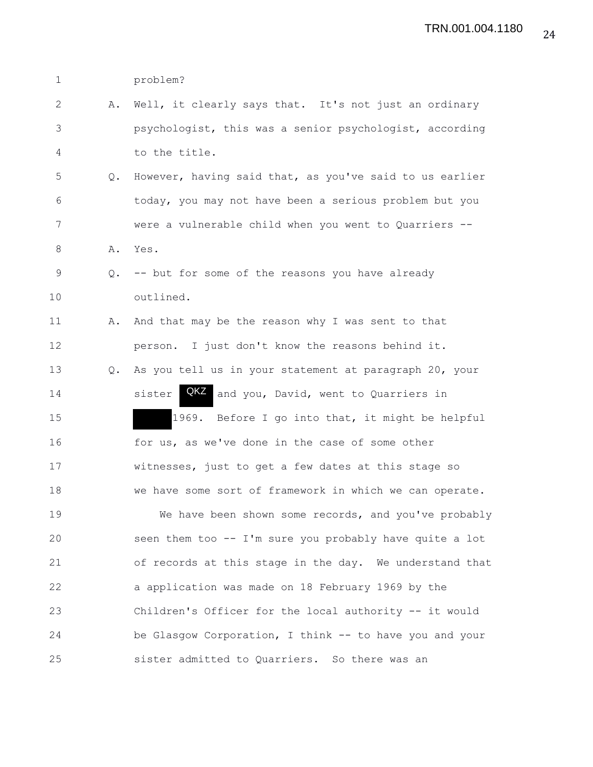1 problem?

- 2 A. Well, it clearly says that. It's not just an ordinary 3 psychologist, this was a senior psychologist, according 4 to the title.
- 5 Q. However, having said that, as you've said to us earlier 6 today, you may not have been a serious problem but you 7 were a vulnerable child when you went to Quarriers --
- 8 A. Yes.
- 9 Q. -- but for some of the reasons you have already 10 outlined.
- 11 A. And that may be the reason why I was sent to that 12 person. I just don't know the reasons behind it. 13 Q. As you tell us in your statement at paragraph 20, your 14 5ister **QKZ** and you, David, went to Quarriers in 15 1969. Before I go into that, it might be helpful 16 for us, as we've done in the case of some other 17 witnesses, just to get a few dates at this stage so 18 we have some sort of framework in which we can operate.

19 We have been shown some records, and you've probably 20 seen them too -- I'm sure you probably have quite a lot 21 of records at this stage in the day. We understand that 22 a application was made on 18 February 1969 by the 23 Children's Officer for the local authority -- it would 24 be Glasgow Corporation, I think -- to have you and your 25 sister admitted to Quarriers. So there was an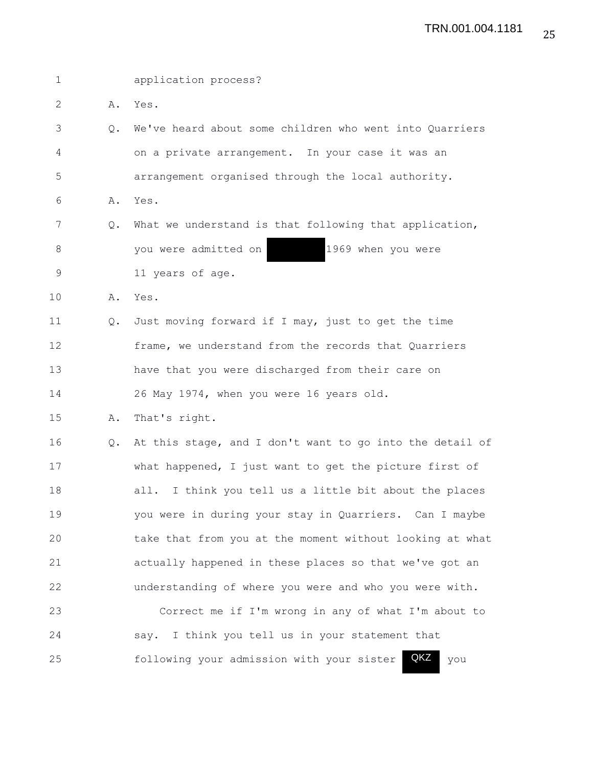| $\mathbf 1$ |               | application process?                                      |
|-------------|---------------|-----------------------------------------------------------|
| 2           | Α.            | Yes.                                                      |
| 3           | Q.            | We've heard about some children who went into Quarriers   |
| 4           |               | on a private arrangement. In your case it was an          |
| 5           |               | arrangement organised through the local authority.        |
| 6           | Α.            | Yes.                                                      |
| 7           | Q.            | What we understand is that following that application,    |
| 8           |               | 1969 when you were<br>you were admitted on                |
| 9           |               | 11 years of age.                                          |
| 10          | Α.            | Yes.                                                      |
| 11          | $Q_{\bullet}$ | Just moving forward if I may, just to get the time        |
| 12          |               | frame, we understand from the records that Quarriers      |
| 13          |               | have that you were discharged from their care on          |
| 14          |               | 26 May 1974, when you were 16 years old.                  |
| 15          | Α.            | That's right.                                             |
| 16          | Q.            | At this stage, and I don't want to go into the detail of  |
| 17          |               | what happened, I just want to get the picture first of    |
| 18          |               | I think you tell us a little bit about the places<br>all. |
| 19          |               | you were in during your stay in Quarriers. Can I maybe    |
| 20          |               | take that from you at the moment without looking at what  |
| 21          |               | actually happened in these places so that we've got an    |
| 22          |               | understanding of where you were and who you were with.    |
| 23          |               | Correct me if I'm wrong in any of what I'm about to       |
| 24          |               | I think you tell us in your statement that<br>say.        |
| 25          |               | QKZ<br>following your admission with your sister<br>you   |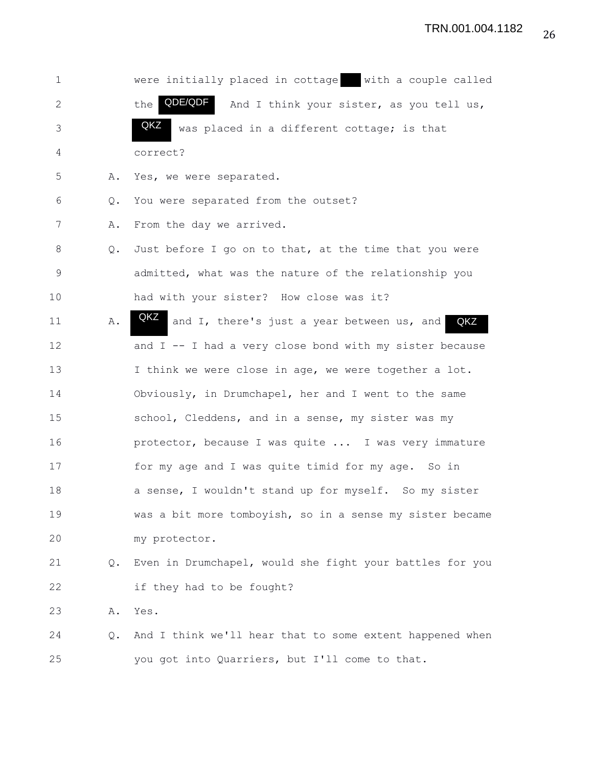1 were initially placed in cottage with a couple called 2 the **QDE/QDF** And I think your sister, as you tell us, 3 **QKZ** was placed in a different cottage; is that 4 correct? 5 A. Yes, we were separated. 6 Q. You were separated from the outset? 7 A. From the day we arrived. 8 Q. Just before I go on to that, at the time that you were 9 admitted, what was the nature of the relationship you 10 had with your sister? How close was it? 11 A. **UKK** and I, there's just a year between us, and 12 and I -- I had a very close bond with my sister because 13 I think we were close in age, we were together a lot. 14 Obviously, in Drumchapel, her and I went to the same 15 school, Cleddens, and in a sense, my sister was my 16 protector, because I was quite ... I was very immature 17 for my age and I was quite timid for my age. So in 18 a sense, I wouldn't stand up for myself. So my sister 19 was a bit more tomboyish, so in a sense my sister became 20 my protector. 21 Q. Even in Drumchapel, would she fight your battles for you 22 if they had to be fought? 23 A. Yes. 24 Q. And I think we'll hear that to some extent happened when 25 you got into Quarriers, but I'll come to that. QKZ QKZ QKZ QDE/QDF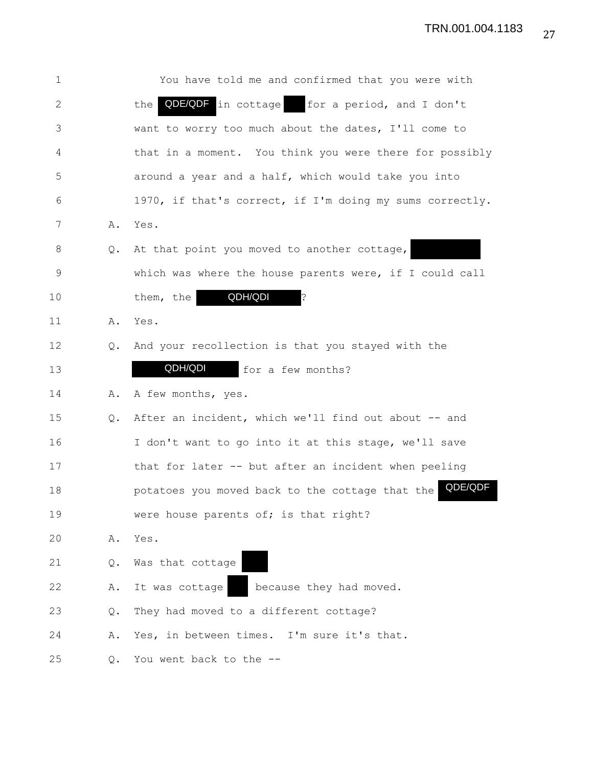| 1            |               | You have told me and confirmed that you were with          |
|--------------|---------------|------------------------------------------------------------|
| $\mathbf{2}$ |               | QDE/QDF in cottage for a period, and I don't<br>the        |
| 3            |               | want to worry too much about the dates, I'll come to       |
| 4            |               | that in a moment. You think you were there for possibly    |
| 5            |               | around a year and a half, which would take you into        |
| 6            |               | 1970, if that's correct, if I'm doing my sums correctly.   |
| 7            | Α.            | Yes.                                                       |
| 8            | Q.            | At that point you moved to another cottage,                |
| 9            |               | which was where the house parents were, if I could call    |
| 10           |               | QDH/QDI<br>them, the<br>S.                                 |
| 11           | Α.            | Yes.                                                       |
| 12           | $Q_{\bullet}$ | And your recollection is that you stayed with the          |
| 13           |               | QDH/QDI<br>for a few months?                               |
| 14           | Α.            | A few months, yes.                                         |
| 15           | $Q_{\bullet}$ | After an incident, which we'll find out about -- and       |
| 16           |               | I don't want to go into it at this stage, we'll save       |
| 17           |               | that for later -- but after an incident when peeling       |
| 18           |               | QDE/QDF<br>potatoes you moved back to the cottage that the |
| 19           |               | were house parents of; is that right?                      |
| 20           | Α.            | Yes.                                                       |
| 21           | Q.            | Was that cottage                                           |
| 22           | Α.            | because they had moved.<br>It was cottage                  |
| 23           | Q.            | They had moved to a different cottage?                     |
| 24           | Α.            | Yes, in between times. I'm sure it's that.                 |
| 25           | Q.            | You went back to the --                                    |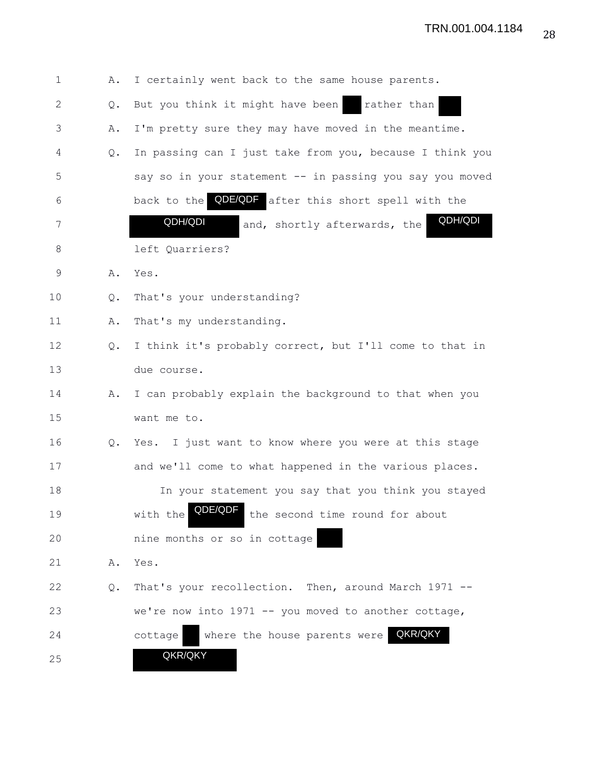| 1  | Α. | I certainly went back to the same house parents.           |
|----|----|------------------------------------------------------------|
| 2  | Q. | But you think it might have been<br>rather than            |
| 3  | Α. | I'm pretty sure they may have moved in the meantime.       |
| 4  | Q. | In passing can I just take from you, because I think you   |
| 5  |    | say so in your statement -- in passing you say you moved   |
| 6  |    | back to the <b>QDE/QDF</b> after this short spell with the |
| 7  |    | QDH/QDI<br>QDH/QDI<br>and, shortly afterwards, the         |
| 8  |    | left Quarriers?                                            |
| 9  | Α. | Yes.                                                       |
| 10 | Q. | That's your understanding?                                 |
| 11 | Α. | That's my understanding.                                   |
| 12 | Q. | I think it's probably correct, but I'll come to that in    |
| 13 |    | due course.                                                |
| 14 | Α. | I can probably explain the background to that when you     |
| 15 |    | want me to.                                                |
| 16 | Q. | Yes. I just want to know where you were at this stage      |
| 17 |    | and we'll come to what happened in the various places.     |
| 18 |    | In your statement you say that you think you stayed        |
| 19 |    | QDE/QDF<br>with the<br>the second time round for about     |
| 20 |    | nine months or so in cottage                               |
| 21 | Α. | Yes.                                                       |
| 22 | Q. | That's your recollection. Then, around March 1971 --       |
| 23 |    | we're now into 1971 -- you moved to another cottage,       |
| 24 |    | QKR/QKY<br>where the house parents were<br>cottage         |
| 25 |    | QKR/QKY                                                    |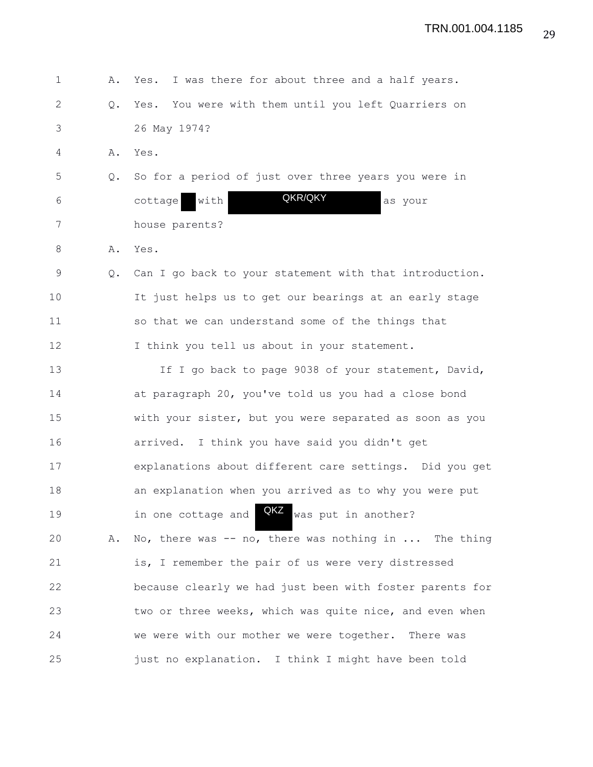| $\mathbf{1}$ | Α. | I was there for about three and a half years.<br>Yes.    |
|--------------|----|----------------------------------------------------------|
| 2            | Q. | You were with them until you left Quarriers on<br>Yes.   |
| 3            |    | 26 May 1974?                                             |
| 4            | Α. | Yes.                                                     |
| 5            | Q. | So for a period of just over three years you were in     |
| 6            |    | QKR/QKY<br>with<br>cottage<br>as your                    |
| 7            |    | house parents?                                           |
| 8            | Α. | Yes.                                                     |
| 9            | Q. | Can I go back to your statement with that introduction.  |
| 10           |    | It just helps us to get our bearings at an early stage   |
| 11           |    | so that we can understand some of the things that        |
| 12           |    | I think you tell us about in your statement.             |
| 13           |    | If I go back to page 9038 of your statement, David,      |
| 14           |    | at paragraph 20, you've told us you had a close bond     |
| 15           |    | with your sister, but you were separated as soon as you  |
| 16           |    | arrived. I think you have said you didn't get            |
| 17           |    | explanations about different care settings. Did you get  |
| 18           |    | an explanation when you arrived as to why you were put   |
| 19           |    | QKZ was put in another?<br>in one cottage and            |
| 20           | Α. | No, there was $-$ no, there was nothing in  The thing    |
| 21           |    | is, I remember the pair of us were very distressed       |
| 22           |    | because clearly we had just been with foster parents for |
| 23           |    | two or three weeks, which was quite nice, and even when  |
| 24           |    | we were with our mother we were together. There was      |
| 25           |    | just no explanation. I think I might have been told      |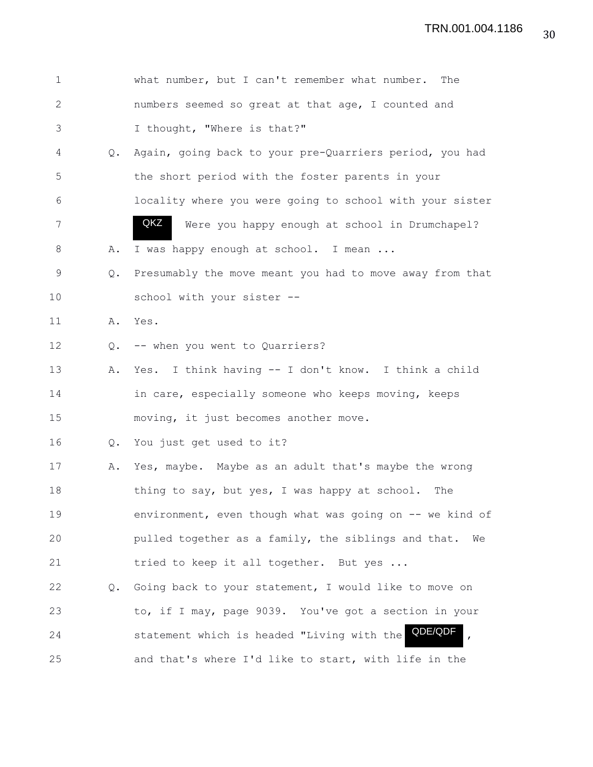| $\mathbf 1$  |               | what number, but I can't remember what number.<br>The                 |
|--------------|---------------|-----------------------------------------------------------------------|
| $\mathbf{2}$ |               | numbers seemed so great at that age, I counted and                    |
| 3            |               | I thought, "Where is that?"                                           |
| 4            | $Q_{\bullet}$ | Again, going back to your pre-Quarriers period, you had               |
| 5            |               | the short period with the foster parents in your                      |
| 6            |               | locality where you were going to school with your sister              |
| 7            |               | QKZ<br>Were you happy enough at school in Drumchapel?                 |
| 8            | Α.            | I was happy enough at school. I mean                                  |
| 9            | Q.            | Presumably the move meant you had to move away from that              |
| 10           |               | school with your sister --                                            |
| 11           | Α.            | Yes.                                                                  |
| 12           | Q.            | -- when you went to Quarriers?                                        |
| 13           | Α.            | Yes. I think having -- I don't know. I think a child                  |
| 14           |               | in care, especially someone who keeps moving, keeps                   |
| 15           |               | moving, it just becomes another move.                                 |
| 16           | Q.            | You just get used to it?                                              |
| 17           | Α.            | Yes, maybe. Maybe as an adult that's maybe the wrong                  |
| 18           |               | thing to say, but yes, I was happy at school.<br>The                  |
| 19           |               | environment, even though what was going on -- we kind of              |
| 20           |               | pulled together as a family, the siblings and that.<br>We             |
| 21           |               | tried to keep it all together. But yes                                |
| 22           | Q.            | Going back to your statement, I would like to move on                 |
| 23           |               | to, if I may, page 9039. You've got a section in your                 |
| 24           |               | QDE/QDF<br>statement which is headed "Living with the<br>$\mathbf{r}$ |
| 25           |               | and that's where I'd like to start, with life in the                  |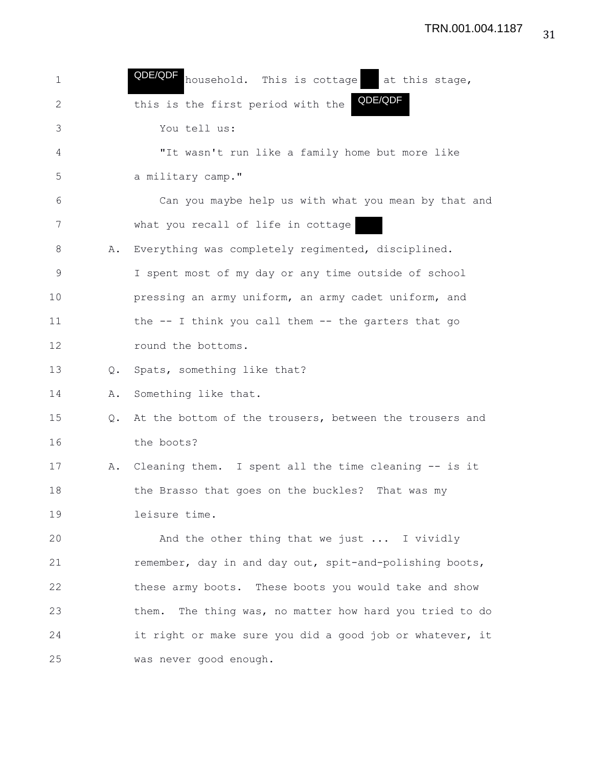| $\mathbf 1$  |               | QDE/QDF<br>household. This is cottage<br>at this stage,    |
|--------------|---------------|------------------------------------------------------------|
| $\mathbf{2}$ |               | QDE/QDF<br>this is the first period with the               |
| 3            |               | You tell us:                                               |
| 4            |               | "It wasn't run like a family home but more like            |
| 5            |               | a military camp."                                          |
| 6            |               | Can you maybe help us with what you mean by that and       |
| 7            |               | what you recall of life in cottage                         |
| 8            | Α.            | Everything was completely regimented, disciplined.         |
| 9            |               | I spent most of my day or any time outside of school       |
| 10           |               | pressing an army uniform, an army cadet uniform, and       |
| 11           |               | the $-$ - I think you call them $-$ - the garters that go  |
| 12           |               | round the bottoms.                                         |
| 13           | $Q_{\bullet}$ | Spats, something like that?                                |
| 14           | Α.            | Something like that.                                       |
| 15           | Q.            | At the bottom of the trousers, between the trousers and    |
| 16           |               | the boots?                                                 |
| 17           | Α.            | Cleaning them. I spent all the time cleaning -- is it      |
| 18           |               | the Brasso that goes on the buckles?<br>That was my        |
| 19           |               | leisure time.                                              |
| 20           |               | And the other thing that we just  I vividly                |
| 21           |               | remember, day in and day out, spit-and-polishing boots,    |
| 22           |               | these army boots. These boots you would take and show      |
| 23           |               | The thing was, no matter how hard you tried to do<br>them. |
| 24           |               | it right or make sure you did a good job or whatever, it   |
| 25           |               | was never good enough.                                     |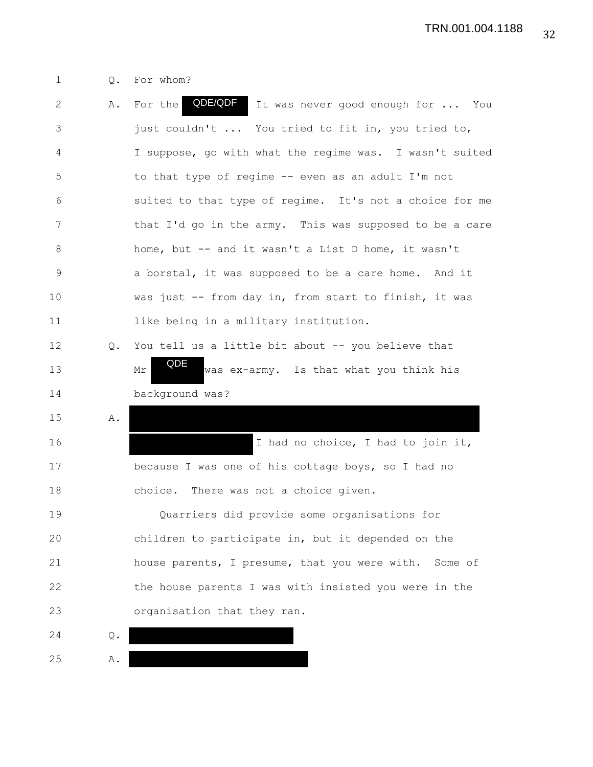## 1 Q. For whom?

| $\mathbf{2}$ | Α.             | For the <b>QDE/QDF</b><br>It was never good enough for  You |
|--------------|----------------|-------------------------------------------------------------|
| 3            |                | just couldn't  You tried to fit in, you tried to,           |
| 4            |                | I suppose, go with what the regime was. I wasn't suited     |
| 5            |                | to that type of regime -- even as an adult I'm not          |
| 6            |                | suited to that type of regime. It's not a choice for me     |
| 7            |                | that I'd go in the army. This was supposed to be a care     |
| 8            |                | home, but -- and it wasn't a List D home, it wasn't         |
| 9            |                | a borstal, it was supposed to be a care home. And it        |
| 10           |                | was just -- from day in, from start to finish, it was       |
| 11           |                | like being in a military institution.                       |
| 12           | $Q_{\bullet}$  | You tell us a little bit about -- you believe that          |
| 13           |                | QDE<br>was ex-army. Is that what you think his<br>Mr        |
| 14           |                | background was?                                             |
| 15           | Α.             |                                                             |
| 16           |                | I had no choice, I had to join it,                          |
| 17           |                |                                                             |
|              |                | because I was one of his cottage boys, so I had no          |
| 18           |                | choice. There was not a choice given.                       |
| 19           |                | Quarriers did provide some organisations for                |
| 20           |                | children to participate in, but it depended on the          |
| 21           |                | house parents, I presume, that you were with.<br>Some of    |
| 22           |                | the house parents I was with insisted you were in the       |
| 23           |                | organisation that they ran.                                 |
| 24           | $\mathsf{Q}$ . |                                                             |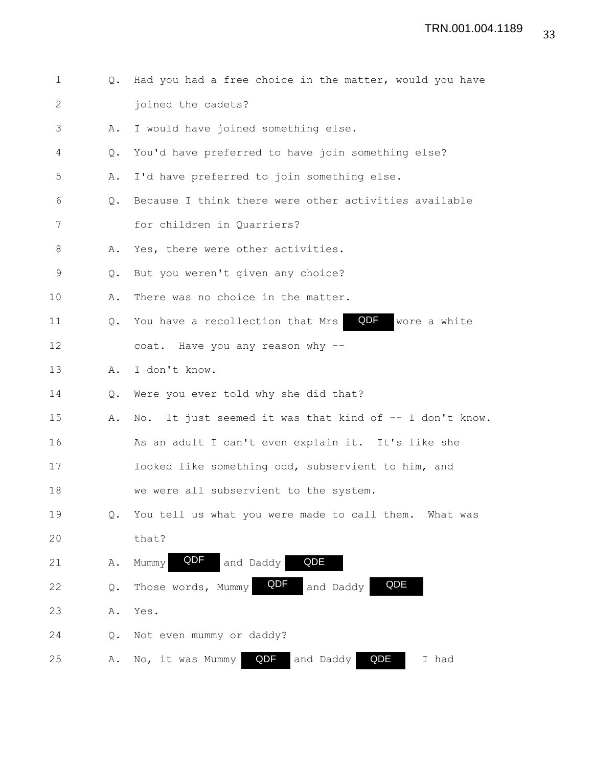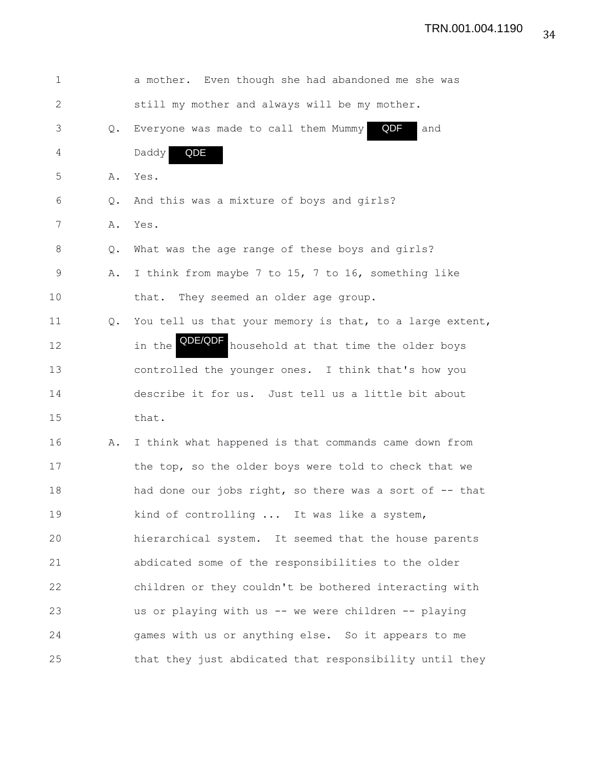| 1            |    | a mother. Even though she had abandoned me she was         |
|--------------|----|------------------------------------------------------------|
| $\mathbf{2}$ |    | still my mother and always will be my mother.              |
| 3            | Q. | QDF<br>Everyone was made to call them Mummy<br>and         |
| 4            |    | QDE<br>Daddy                                               |
| 5            | Α. | Yes.                                                       |
| 6            | Q. | And this was a mixture of boys and girls?                  |
| 7            | Α. | Yes.                                                       |
| $8\,$        | Q. | What was the age range of these boys and girls?            |
| 9            | Α. | I think from maybe 7 to 15, 7 to 16, something like        |
| 10           |    | They seemed an older age group.<br>that.                   |
| 11           | Q. | You tell us that your memory is that, to a large extent,   |
| 12           |    | QDE/QDF<br>household at that time the older boys<br>in the |
| 13           |    | controlled the younger ones. I think that's how you        |
| 14           |    | describe it for us. Just tell us a little bit about        |
| 15           |    | that.                                                      |
| 16           | Α. | I think what happened is that commands came down from      |
| 17           |    | the top, so the older boys were told to check that we      |
| 18           |    | had done our jobs right, so there was a sort of -- that    |
| 19           |    | kind of controlling  It was like a system,                 |
| 20           |    | hierarchical system. It seemed that the house parents      |
| 21           |    | abdicated some of the responsibilities to the older        |
| 22           |    | children or they couldn't be bothered interacting with     |
| 23           |    | us or playing with us -- we were children -- playing       |
| 24           |    | games with us or anything else. So it appears to me        |
| 25           |    | that they just abdicated that responsibility until they    |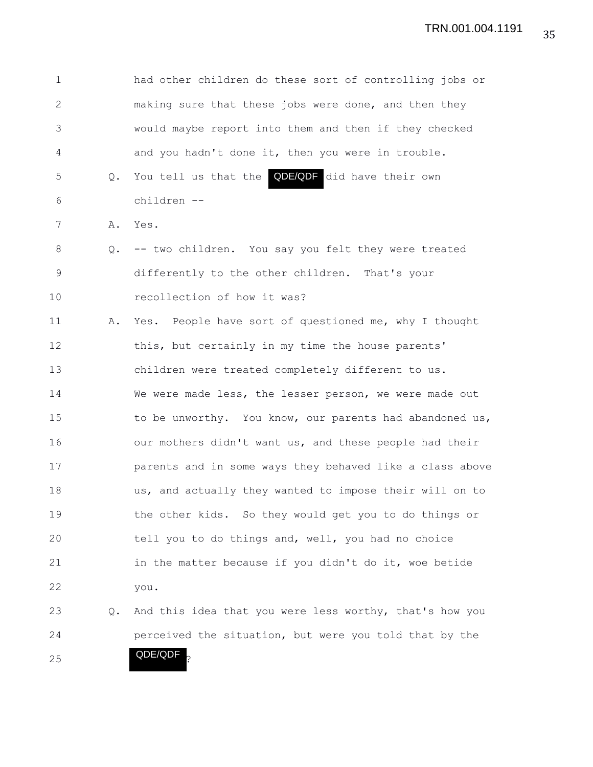1 had other children do these sort of controlling jobs or 2 making sure that these jobs were done, and then they 3 would maybe report into them and then if they checked 4 and you hadn't done it, then you were in trouble. 5 Q. You tell us that the **QDE/QDF** did have their own 6 children -- 7 A. Yes. 8 Q. -- two children. You say you felt they were treated 9 differently to the other children. That's your 10 recollection of how it was? 11 A. Yes. People have sort of questioned me, why I thought 12 this, but certainly in my time the house parents' 13 children were treated completely different to us. 14 We were made less, the lesser person, we were made out 15 to be unworthy. You know, our parents had abandoned us, 16 our mothers didn't want us, and these people had their 17 parents and in some ways they behaved like a class above 18 us, and actually they wanted to impose their will on to 19 the other kids. So they would get you to do things or 20 tell you to do things and, well, you had no choice 21 in the matter because if you didn't do it, woe betide 22 you. 23 Q. And this idea that you were less worthy, that's how you 24 perceived the situation, but were you told that by the 25 **QDE/QDF** ?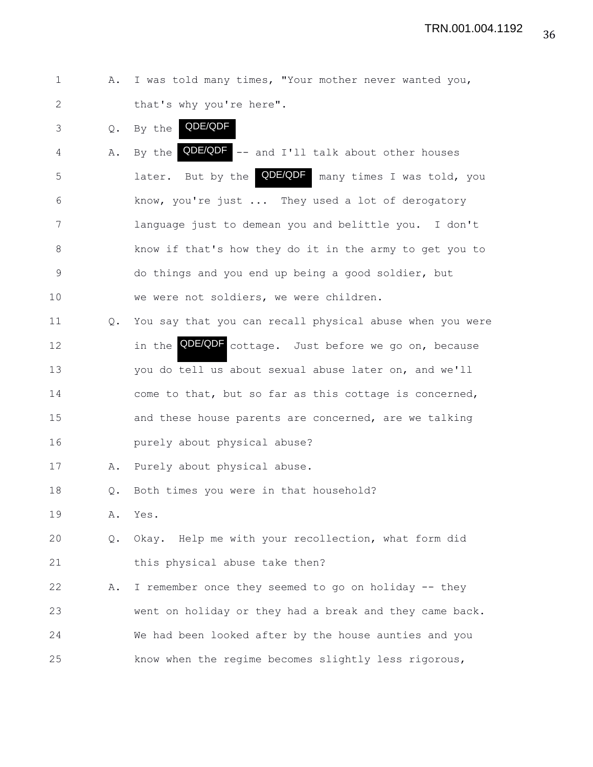36 TRN.001.004.1192

1 A. I was told many times, "Your mother never wanted you, 2 that's why you're here".

3 Q. By the **QDE/QDF** 

4  $A$ . By the **QDE/QDF** -- and I'll talk about other houses 5 1ater. But by the **QDE/QDF** many times I was told, you 6 know, you're just ... They used a lot of derogatory 7 language just to demean you and belittle you. I don't 8 know if that's how they do it in the army to get you to 9 do things and you end up being a good soldier, but 10 we were not soldiers, we were children.

11 Q. You say that you can recall physical abuse when you were 12 12 in the **QDE/QDF** cottage. Just before we go on, because 13 you do tell us about sexual abuse later on, and we'll 14 come to that, but so far as this cottage is concerned, 15 and these house parents are concerned, are we talking 16 purely about physical abuse?

17 A. Purely about physical abuse.

18 Q. Both times you were in that household?

19 A. Yes.

20 Q. Okay. Help me with your recollection, what form did 21 this physical abuse take then?

22 A. I remember once they seemed to go on holiday -- they 23 went on holiday or they had a break and they came back. 24 We had been looked after by the house aunties and you 25 know when the regime becomes slightly less rigorous,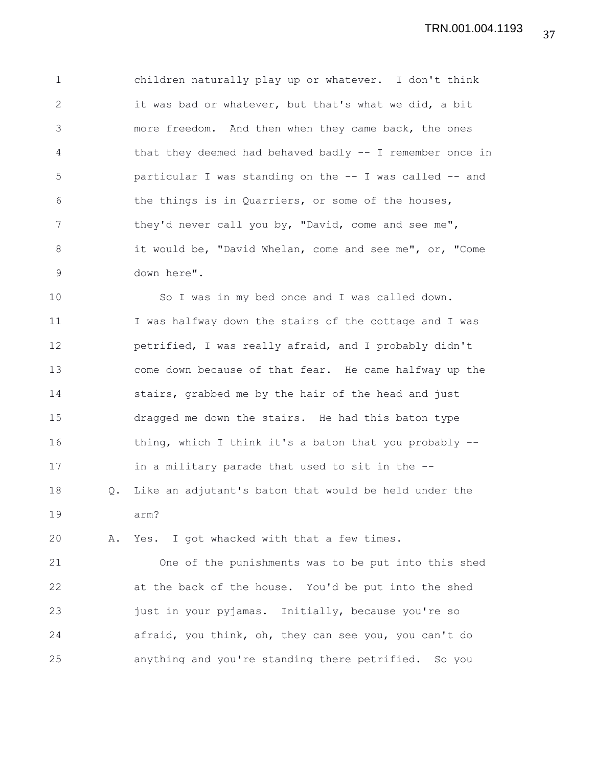1 children naturally play up or whatever. I don't think 2 it was bad or whatever, but that's what we did, a bit 3 more freedom. And then when they came back, the ones 4 that they deemed had behaved badly -- I remember once in 5 particular I was standing on the -- I was called -- and 6 the things is in Quarriers, or some of the houses, 7 they'd never call you by, "David, come and see me", 8 it would be, "David Whelan, come and see me", or, "Come 9 down here".

10 So I was in my bed once and I was called down. 11 I was halfway down the stairs of the cottage and I was 12 petrified, I was really afraid, and I probably didn't 13 come down because of that fear. He came halfway up the 14 stairs, grabbed me by the hair of the head and just 15 dragged me down the stairs. He had this baton type 16 thing, which I think it's a baton that you probably --17 in a military parade that used to sit in the --18 Q. Like an adjutant's baton that would be held under the 19 arm?

20 A. Yes. I got whacked with that a few times.

21 One of the punishments was to be put into this shed 22 at the back of the house. You'd be put into the shed 23 just in your pyjamas. Initially, because you're so 24 afraid, you think, oh, they can see you, you can't do 25 anything and you're standing there petrified. So you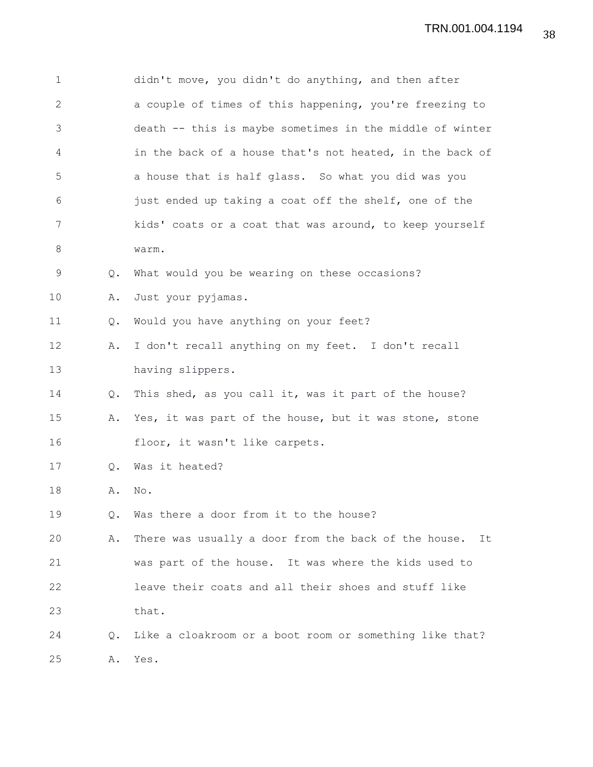| $\mathbf 1$ |           | didn't move, you didn't do anything, and then after        |
|-------------|-----------|------------------------------------------------------------|
| 2           |           | a couple of times of this happening, you're freezing to    |
| 3           |           | death -- this is maybe sometimes in the middle of winter   |
| 4           |           | in the back of a house that's not heated, in the back of   |
| 5           |           | a house that is half glass. So what you did was you        |
| 6           |           | just ended up taking a coat off the shelf, one of the      |
| 7           |           | kids' coats or a coat that was around, to keep yourself    |
| $8\,$       |           | warm.                                                      |
| 9           | Q.        | What would you be wearing on these occasions?              |
| 10          | Α.        | Just your pyjamas.                                         |
| 11          | Q.        | Would you have anything on your feet?                      |
| 12          | Α.        | I don't recall anything on my feet. I don't recall         |
| 13          |           | having slippers.                                           |
| 14          | Q.        | This shed, as you call it, was it part of the house?       |
| 15          | Α.        | Yes, it was part of the house, but it was stone, stone     |
| 16          |           | floor, it wasn't like carpets.                             |
| 17          | Q.        | Was it heated?                                             |
| 18          | Α.        | No.                                                        |
| 19          | Q.        | Was there a door from it to the house?                     |
| 20          | Α.        | There was usually a door from the back of the house.<br>It |
| 21          |           | was part of the house. It was where the kids used to       |
| 22          |           | leave their coats and all their shoes and stuff like       |
| 23          |           | that.                                                      |
| 24          | $\circ$ . | Like a cloakroom or a boot room or something like that?    |
| 25          | Α.        | Yes.                                                       |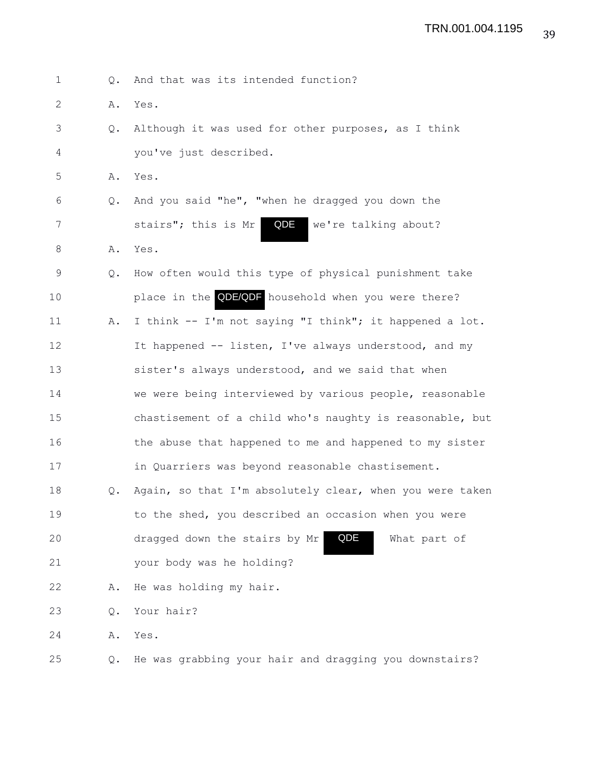| $\mathbf 1$  | Q.        | And that was its intended function?                        |
|--------------|-----------|------------------------------------------------------------|
| $\mathbf{2}$ | Α.        | Yes.                                                       |
| 3            | Q.        | Although it was used for other purposes, as I think        |
| 4            |           | you've just described.                                     |
| 5            | Α.        | Yes.                                                       |
| 6            | Q.        | And you said "he", "when he dragged you down the           |
| 7            |           | QDE<br>stairs"; this is Mr<br>we're talking about?         |
| 8            | Α.        | Yes.                                                       |
| 9            | Q.        | How often would this type of physical punishment take      |
| 10           |           | place in the <b>QDE/QDF</b> household when you were there? |
| 11           | Α.        | I think -- I'm not saying "I think"; it happened a lot.    |
| 12           |           | It happened -- listen, I've always understood, and my      |
| 13           |           | sister's always understood, and we said that when          |
| 14           |           | we were being interviewed by various people, reasonable    |
| 15           |           | chastisement of a child who's naughty is reasonable, but   |
| 16           |           | the abuse that happened to me and happened to my sister    |
| 17           |           | in Quarriers was beyond reasonable chastisement.           |
| 18           | Q.        | Again, so that I'm absolutely clear, when you were taken   |
| 19           |           | to the shed, you described an occasion when you were       |
| 20           |           | QDE<br>dragged down the stairs by Mr<br>What part of       |
| 21           |           | your body was he holding?                                  |
| 22           | Α.        | He was holding my hair.                                    |
| 23           | Q.        | Your hair?                                                 |
| 24           | Α.        | Yes.                                                       |
| 25           | $\circ$ . | He was grabbing your hair and dragging you downstairs?     |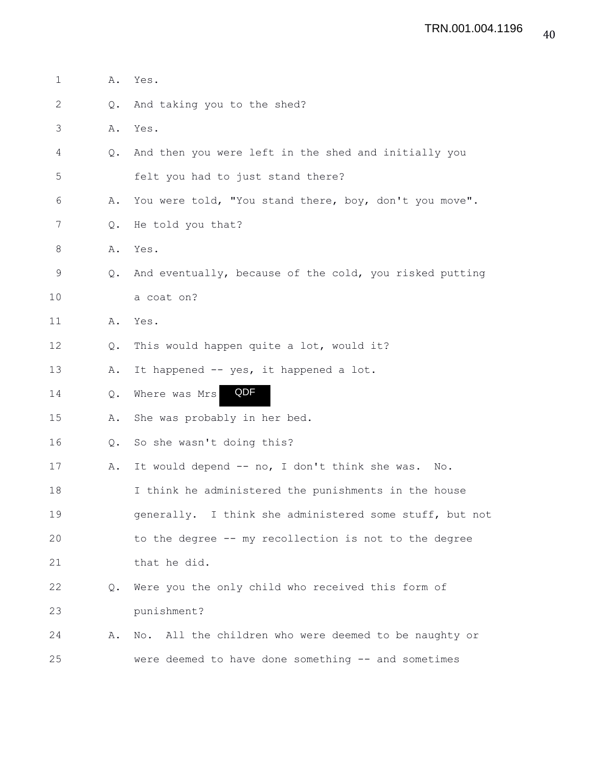| 1           | Α. | Yes.                                                    |
|-------------|----|---------------------------------------------------------|
| 2           | Q. | And taking you to the shed?                             |
| 3           | Α. | Yes.                                                    |
| 4           | Q. | And then you were left in the shed and initially you    |
| 5           |    | felt you had to just stand there?                       |
| 6           | Α. | You were told, "You stand there, boy, don't you move".  |
| 7           | Q. | He told you that?                                       |
| 8           | Α. | Yes.                                                    |
| $\mathsf 9$ | Q. | And eventually, because of the cold, you risked putting |
| 10          |    | a coat on?                                              |
| 11          | Α. | Yes.                                                    |
| 12          | Q. | This would happen quite a lot, would it?                |
| 13          | Α. | It happened -- yes, it happened a lot.                  |
| 14          | Q. | QDF<br>Where was Mrs                                    |
| 15          | Α. | She was probably in her bed.                            |
| 16          | Q. | So she wasn't doing this?                               |
| 17          | Α. | It would depend -- no, I don't think she was.<br>No.    |
| 18          |    | I think he administered the punishments in the house    |
| 19          |    | generally. I think she administered some stuff, but not |
| 20          |    | to the degree -- my recollection is not to the degree   |
| 21          |    | that he did.                                            |
| 22          | Q. | Were you the only child who received this form of       |
| 23          |    | punishment?                                             |
| 24          | Α. | No. All the children who were deemed to be naughty or   |
| 25          |    | were deemed to have done something -- and sometimes     |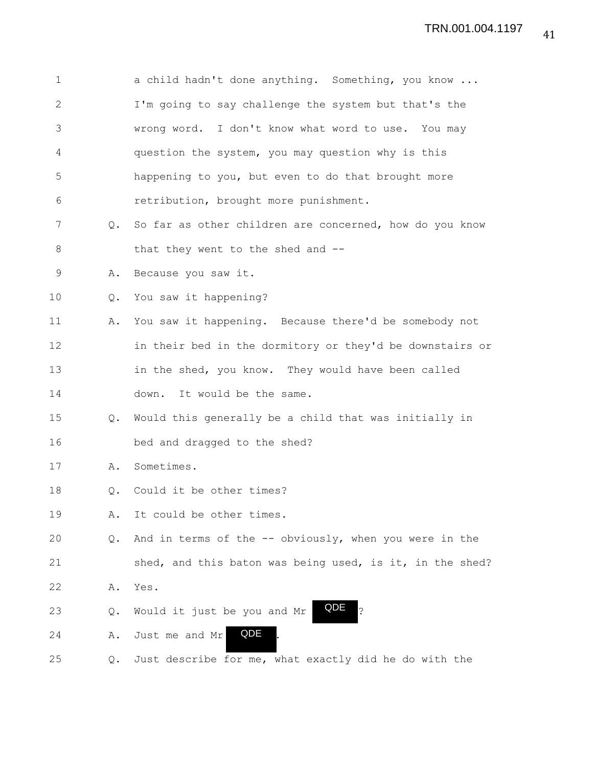| $\mathbf{1}$  |           | a child hadn't done anything. Something, you know        |
|---------------|-----------|----------------------------------------------------------|
| $\mathbf{2}$  |           | I'm going to say challenge the system but that's the     |
| $\mathcal{S}$ |           | wrong word. I don't know what word to use. You may       |
| 4             |           | question the system, you may question why is this        |
| 5             |           | happening to you, but even to do that brought more       |
| 6             |           | retribution, brought more punishment.                    |
| 7             | $\circ$ . | So far as other children are concerned, how do you know  |
| 8             |           | that they went to the shed and --                        |
| 9             | Α.        | Because you saw it.                                      |
| 10            | Q.        | You saw it happening?                                    |
| 11            | Α.        | You saw it happening. Because there'd be somebody not    |
| 12            |           | in their bed in the dormitory or they'd be downstairs or |
| 13            |           | in the shed, you know. They would have been called       |
| 14            |           | It would be the same.<br>down.                           |
| 15            | Q.        | Would this generally be a child that was initially in    |
| 16            |           | bed and dragged to the shed?                             |
| 17            | Α.        | Sometimes.                                               |
| 18            | Q.        | Could it be other times?                                 |
| 19            | Α.        | It could be other times.                                 |
| 20            | Q.        | And in terms of the -- obviously, when you were in the   |
| 21            |           | shed, and this baton was being used, is it, in the shed? |
| 22            | Α.        | Yes.                                                     |
| 23            | Q.        | QDE<br>د:<br>•<br>Would it just be you and Mr            |
| 24            | Α.        | QDE<br>Just me and Mr                                    |
| 25            | Q.        | Just describe for me, what exactly did he do with the    |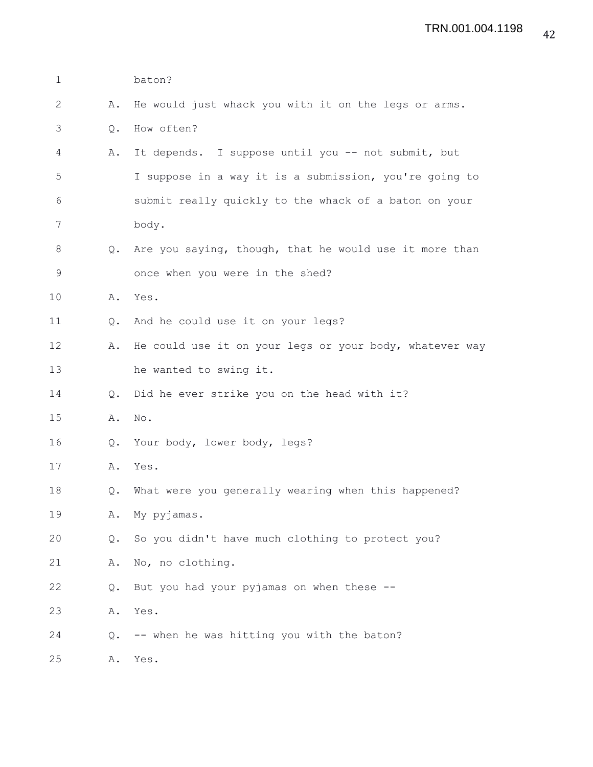| $\mathbf 1$  |               | baton?                                                  |
|--------------|---------------|---------------------------------------------------------|
| $\mathbf{2}$ | Α.            | He would just whack you with it on the legs or arms.    |
| 3            | Q.            | How often?                                              |
| 4            | Α.            | It depends. I suppose until you -- not submit, but      |
| 5            |               | I suppose in a way it is a submission, you're going to  |
| 6            |               | submit really quickly to the whack of a baton on your   |
| 7            |               | body.                                                   |
| 8            | $Q_{\bullet}$ | Are you saying, though, that he would use it more than  |
| $\mathsf 9$  |               | once when you were in the shed?                         |
| 10           | Α.            | Yes.                                                    |
| 11           | Q.            | And he could use it on your legs?                       |
| 12           | Α.            | He could use it on your legs or your body, whatever way |
| 13           |               | he wanted to swing it.                                  |
| 14           | Q.            | Did he ever strike you on the head with it?             |
| 15           | Α.            | No.                                                     |
| 16           | Q.            | Your body, lower body, legs?                            |
| 17           | Α.            | Yes.                                                    |
| 18           | Q.            | What were you generally wearing when this happened?     |
| 19           | Α.            | My pyjamas.                                             |
| 20           | Q.            | So you didn't have much clothing to protect you?        |
| 21           | Α.            | No, no clothing.                                        |
| 22           | Q.            | But you had your pyjamas on when these --               |
| 23           | Α.            | Yes.                                                    |
| 24           | Q.            | -- when he was hitting you with the baton?              |
| 25           | Α.            | Yes.                                                    |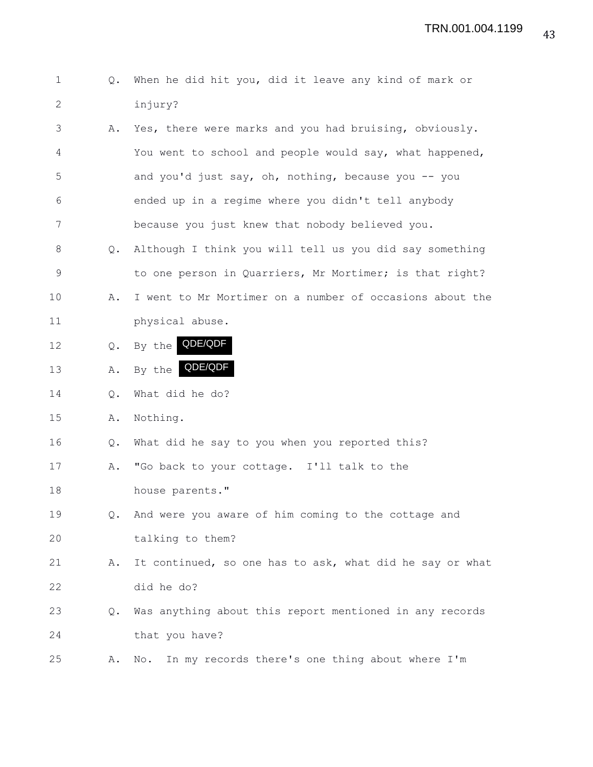| $\mathbf 1$ |    | Q. When he did hit you, did it leave any kind of mark or   |
|-------------|----|------------------------------------------------------------|
| 2           |    | injury?                                                    |
| 3           |    | A. Yes, there were marks and you had bruising, obviously.  |
| 4           |    | You went to school and people would say, what happened,    |
| 5           |    | and you'd just say, oh, nothing, because you $-$ you       |
| 6           |    | ended up in a regime where you didn't tell anybody         |
| 7           |    | because you just knew that nobody believed you.            |
| 8           |    | Q. Although I think you will tell us you did say something |
| 9           |    | to one person in Quarriers, Mr Mortimer; is that right?    |
| 10          | Α. | I went to Mr Mortimer on a number of occasions about the   |
| 11          |    | physical abuse.                                            |
| 12          | Q. | By the QDE/QDF                                             |

- 13 A. By the **QDE/QDF**
- 14 Q. What did he do?
- 15 A. Nothing.
- 16 Q. What did he say to you when you reported this?
- 17 A. "Go back to your cottage. I'll talk to the 18 house parents."
- 19 Q. And were you aware of him coming to the cottage and 20 talking to them?
- 21 A. It continued, so one has to ask, what did he say or what 22 did he do?
- 23 Q. Was anything about this report mentioned in any records 24 that you have?
- 25 A. No. In my records there's one thing about where I'm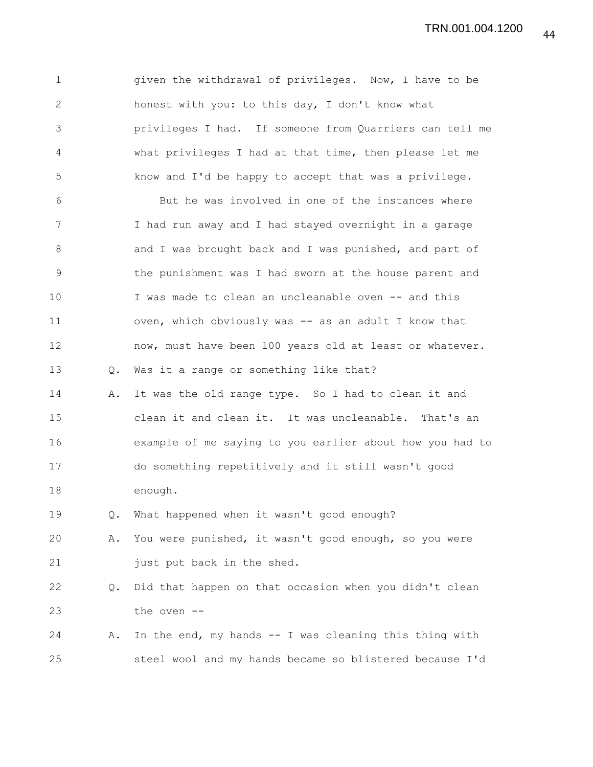1 given the withdrawal of privileges. Now, I have to be 2 honest with you: to this day, I don't know what 3 privileges I had. If someone from Quarriers can tell me 4 what privileges I had at that time, then please let me 5 know and I'd be happy to accept that was a privilege. 6 But he was involved in one of the instances where 7 I had run away and I had stayed overnight in a garage 8 and I was brought back and I was punished, and part of 9 the punishment was I had sworn at the house parent and 10 I was made to clean an uncleanable oven -- and this 11 oven, which obviously was -- as an adult I know that 12 now, must have been 100 years old at least or whatever. 13 Q. Was it a range or something like that? 14 A. It was the old range type. So I had to clean it and 15 clean it and clean it. It was uncleanable. That's an 16 example of me saying to you earlier about how you had to 17 do something repetitively and it still wasn't good 18 enough. 19 Q. What happened when it wasn't good enough? 20 A. You were punished, it wasn't good enough, so you were 21 just put back in the shed. 22 Q. Did that happen on that occasion when you didn't clean 23 the oven -- 24 A. In the end, my hands -- I was cleaning this thing with 25 steel wool and my hands became so blistered because I'd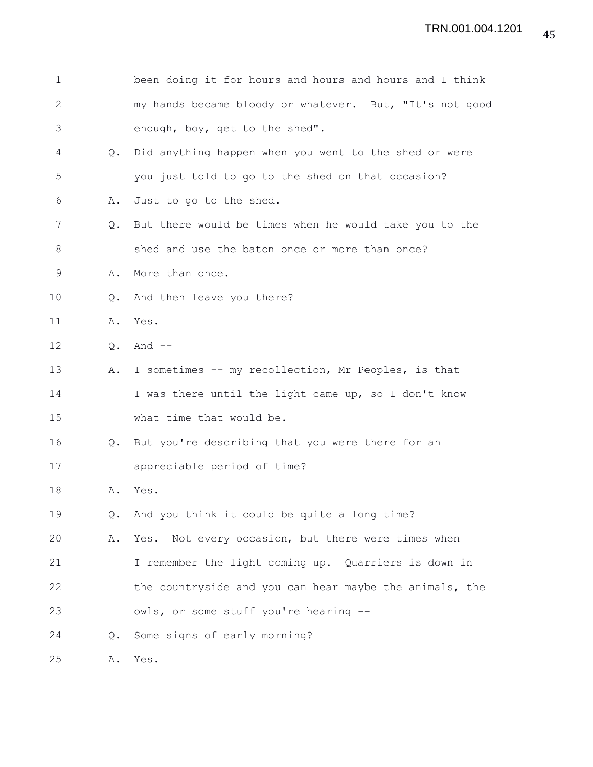| $\mathbf 1$  |               | been doing it for hours and hours and hours and I think |
|--------------|---------------|---------------------------------------------------------|
| $\mathbf{2}$ |               | my hands became bloody or whatever. But, "It's not good |
| 3            |               | enough, boy, get to the shed".                          |
| 4            | Q.            | Did anything happen when you went to the shed or were   |
| 5            |               | you just told to go to the shed on that occasion?       |
| 6            | Α.            | Just to go to the shed.                                 |
| 7            | Q.            | But there would be times when he would take you to the  |
| 8            |               | shed and use the baton once or more than once?          |
| 9            | Α.            | More than once.                                         |
| 10           | Q.            | And then leave you there?                               |
| 11           | Α.            | Yes.                                                    |
| 12           | $Q$ .         | And $--$                                                |
| 13           | Α.            | I sometimes -- my recollection, Mr Peoples, is that     |
| 14           |               | I was there until the light came up, so I don't know    |
| 15           |               | what time that would be.                                |
| 16           | Q.            | But you're describing that you were there for an        |
| 17           |               | appreciable period of time?                             |
| 18           | Α.            | Yes.                                                    |
| 19           | Q.            | And you think it could be quite a long time?            |
| 20           | Α.            | Yes. Not every occasion, but there were times when      |
| 21           |               | I remember the light coming up. Quarriers is down in    |
| 22           |               | the countryside and you can hear maybe the animals, the |
| 23           |               | owls, or some stuff you're hearing --                   |
| 24           | $Q_{\bullet}$ | Some signs of early morning?                            |
| 25           | Α.            | Yes.                                                    |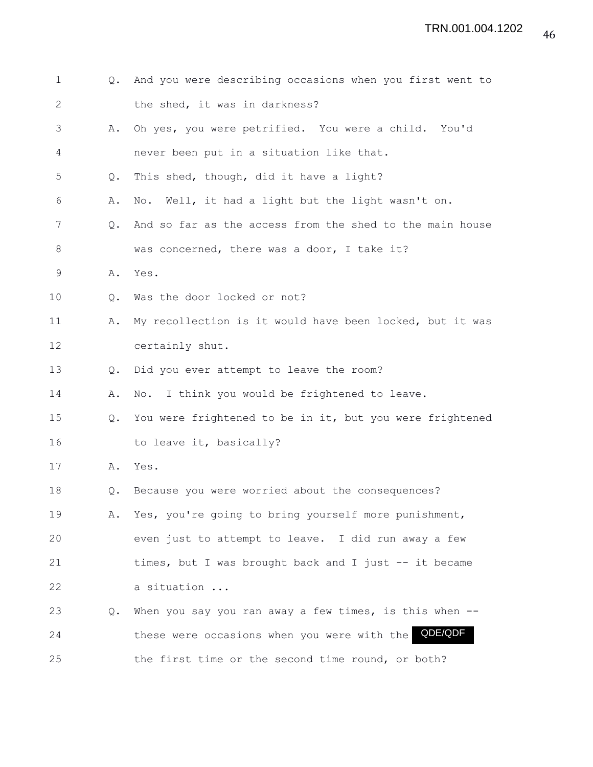| $\mathbf{1}$ | 0.            | And you were describing occasions when you first went to  |
|--------------|---------------|-----------------------------------------------------------|
| 2            |               | the shed, it was in darkness?                             |
| 3            | Α.            | Oh yes, you were petrified. You were a child. You'd       |
| 4            |               | never been put in a situation like that.                  |
| 5            | $Q_{\bullet}$ | This shed, though, did it have a light?                   |
| 6            | Α.            | No. Well, it had a light but the light wasn't on.         |
| 7            | $Q_{\bullet}$ | And so far as the access from the shed to the main house  |
| 8            |               | was concerned, there was a door, I take it?               |
| 9            | Α.            | Yes.                                                      |
| 10           | $Q_{\bullet}$ | Was the door locked or not?                               |
| 11           | Α.            | My recollection is it would have been locked, but it was  |
| 12           |               | certainly shut.                                           |
| 13           | $Q_{\bullet}$ | Did you ever attempt to leave the room?                   |
| 14           | Α.            | No. I think you would be frightened to leave.             |
| 15           | Q.            | You were frightened to be in it, but you were frightened  |
| 16           |               | to leave it, basically?                                   |
| 17           |               | A. Yes.                                                   |
| 18           | Q.            | Because you were worried about the consequences?          |
| 19           | Α.            | Yes, you're going to bring yourself more punishment,      |
| 20           |               | even just to attempt to leave. I did run away a few       |
| 21           |               | times, but I was brought back and I just -- it became     |
| 22           |               | a situation                                               |
| 23           | Q.            | When you say you ran away a few times, is this when $-$ - |
| 24           |               | QDE/QDF<br>these were occasions when you were with the    |
| 25           |               | the first time or the second time round, or both?         |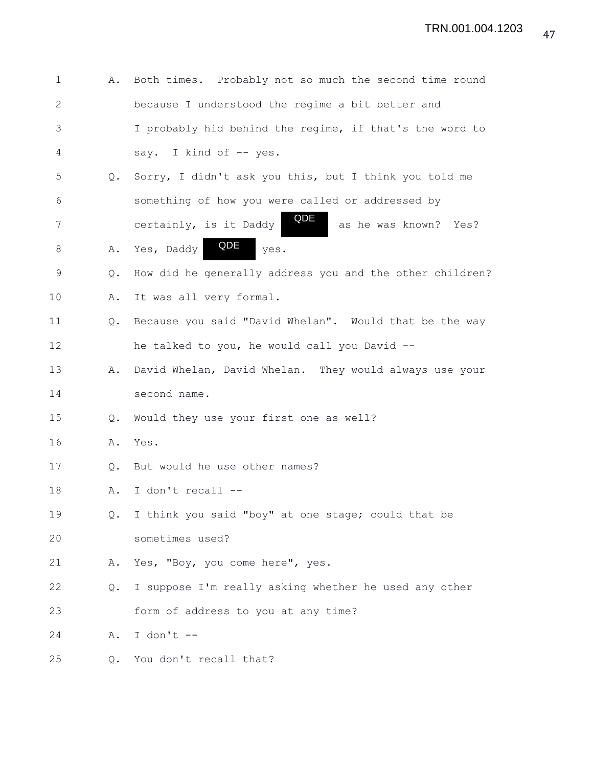| $\mathbf 1$  | Α.            | Both times. Probably not so much the second time round   |
|--------------|---------------|----------------------------------------------------------|
| $\mathbf{2}$ |               | because I understood the regime a bit better and         |
| 3            |               | I probably hid behind the regime, if that's the word to  |
| 4            |               | say. I kind of -- yes.                                   |
| 5            | Q.            | Sorry, I didn't ask you this, but I think you told me    |
| 6            |               | something of how you were called or addressed by         |
| 7            |               | QDE<br>certainly, is it Daddy<br>as he was known? Yes?   |
| 8            | Α.            | QDE<br>Yes, Daddy<br>yes.                                |
| 9            | Q.            | How did he generally address you and the other children? |
| 10           | Α.            | It was all very formal.                                  |
| 11           | Q.            | Because you said "David Whelan". Would that be the way   |
| 12           |               | he talked to you, he would call you David --             |
| 13           | Α.            | David Whelan, David Whelan. They would always use your   |
| 14           |               | second name.                                             |
| 15           | Q.            | Would they use your first one as well?                   |
| 16           | Α.            | Yes.                                                     |
| 17           | $Q_{\bullet}$ | But would he use other names?                            |
| 18           | Α.            | I don't recall --                                        |
| 19           | Q.            | I think you said "boy" at one stage; could that be       |
| 20           |               | sometimes used?                                          |
| 21           | Α.            | Yes, "Boy, you come here", yes.                          |
| 22           | $Q_{\bullet}$ | I suppose I'm really asking whether he used any other    |
| 23           |               | form of address to you at any time?                      |
| 24           | Α.            | I don't $--$                                             |
| 25           | 0.            | You don't recall that?                                   |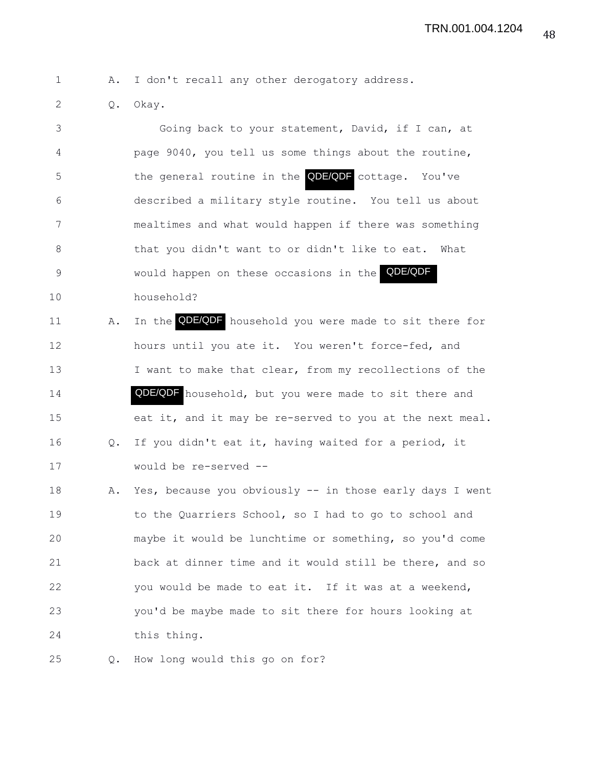1 A. I don't recall any other derogatory address.

2 Q. Okay.

3 Going back to your statement, David, if I can, at 4 page 9040, you tell us some things about the routine, 5 6 the general routine in the **QDE/QDF** cottage. You've 6 described a military style routine. You tell us about 7 mealtimes and what would happen if there was something 8 that you didn't want to or didn't like to eat. What 9 6 Would happen on these occasions in the **QDE/QDF** 10 household?

11 A. In the **QDE/QDF** household you were made to sit there for 12 hours until you ate it. You weren't force-fed, and 13 I want to make that clear, from my recollections of the 14 **QDE/QDF** household, but you were made to sit there and 15 eat it, and it may be re-served to you at the next meal. 16 Q. If you didn't eat it, having waited for a period, it 17 would be re-served --

18 A. Yes, because you obviously -- in those early days I went 19 to the Quarriers School, so I had to go to school and 20 maybe it would be lunchtime or something, so you'd come 21 back at dinner time and it would still be there, and so 22 you would be made to eat it. If it was at a weekend, 23 you'd be maybe made to sit there for hours looking at 24 this thing.

25 Q. How long would this go on for?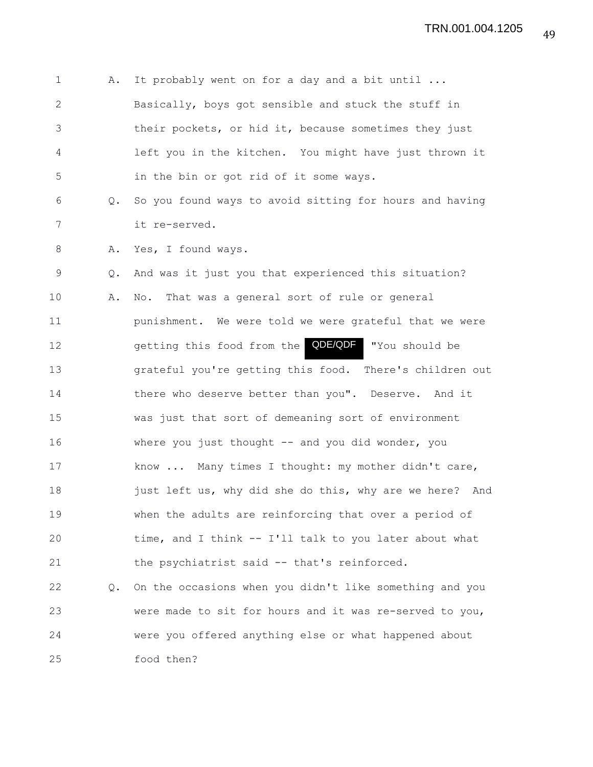1 A. It probably went on for a day and a bit until ... 2 Basically, boys got sensible and stuck the stuff in 3 their pockets, or hid it, because sometimes they just 4 left you in the kitchen. You might have just thrown it 5 in the bin or got rid of it some ways. 6 Q. So you found ways to avoid sitting for hours and having 7 it re-served. 8 A. Yes, I found ways. 9 Q. And was it just you that experienced this situation? 10 A. No. That was a general sort of rule or general 11 punishment. We were told we were grateful that we were 12 9etting this food from the **QDE/QDF** "You should be 13 grateful you're getting this food. There's children out 14 there who deserve better than you". Deserve. And it 15 was just that sort of demeaning sort of environment 16 where you just thought -- and you did wonder, you 17 know ... Many times I thought: my mother didn't care, 18 just left us, why did she do this, why are we here? And 19 when the adults are reinforcing that over a period of 20 time, and I think -- I'll talk to you later about what 21 the psychiatrist said -- that's reinforced. 22 Q. On the occasions when you didn't like something and you 23 were made to sit for hours and it was re-served to you, 24 were you offered anything else or what happened about 25 food then?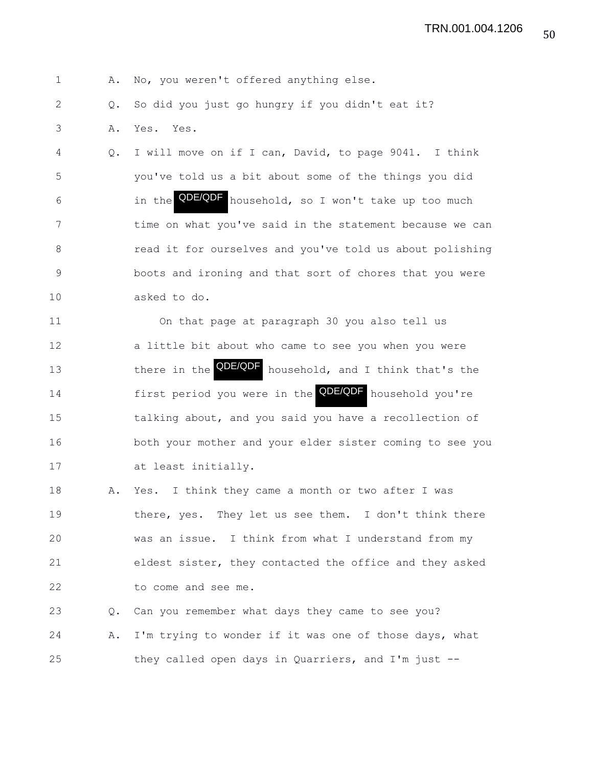1 A. No, you weren't offered anything else.

2 Q. So did you just go hungry if you didn't eat it?

3 A. Yes. Yes.

4 Q. I will move on if I can, David, to page 9041. I think 5 you've told us a bit about some of the things you did 6 in the **QDE/QDF** household, so I won't take up too much 7 time on what you've said in the statement because we can 8 read it for ourselves and you've told us about polishing 9 boots and ironing and that sort of chores that you were 10 asked to do.

11 On that page at paragraph 30 you also tell us 12 a little bit about who came to see you when you were 13 there in the **QDE/QDF** household, and I think that's the 14 first period you were in the **QDE/QDF** household you're 15 talking about, and you said you have a recollection of 16 both your mother and your elder sister coming to see you 17 at least initially.

18 A. Yes. I think they came a month or two after I was 19 there, yes. They let us see them. I don't think there 20 was an issue. I think from what I understand from my 21 eldest sister, they contacted the office and they asked 22 to come and see me.

23 Q. Can you remember what days they came to see you? 24 A. I'm trying to wonder if it was one of those days, what 25 they called open days in Quarriers, and I'm just --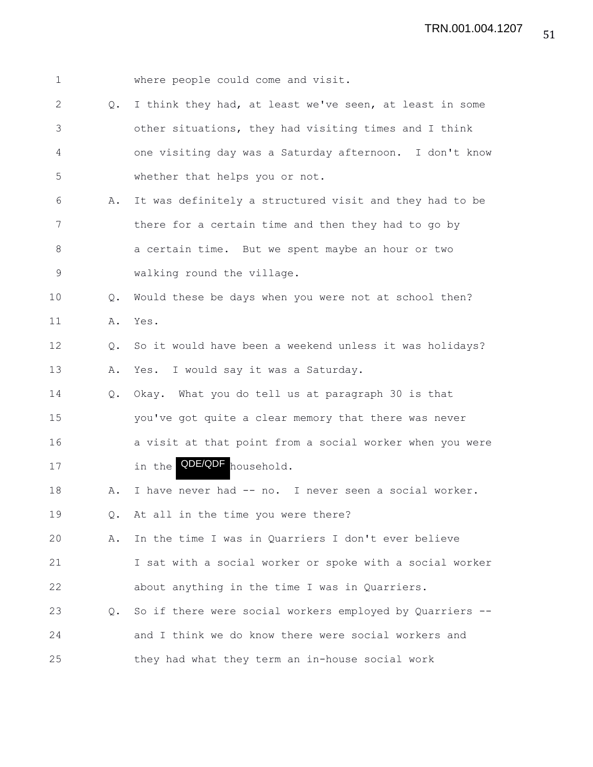| $\mathbf 1$  |               | where people could come and visit.                       |
|--------------|---------------|----------------------------------------------------------|
| $\mathbf{2}$ | $Q_{\bullet}$ | I think they had, at least we've seen, at least in some  |
| 3            |               | other situations, they had visiting times and I think    |
| 4            |               | one visiting day was a Saturday afternoon. I don't know  |
| 5            |               | whether that helps you or not.                           |
| 6            | Α.            | It was definitely a structured visit and they had to be  |
| 7            |               | there for a certain time and then they had to go by      |
| 8            |               | a certain time. But we spent maybe an hour or two        |
| 9            |               | walking round the village.                               |
| 10           | $Q_{\bullet}$ | Would these be days when you were not at school then?    |
| 11           | Α.            | Yes.                                                     |
| 12           | $Q_{\bullet}$ | So it would have been a weekend unless it was holidays?  |
| 13           | Α.            | Yes. I would say it was a Saturday.                      |
| 14           | Q.            | Okay. What you do tell us at paragraph 30 is that        |
| 15           |               | you've got quite a clear memory that there was never     |
| 16           |               | a visit at that point from a social worker when you were |
| 17           |               | in the QDE/QDF household.                                |
| 18           | Α.            | I have never had -- no. I never seen a social worker.    |
| 19           |               | Q. At all in the time you were there?                    |
| 20           | Α.            | In the time I was in Quarriers I don't ever believe      |
| 21           |               | I sat with a social worker or spoke with a social worker |
| 22           |               | about anything in the time I was in Quarriers.           |
| 23           | Q.            | So if there were social workers employed by Quarriers -- |
| 24           |               | and I think we do know there were social workers and     |
| 25           |               | they had what they term an in-house social work          |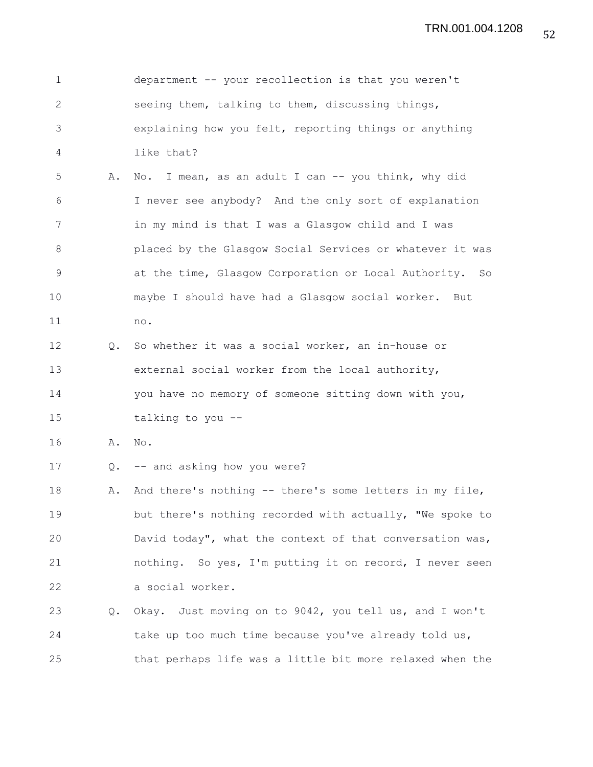1 department -- your recollection is that you weren't 2 seeing them, talking to them, discussing things, 3 explaining how you felt, reporting things or anything 4 like that? 5 A. No. I mean, as an adult I can -- you think, why did 6 I never see anybody? And the only sort of explanation 7 in my mind is that I was a Glasgow child and I was 8 placed by the Glasgow Social Services or whatever it was 9 at the time, Glasgow Corporation or Local Authority. So 10 maybe I should have had a Glasgow social worker. But 11 no. 12 Q. So whether it was a social worker, an in-house or 13 external social worker from the local authority, 14 you have no memory of someone sitting down with you, 15 talking to you -- 16 A. No. 17 Q. -- and asking how you were? 18 A. And there's nothing -- there's some letters in my file, 19 but there's nothing recorded with actually, "We spoke to 20 David today", what the context of that conversation was, 21 nothing. So yes, I'm putting it on record, I never seen 22 a social worker. 23 Q. Okay. Just moving on to 9042, you tell us, and I won't 24 take up too much time because you've already told us, 25 that perhaps life was a little bit more relaxed when the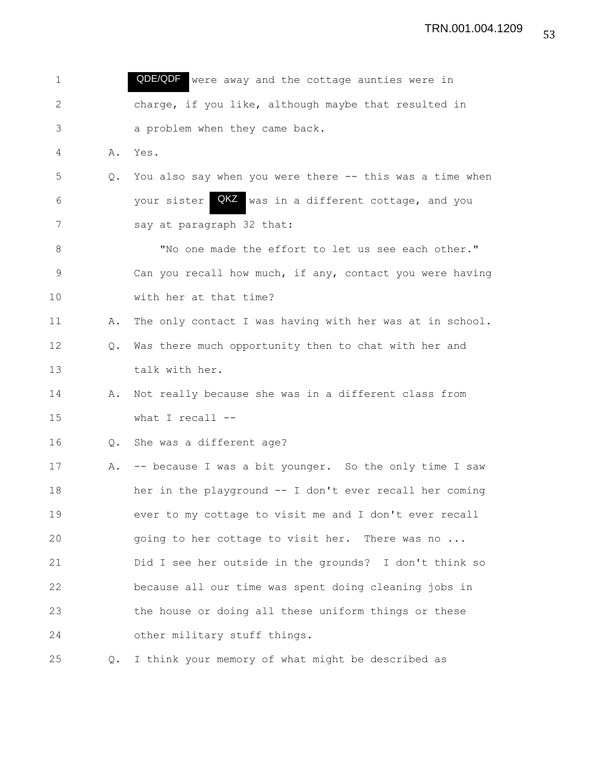1 **QDE/QDF** were away and the cottage aunties were in 2 charge, if you like, although maybe that resulted in 3 a problem when they came back. 4 A. Yes. 5 Q. You also say when you were there -- this was a time when 6 6 The Vour sister **QKZ** was in a different cottage, and you 7 say at paragraph 32 that: 8 "No one made the effort to let us see each other." 9 Can you recall how much, if any, contact you were having 10 with her at that time? 11 A. The only contact I was having with her was at in school. 12 Q. Was there much opportunity then to chat with her and 13 talk with her. 14 A. Not really because she was in a different class from 15 what I recall -- 16 Q. She was a different age? 17 A. -- because I was a bit younger. So the only time I saw 18 her in the playground -- I don't ever recall her coming 19 ever to my cottage to visit me and I don't ever recall 20 going to her cottage to visit her. There was no ... 21 Did I see her outside in the grounds? I don't think so 22 because all our time was spent doing cleaning jobs in 23 the house or doing all these uniform things or these 24 other military stuff things. 25 Q. I think your memory of what might be described as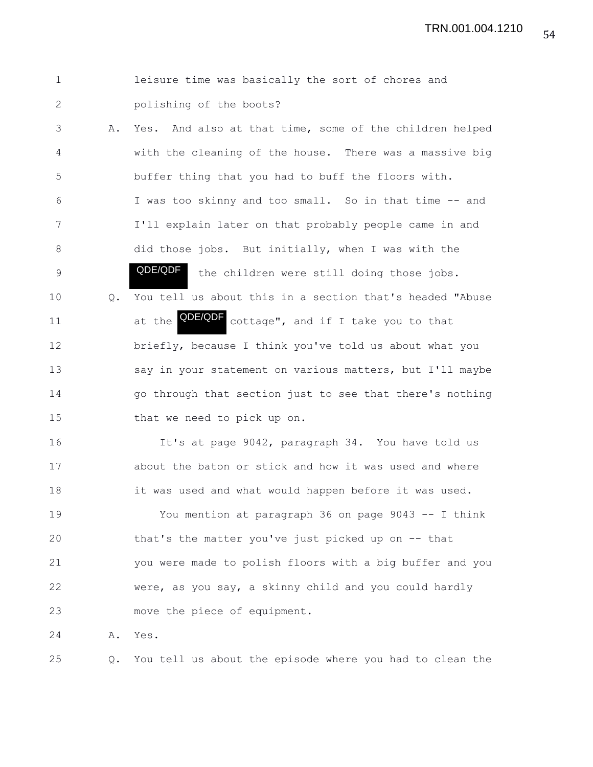|                         |  | leisure time was basically the sort of chores and |  |  |  |
|-------------------------|--|---------------------------------------------------|--|--|--|
| polishing of the boots? |  |                                                   |  |  |  |

3 A. Yes. And also at that time, some of the children helped 4 with the cleaning of the house. There was a massive big 5 buffer thing that you had to buff the floors with. 6 I was too skinny and too small. So in that time -- and 7 I'll explain later on that probably people came in and 8 did those jobs. But initially, when I was with the 9 **QUE/QUF** the children were still doing those jobs. 10 Q. You tell us about this in a section that's headed "Abuse 11 at the **QDE/QDF** cottage", and if I take you to that 12 briefly, because I think you've told us about what you 13 say in your statement on various matters, but I'll maybe 14 go through that section just to see that there's nothing 15 that we need to pick up on. QDE/QDF

16 It's at page 9042, paragraph 34. You have told us 17 about the baton or stick and how it was used and where 18 it was used and what would happen before it was used. 19 You mention at paragraph 36 on page 9043 -- I think

20 that's the matter you've just picked up on -- that 21 you were made to polish floors with a big buffer and you 22 were, as you say, a skinny child and you could hardly 23 move the piece of equipment.

24 A. Yes.

25 Q. You tell us about the episode where you had to clean the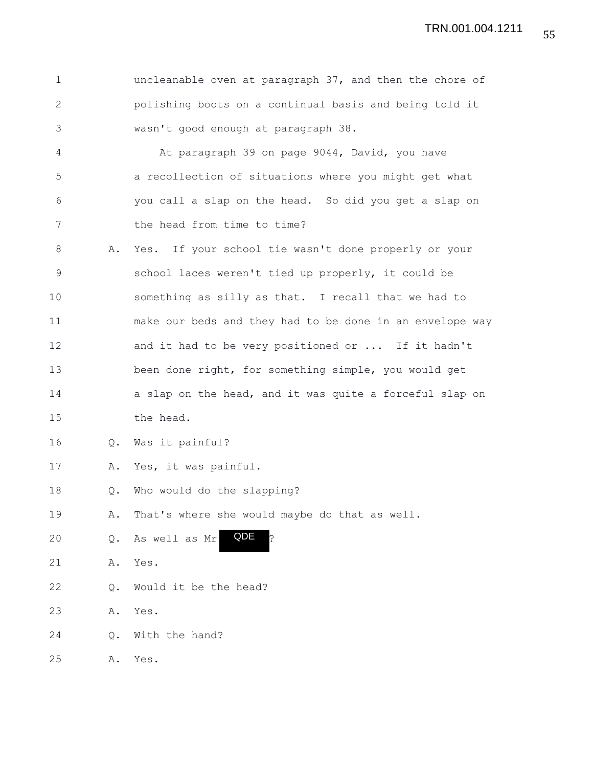| $\mathbf 1$  |       | uncleanable oven at paragraph 37, and then the chore of  |
|--------------|-------|----------------------------------------------------------|
| $\mathbf{2}$ |       | polishing boots on a continual basis and being told it   |
| 3            |       | wasn't good enough at paragraph 38.                      |
| 4            |       | At paragraph 39 on page 9044, David, you have            |
| 5            |       | a recollection of situations where you might get what    |
| 6            |       | you call a slap on the head. So did you get a slap on    |
| 7            |       | the head from time to time?                              |
| $\,8\,$      | Α.    | Yes. If your school tie wasn't done properly or your     |
| 9            |       | school laces weren't tied up properly, it could be       |
| 10           |       | something as silly as that. I recall that we had to      |
| 11           |       | make our beds and they had to be done in an envelope way |
| 12           |       | and it had to be very positioned or  If it hadn't        |
| 13           |       | been done right, for something simple, you would get     |
| 14           |       | a slap on the head, and it was quite a forceful slap on  |
| 15           |       | the head.                                                |
| 16           | Q.    | Was it painful?                                          |
| 17           | Α.    | Yes, it was painful.                                     |
| 18           | Q.    | Who would do the slapping?                               |
| 19           | Α.    | That's where she would maybe do that as well.            |
| 20           | $Q$ . | QDE<br>İ.<br>As well as Mr                               |
| 21           | Α.    | Yes.                                                     |
| 22           | Q.    | Would it be the head?                                    |
| 23           | Α.    | Yes.                                                     |
| 24           | Q.    | With the hand?                                           |
| 25           | Α.    | Yes.                                                     |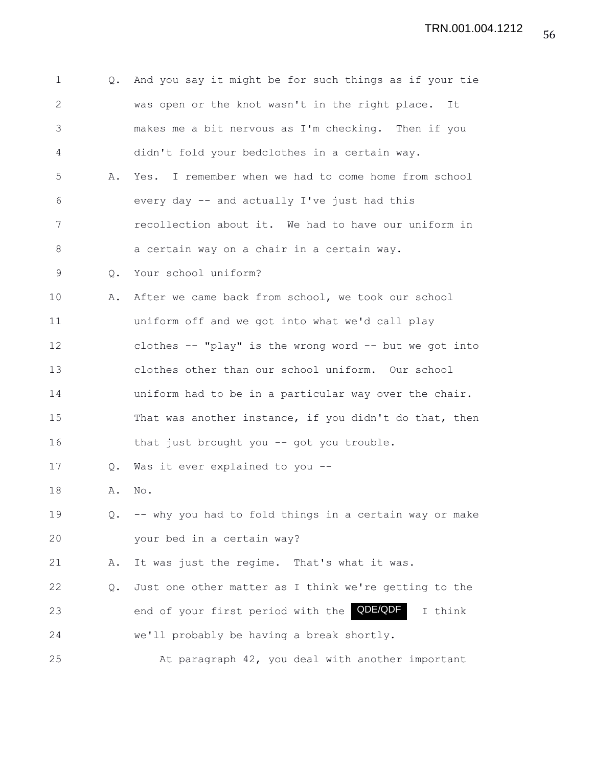| 1  | Q.            | And you say it might be for such things as if your tie |
|----|---------------|--------------------------------------------------------|
| 2  |               | was open or the knot wasn't in the right place. It     |
| 3  |               | makes me a bit nervous as I'm checking. Then if you    |
| 4  |               | didn't fold your bedclothes in a certain way.          |
| 5  | Α.            | Yes. I remember when we had to come home from school   |
| 6  |               | every day -- and actually I've just had this           |
| 7  |               | recollection about it. We had to have our uniform in   |
| 8  |               | a certain way on a chair in a certain way.             |
| 9  | $Q_{\bullet}$ | Your school uniform?                                   |
| 10 | Α.            | After we came back from school, we took our school     |
| 11 |               | uniform off and we got into what we'd call play        |
| 12 |               | clothes -- "play" is the wrong word -- but we got into |
| 13 |               | clothes other than our school uniform. Our school      |
| 14 |               | uniform had to be in a particular way over the chair.  |
| 15 |               | That was another instance, if you didn't do that, then |
| 16 |               | that just brought you -- got you trouble.              |
| 17 | $Q_{\bullet}$ | Was it ever explained to you --                        |
| 18 | Α.            | No.                                                    |
| 19 | Q.            | -- why you had to fold things in a certain way or make |
| 20 |               | your bed in a certain way?                             |
| 21 | Α.            | It was just the regime. That's what it was.            |
| 22 | Q.            | Just one other matter as I think we're getting to the  |
| 23 |               | end of your first period with the QDE/QDF<br>I think   |
| 24 |               | we'll probably be having a break shortly.              |
| 25 |               | At paragraph 42, you deal with another important       |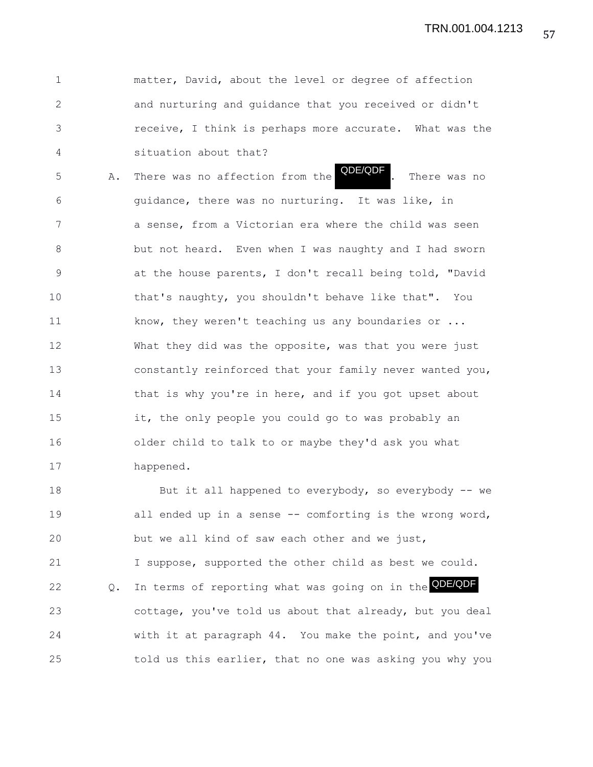1 matter, David, about the level or degree of affection 2 and nurturing and guidance that you received or didn't 3 receive, I think is perhaps more accurate. What was the 4 situation about that?

5 A. There was no affection from the **WDFADF**. There was no 6 guidance, there was no nurturing. It was like, in 7 a sense, from a Victorian era where the child was seen 8 but not heard. Even when I was naughty and I had sworn 9 at the house parents, I don't recall being told, "David 10 that's naughty, you shouldn't behave like that". You 11 know, they weren't teaching us any boundaries or ... 12 What they did was the opposite, was that you were just 13 constantly reinforced that your family never wanted you, 14 that is why you're in here, and if you got upset about 15 it, the only people you could go to was probably an 16 older child to talk to or maybe they'd ask you what 17 happened. QDE/QDF

18 But it all happened to everybody, so everybody -- we 19 all ended up in a sense -- comforting is the wrong word, 20 but we all kind of saw each other and we just, 21 I suppose, supported the other child as best we could. 22 Q. In terms of reporting what was going on in the **QDE/QDF** 23 cottage, you've told us about that already, but you deal 24 with it at paragraph 44. You make the point, and you've 25 told us this earlier, that no one was asking you why you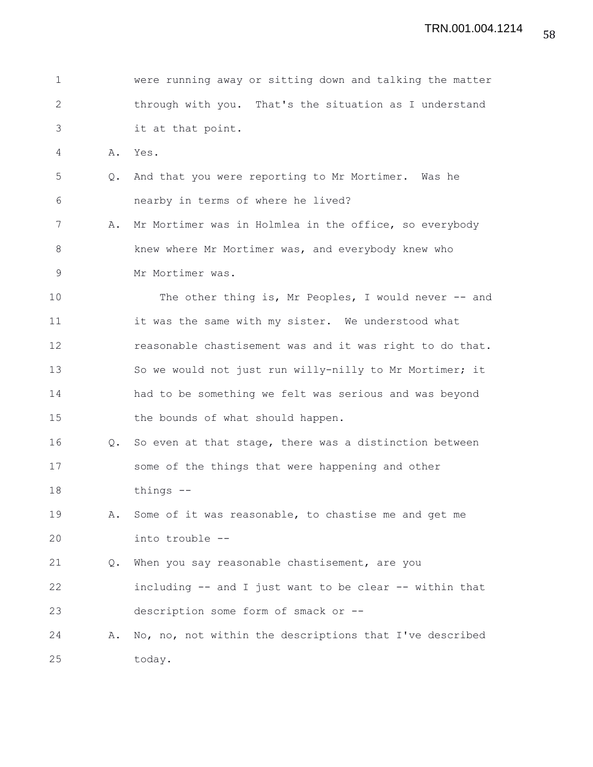| $\mathbf 1$ |    | were running away or sitting down and talking the matter |
|-------------|----|----------------------------------------------------------|
| 2           |    | through with you. That's the situation as I understand   |
| 3           |    | it at that point.                                        |
| 4           | Α. | Yes.                                                     |
| 5           | Q. | And that you were reporting to Mr Mortimer. Was he       |
| 6           |    | nearby in terms of where he lived?                       |
| 7           | Α. | Mr Mortimer was in Holmlea in the office, so everybody   |
| 8           |    | knew where Mr Mortimer was, and everybody knew who       |
| $\mathsf 9$ |    | Mr Mortimer was.                                         |
| 10          |    | The other thing is, Mr Peoples, I would never -- and     |
| 11          |    | it was the same with my sister. We understood what       |
| 12          |    | reasonable chastisement was and it was right to do that. |
| 13          |    | So we would not just run willy-nilly to Mr Mortimer; it  |
| 14          |    | had to be something we felt was serious and was beyond   |
| 15          |    | the bounds of what should happen.                        |
| 16          | Q. | So even at that stage, there was a distinction between   |
| 17          |    | some of the things that were happening and other         |
| 18          |    | things --                                                |
| 19          | Α. | Some of it was reasonable, to chastise me and get me     |
| 20          |    | into trouble --                                          |
| 21          | Q. | When you say reasonable chastisement, are you            |
| 22          |    | including -- and I just want to be clear -- within that  |
| 23          |    | description some form of smack or --                     |
| 24          | Α. | No, no, not within the descriptions that I've described  |
| 25          |    | today.                                                   |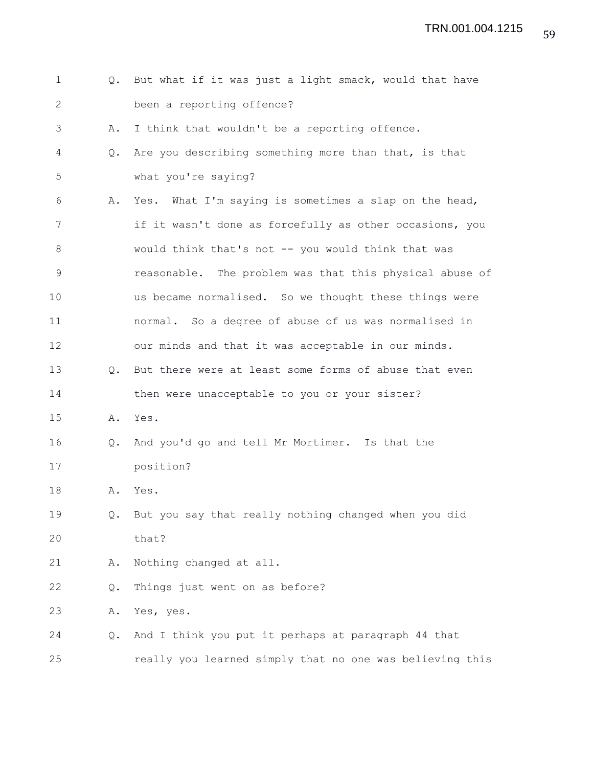| $\mathbf 1$  | $\circ$ .     | But what if it was just a light smack, would that have   |
|--------------|---------------|----------------------------------------------------------|
| $\mathbf{2}$ |               | been a reporting offence?                                |
| 3            | Α.            | I think that wouldn't be a reporting offence.            |
| 4            | $Q_{\bullet}$ | Are you describing something more than that, is that     |
| 5            |               | what you're saying?                                      |
| 6            | Α.            | Yes. What I'm saying is sometimes a slap on the head,    |
| 7            |               | if it wasn't done as forcefully as other occasions, you  |
| 8            |               | would think that's not -- you would think that was       |
| $\mathsf 9$  |               | reasonable. The problem was that this physical abuse of  |
| 10           |               | us became normalised. So we thought these things were    |
| 11           |               | normal. So a degree of abuse of us was normalised in     |
| 12           |               | our minds and that it was acceptable in our minds.       |
| 13           | $Q_{\bullet}$ | But there were at least some forms of abuse that even    |
| 14           |               | then were unacceptable to you or your sister?            |
| 15           | Α.            | Yes.                                                     |
| 16           | Q.            | And you'd go and tell Mr Mortimer. Is that the           |
| 17           |               | position?                                                |
| 18           | Α.            | Yes.                                                     |
| 19           | Q.            | But you say that really nothing changed when you did     |
| 20           |               | that?                                                    |
| 21           | Α.            | Nothing changed at all.                                  |
| 22           | Q.            | Things just went on as before?                           |
| 23           | Α.            | Yes, yes.                                                |
| 24           | Q.            | And I think you put it perhaps at paragraph 44 that      |
| 25           |               | really you learned simply that no one was believing this |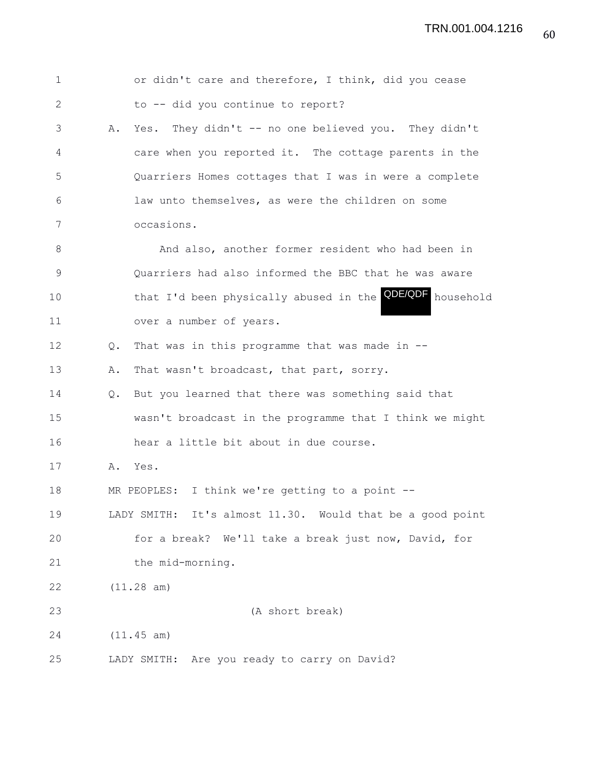| $\mathbf 1$  | or didn't care and therefore, I think, did you cease                |
|--------------|---------------------------------------------------------------------|
| $\mathbf{2}$ | to -- did you continue to report?                                   |
| 3            | Yes. They didn't -- no one believed you. They didn't<br>Α.          |
| 4            | care when you reported it. The cottage parents in the               |
| 5            | Quarriers Homes cottages that I was in were a complete              |
| 6            | law unto themselves, as were the children on some                   |
| 7            | occasions.                                                          |
| 8            | And also, another former resident who had been in                   |
| $\mathsf 9$  | Quarriers had also informed the BBC that he was aware               |
| 10           | that I'd been physically abused in the <b>QDE/QDF</b> household     |
| 11           | over a number of years.                                             |
| 12           | That was in this programme that was made in --<br>$Q_{\bullet}$     |
| 13           | That wasn't broadcast, that part, sorry.<br>Α.                      |
| 14           | But you learned that there was something said that<br>$Q_{\bullet}$ |
| 15           | wasn't broadcast in the programme that I think we might             |
| 16           | hear a little bit about in due course.                              |
| 17           | Yes.<br>Α.                                                          |
| 18           | MR PEOPLES: I think we're getting to a point --                     |
| 19           | LADY SMITH: It's almost 11.30. Would that be a good point           |
| 20           | for a break? We'll take a break just now, David, for                |
| 21           | the mid-morning.                                                    |
| 22           | (11.28 am)                                                          |
| 23           | (A short break)                                                     |
| 24           | (11.45 am)                                                          |
| 25           | LADY SMITH: Are you ready to carry on David?                        |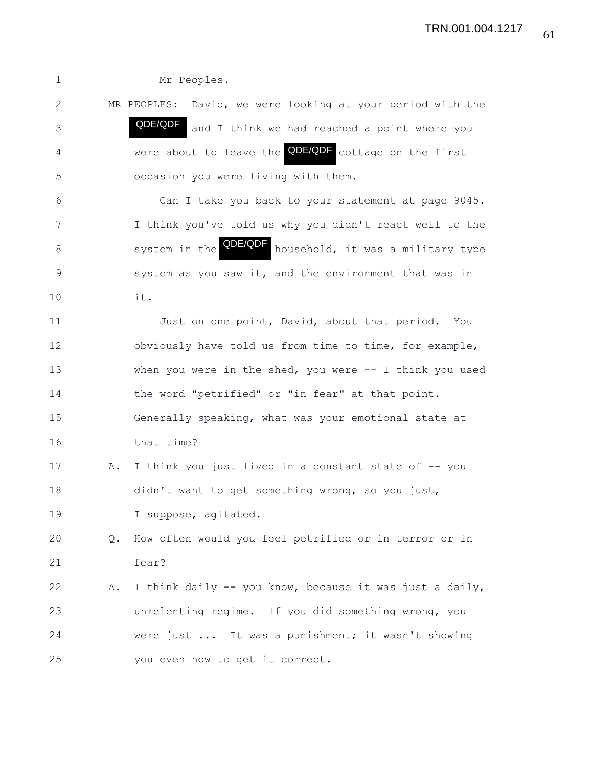1 Mr Peoples. 2 MR PEOPLES: David, we were looking at your period with the 3 **QUE/QUE** and I think we had reached a point where you 4 were about to leave the **QDE/QDF** cottage on the first 5 occasion you were living with them. 6 Can I take you back to your statement at page 9045. 7 I think you've told us why you didn't react well to the 8 system in the **QDE/QDF** household, it was a military type 9 system as you saw it, and the environment that was in 10 it. 11 Just on one point, David, about that period. You 12 obviously have told us from time to time, for example, 13 when you were in the shed, you were -- I think you used 14 the word "petrified" or "in fear" at that point. 15 Generally speaking, what was your emotional state at 16 that time? 17 A. I think you just lived in a constant state of -- you 18 didn't want to get something wrong, so you just, 19 I suppose, agitated. 20 Q. How often would you feel petrified or in terror or in 21 fear? 22 A. I think daily -- you know, because it was just a daily, 23 unrelenting regime. If you did something wrong, you 24 were just ... It was a punishment; it wasn't showing 25 you even how to get it correct. QDE/QDF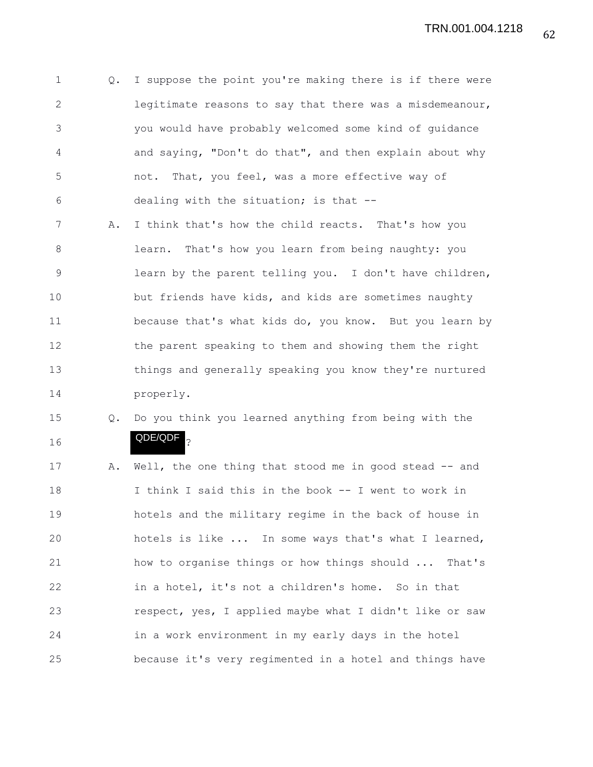1 Q. I suppose the point you're making there is if there were 2 legitimate reasons to say that there was a misdemeanour, 3 you would have probably welcomed some kind of guidance 4 and saying, "Don't do that", and then explain about why 5 not. That, you feel, was a more effective way of 6 dealing with the situation; is that --

7 A. I think that's how the child reacts. That's how you 8 learn. That's how you learn from being naughty: you 9 learn by the parent telling you. I don't have children, 10 but friends have kids, and kids are sometimes naughty 11 because that's what kids do, you know. But you learn by 12 the parent speaking to them and showing them the right 13 things and generally speaking you know they're nurtured 14 properly.

## 15 Q. Do you think you learned anything from being with the 16 **QDE/QDF** ?

17 A. Well, the one thing that stood me in good stead -- and 18 I think I said this in the book -- I went to work in 19 hotels and the military regime in the back of house in 20 hotels is like ... In some ways that's what I learned, 21 how to organise things or how things should ... That's 22 in a hotel, it's not a children's home. So in that 23 respect, yes, I applied maybe what I didn't like or saw 24 in a work environment in my early days in the hotel 25 because it's very regimented in a hotel and things have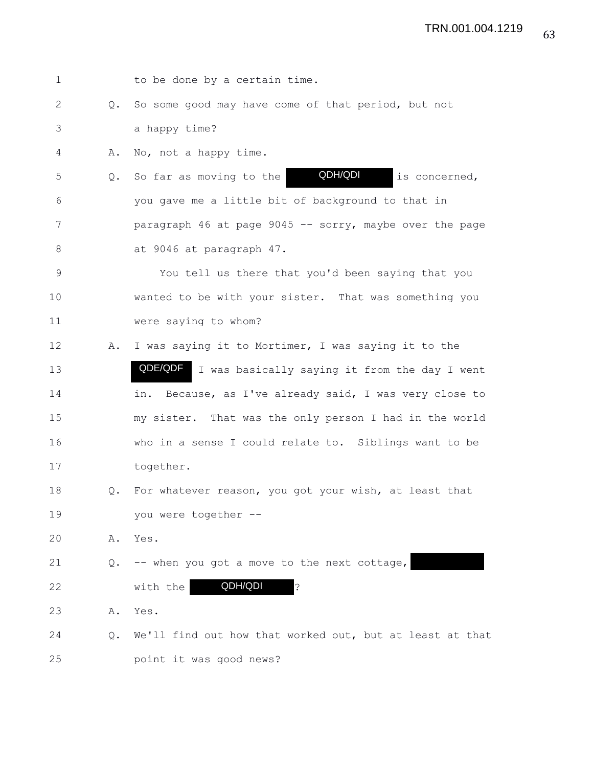- 1 to be done by a certain time.
- 2 Q. So some good may have come of that period, but not 3 a happy time?
- 4 A. No, not a happy time.

 $\mathcal{Q}$ . So far as moving to the **QDH/QDI** is concerned, 6 you gave me a little bit of background to that in 7 **paragraph 46 at page 9045 -- sorry, maybe over the page** 8 at 9046 at paragraph 47. QDH/QDI

9 You tell us there that you'd been saying that you 10 wanted to be with your sister. That was something you 11 were saying to whom?

12 A. I was saying it to Mortimer, I was saying it to the

13 **I QDE/QDF** I was basically saying it from the day I went 14 in. Because, as I've already said, I was very close to 15 my sister. That was the only person I had in the world 16 who in a sense I could relate to. Siblings want to be 17 together. QDE/QDF

- 18 Q. For whatever reason, you got your wish, at least that 19 you were together --
- 20 A. Yes.
- 21 Q. -- when you got a move to the next cottage,

22 with the **QDH/QDI** ?

QDH/QDI

- 23 A. Yes.
- 24 Q. We'll find out how that worked out, but at least at that 25 point it was good news?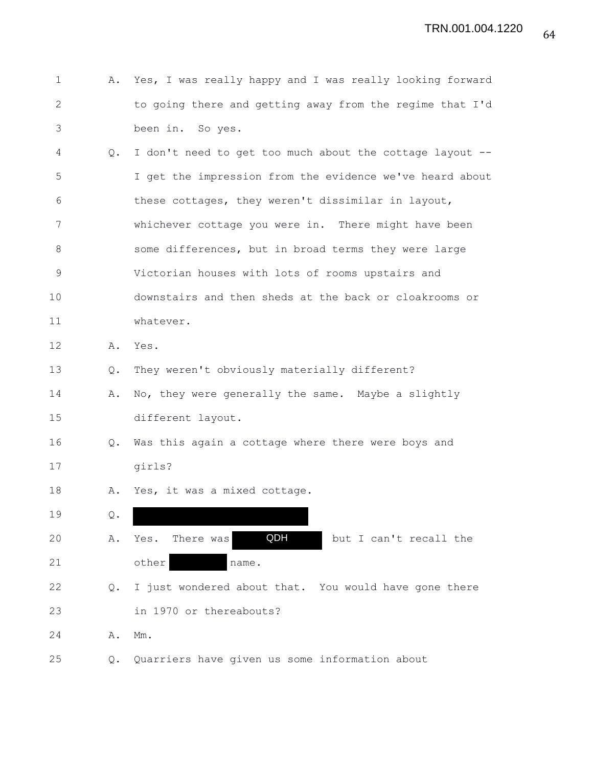| $\mathbf 1$  | Α.             | Yes, I was really happy and I was really looking forward |
|--------------|----------------|----------------------------------------------------------|
| $\mathbf{2}$ |                | to going there and getting away from the regime that I'd |
| 3            |                | been in. So yes.                                         |
| 4            | Q.             | I don't need to get too much about the cottage layout -- |
| 5            |                | I get the impression from the evidence we've heard about |
| 6            |                | these cottages, they weren't dissimilar in layout,       |
| 7            |                | whichever cottage you were in. There might have been     |
| 8            |                | some differences, but in broad terms they were large     |
| $\mathsf 9$  |                | Victorian houses with lots of rooms upstairs and         |
| 10           |                | downstairs and then sheds at the back or cloakrooms or   |
| 11           |                | whatever.                                                |
| 12           | Α.             | Yes.                                                     |
| 13           | Q.             | They weren't obviously materially different?             |
| 14           | Α.             | No, they were generally the same. Maybe a slightly       |
| 15           |                | different layout.                                        |
| 16           | $Q_{\bullet}$  | Was this again a cottage where there were boys and       |
| 17           |                | qirls?                                                   |
| 18           | Α.             | Yes, it was a mixed cottage.                             |
| 19           | $\mathsf{Q}$ . |                                                          |
| 20           | Α.             | QDH<br>but I can't recall the<br>Yes.<br>There was       |
| 21           |                | other<br>name.                                           |
| 22           | Q.             | I just wondered about that. You would have gone there    |
| 23           |                | in 1970 or thereabouts?                                  |
| 24           | Α.             | Mm.                                                      |
| 25           | Q.             | Quarriers have given us some information about           |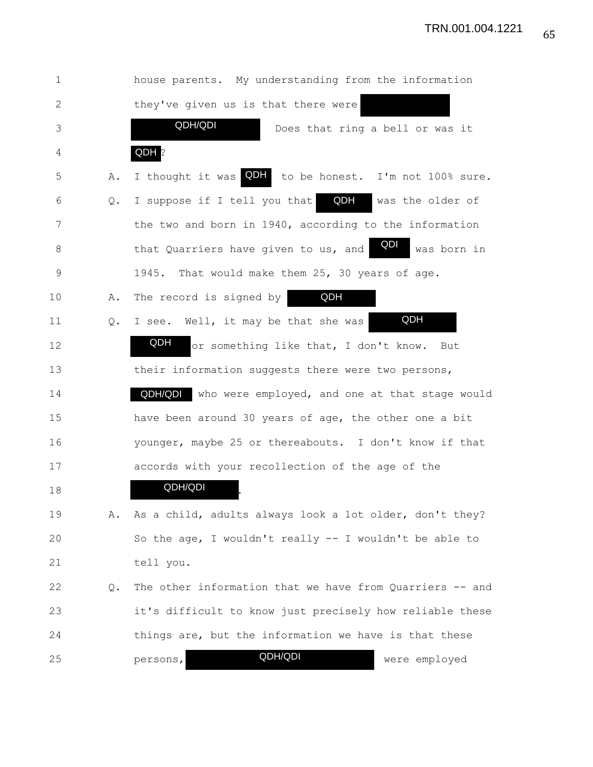| $\mathbf 1$  |    | house parents. My understanding from the information       |
|--------------|----|------------------------------------------------------------|
| $\mathbf{2}$ |    | they've given us is that there were                        |
| 3            |    | QDH/QDI<br>Does that ring a bell or was it                 |
| 4            |    | QDH ?                                                      |
| 5            | Α. | QDH to be honest. I'm not 100% sure.<br>I thought it was   |
| 6            | Q. | QDH<br>I suppose if I tell you that<br>was the older of    |
| 7            |    | the two and born in 1940, according to the information     |
| 8            |    | QDI<br>that Quarriers have given to us, and<br>was born in |
| 9            |    | That would make them 25, 30 years of age.<br>1945.         |
| 10           | Α. | QDH<br>The record is signed by                             |
| 11           | Q. | QDH<br>I see. Well, it may be that she was                 |
| 12           |    | QDH<br>or something like that, I don't know. But           |
| 13           |    | their information suggests there were two persons,         |
| 14           |    | QDH/QDI<br>who were employed, and one at that stage would  |
| 15           |    | have been around 30 years of age, the other one a bit      |
| 16           |    | younger, maybe 25 or thereabouts. I don't know if that     |
| 17           |    | accords with your recollection of the age of the           |
| 18           |    | QDH/QDI                                                    |
| 19           | Α. | As a child, adults always look a lot older, don't they?    |
| 20           |    | So the age, I wouldn't really -- I wouldn't be able to     |
| 21           |    | tell you.                                                  |
| 22           | Q. | The other information that we have from Quarriers -- and   |
| 23           |    | it's difficult to know just precisely how reliable these   |
| 24           |    | things are, but the information we have is that these      |
| 25           |    | QDH/QDI<br>were employed<br>persons,                       |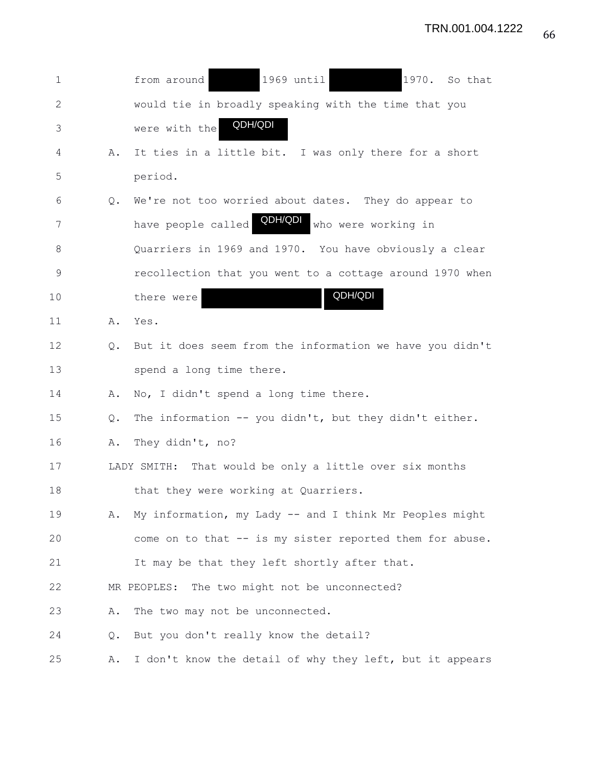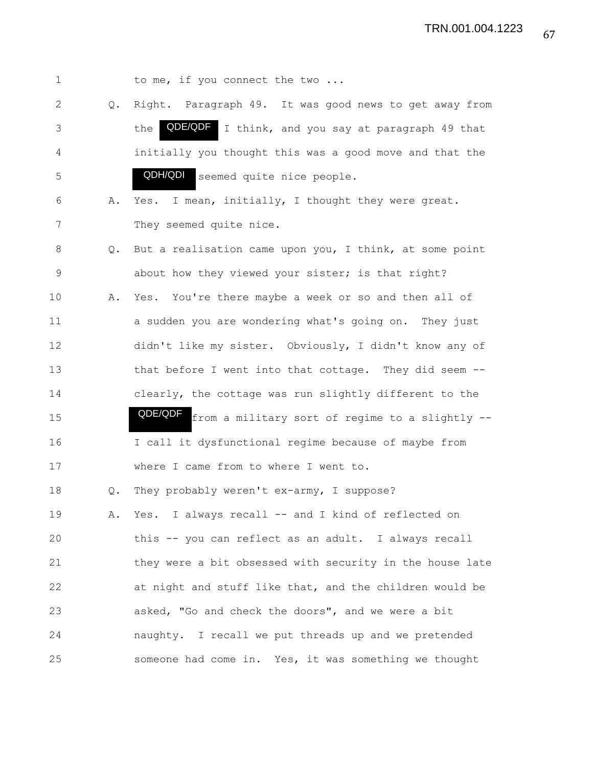| $\mathbf 1$  |               | to me, if you connect the two                              |
|--------------|---------------|------------------------------------------------------------|
| $\mathbf{2}$ | Q.            | Right. Paragraph 49. It was good news to get away from     |
| 3            |               | QDE/QDF I think, and you say at paragraph 49 that<br>the   |
| 4            |               | initially you thought this was a good move and that the    |
| 5            |               | QDH/QDI<br>seemed quite nice people.                       |
| 6            | Α.            | Yes. I mean, initially, I thought they were great.         |
| 7            |               | They seemed quite nice.                                    |
| 8            | $Q_{\bullet}$ | But a realisation came upon you, I think, at some point    |
| $\mathsf 9$  |               | about how they viewed your sister; is that right?          |
| 10           | Α.            | Yes. You're there maybe a week or so and then all of       |
| 11           |               | a sudden you are wondering what's going on. They just      |
| 12           |               | didn't like my sister. Obviously, I didn't know any of     |
| 13           |               | that before I went into that cottage. They did seem --     |
| 14           |               | clearly, the cottage was run slightly different to the     |
| 15           |               | QDE/QDF<br>from a military sort of regime to a slightly -- |
| 16           |               | I call it dysfunctional regime because of maybe from       |
| 17           |               | where I came from to where I went to.                      |
| 18           | Q.            | They probably weren't ex-army, I suppose?                  |
| 19           | Α.            | Yes. I always recall -- and I kind of reflected on         |
| 20           |               | this -- you can reflect as an adult. I always recall       |
| 21           |               | they were a bit obsessed with security in the house late   |
| 22           |               | at night and stuff like that, and the children would be    |
| 23           |               | asked, "Go and check the doors", and we were a bit         |
| 24           |               | naughty. I recall we put threads up and we pretended       |
| 25           |               | someone had come in. Yes, it was something we thought      |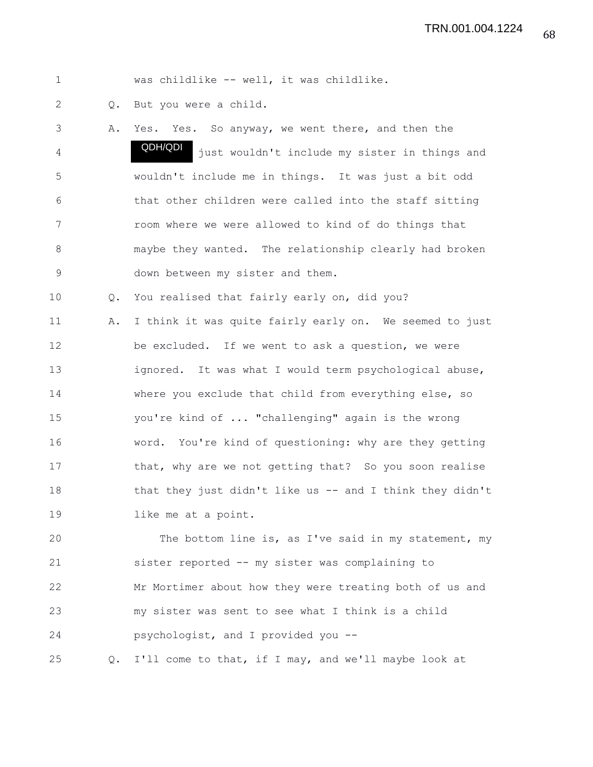1 was childlike -- well, it was childlike.

2 Q. But you were a child.

3 A. Yes. Yes. So anyway, we went there, and then the 4 **QUF/QUI** just wouldn't include my sister in things and 5 wouldn't include me in things. It was just a bit odd 6 that other children were called into the staff sitting 7 room where we were allowed to kind of do things that 8 maybe they wanted. The relationship clearly had broken 9 down between my sister and them. QDH/QDI

10 Q. You realised that fairly early on, did you?

11 A. I think it was quite fairly early on. We seemed to just 12 be excluded. If we went to ask a question, we were 13 ignored. It was what I would term psychological abuse, 14 where you exclude that child from everything else, so 15 you're kind of ... "challenging" again is the wrong 16 word. You're kind of questioning: why are they getting 17 that, why are we not getting that? So you soon realise 18 that they just didn't like us -- and I think they didn't 19 like me at a point.

20 The bottom line is, as I've said in my statement, my 21 sister reported -- my sister was complaining to 22 Mr Mortimer about how they were treating both of us and 23 my sister was sent to see what I think is a child 24 psychologist, and I provided you --

25 Q. I'll come to that, if I may, and we'll maybe look at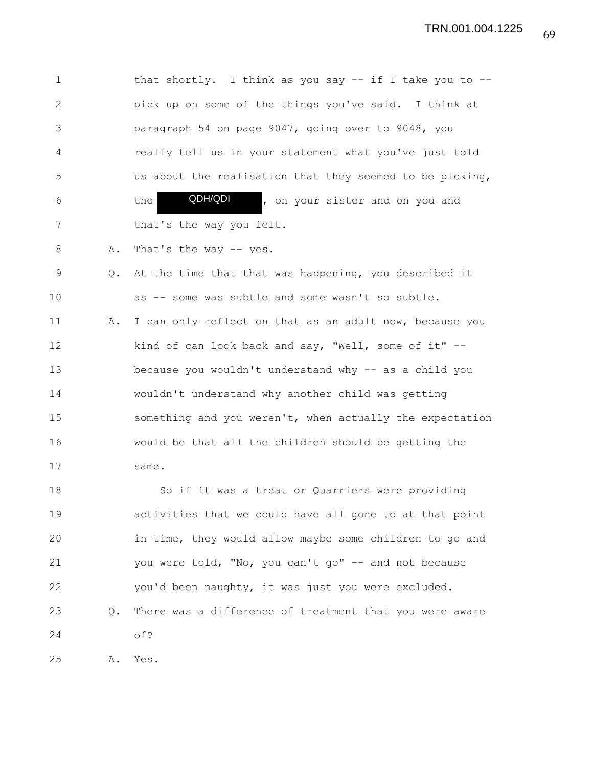1 that shortly. I think as you say -- if I take you to --2 pick up on some of the things you've said. I think at 3 paragraph 54 on page 9047, going over to 9048, you 4 really tell us in your statement what you've just told 5 us about the realisation that they seemed to be picking, 6 the **QDH/QDI**, on your sister and on you and 7 that's the way you felt. QDH/QDI

8 A. That's the way -- yes.

9 Q. At the time that that was happening, you described it 10 as -- some was subtle and some wasn't so subtle. 11 A. I can only reflect on that as an adult now, because you 12 kind of can look back and say, "Well, some of it" --13 because you wouldn't understand why -- as a child you 14 wouldn't understand why another child was getting 15 something and you weren't, when actually the expectation 16 would be that all the children should be getting the 17 same.

18 So if it was a treat or Quarriers were providing 19 activities that we could have all gone to at that point 20 in time, they would allow maybe some children to go and 21 you were told, "No, you can't go" -- and not because 22 you'd been naughty, it was just you were excluded. 23 Q. There was a difference of treatment that you were aware 24 of?

25 A. Yes.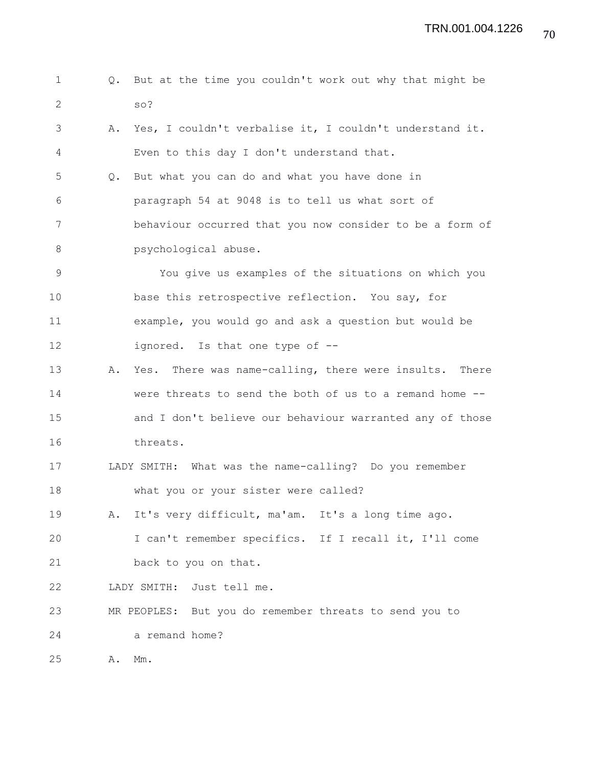|  |       |  |  | Q. But at the time you couldn't work out why that might be |  |  |  |
|--|-------|--|--|------------------------------------------------------------|--|--|--|
|  | - so? |  |  |                                                            |  |  |  |

3 A. Yes, I couldn't verbalise it, I couldn't understand it. 4 Even to this day I don't understand that.

5 Q. But what you can do and what you have done in 6 paragraph 54 at 9048 is to tell us what sort of 7 behaviour occurred that you now consider to be a form of 8 psychological abuse.

9 You give us examples of the situations on which you 10 **base this retrospective reflection.** You say, for 11 example, you would go and ask a question but would be 12 ignored. Is that one type of --

- 13 A. Yes. There was name-calling, there were insults. There 14 were threats to send the both of us to a remand home -- 15 and I don't believe our behaviour warranted any of those 16 threats.
- 17 LADY SMITH: What was the name-calling? Do you remember 18 what you or your sister were called?
- 19 A. It's very difficult, ma'am. It's a long time ago.

20 I can't remember specifics. If I recall it, I'll come 21 back to you on that.

22 LADY SMITH: Just tell me.

23 MR PEOPLES: But you do remember threats to send you to 24 a remand home?

25 A. Mm.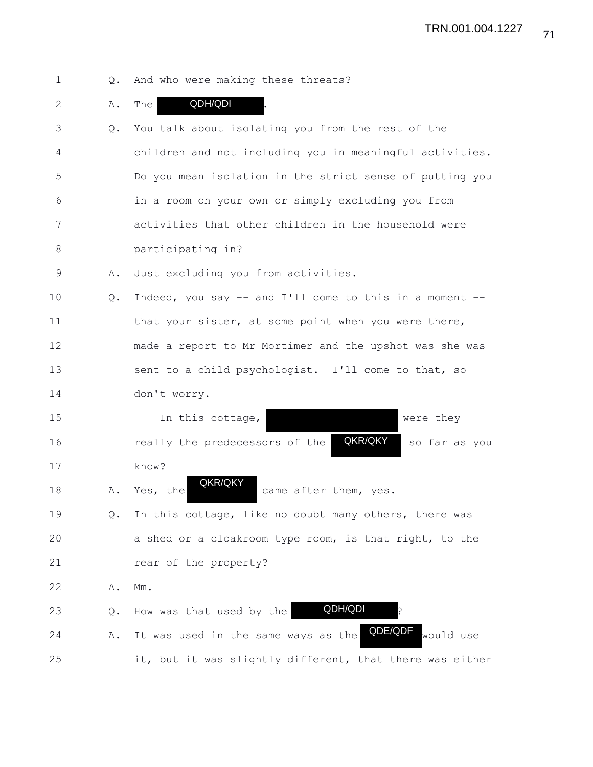| 1  | Q. | And who were making these threats?                          |
|----|----|-------------------------------------------------------------|
| 2  | Α. | QDH/QDI<br>The                                              |
| 3  | Q. | You talk about isolating you from the rest of the           |
| 4  |    | children and not including you in meaningful activities.    |
| 5  |    | Do you mean isolation in the strict sense of putting you    |
| 6  |    | in a room on your own or simply excluding you from          |
| 7  |    | activities that other children in the household were        |
| 8  |    | participating in?                                           |
| 9  | Α. | Just excluding you from activities.                         |
| 10 | Q. | Indeed, you say -- and I'll come to this in a moment --     |
| 11 |    | that your sister, at some point when you were there,        |
| 12 |    | made a report to Mr Mortimer and the upshot was she was     |
| 13 |    | sent to a child psychologist. I'll come to that, so         |
| 14 |    | don't worry.                                                |
| 15 |    | In this cottage,<br>were they                               |
| 16 |    | QKR/QKY<br>really the predecessors of the<br>so far as you  |
| 17 |    | know?                                                       |
| 18 | Α. | QKR/QKY<br>Yes, the<br>came after them, yes.                |
| 19 | Q. | In this cottage, like no doubt many others, there was       |
| 20 |    | a shed or a cloakroom type room, is that right, to the      |
| 21 |    | rear of the property?                                       |
| 22 | Α. | $\text{\rm Mm}$ .                                           |
| 23 | Q. | QDH/QDI<br>How was that used by the                         |
| 24 | Α. | QDE/QDF<br>would use<br>It was used in the same ways as the |
| 25 |    | it, but it was slightly different, that there was either    |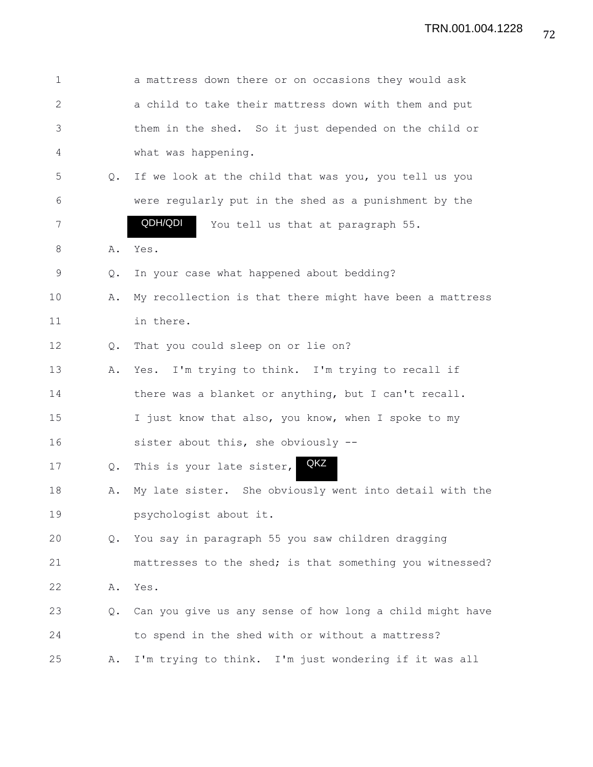| $\mathbf 1$  |           | a mattress down there or on occasions they would ask     |
|--------------|-----------|----------------------------------------------------------|
| $\mathbf{2}$ |           | a child to take their mattress down with them and put    |
| 3            |           | them in the shed. So it just depended on the child or    |
| 4            |           | what was happening.                                      |
| 5            | $\circ$ . | If we look at the child that was you, you tell us you    |
| 6            |           | were regularly put in the shed as a punishment by the    |
| 7            |           | QDH/QDI<br>You tell us that at paragraph 55.             |
| 8            | Α.        | Yes.                                                     |
| 9            | Q.        | In your case what happened about bedding?                |
| 10           | Α.        | My recollection is that there might have been a mattress |
| 11           |           | in there.                                                |
| 12           | Q.        | That you could sleep on or lie on?                       |
| 13           | Α.        | Yes. I'm trying to think. I'm trying to recall if        |
| 14           |           | there was a blanket or anything, but I can't recall.     |
| 15           |           | I just know that also, you know, when I spoke to my      |
| 16           |           | sister about this, she obviously --                      |
| 17           | Q.        | QKZ<br>This is your late sister,                         |
| 18           | Α.        | My late sister. She obviously went into detail with the  |
| 19           |           | psychologist about it.                                   |
| 20           | Q.        | You say in paragraph 55 you saw children dragging        |
| 21           |           | mattresses to the shed; is that something you witnessed? |
| 22           | Α.        | Yes.                                                     |
| 23           | Q.        | Can you give us any sense of how long a child might have |
| 24           |           | to spend in the shed with or without a mattress?         |
| 25           | Α.        | I'm trying to think. I'm just wondering if it was all    |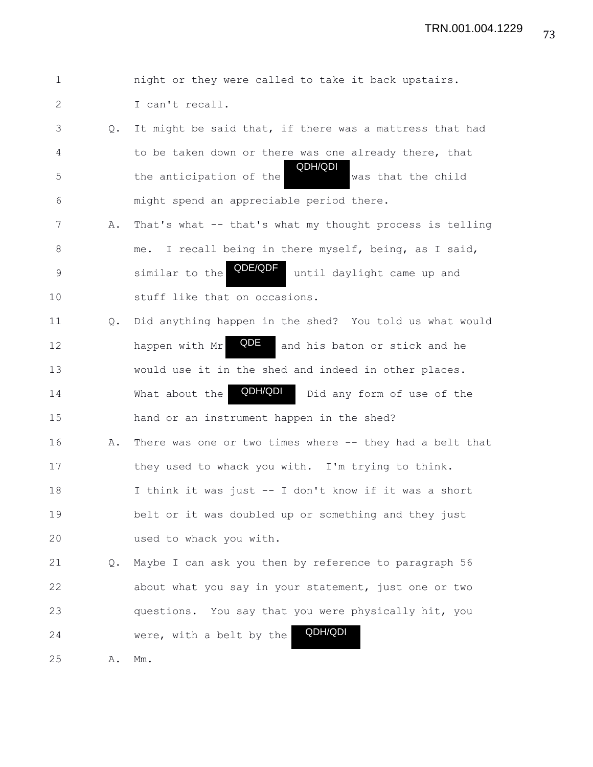1 night or they were called to take it back upstairs. 2 I can't recall. 3 Q. It might be said that, if there was a mattress that had 4 to be taken down or there was one already there, that 5 the anticipation of the was that the child 6 might spend an appreciable period there. 7 A. That's what -- that's what my thought process is telling 8 me. I recall being in there myself, being, as I said, 9 similar to the state while daylight came up and 10 stuff like that on occasions. 11 Q. Did anything happen in the shed? You told us what would 12 happen with Mr **QDE** and his baton or stick and he 13 would use it in the shed and indeed in other places. 14 What about the **QDH/QDI** Did any form of use of the 15 hand or an instrument happen in the shed? 16 A. There was one or two times where -- they had a belt that 17 they used to whack you with. I'm trying to think. 18 I think it was just -- I don't know if it was a short 19 belt or it was doubled up or something and they just 20 used to whack you with. 21 Q. Maybe I can ask you then by reference to paragraph 56 22 about what you say in your statement, just one or two 23 questions. You say that you were physically hit, you 24 were, with a belt by the 25 A. Mm. QDH/QDI QDH/QDI QDE/QDF QDH/QDI QDE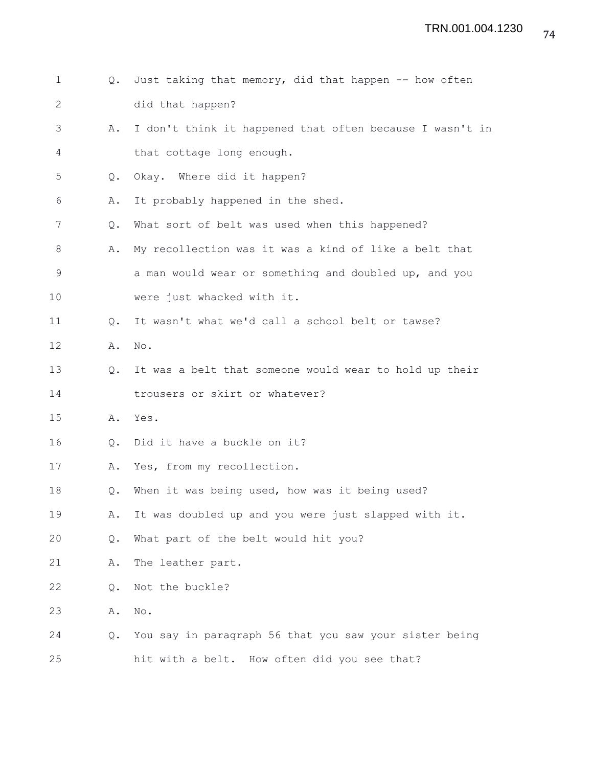- 1 Q. Just taking that memory, did that happen -- how often 2 did that happen?
- 3 A. I don't think it happened that often because I wasn't in 4 that cottage long enough.
- 5 Q. Okay. Where did it happen?
- 6 A. It probably happened in the shed.
- 7 Q. What sort of belt was used when this happened?
- 8 A. My recollection was it was a kind of like a belt that 9 3 9 3 a man would wear or something and doubled up, and you 10 were just whacked with it.
- 11 Q. It wasn't what we'd call a school belt or tawse?
- 12 A. No.
- 13 Q. It was a belt that someone would wear to hold up their 14 trousers or skirt or whatever?
- 15 A. Yes.
- 16 Q. Did it have a buckle on it?
- 17 A. Yes, from my recollection.
- 18 Q. When it was being used, how was it being used?
- 19 A. It was doubled up and you were just slapped with it.
- 20 Q. What part of the belt would hit you?
- 21 A. The leather part.
- 22 Q. Not the buckle?
- 23 A. No.
- 24 Q. You say in paragraph 56 that you saw your sister being 25 hit with a belt. How often did you see that?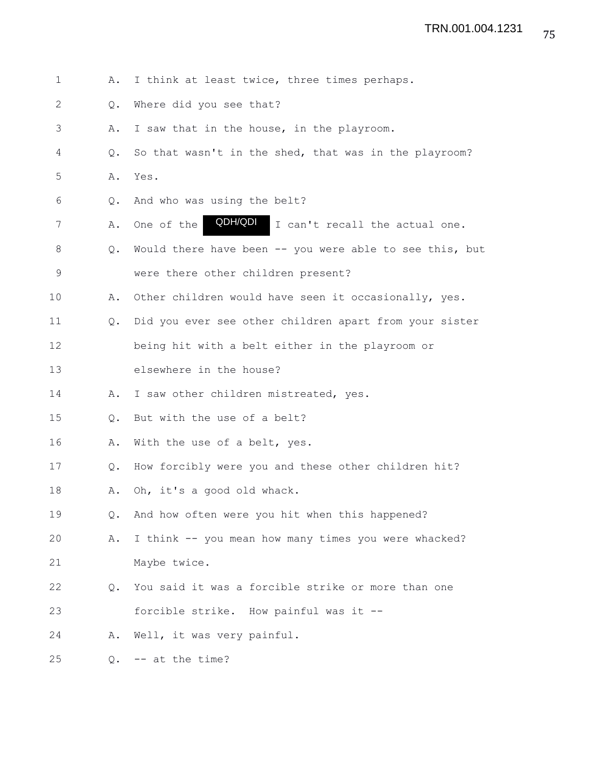| 1           | Α.            | I think at least twice, three times perhaps.            |
|-------------|---------------|---------------------------------------------------------|
| 2           | Q.            | Where did you see that?                                 |
| 3           | Α.            | I saw that in the house, in the playroom.               |
| 4           | $Q_{\bullet}$ | So that wasn't in the shed, that was in the playroom?   |
| 5           | Α.            | Yes.                                                    |
| 6           | Q.            | And who was using the belt?                             |
| 7           | Α.            | QDH/QDI<br>One of the<br>I can't recall the actual one. |
| 8           | $Q_{\bullet}$ | Would there have been -- you were able to see this, but |
| $\mathsf 9$ |               | were there other children present?                      |
| 10          | Α.            | Other children would have seen it occasionally, yes.    |
| 11          | Q.            | Did you ever see other children apart from your sister  |
| 12          |               | being hit with a belt either in the playroom or         |
| 13          |               | elsewhere in the house?                                 |
| 14          | Α.            | I saw other children mistreated, yes.                   |
| 15          | Q.            | But with the use of a belt?                             |
| 16          | Α.            | With the use of a belt, yes.                            |
| 17          | Q.            | How forcibly were you and these other children hit?     |
| 18          | Α.            | Oh, it's a good old whack.                              |
| 19          | $Q_{\bullet}$ | And how often were you hit when this happened?          |
| 20          | Α.            | I think -- you mean how many times you were whacked?    |
| 21          |               | Maybe twice.                                            |
| 22          | Q.            | You said it was a forcible strike or more than one      |
| 23          |               | forcible strike. How painful was it --                  |
| 24          | Α.            | Well, it was very painful.                              |
| 25          | Q.            | -- at the time?                                         |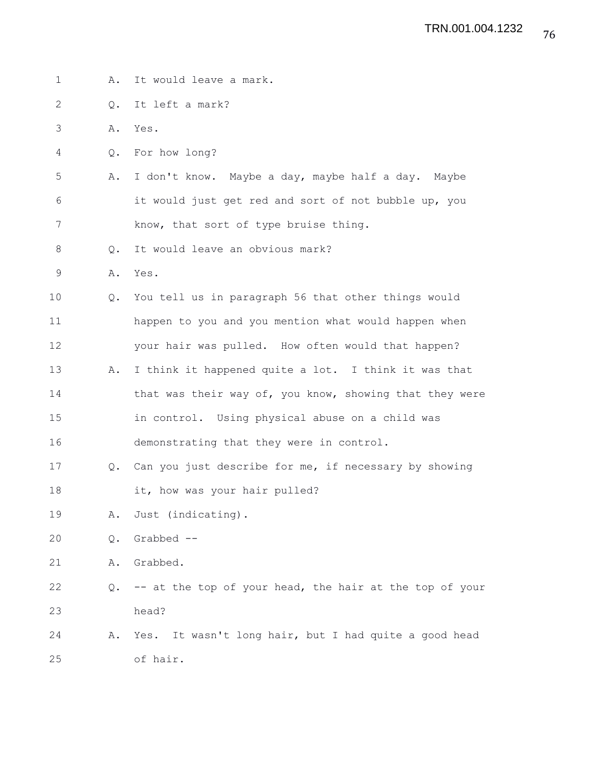| $\mathbf 1$ | Α.            | It would leave a mark.                                   |  |  |  |  |  |  |  |  |
|-------------|---------------|----------------------------------------------------------|--|--|--|--|--|--|--|--|
| 2           | Q.            | It left a mark?                                          |  |  |  |  |  |  |  |  |
| 3           | Α.            | Yes.                                                     |  |  |  |  |  |  |  |  |
| 4           | Q.            | For how long?                                            |  |  |  |  |  |  |  |  |
| 5           | Α.            | I don't know. Maybe a day, maybe half a day. Maybe       |  |  |  |  |  |  |  |  |
| 6           |               | it would just get red and sort of not bubble up, you     |  |  |  |  |  |  |  |  |
| 7           |               | know, that sort of type bruise thing.                    |  |  |  |  |  |  |  |  |
| 8           | Q.            | It would leave an obvious mark?                          |  |  |  |  |  |  |  |  |
| $\mathsf 9$ | Α.            | Yes.                                                     |  |  |  |  |  |  |  |  |
| 10          | Q.            | You tell us in paragraph 56 that other things would      |  |  |  |  |  |  |  |  |
| 11          |               | happen to you and you mention what would happen when     |  |  |  |  |  |  |  |  |
| 12          |               | your hair was pulled. How often would that happen?       |  |  |  |  |  |  |  |  |
| 13          | Α.            | I think it happened quite a lot. I think it was that     |  |  |  |  |  |  |  |  |
| 14          |               | that was their way of, you know, showing that they were  |  |  |  |  |  |  |  |  |
| 15          |               | in control. Using physical abuse on a child was          |  |  |  |  |  |  |  |  |
| 16          |               | demonstrating that they were in control.                 |  |  |  |  |  |  |  |  |
| 17          | $Q_{\bullet}$ | Can you just describe for me, if necessary by showing    |  |  |  |  |  |  |  |  |
| 18          |               | it, how was your hair pulled?                            |  |  |  |  |  |  |  |  |
| 19          | Α.            | Just (indicating).                                       |  |  |  |  |  |  |  |  |
| 20          | Q.            | Grabbed --                                               |  |  |  |  |  |  |  |  |
| 21          | Α.            | Grabbed.                                                 |  |  |  |  |  |  |  |  |
| 22          | Q.            | -- at the top of your head, the hair at the top of your  |  |  |  |  |  |  |  |  |
| 23          |               | head?                                                    |  |  |  |  |  |  |  |  |
| 24          | Α.            | It wasn't long hair, but I had quite a good head<br>Yes. |  |  |  |  |  |  |  |  |
| 25          |               | of hair.                                                 |  |  |  |  |  |  |  |  |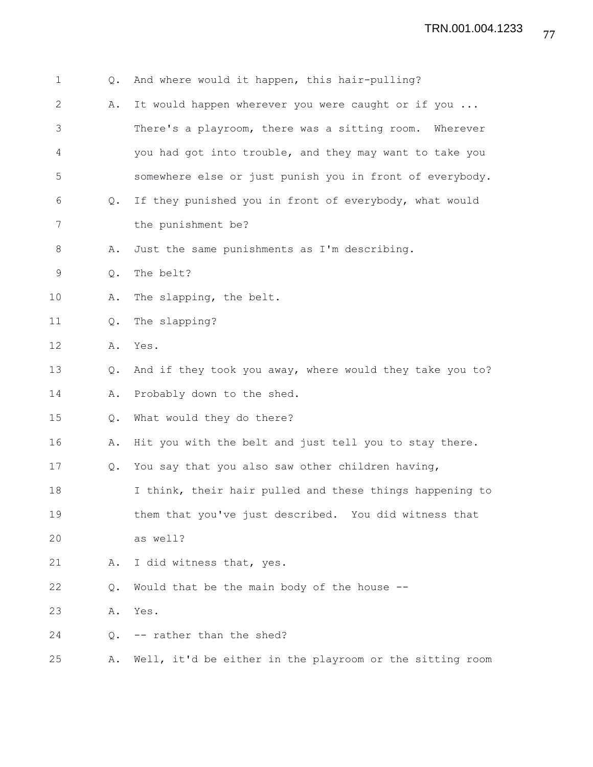| $\mathbf 1$  | Q. | And where would it happen, this hair-pulling?            |
|--------------|----|----------------------------------------------------------|
| $\mathbf{2}$ | Α. | It would happen wherever you were caught or if you       |
| 3            |    | There's a playroom, there was a sitting room. Wherever   |
| 4            |    | you had got into trouble, and they may want to take you  |
| 5            |    | somewhere else or just punish you in front of everybody. |
| 6            | Q. | If they punished you in front of everybody, what would   |
| 7            |    | the punishment be?                                       |
| 8            | Α. | Just the same punishments as I'm describing.             |
| 9            | Q. | The belt?                                                |
| 10           | Α. | The slapping, the belt.                                  |
| 11           | Q. | The slapping?                                            |
| 12           | Α. | Yes.                                                     |
| 13           | Q. | And if they took you away, where would they take you to? |
| 14           | Α. | Probably down to the shed.                               |
| 15           | Q. | What would they do there?                                |
| 16           | Α. | Hit you with the belt and just tell you to stay there.   |
| 17           | Q. | You say that you also saw other children having,         |
| 18           |    | I think, their hair pulled and these things happening to |
| 19           |    | them that you've just described. You did witness that    |
| 20           |    | as well?                                                 |
| 21           | Α. | I did witness that, yes.                                 |
| 22           | Q. | Would that be the main body of the house --              |
| 23           | Α. | Yes.                                                     |
| 24           | Q. | -- rather than the shed?                                 |
| 25           | Α. | Well, it'd be either in the playroom or the sitting room |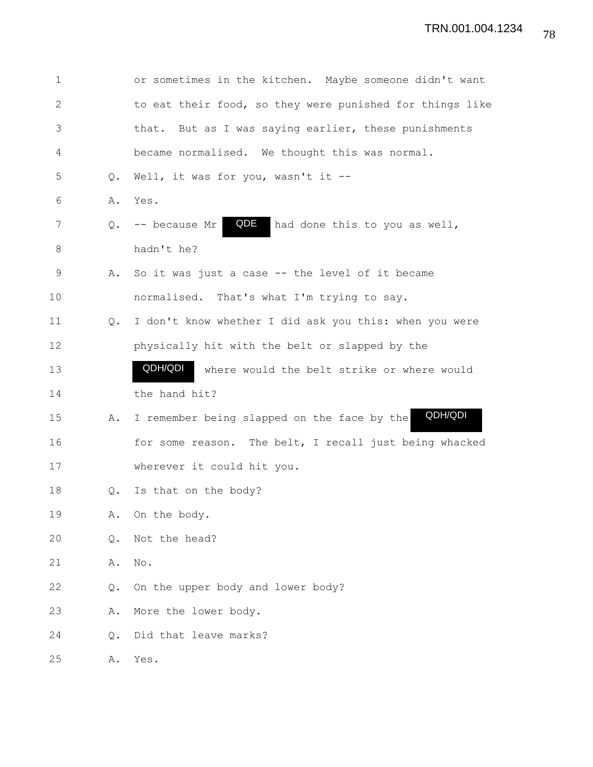| $\mathbf 1$  |               | or sometimes in the kitchen. Maybe someone didn't want   |
|--------------|---------------|----------------------------------------------------------|
| $\mathbf{2}$ |               | to eat their food, so they were punished for things like |
| 3            |               | that. But as I was saying earlier, these punishments     |
| 4            |               | became normalised. We thought this was normal.           |
| 5            | $Q_{\bullet}$ | Well, it was for you, wasn't it --                       |
| 6            | Α.            | Yes.                                                     |
| 7            | Q.            | QDE<br>-- because Mr<br>had done this to you as well,    |
| $\,8\,$      |               | hadn't he?                                               |
| 9            | Α.            | So it was just a case -- the level of it became          |
| 10           |               | normalised. That's what I'm trying to say.               |
| 11           | $Q_{\bullet}$ | I don't know whether I did ask you this: when you were   |
| 12           |               | physically hit with the belt or slapped by the           |
| 13           |               | QDH/QDI<br>where would the belt strike or where would    |
| 14           |               | the hand hit?                                            |
| 15           | Α.            | QDH/QDI<br>I remember being slapped on the face by the   |
| 16           |               | for some reason. The belt, I recall just being whacked   |
| 17           |               | wherever it could hit you.                               |
| 18           | Q.            | Is that on the body?                                     |
| 19           | Α.            | On the body.                                             |
| 20           | Q.            | Not the head?                                            |
| 21           | Α.            | No.                                                      |
| 22           | Q.            | On the upper body and lower body?                        |
| 23           | Α.            | More the lower body.                                     |
| 24           | $Q$ .         | Did that leave marks?                                    |
| 25           | Α.            | Yes.                                                     |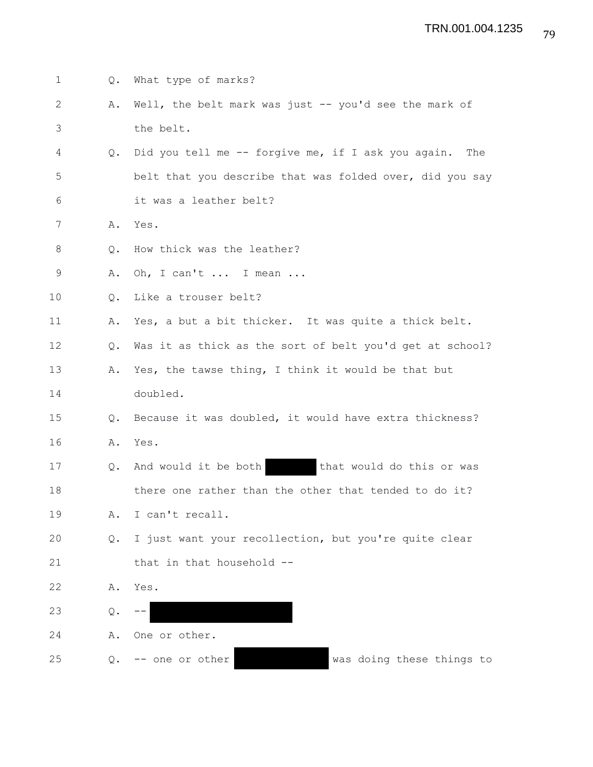| $\mathbf 1$  | Q.            | What type of marks?                                       |  |  |  |  |  |  |  |  |
|--------------|---------------|-----------------------------------------------------------|--|--|--|--|--|--|--|--|
| $\mathbf{2}$ | Α.            | Well, the belt mark was just -- you'd see the mark of     |  |  |  |  |  |  |  |  |
| 3            |               | the belt.                                                 |  |  |  |  |  |  |  |  |
| 4            | Q.            | Did you tell me -- forgive me, if I ask you again.<br>The |  |  |  |  |  |  |  |  |
| 5            |               | belt that you describe that was folded over, did you say  |  |  |  |  |  |  |  |  |
| 6            |               | it was a leather belt?                                    |  |  |  |  |  |  |  |  |
| 7            | Α.            | Yes.                                                      |  |  |  |  |  |  |  |  |
| 8            | Q.            | How thick was the leather?                                |  |  |  |  |  |  |  |  |
| $\mathsf 9$  | Α.            | Oh, I can't  I mean                                       |  |  |  |  |  |  |  |  |
| 10           | $Q_{\bullet}$ | Like a trouser belt?                                      |  |  |  |  |  |  |  |  |
| 11           | Α.            | Yes, a but a bit thicker. It was quite a thick belt.      |  |  |  |  |  |  |  |  |
| 12           | Q.            | Was it as thick as the sort of belt you'd get at school?  |  |  |  |  |  |  |  |  |
| 13           | Α.            | Yes, the tawse thing, I think it would be that but        |  |  |  |  |  |  |  |  |
| 14           |               | doubled.                                                  |  |  |  |  |  |  |  |  |
| 15           | Q.            | Because it was doubled, it would have extra thickness?    |  |  |  |  |  |  |  |  |
| 16           | Α.            | Yes.                                                      |  |  |  |  |  |  |  |  |
| 17           | Q.            | that would do this or was<br>And would it be both         |  |  |  |  |  |  |  |  |
| 18           |               | there one rather than the other that tended to do it?     |  |  |  |  |  |  |  |  |
| 19           | Α.            | I can't recall.                                           |  |  |  |  |  |  |  |  |
| 20           | Q.            | I just want your recollection, but you're quite clear     |  |  |  |  |  |  |  |  |
| 21           |               | that in that household --                                 |  |  |  |  |  |  |  |  |
| 22           | Α.            | Yes.                                                      |  |  |  |  |  |  |  |  |
| 23           | Q.            |                                                           |  |  |  |  |  |  |  |  |
| 24           | Α.            | One or other.                                             |  |  |  |  |  |  |  |  |
| 25           | Q.            | was doing these things to<br>one or other                 |  |  |  |  |  |  |  |  |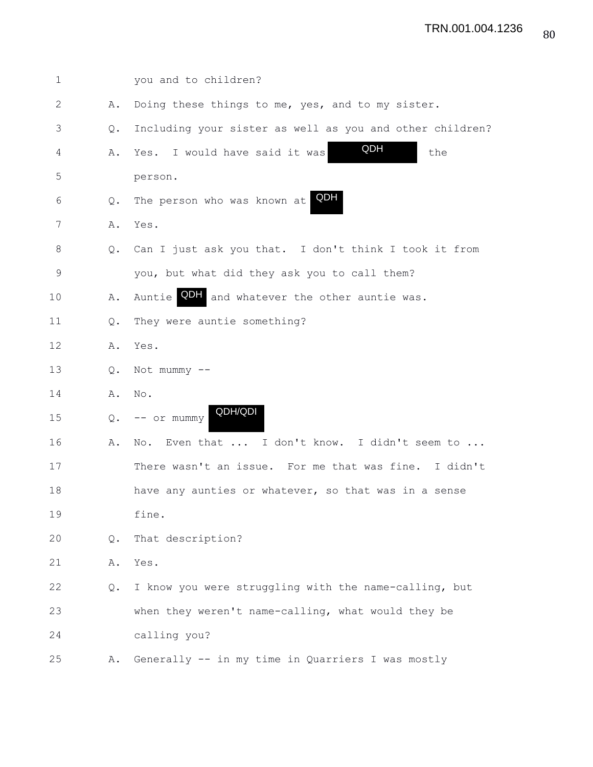| $\mathbf 1$  |               | you and to children?                                          |
|--------------|---------------|---------------------------------------------------------------|
| $\mathbf{2}$ | Α.            | Doing these things to me, yes, and to my sister.              |
| 3            | Q.            | Including your sister as well as you and other children?      |
| 4            | Α.            | QDH<br>Yes. I would have said it was<br>the                   |
| 5            |               | person.                                                       |
| 6            | Q.            | QDH<br>The person who was known at                            |
| 7            | Α.            | Yes.                                                          |
| 8            | $Q_{\bullet}$ | Can I just ask you that. I don't think I took it from         |
| 9            |               | you, but what did they ask you to call them?                  |
| 10           | Α.            | QDH and whatever the other auntie was.<br>Auntie <sup>l</sup> |
| 11           | Q.            | They were auntie something?                                   |
| 12           | Α.            | Yes.                                                          |
| 13           | Q.            | Not mummy --                                                  |
| 14           | Α.            | $\mathrm{No}$ .                                               |
| 15           | Q.            | QDH/QDI<br>-- or mummy                                        |
| 16           | Α.            | No. Even that  I don't know. I didn't seem to                 |
| 17           |               | There wasn't an issue. For me that was fine. I didn't         |
| 18           |               | have any aunties or whatever, so that was in a sense          |
| 19           |               | fine.                                                         |
| 20           | Q.            | That description?                                             |
| 21           | Α.            | Yes.                                                          |
| 22           | Q.            | I know you were struggling with the name-calling, but         |
| 23           |               | when they weren't name-calling, what would they be            |
| 24           |               | calling you?                                                  |
| 25           | Α.            | Generally -- in my time in Quarriers I was mostly             |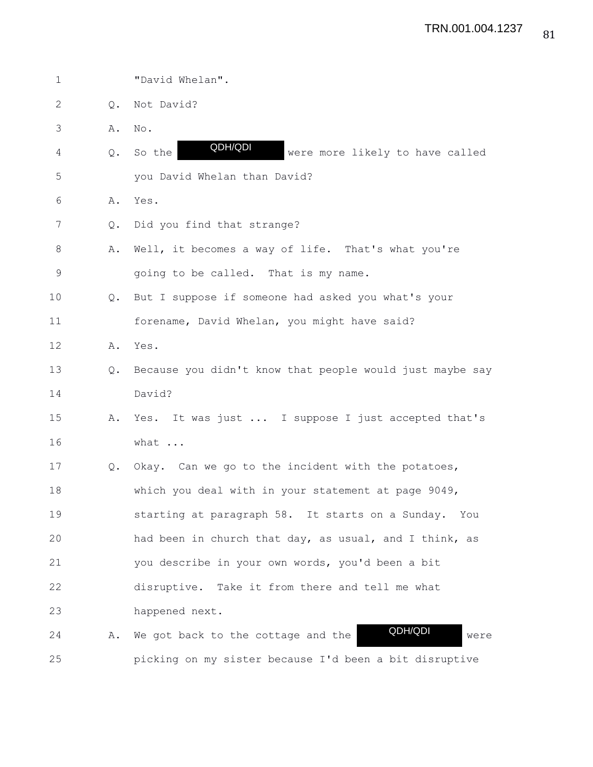1 "David Whelan". 2 Q. Not David? 3 A. No. 4 Q. So the **WUFARU** were more likely to have called 5 you David Whelan than David? 6 A. Yes. 7 Q. Did you find that strange? 8 A. Well, it becomes a way of life. That's what you're 9 going to be called. That is my name. 10 Q. But I suppose if someone had asked you what's your 11 forename, David Whelan, you might have said? 12 A. Yes. 13 Q. Because you didn't know that people would just maybe say 14 David? 15 A. Yes. It was just ... I suppose I just accepted that's 16 what ... 17 Q. Okay. Can we go to the incident with the potatoes, 18 which you deal with in your statement at page 9049, 19 starting at paragraph 58. It starts on a Sunday. You 20 had been in church that day, as usual, and I think, as 21 you describe in your own words, you'd been a bit 22 disruptive. Take it from there and tell me what 23 happened next. 24 A. We got back to the cottage and the **QUH/QUI** were 25 picking on my sister because I'd been a bit disruptive QDH/QDI QDH/QDI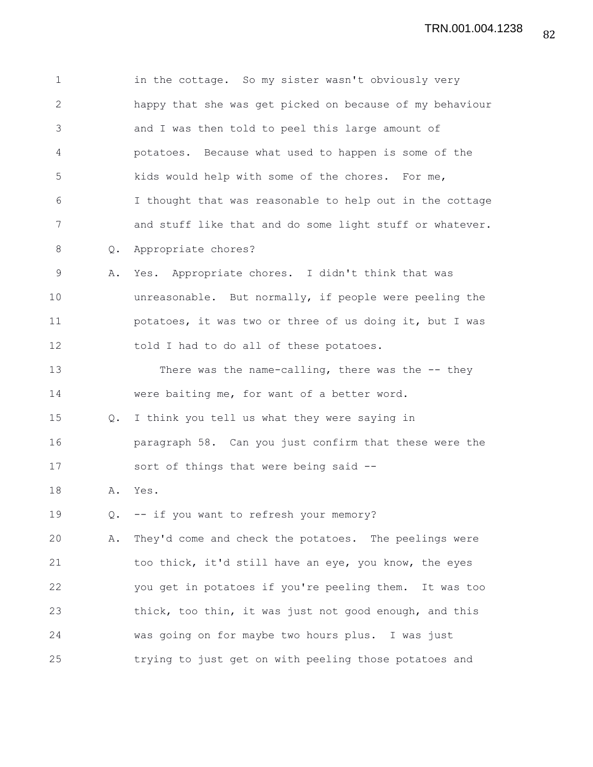1 in the cottage. So my sister wasn't obviously very 2 happy that she was get picked on because of my behaviour 3 and I was then told to peel this large amount of 4 potatoes. Because what used to happen is some of the 5 kids would help with some of the chores. For me, 6 I thought that was reasonable to help out in the cottage 7 and stuff like that and do some light stuff or whatever. 8 Q. Appropriate chores? 9 A. Yes. Appropriate chores. I didn't think that was 10 unreasonable. But normally, if people were peeling the 11 **potatoes, it was two or three of us doing it, but I was** 12 told I had to do all of these potatoes. 13 There was the name-calling, there was the -- they 14 were baiting me, for want of a better word. 15 Q. I think you tell us what they were saying in 16 paragraph 58. Can you just confirm that these were the 17 sort of things that were being said --18 A. Yes. 19 Q. -- if you want to refresh your memory? 20 A. They'd come and check the potatoes. The peelings were 21 too thick, it'd still have an eye, you know, the eyes 22 you get in potatoes if you're peeling them. It was too 23 thick, too thin, it was just not good enough, and this 24 was going on for maybe two hours plus. I was just 25 trying to just get on with peeling those potatoes and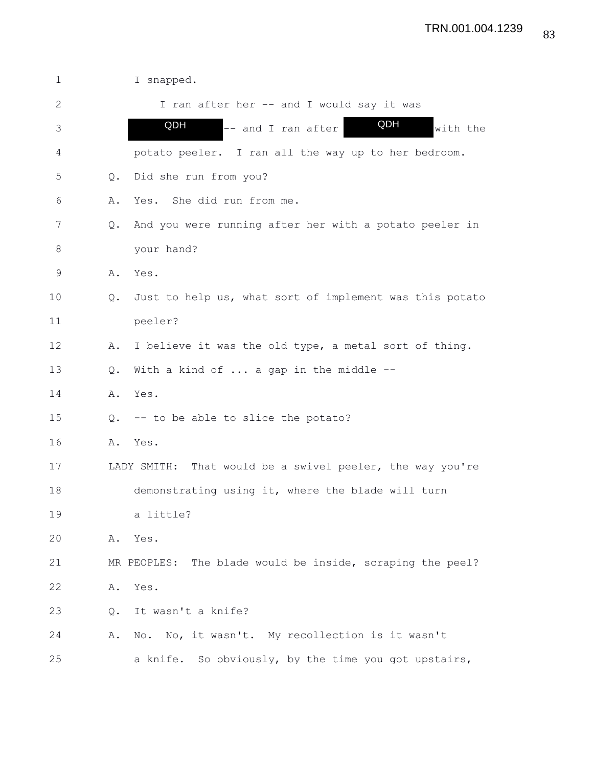| $\mathbf 1$  |               | I snapped.                                                |
|--------------|---------------|-----------------------------------------------------------|
| $\mathbf{2}$ |               | I ran after her -- and I would say it was                 |
| 3            |               | QDH<br>QDH<br>-- and I ran after<br>with the              |
| 4            |               | potato peeler. I ran all the way up to her bedroom.       |
| 5            | $Q_{\bullet}$ | Did she run from you?                                     |
| 6            | Α.            | Yes. She did run from me.                                 |
| 7            | Q.            | And you were running after her with a potato peeler in    |
| 8            |               | your hand?                                                |
| 9            |               | A. Yes.                                                   |
| 10           | $Q_{\bullet}$ | Just to help us, what sort of implement was this potato   |
| 11           |               | peeler?                                                   |
| 12           | Α.            | I believe it was the old type, a metal sort of thing.     |
| 13           | $\circ$ .     | With a kind of  a gap in the middle --                    |
| 14           | Α.            | Yes.                                                      |
| 15           | $Q_{\bullet}$ | -- to be able to slice the potato?                        |
| 16           | Α.            | Yes.                                                      |
| 17           |               | LADY SMITH: That would be a swivel peeler, the way you're |
| 18           |               | demonstrating using it, where the blade will turn         |
| 19           |               | a little?                                                 |
| 20           | Α.            | Yes.                                                      |
| 21           |               | MR PEOPLES: The blade would be inside, scraping the peel? |
| 22           | Α.            | Yes.                                                      |
| 23           | Q.            | It wasn't a knife?                                        |
| 24           | Α.            | No. No, it wasn't. My recollection is it wasn't           |
| 25           |               | a knife. So obviously, by the time you got upstairs,      |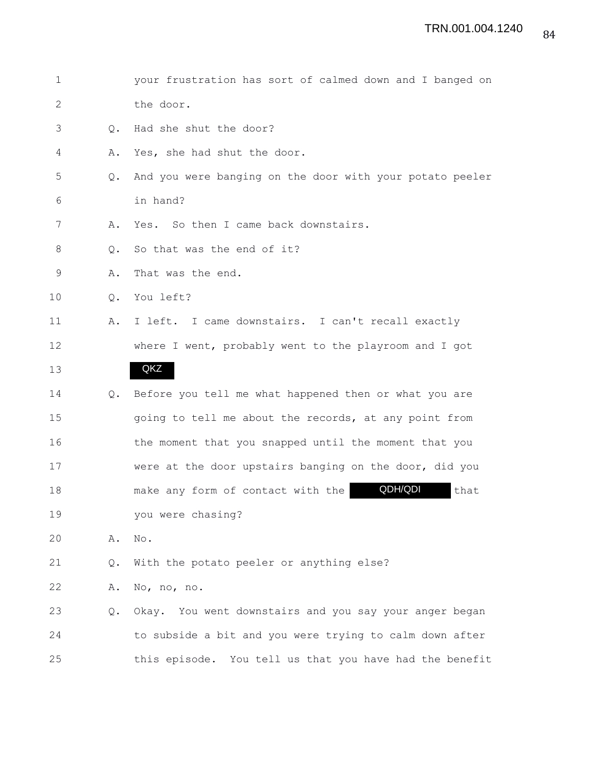- 1 your frustration has sort of calmed down and I banged on 2 the door.
- 3 Q. Had she shut the door?

4 A. Yes, she had shut the door.

- 5 Q. And you were banging on the door with your potato peeler 6 in hand?
- 7 A. Yes. So then I came back downstairs.

8 Q. So that was the end of it?

- 9 A. That was the end.
- 10 Q. You left?
- 11 A. I left. I came downstairs. I can't recall exactly
- 12 where I went, probably went to the playroom and I got

## QKZ

13

- 14 Q. Before you tell me what happened then or what you are 15 going to tell me about the records, at any point from 16 the moment that you snapped until the moment that you 17 were at the door upstairs banging on the door, did you 18 make any form of contact with the **QDH/QDI** that 19 you were chasing?
- 
- 20 A. No.
- 21 Q. With the potato peeler or anything else?
- 22 A. No, no, no.

23 Q. Okay. You went downstairs and you say your anger began 24 to subside a bit and you were trying to calm down after 25 this episode. You tell us that you have had the benefit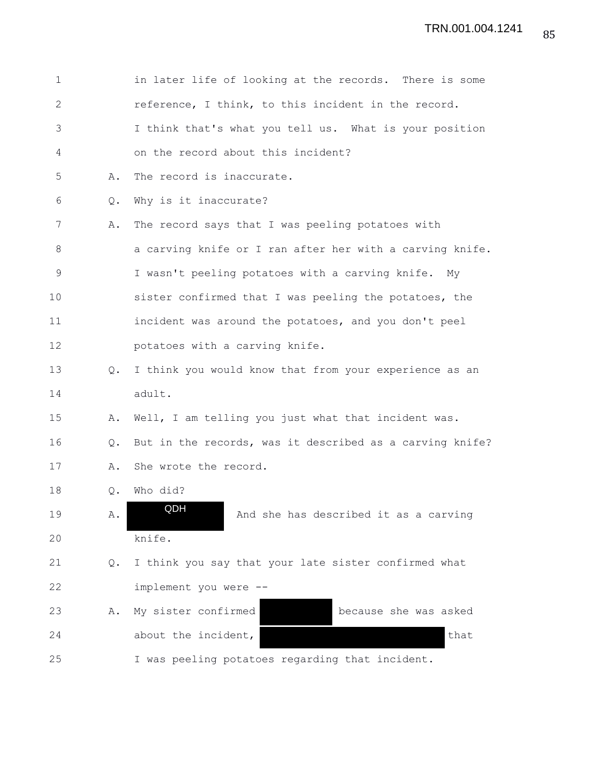| 1            |    | in later life of looking at the records. There is some   |
|--------------|----|----------------------------------------------------------|
| $\mathbf{2}$ |    | reference, I think, to this incident in the record.      |
| 3            |    | I think that's what you tell us. What is your position   |
| 4            |    | on the record about this incident?                       |
| 5            | Α. | The record is inaccurate.                                |
| 6            | Q. | Why is it inaccurate?                                    |
| 7            | Α. | The record says that I was peeling potatoes with         |
| 8            |    | a carving knife or I ran after her with a carving knife. |
| 9            |    | I wasn't peeling potatoes with a carving knife. My       |
| 10           |    | sister confirmed that I was peeling the potatoes, the    |
| 11           |    | incident was around the potatoes, and you don't peel     |
| 12           |    | potatoes with a carving knife.                           |
| 13           | Q. | I think you would know that from your experience as an   |
| 14           |    | adult.                                                   |
| 15           | Α. | Well, I am telling you just what that incident was.      |
| 16           | Q. | But in the records, was it described as a carving knife? |
| 17           | Α. | She wrote the record.                                    |
| 18           | Q. | Who did?                                                 |
| 19           | Α. | QDH<br>And she has described it as a carving             |
| 20           |    | knife.                                                   |
| 21           | Q. | I think you say that your late sister confirmed what     |
| 22           |    | implement you were --                                    |
| 23           | Α. | My sister confirmed<br>because she was asked             |
| 24           |    | about the incident,<br>that                              |
| 25           |    | I was peeling potatoes regarding that incident.          |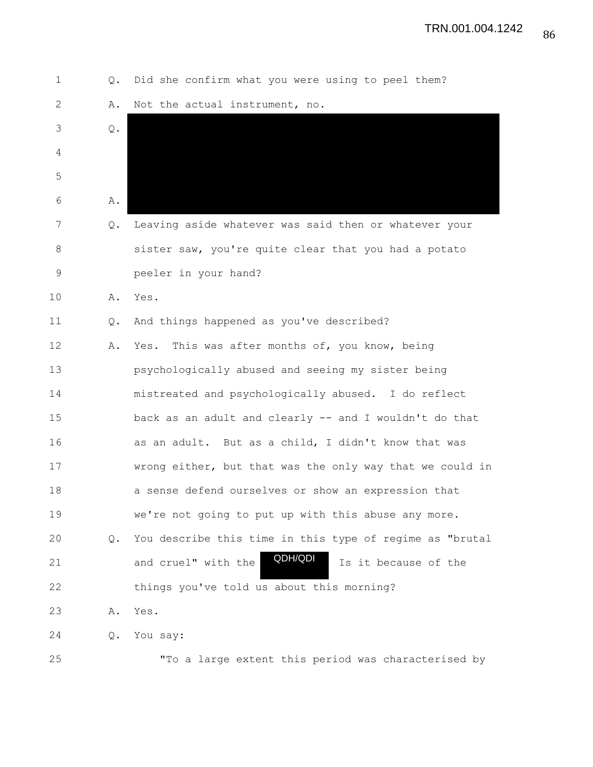| $\mathbf 1$  | $Q_{\bullet}$ | Did she confirm what you were using to peel them?        |
|--------------|---------------|----------------------------------------------------------|
| $\mathbf{2}$ | Α.            | Not the actual instrument, no.                           |
| 3            | Q.            |                                                          |
| 4            |               |                                                          |
| 5            |               |                                                          |
| 6            | Α.            |                                                          |
| 7            | Q.            | Leaving aside whatever was said then or whatever your    |
| 8            |               | sister saw, you're quite clear that you had a potato     |
| 9            |               | peeler in your hand?                                     |
| 10           | Α.            | Yes.                                                     |
| 11           | $Q_{\bullet}$ | And things happened as you've described?                 |
| 12           | Α.            | Yes. This was after months of, you know, being           |
| 13           |               | psychologically abused and seeing my sister being        |
| 14           |               | mistreated and psychologically abused. I do reflect      |
| 15           |               | back as an adult and clearly -- and I wouldn't do that   |
| 16           |               | as an adult. But as a child, I didn't know that was      |
| 17           |               | wrong either, but that was the only way that we could in |
| 18           |               | a sense defend ourselves or show an expression that      |
| 19           |               | we're not going to put up with this abuse any more.      |
| 20           | Q.            | You describe this time in this type of regime as "brutal |
| 21           |               | QDH/QDI<br>and cruel" with the<br>Is it because of the   |
| 22           |               | things you've told us about this morning?                |
| 23           | Α.            | Yes.                                                     |
| 24           | Q.            | You say:                                                 |
| 25           |               | "To a large extent this period was characterised by      |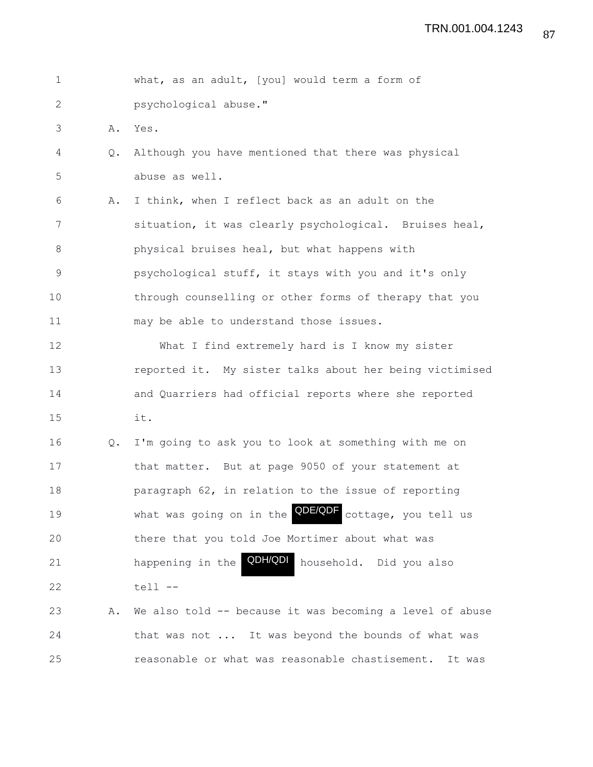| $\mathbf 1$  |    | what, as an adult, [you] would term a form of                   |
|--------------|----|-----------------------------------------------------------------|
| $\mathbf{2}$ |    | psychological abuse."                                           |
| 3            | Α. | Yes.                                                            |
| 4            | Q. | Although you have mentioned that there was physical             |
| 5            |    | abuse as well.                                                  |
| 6            | Α. | I think, when I reflect back as an adult on the                 |
| 7            |    | situation, it was clearly psychological. Bruises heal,          |
| 8            |    | physical bruises heal, but what happens with                    |
| $\mathsf 9$  |    | psychological stuff, it stays with you and it's only            |
| 10           |    | through counselling or other forms of therapy that you          |
| 11           |    | may be able to understand those issues.                         |
| 12           |    | What I find extremely hard is I know my sister                  |
| 13           |    | reported it. My sister talks about her being victimised         |
| 14           |    | and Quarriers had official reports where she reported           |
| 15           |    | it.                                                             |
| 16           | Q. | I'm going to ask you to look at something with me on            |
| 17           |    | that matter. But at page 9050 of your statement at              |
| 18           |    | paragraph 62, in relation to the issue of reporting             |
| 19           |    | what was going on in the <b>QDE/QDF</b><br>cottage, you tell us |
| 20           |    | there that you told Joe Mortimer about what was                 |
| 21           |    | QDH/QDI<br>household. Did you also<br>happening in the          |
| 22           |    | tell --                                                         |
| 23           | Α. | We also told -- because it was becoming a level of abuse        |
| 24           |    | that was not  It was beyond the bounds of what was              |
| 25           |    | reasonable or what was reasonable chastisement. It was          |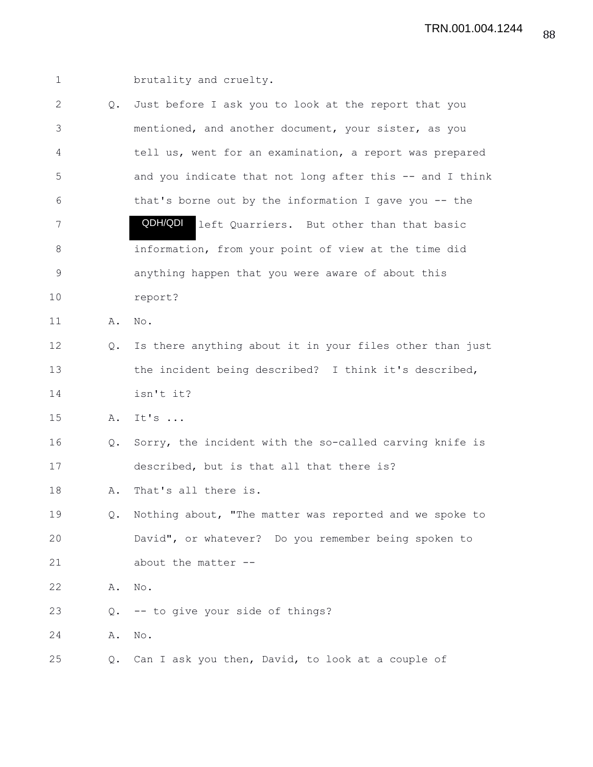| $\mathbf{1}$ |               | brutality and cruelty.                                   |
|--------------|---------------|----------------------------------------------------------|
| 2            | Q.            | Just before I ask you to look at the report that you     |
| 3            |               | mentioned, and another document, your sister, as you     |
| 4            |               | tell us, went for an examination, a report was prepared  |
| 5            |               | and you indicate that not long after this -- and I think |
| 6            |               | that's borne out by the information I gave you -- the    |
| 7            |               | QDH/QDI<br>left Quarriers. But other than that basic     |
| 8            |               | information, from your point of view at the time did     |
| 9            |               | anything happen that you were aware of about this        |
| 10           |               | report?                                                  |
| 11           | Α.            | No.                                                      |
| 12           | $Q_{\bullet}$ | Is there anything about it in your files other than just |
| 13           |               | the incident being described? I think it's described,    |
| 14           |               | isn't it?                                                |
| 15           |               | A. It's                                                  |
| 16           | Q.            | Sorry, the incident with the so-called carving knife is  |
| 17           |               | described, but is that all that there is?                |
| 18           | Α.            | That's all there is.                                     |
| 19           | Q.            | Nothing about, "The matter was reported and we spoke to  |
| 20           |               | David", or whatever? Do you remember being spoken to     |
| 21           |               | about the matter --                                      |
| 22           | Α.            | No.                                                      |
| 23           | Q.            | -- to give your side of things?                          |
| 24           | Α.            | No.                                                      |
| 25           | Q.            | Can I ask you then, David, to look at a couple of        |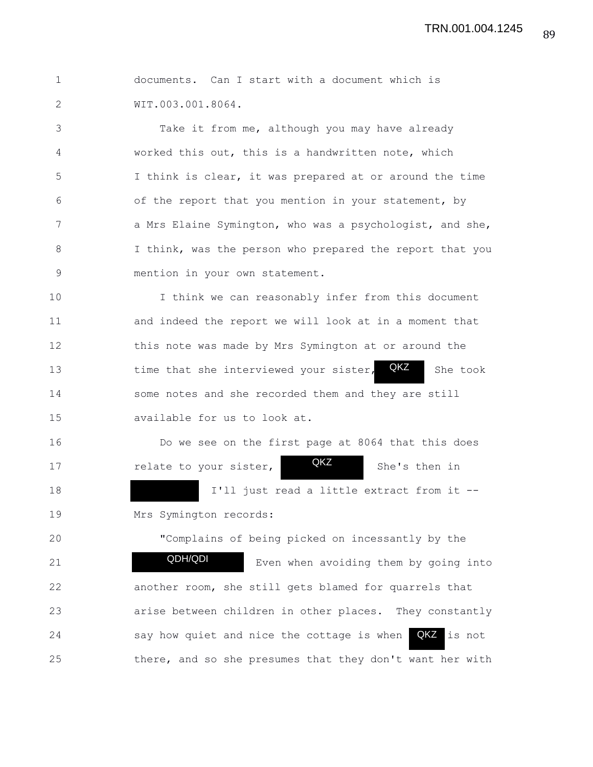| documents. Can I start with a document which is |  |  |  |  |
|-------------------------------------------------|--|--|--|--|
| WIT.003.001.8064.                               |  |  |  |  |

3 Take it from me, although you may have already 4 worked this out, this is a handwritten note, which 5 I think is clear, it was prepared at or around the time 6 of the report that you mention in your statement, by 7 a Mrs Elaine Symington, who was a psychologist, and she, 8 I think, was the person who prepared the report that you 9 mention in your own statement.

10 I think we can reasonably infer from this document 11 and indeed the report we will look at in a moment that 12 this note was made by Mrs Symington at or around the 13 time that she interviewed your sister, **QKZ** She took 14 some notes and she recorded them and they are still 15 available for us to look at. QKZ

16 Do we see on the first page at 8064 that this does 17 relate to your sister, **QKZ** She's then in 18 I'll just read a little extract from it -- 19 Mrs Symington records: QKZ

20 "Complains of being picked on incessantly by the 21 **EVEN CLIPT EVEN** When avoiding them by going into 22 another room, she still gets blamed for quarrels that 23 arise between children in other places. They constantly 24 say how quiet and nice the cottage is when **QKZ** is not 25 there, and so she presumes that they don't want her with QDH/QDI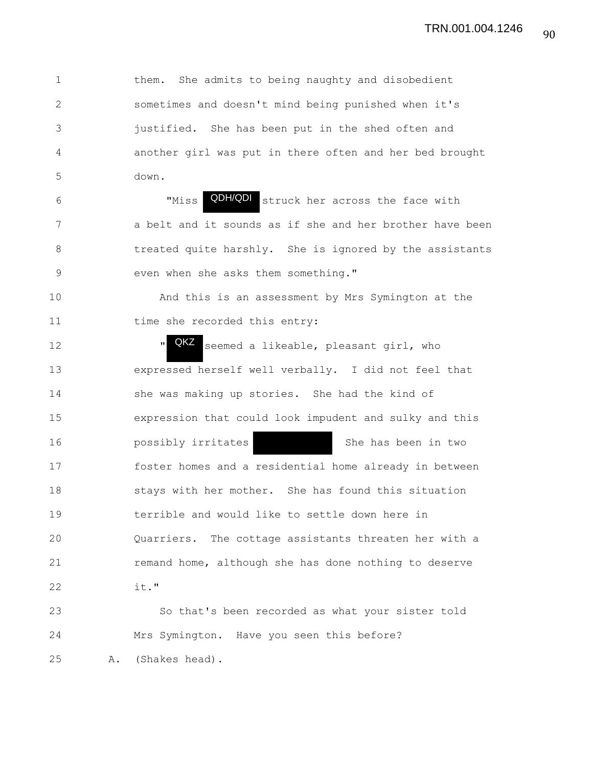1 them. She admits to being naughty and disobedient 2 sometimes and doesn't mind being punished when it's 3 justified. She has been put in the shed often and 4 another girl was put in there often and her bed brought 5 down.

6 The Miss CDH/QDI struck her across the face with 7 a belt and it sounds as if she and her brother have been 8 treated quite harshly. She is ignored by the assistants 9 even when she asks them something."

10 And this is an assessment by Mrs Symington at the 11 time she recorded this entry:

12 The Seemed a likeable, pleasant girl, who 13 expressed herself well verbally. I did not feel that 14 she was making up stories. She had the kind of 15 expression that could look impudent and sulky and this 16 **possibly irritates** She has been in two 17 foster homes and a residential home already in between 18 stays with her mother. She has found this situation 19 terrible and would like to settle down here in 20 Quarriers. The cottage assistants threaten her with a 21 remand home, although she has done nothing to deserve 22 it."

23 So that's been recorded as what your sister told 24 Mrs Symington. Have you seen this before? 25 A. (Shakes head).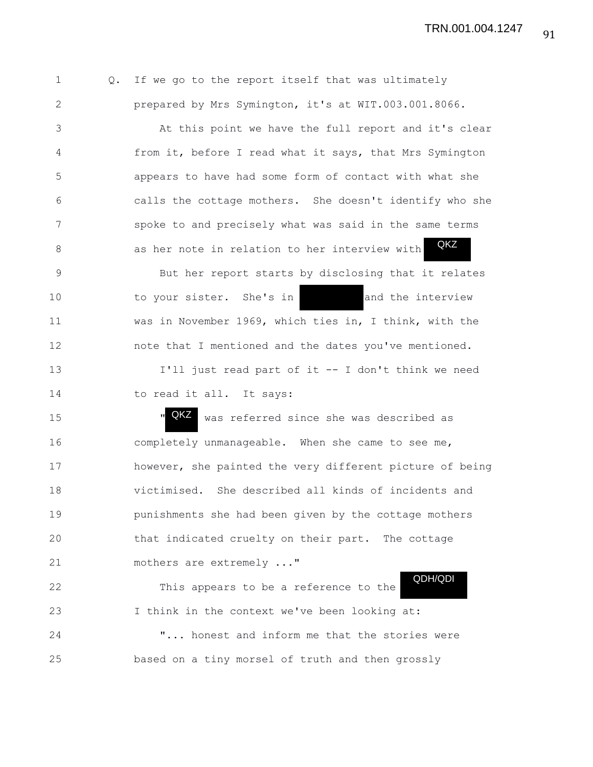1 Q. If we go to the report itself that was ultimately 2 prepared by Mrs Symington, it's at WIT.003.001.8066.

3 At this point we have the full report and it's clear 4 from it, before I read what it says, that Mrs Symington 5 appears to have had some form of contact with what she 6 calls the cottage mothers. She doesn't identify who she 7 spoke to and precisely what was said in the same terms 8 as her note in relation to her interview with QKZ

9 But her report starts by disclosing that it relates 10 to your sister. She's in and the interview 11 was in November 1969, which ties in, I think, with the 12 note that I mentioned and the dates you've mentioned. 13 I'll just read part of it -- I don't think we need 14 to read it all. It says:

15 **WALLACK WAS referred since she was described as** 16 completely unmanageable. When she came to see me, 17 however, she painted the very different picture of being 18 victimised. She described all kinds of incidents and 19 punishments she had been given by the cottage mothers 20 that indicated cruelty on their part. The cottage 21 mothers are extremely ..." QKZ

22 This appears to be a reference to the 23 I think in the context we've been looking at: 24 "... honest and inform me that the stories were 25 based on a tiny morsel of truth and then grossly QDH/QDI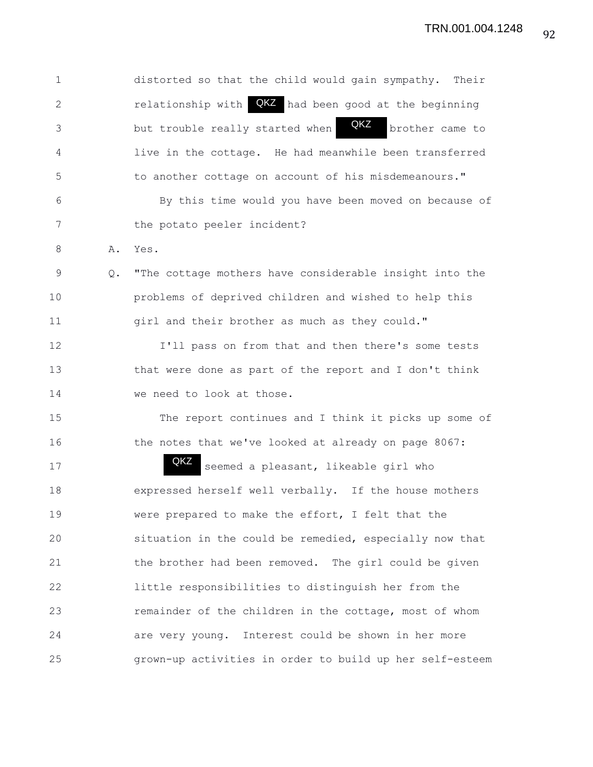| $\mathbf 1$ |    | distorted so that the child would gain sympathy. Their    |
|-------------|----|-----------------------------------------------------------|
| 2           |    | relationship with $QKZ$ had been good at the beginning    |
| 3           |    | QKZ<br>brother came to<br>but trouble really started when |
| 4           |    | live in the cottage. He had meanwhile been transferred    |
| 5           |    | to another cottage on account of his misdemeanours."      |
| 6           |    | By this time would you have been moved on because of      |
| 7           |    | the potato peeler incident?                               |
| 8           | Α. | Yes.                                                      |
| 9           | Q. | "The cottage mothers have considerable insight into the   |
| 10          |    | problems of deprived children and wished to help this     |
| 11          |    | girl and their brother as much as they could."            |
| 12          |    | I'll pass on from that and then there's some tests        |
| 13          |    | that were done as part of the report and I don't think    |
| 14          |    | we need to look at those.                                 |
| 15          |    | The report continues and I think it picks up some of      |
| 16          |    | the notes that we've looked at already on page 8067:      |
| 17          |    | QKZ<br>seemed a pleasant, likeable girl who               |
| 18          |    | expressed herself well verbally. If the house mothers     |
| 19          |    | were prepared to make the effort, I felt that the         |
| 20          |    | situation in the could be remedied, especially now that   |
| 21          |    | the brother had been removed. The girl could be given     |
| 22          |    | little responsibilities to distinguish her from the       |
| 23          |    | remainder of the children in the cottage, most of whom    |
| 24          |    | are very young. Interest could be shown in her more       |
| 25          |    | grown-up activities in order to build up her self-esteem  |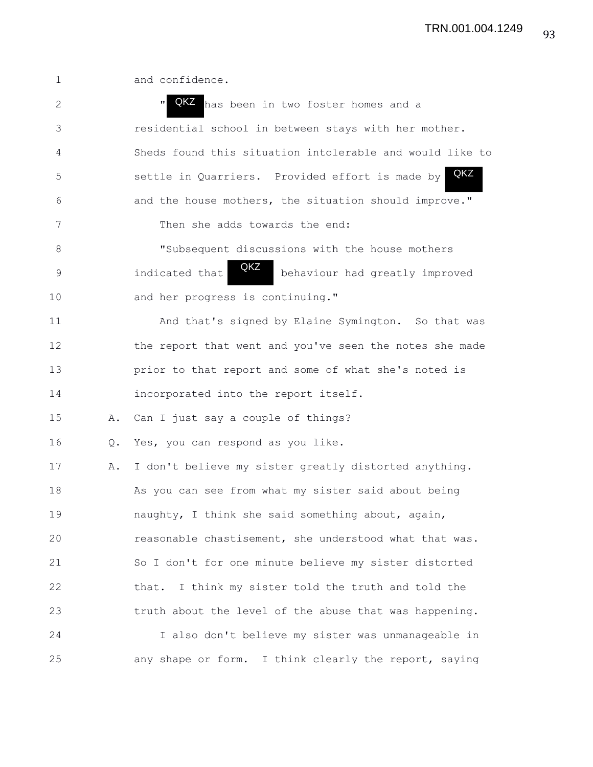1 and confidence. 2 The Manus of two foster homes and a 3 residential school in between stays with her mother. 4 Sheds found this situation intolerable and would like to 5 settle in Quarriers. Provided effort is made by 6 and the house mothers, the situation should improve." 7 Then she adds towards the end: 8 "Subsequent discussions with the house mothers 9 indicated that **With** behaviour had greatly improved 10 and her progress is continuing." 11 And that's signed by Elaine Symington. So that was 12 the report that went and you've seen the notes she made 13 prior to that report and some of what she's noted is 14 incorporated into the report itself. 15 A. Can I just say a couple of things? 16 Q. Yes, you can respond as you like. 17 A. I don't believe my sister greatly distorted anything. 18 As you can see from what my sister said about being 19 naughty, I think she said something about, again, 20 reasonable chastisement, she understood what that was. 21 So I don't for one minute believe my sister distorted 22 that. I think my sister told the truth and told the 23 truth about the level of the abuse that was happening. 24 I also don't believe my sister was unmanageable in 25 any shape or form. I think clearly the report, saying QKZ QKZ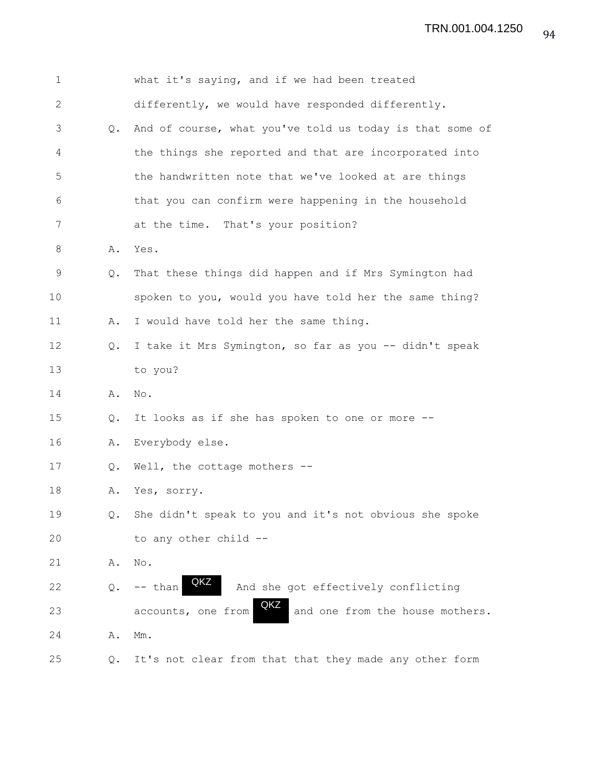| $\mathbf 1$  |               | what it's saying, and if we had been treated                 |
|--------------|---------------|--------------------------------------------------------------|
| $\mathbf{2}$ |               | differently, we would have responded differently.            |
| 3            | Q.            | And of course, what you've told us today is that some of     |
| 4            |               | the things she reported and that are incorporated into       |
| 5            |               | the handwritten note that we've looked at are things         |
| 6            |               | that you can confirm were happening in the household         |
| 7            |               | at the time. That's your position?                           |
| 8            | Α.            | Yes.                                                         |
| 9            | Q.            | That these things did happen and if Mrs Symington had        |
| 10           |               | spoken to you, would you have told her the same thing?       |
| 11           | Α.            | I would have told her the same thing.                        |
| 12           | $Q_{\bullet}$ | I take it Mrs Symington, so far as you -- didn't speak       |
| 13           |               | to you?                                                      |
| 14           | Α.            | No.                                                          |
| 15           | Q.            | It looks as if she has spoken to one or more --              |
| 16           | Α.            | Everybody else.                                              |
| 17           | Q.            | Well, the cottage mothers --                                 |
| 18           | Α.            | Yes, sorry.                                                  |
| 19           | Q.            | She didn't speak to you and it's not obvious she spoke       |
| 20           |               | to any other child --                                        |
| 21           | Α.            | No.                                                          |
| 22           | Q.            | QKZ<br>And she got effectively conflicting<br>-- than        |
| 23           |               | QKZ<br>accounts, one from<br>and one from the house mothers. |
| 24           | Α.            | $Mm$ .                                                       |
| 25           | О.            | It's not clear from that that they made any other form       |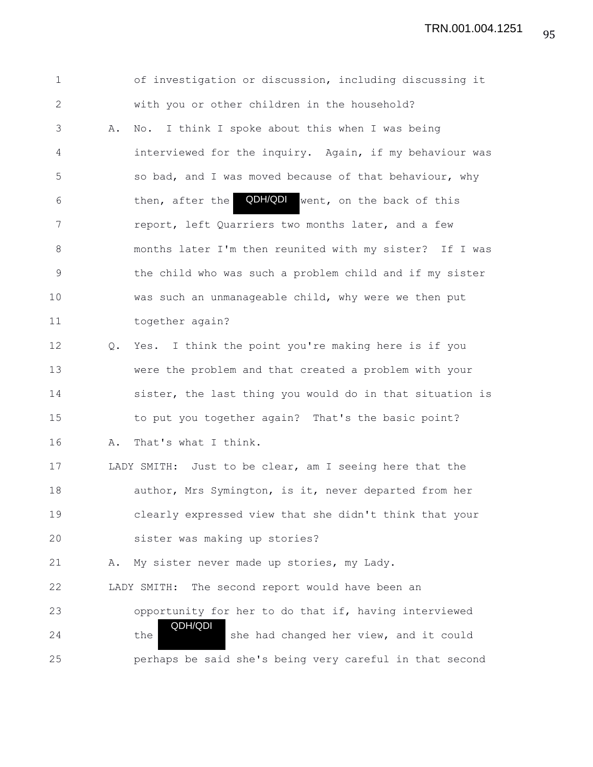TRN.001.004.1251

1 of investigation or discussion, including discussing it 2 with you or other children in the household? 3 A. No. I think I spoke about this when I was being 4 interviewed for the inquiry. Again, if my behaviour was 5 so bad, and I was moved because of that behaviour, why 6 then, after the **QDH/QDI** went, on the back of this 7 report, left Quarriers two months later, and a few 8 months later I'm then reunited with my sister? If I was 9 the child who was such a problem child and if my sister 10 was such an unmanageable child, why were we then put 11 together again? 12 Q. Yes. I think the point you're making here is if you 13 were the problem and that created a problem with your 14 sister, the last thing you would do in that situation is 15 to put you together again? That's the basic point? 16 A. That's what I think. 17 LADY SMITH: Just to be clear, am I seeing here that the 18 author, Mrs Symington, is it, never departed from her 19 clearly expressed view that she didn't think that your 20 sister was making up stories? 21 A. My sister never made up stories, my Lady. 22 LADY SMITH: The second report would have been an 23 opportunity for her to do that if, having interviewed 24 the she had changed her view, and it could 25 perhaps be said she's being very careful in that second QDH/QDI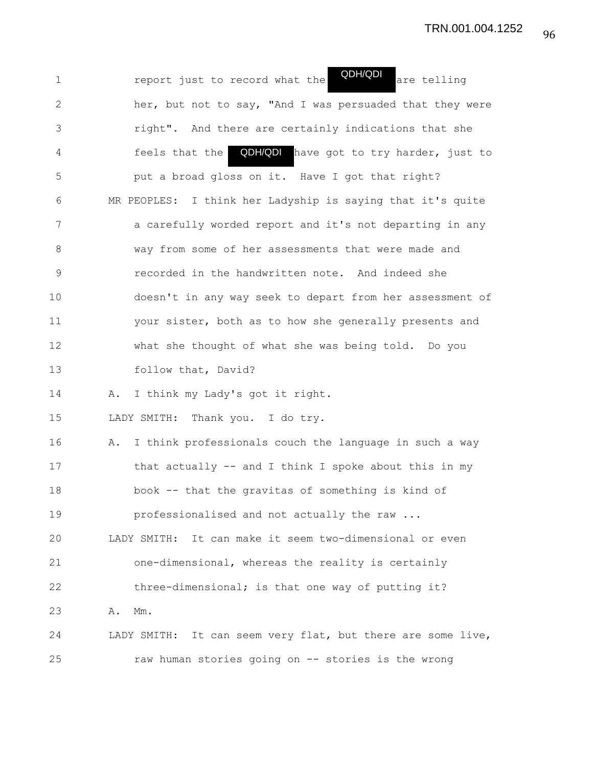1 report just to record what the **COLOU** are telling 2 her, but not to say, "And I was persuaded that they were 3 right". And there are certainly indications that she 4 feels that the **QDH/QDI** have got to try harder, just to 5 put a broad gloss on it. Have I got that right? 6 MR PEOPLES: I think her Ladyship is saying that it's quite 7 a carefully worded report and it's not departing in any 8 way from some of her assessments that were made and 9 recorded in the handwritten note. And indeed she 10 doesn't in any way seek to depart from her assessment of 11 your sister, both as to how she generally presents and 12 what she thought of what she was being told. Do you 13 follow that, David? 14 A. I think my Lady's got it right. 15 LADY SMITH: Thank you. I do try. 16 A. I think professionals couch the language in such a way 17 that actually -- and I think I spoke about this in my 18 book -- that the gravitas of something is kind of 19 **professionalised and not actually the raw ...** 20 LADY SMITH: It can make it seem two-dimensional or even 21 one-dimensional, whereas the reality is certainly 22 three-dimensional; is that one way of putting it? 23 A. Mm. 24 LADY SMITH: It can seem very flat, but there are some live, 25 raw human stories going on -- stories is the wrong QDH/QDI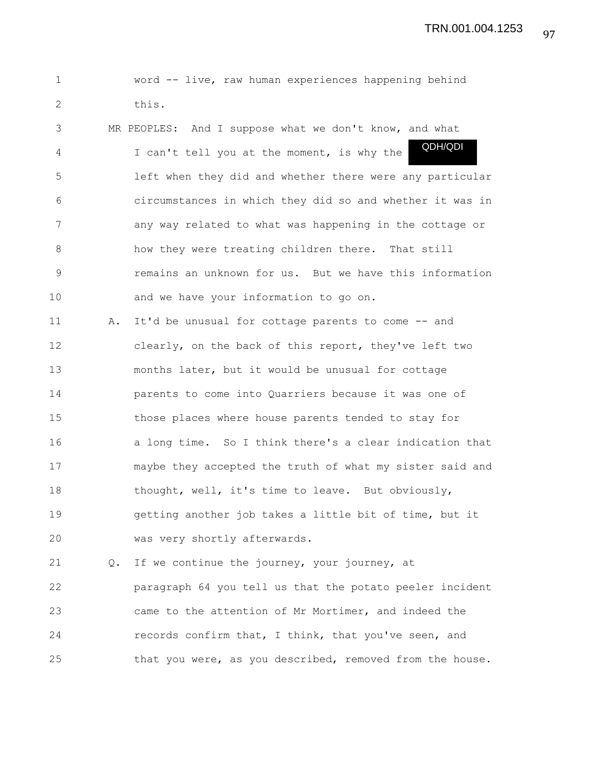1 word -- live, raw human experiences happening behind 2 this.

3 MR PEOPLES: And I suppose what we don't know, and what 4 I can't tell you at the moment, is why the 5 left when they did and whether there were any particular 6 circumstances in which they did so and whether it was in 7 any way related to what was happening in the cottage or 8 how they were treating children there. That still 9 remains an unknown for us. But we have this information 10 and we have your information to go on. QDH/QDI

11 A. It'd be unusual for cottage parents to come -- and 12 clearly, on the back of this report, they've left two 13 months later, but it would be unusual for cottage 14 parents to come into Quarriers because it was one of 15 those places where house parents tended to stay for 16 a long time. So I think there's a clear indication that 17 maybe they accepted the truth of what my sister said and 18 thought, well, it's time to leave. But obviously, 19 getting another job takes a little bit of time, but it 20 was very shortly afterwards.

21 Q. If we continue the journey, your journey, at 22 paragraph 64 you tell us that the potato peeler incident 23 came to the attention of Mr Mortimer, and indeed the 24 records confirm that, I think, that you've seen, and 25 that you were, as you described, removed from the house.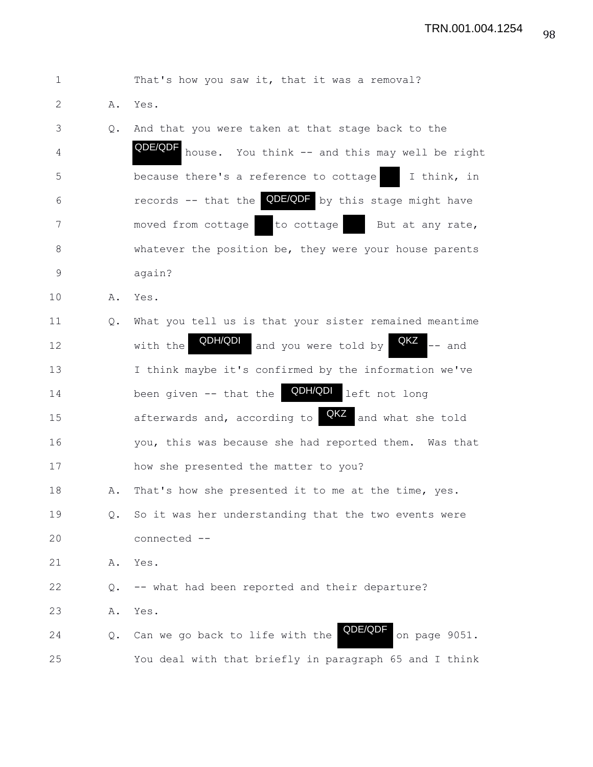| $\mathbf 1$ |               | That's how you saw it, that it was a removal?                  |
|-------------|---------------|----------------------------------------------------------------|
| 2           | Α.            | Yes.                                                           |
| 3           | $Q_{\bullet}$ | And that you were taken at that stage back to the              |
| 4           |               | QDE/QDF<br>house. You think -- and this may well be right      |
| 5           |               | because there's a reference to cottage<br>I think, in          |
| 6           |               | records -- that the <b>QDE/QDF</b> by this stage might have    |
| 7           |               | moved from cottage to cottage But at any rate,                 |
| 8           |               | whatever the position be, they were your house parents         |
| $\mathsf 9$ |               | again?                                                         |
| 10          | Α.            | Yes.                                                           |
| 11          | Q.            | What you tell us is that your sister remained meantime         |
| 12          |               | QDH/QDI<br>QKZ<br>and you were told by<br>$--$ and<br>with the |
| 13          |               | I think maybe it's confirmed by the information we've          |
| 14          |               | QDH/QDI left not long<br>been given $--$ that the              |
| 15          |               | afterwards and, according to <b>QKZ</b><br>and what she told   |
| 16          |               | you, this was because she had reported them. Was that          |
| 17          |               | how she presented the matter to you?                           |
| 18          | Α.            | That's how she presented it to me at the time, yes.            |
| 19          | Q.            | So it was her understanding that the two events were           |
| 20          |               | connected --                                                   |
| 21          | Α.            | Yes.                                                           |
| 22          | Q.            | -- what had been reported and their departure?                 |
| 23          | Α.            | Yes.                                                           |
| 24          | Q.            | QDE/QDF<br>on page 9051.<br>Can we go back to life with the    |
| 25          |               | You deal with that briefly in paragraph 65 and I think         |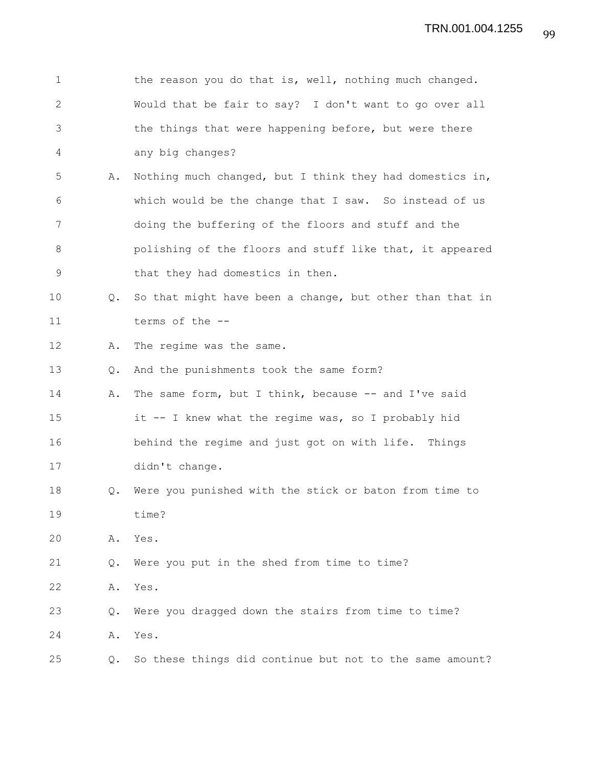| $\mathbf 1$  |               | the reason you do that is, well, nothing much changed.   |
|--------------|---------------|----------------------------------------------------------|
| $\mathbf{2}$ |               | Would that be fair to say? I don't want to go over all   |
| 3            |               | the things that were happening before, but were there    |
| 4            |               | any big changes?                                         |
| 5            | Α.            | Nothing much changed, but I think they had domestics in, |
| 6            |               | which would be the change that I saw. So instead of us   |
| 7            |               | doing the buffering of the floors and stuff and the      |
| 8            |               | polishing of the floors and stuff like that, it appeared |
| $\mathsf 9$  |               | that they had domestics in then.                         |
| 10           | $Q_{\bullet}$ | So that might have been a change, but other than that in |
| 11           |               | terms of the --                                          |
| 12           | Α.            | The regime was the same.                                 |
| 13           | $\circ$ .     | And the punishments took the same form?                  |
| 14           | Α.            | The same form, but I think, because -- and I've said     |
| 15           |               | it -- I knew what the regime was, so I probably hid      |
| 16           |               | behind the regime and just got on with life. Things      |
| 17           |               | didn't change.                                           |
| 18           | Q.            | Were you punished with the stick or baton from time to   |
| 19           |               | time?                                                    |
| 20           | Α.            | Yes.                                                     |
| 21           | Q.            | Were you put in the shed from time to time?              |
| 22           | Α.            | Yes.                                                     |
| 23           | Q.            | Were you dragged down the stairs from time to time?      |
| 24           | Α.            | Yes.                                                     |
| 25           | Q.            | So these things did continue but not to the same amount? |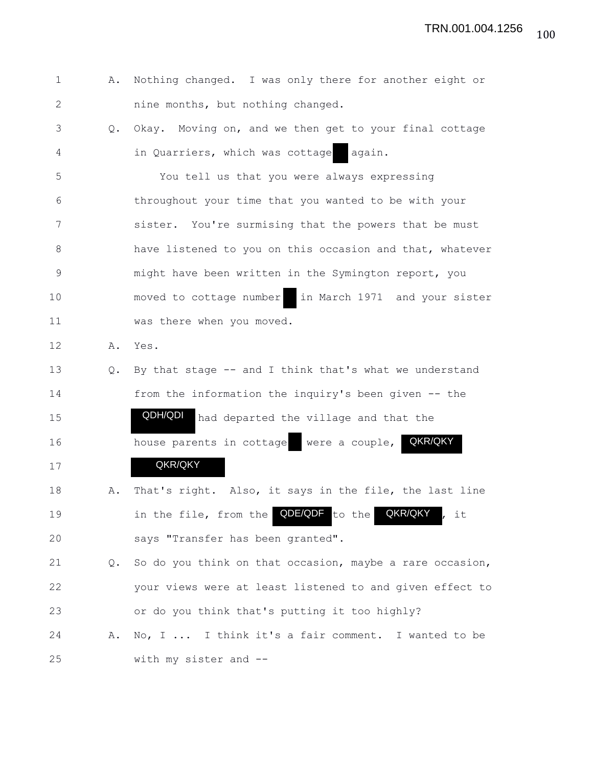100 TRN.001.004.1256

|  | A. Nothing changed. I was only there for another eight or |  |  |  |  |
|--|-----------------------------------------------------------|--|--|--|--|
|  | nine months, but nothing changed.                         |  |  |  |  |

3 Q. Okay. Moving on, and we then get to your final cottage 4 in Quarriers, which was cottage again.

5 You tell us that you were always expressing 6 throughout your time that you wanted to be with your 7 sister. You're surmising that the powers that be must 8 have listened to you on this occasion and that, whatever 9 might have been written in the Symington report, you 10 moved to cottage number in March 1971 and your sister 11 was there when you moved.

12 A. Yes.

17

13 Q. By that stage -- and I think that's what we understand 14 from the information the inquiry's been given -- the 15 **QDH/QDI** had departed the village and that the 16 house parents in cottage were a couple, QKR/QKY

## QKR/QKY

18 A. That's right. Also, it says in the file, the last line 19 19 in the file, from the **QDE/QDF** to the **QKR/QKY**, it 20 says "Transfer has been granted". QKR/QKY

21 Q. So do you think on that occasion, maybe a rare occasion, 22 your views were at least listened to and given effect to 23 or do you think that's putting it too highly?

24 A. No, I ... I think it's a fair comment. I wanted to be 25 with my sister and --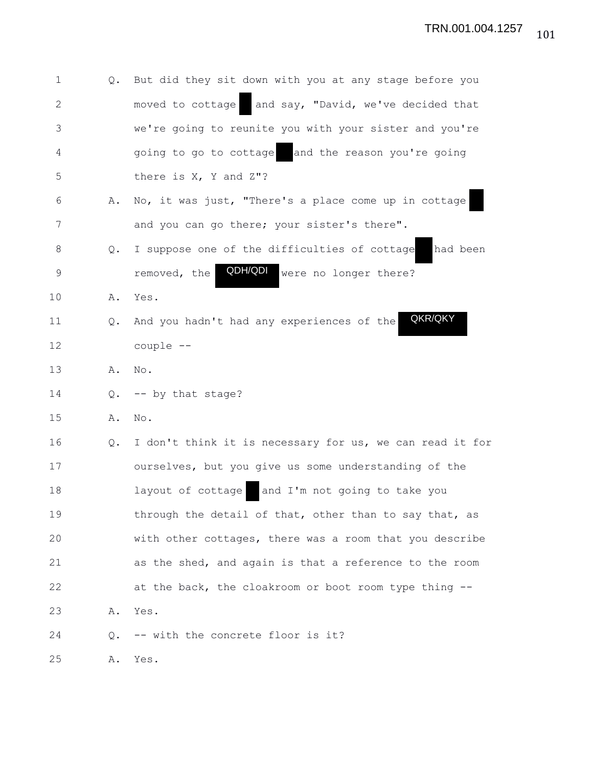| $\mathbf 1$    | Q. | But did they sit down with you at any stage before you   |
|----------------|----|----------------------------------------------------------|
| $\sqrt{2}$     |    | and say, "David, we've decided that<br>moved to cottage  |
| 3              |    | we're going to reunite you with your sister and you're   |
| $\overline{4}$ |    | going to go to cottage and the reason you're going       |
| 5              |    | there is $X$ , $Y$ and $Z''$ ?                           |
| 6              | Α. | No, it was just, "There's a place come up in cottage     |
| 7              |    | and you can go there; your sister's there".              |
| 8              | Q. | I suppose one of the difficulties of cottage<br>had been |
| 9              |    | QDH/QDI<br>were no longer there?<br>removed, the         |
| 10             | Α. | Yes.                                                     |
| 11             | Q. | QKR/QKY<br>And you hadn't had any experiences of the     |
| 12             |    | couple --                                                |
| 13             | Α. | No.                                                      |
| 14             | Q. | -- by that stage?                                        |
| 15             | Α. | No.                                                      |
| 16             | Q. | I don't think it is necessary for us, we can read it for |
| 17             |    | ourselves, but you give us some understanding of the     |
| 18             |    | and I'm not going to take you<br>layout of cottage       |
| 19             |    | through the detail of that, other than to say that, as   |
| 20             |    | with other cottages, there was a room that you describe  |
| 21             |    | as the shed, and again is that a reference to the room   |
| 22             |    | at the back, the cloakroom or boot room type thing --    |
| 23             | Α. | Yes.                                                     |
| 24             | Q. | -- with the concrete floor is it?                        |
| 25             | Α. | Yes.                                                     |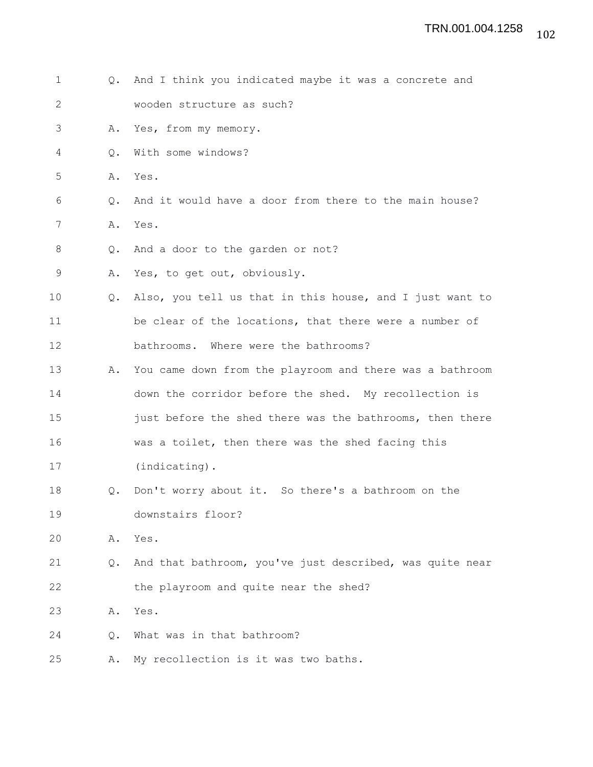1 Q. And I think you indicated maybe it was a concrete and 2 wooden structure as such? 3 A. Yes, from my memory. 4 Q. With some windows? 5 A. Yes. 6 Q. And it would have a door from there to the main house? 7 A. Yes. 8 Q. And a door to the garden or not? 9 A. Yes, to get out, obviously. 10 Q. Also, you tell us that in this house, and I just want to 11 be clear of the locations, that there were a number of 12 bathrooms. Where were the bathrooms? 13 A. You came down from the playroom and there was a bathroom 14 down the corridor before the shed. My recollection is 15 **just before the shed there was the bathrooms, then there** 16 was a toilet, then there was the shed facing this 17 (indicating). 18 Q. Don't worry about it. So there's a bathroom on the 19 downstairs floor? 20 A. Yes. 21 Q. And that bathroom, you've just described, was quite near 22 the playroom and quite near the shed? 23 A. Yes. 24 Q. What was in that bathroom? 25 A. My recollection is it was two baths.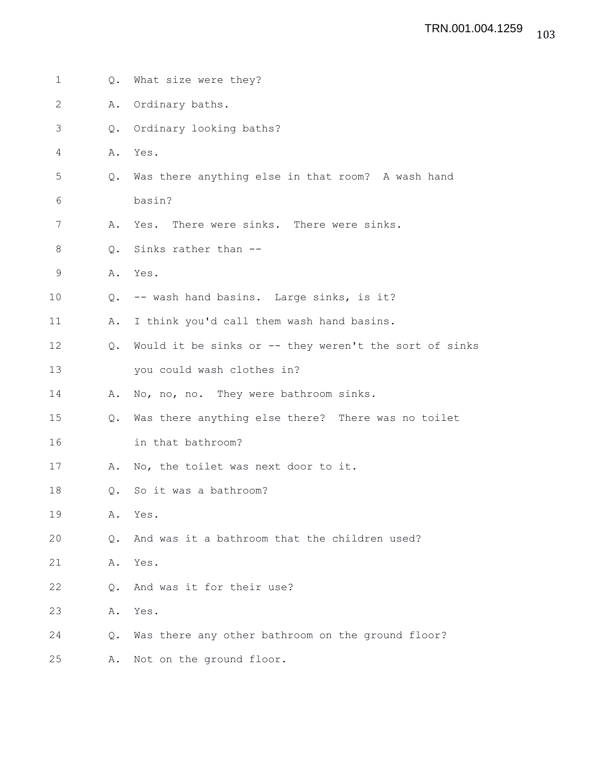| 1  | Q.            | What size were they?                                   |
|----|---------------|--------------------------------------------------------|
| 2  | Α.            | Ordinary baths.                                        |
| 3  | Q.            | Ordinary looking baths?                                |
| 4  | Α.            | Yes.                                                   |
| 5  | Q.            | Was there anything else in that room? A wash hand      |
| 6  |               | basin?                                                 |
| 7  | Α.            | There were sinks. There were sinks.<br>Yes.            |
| 8  | Q.            | Sinks rather than --                                   |
| 9  | Α.            | Yes.                                                   |
| 10 | Q.            | -- wash hand basins. Large sinks, is it?               |
| 11 | Α.            | I think you'd call them wash hand basins.              |
| 12 | $Q_{\bullet}$ | Would it be sinks or -- they weren't the sort of sinks |
| 13 |               | you could wash clothes in?                             |
| 14 | Α.            | No, no, no. They were bathroom sinks.                  |
| 15 | Q.            | Was there anything else there? There was no toilet     |
| 16 |               | in that bathroom?                                      |
| 17 | Α.            | No, the toilet was next door to it.                    |
| 18 | Q.            | So it was a bathroom?                                  |
| 19 | Α.            | Yes.                                                   |
| 20 | Q.            | And was it a bathroom that the children used?          |
| 21 | Α.            | Yes.                                                   |
| 22 | Q.            | And was it for their use?                              |
| 23 | Α.            | Yes.                                                   |
| 24 | Q.            | Was there any other bathroom on the ground floor?      |
| 25 | Α.            | Not on the ground floor.                               |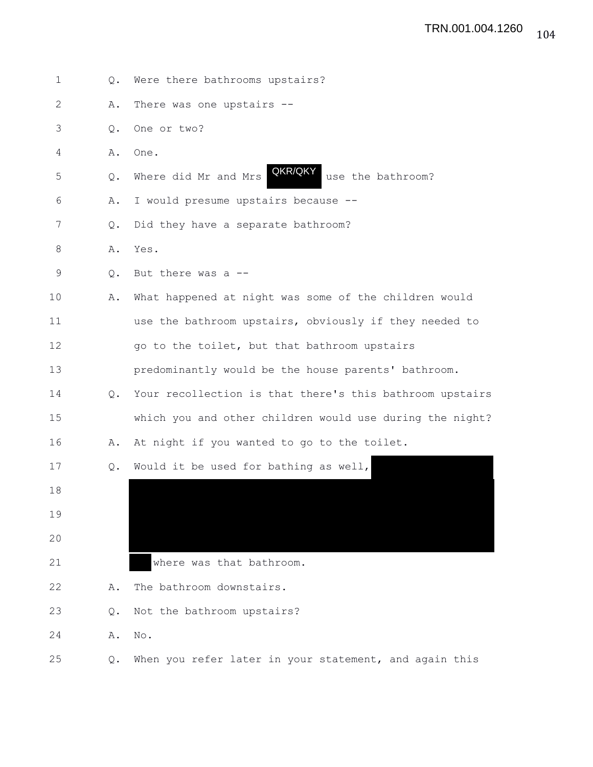| $\mathbf 1$  | Q. | Were there bathrooms upstairs?                           |
|--------------|----|----------------------------------------------------------|
| $\mathbf{2}$ | Α. | There was one upstairs --                                |
| 3            | Q. | One or two?                                              |
| 4            | Α. | One.                                                     |
| 5            | Q. | QKR/QKY<br>Where did Mr and Mrs<br>use the bathroom?     |
| 6            | Α. | I would presume upstairs because --                      |
| 7            | Q. | Did they have a separate bathroom?                       |
| 8            | Α. | Yes.                                                     |
| $\mathsf 9$  | Q. | But there was a --                                       |
| 10           | Α. | What happened at night was some of the children would    |
| 11           |    | use the bathroom upstairs, obviously if they needed to   |
| 12           |    | go to the toilet, but that bathroom upstairs             |
| 13           |    | predominantly would be the house parents' bathroom.      |
| 14           | Q. | Your recollection is that there's this bathroom upstairs |
| 15           |    | which you and other children would use during the night? |
| 16           | Α. | At night if you wanted to go to the toilet.              |
| 17           | Q. | Would it be used for bathing as well,                    |
| 18           |    |                                                          |
| 19           |    |                                                          |
| 20           |    |                                                          |
| 21           |    | where was that bathroom.                                 |
| 22           | Α. | The bathroom downstairs.                                 |
| 23           | Q. | Not the bathroom upstairs?                               |
| 24           | Α. | No.                                                      |
| 25           | Q. | When you refer later in your statement, and again this   |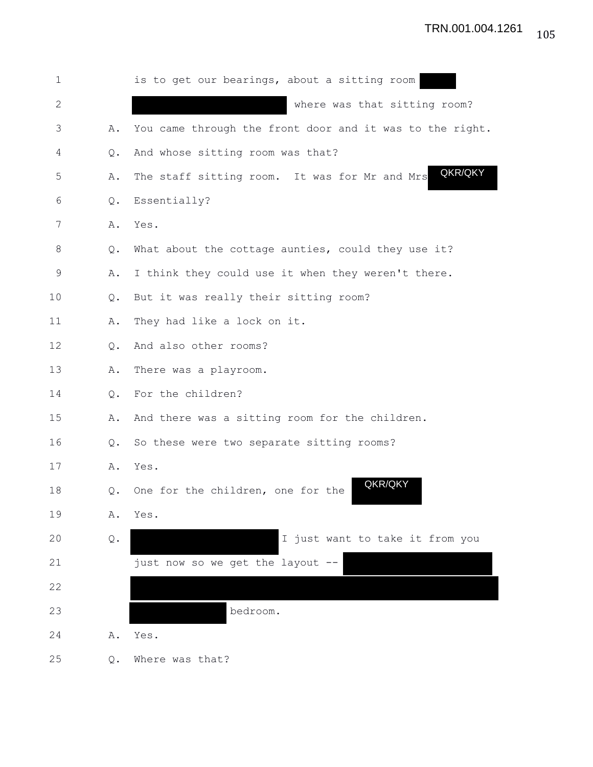| $\mathbf 1$ |               | is to get our bearings, about a sitting room             |
|-------------|---------------|----------------------------------------------------------|
| 2           |               | where was that sitting room?                             |
| 3           | Α.            | You came through the front door and it was to the right. |
| 4           | Q.            | And whose sitting room was that?                         |
| 5           | Α.            | QKR/QKY<br>The staff sitting room. It was for Mr and Mrs |
| 6           | Q.            | Essentially?                                             |
| 7           | Α.            | Yes.                                                     |
| 8           | Q.            | What about the cottage aunties, could they use it?       |
| 9           | Α.            | I think they could use it when they weren't there.       |
| 10          | Q.            | But it was really their sitting room?                    |
| 11          | Α.            | They had like a lock on it.                              |
| 12          | Q.            | And also other rooms?                                    |
| 13          | Α.            | There was a playroom.                                    |
| 14          | Q.            | For the children?                                        |
| 15          | Α.            | And there was a sitting room for the children.           |
| 16          | Q.            | So these were two separate sitting rooms?                |
| 17          | Α.            | Yes.                                                     |
| 18          | Q.            | QKR/QKY<br>One for the children, one for the             |
| 19          | Α.            | Yes.                                                     |
| 20          | $\mathbb Q$ . | I just want to take it from you                          |
| 21          |               | just now so we get the layout                            |
| 22          |               |                                                          |
| 23          |               | bedroom.                                                 |
| 24          | Α.            | Yes.                                                     |
| 25          | Q.            | Where was that?                                          |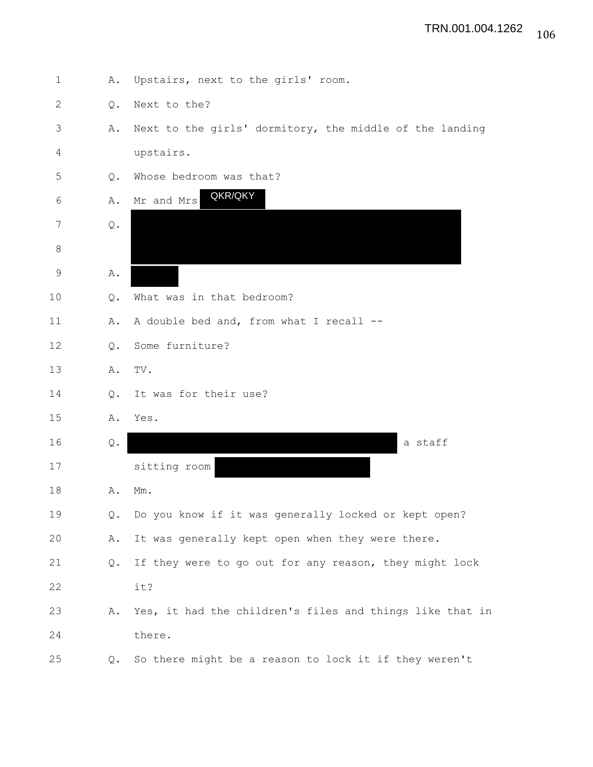| $\mathbf 1$    | Α.            | Upstairs, next to the girls' room.                       |
|----------------|---------------|----------------------------------------------------------|
| $\mathbf{2}$   | Q.            | Next to the?                                             |
| 3              | Α.            | Next to the girls' dormitory, the middle of the landing  |
| $\overline{4}$ |               | upstairs.                                                |
| 5              | Q.            | Whose bedroom was that?                                  |
| 6              | Α.            | QKR/QKY<br>Mr and Mrs                                    |
| 7              | Q.            |                                                          |
| 8              |               |                                                          |
| $\mathsf 9$    | Α.            |                                                          |
| 10             | Q.            | What was in that bedroom?                                |
| 11             | Α.            | A double bed and, from what I recall --                  |
| 12             | Q.            | Some furniture?                                          |
| 13             | Α.            | TV.                                                      |
| 14             | Q.            | It was for their use?                                    |
| 15             | Α.            | Yes.                                                     |
| 16             | Q.            | a staff                                                  |
| 17             |               | sitting room                                             |
| 18             | Α.            | Mm.                                                      |
| 19             | Q.            | Do you know if it was generally locked or kept open?     |
| 20             | Α.            | It was generally kept open when they were there.         |
| 21             | Q.            | If they were to go out for any reason, they might lock   |
| 22             |               | it?                                                      |
| 23             | Α.            | Yes, it had the children's files and things like that in |
| 24             |               | there.                                                   |
| 25             | $Q_{\bullet}$ | So there might be a reason to lock it if they weren't    |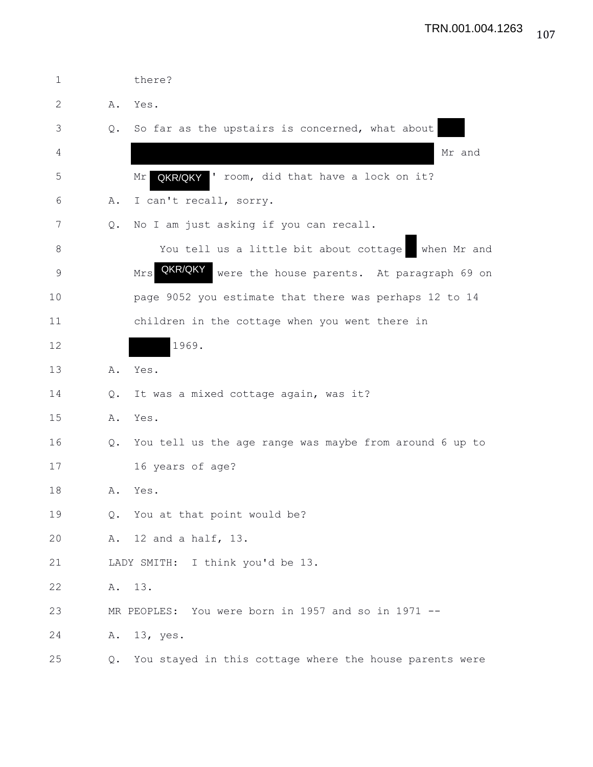| 1              |                | there?                                                       |
|----------------|----------------|--------------------------------------------------------------|
| 2              | Α.             | Yes.                                                         |
| 3              |                | Q. So far as the upstairs is concerned, what about           |
| 4              |                | Mr and                                                       |
| 5              |                | QKR/QKY ' room, did that have a lock on it?<br>Mr            |
| 6              | Α.             | I can't recall, sorry.                                       |
| 7              | Q.             | No I am just asking if you can recall.                       |
| 8              |                | You tell us a little bit about cottage<br>when Mr and        |
| $\overline{9}$ |                | QKR/QKY<br>were the house parents. At paragraph 69 on<br>Mrs |
| 10             |                | page 9052 you estimate that there was perhaps 12 to 14       |
| 11             |                | children in the cottage when you went there in               |
| 12             |                | 1969.                                                        |
| 13             | Α.             | Yes.                                                         |
| 14             | Q.             | It was a mixed cottage again, was it?                        |
| 15             | Α.             | Yes.                                                         |
| 16             | Q.             | You tell us the age range was maybe from around 6 up to      |
| 17             |                | 16 years of age?                                             |
| 18             | Α.             | Yes.                                                         |
| 19             | Q.             | You at that point would be?                                  |
| 20             | Α.             | 12 and a half, 13.                                           |
| 21             |                | LADY SMITH: I think you'd be 13.                             |
| 22             | Α.             | 13.                                                          |
| 23             |                | MR PEOPLES: You were born in 1957 and so in 1971 --          |
| 24             | Α.             | $13,$ yes.                                                   |
| 25             | $\mathsf{Q}$ . | You stayed in this cottage where the house parents were      |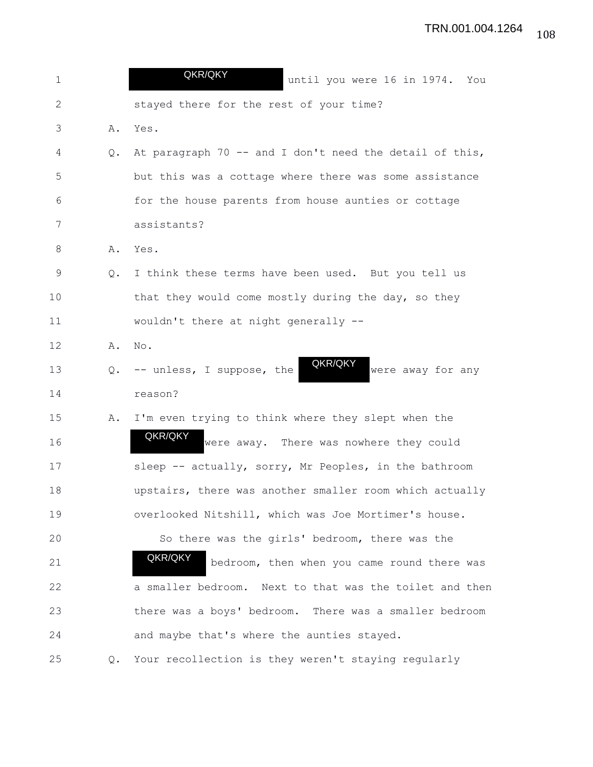| 1           |    | QKR/QKY<br>until you were 16 in 1974. You                 |
|-------------|----|-----------------------------------------------------------|
| 2           |    | stayed there for the rest of your time?                   |
| 3           | Α. | Yes.                                                      |
| 4           | Q. | At paragraph 70 -- and I don't need the detail of this,   |
| 5           |    | but this was a cottage where there was some assistance    |
| 6           |    | for the house parents from house aunties or cottage       |
| 7           |    | assistants?                                               |
| 8           | Α. | Yes.                                                      |
| $\mathsf 9$ | Q. | I think these terms have been used. But you tell us       |
| 10          |    | that they would come mostly during the day, so they       |
| 11          |    | wouldn't there at night generally --                      |
| 12          | Α. | No.                                                       |
| 13          | Q. | QKR/QKY<br>-- unless, I suppose, the<br>were away for any |
| 14          |    | reason?                                                   |
| 15          | Α. | I'm even trying to think where they slept when the        |
| 16          |    | QKR/QKY<br>were away. There was nowhere they could        |
| 17          |    | sleep -- actually, sorry, Mr Peoples, in the bathroom     |
| 18          |    | upstairs, there was another smaller room which actually   |
| 19          |    | overlooked Nitshill, which was Joe Mortimer's house.      |
| 20          |    | So there was the girls' bedroom, there was the            |
| 21          |    | QKR/QKY<br>bedroom, then when you came round there was    |
| 22          |    | a smaller bedroom. Next to that was the toilet and then   |
| 23          |    | there was a boys' bedroom. There was a smaller bedroom    |
| 24          |    | and maybe that's where the aunties stayed.                |
| 25          |    | Q. Your recollection is they weren't staying regularly    |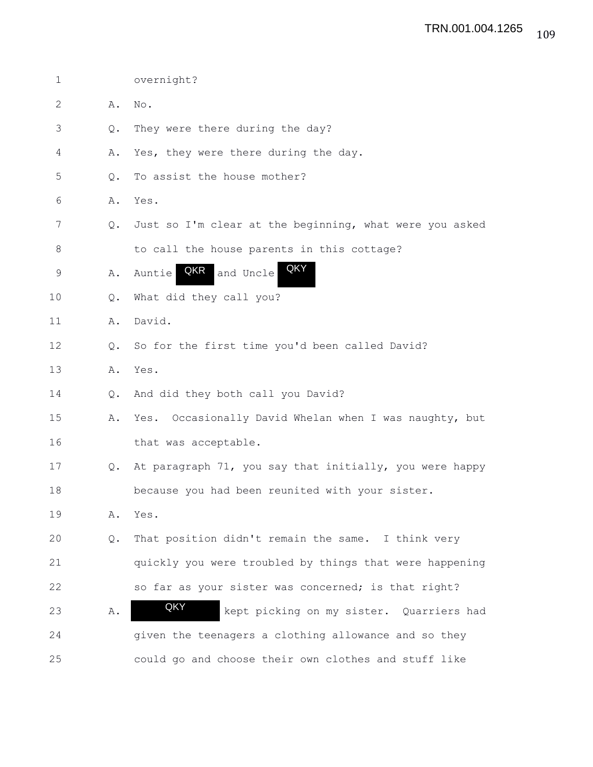1 overnight? 2 A. No. 3 Q. They were there during the day? 4 A. Yes, they were there during the day. 5 Q. To assist the house mother? 6 A. Yes. 7 Q. Just so I'm clear at the beginning, what were you asked 8 to call the house parents in this cottage? 9 A. Auntie QKR and Uncle QKY 10 Q. What did they call you? 11 A. David. 12 Q. So for the first time you'd been called David? 13 A. Yes. 14 Q. And did they both call you David? 15 A. Yes. Occasionally David Whelan when I was naughty, but 16 that was acceptable. 17 Q. At paragraph 71, you say that initially, you were happy 18 because you had been reunited with your sister. 19 A. Yes. 20 Q. That position didn't remain the same. I think very 21 quickly you were troubled by things that were happening 22 so far as your sister was concerned; is that right? 23 A. KRY kept picking on my sister. Quarriers had 24 given the teenagers a clothing allowance and so they 25 could go and choose their own clothes and stuff like **QKY**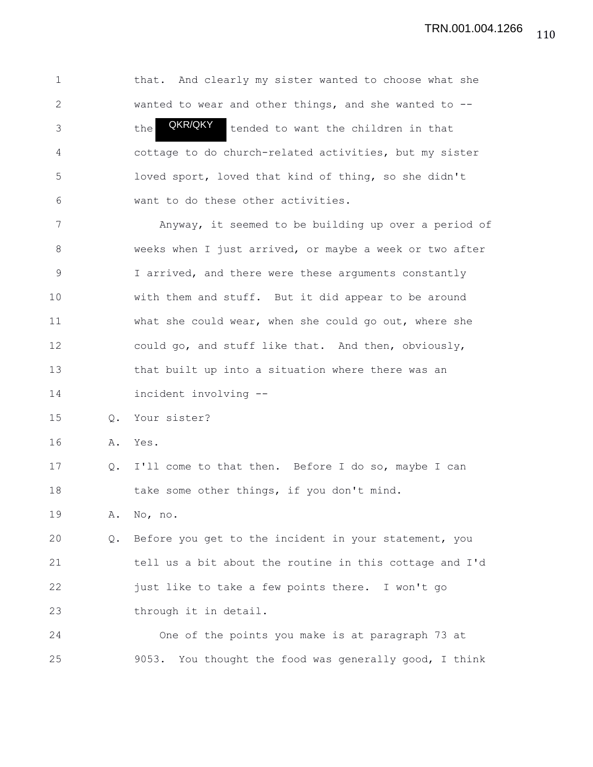1 that. And clearly my sister wanted to choose what she 2 wanted to wear and other things, and she wanted to -- 3 the **CKR/QKY** tended to want the children in that 4 cottage to do church-related activities, but my sister 5 loved sport, loved that kind of thing, so she didn't 6 want to do these other activities. QKR/QKY

7 Anyway, it seemed to be building up over a period of 8 weeks when I just arrived, or maybe a week or two after 9 I arrived, and there were these arguments constantly 10 with them and stuff. But it did appear to be around 11 what she could wear, when she could go out, where she 12 could go, and stuff like that. And then, obviously, 13 that built up into a situation where there was an 14 incident involving --

15 Q. Your sister?

16 A. Yes.

17 Q. I'll come to that then. Before I do so, maybe I can 18 take some other things, if you don't mind.

19 A. No, no.

20 Q. Before you get to the incident in your statement, you 21 tell us a bit about the routine in this cottage and I'd 22 just like to take a few points there. I won't go 23 through it in detail.

24 One of the points you make is at paragraph 73 at 25 9053. You thought the food was generally good, I think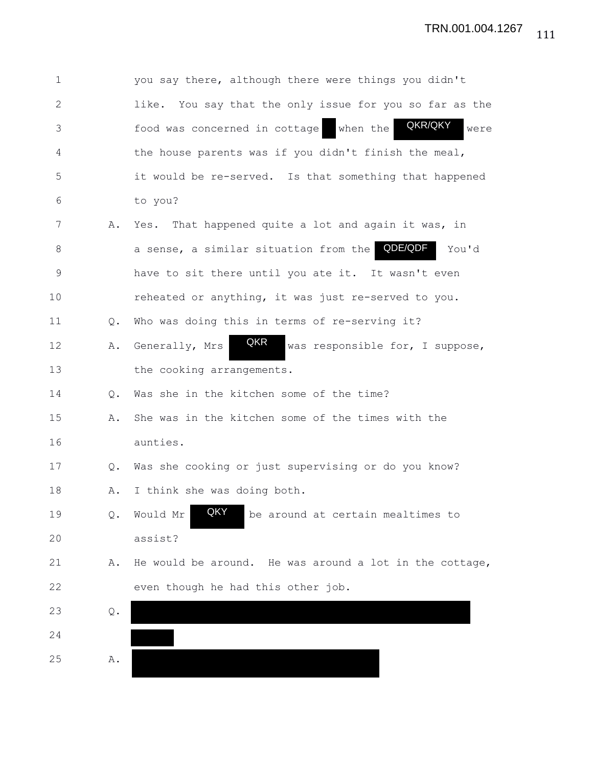| 1            |               | you say there, although there were things you didn't         |
|--------------|---------------|--------------------------------------------------------------|
| $\mathbf{2}$ |               | like. You say that the only issue for you so far as the      |
| 3            |               | QKR/QKY<br>food was concerned in cottage<br>when the<br>were |
| 4            |               | the house parents was if you didn't finish the meal,         |
| 5            |               | it would be re-served. Is that something that happened       |
| 6            |               | to you?                                                      |
| 7            | Α.            | Yes. That happened quite a lot and again it was, in          |
| 8            |               | QDE/QDF<br>You'd<br>a sense, a similar situation from the    |
| 9            |               | have to sit there until you ate it. It wasn't even           |
| 10           |               | reheated or anything, it was just re-served to you.          |
| 11           | $Q_{\bullet}$ | Who was doing this in terms of re-serving it?                |
| 12           | Α.            | QKR<br>Generally, Mrs<br>was responsible for, I suppose,     |
| 13           |               | the cooking arrangements.                                    |
| 14           | Q.            | Was she in the kitchen some of the time?                     |
| 15           | Α.            | She was in the kitchen some of the times with the            |
| 16           |               | aunties.                                                     |
| 17           | Q.            | Was she cooking or just supervising or do you know?          |
| 18           | Α.            | I think she was doing both.                                  |
| 19           | Q.            | QKY<br>Would Mr<br>be around at certain mealtimes to         |
| 20           |               | assist?                                                      |
| 21           | Α.            | He would be around. He was around a lot in the cottage,      |
| 22           |               | even though he had this other job.                           |
| 23           | $\mathbb Q$ . |                                                              |
| 24           |               |                                                              |
| 25           | Α.            |                                                              |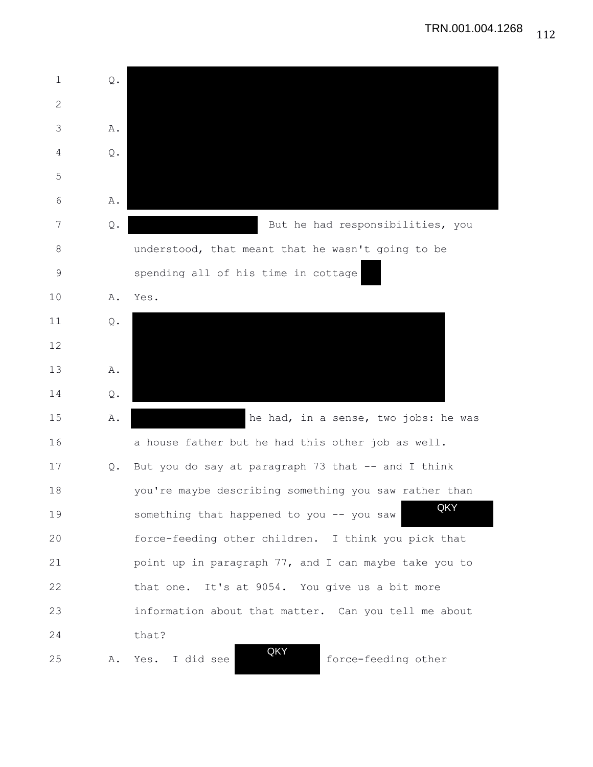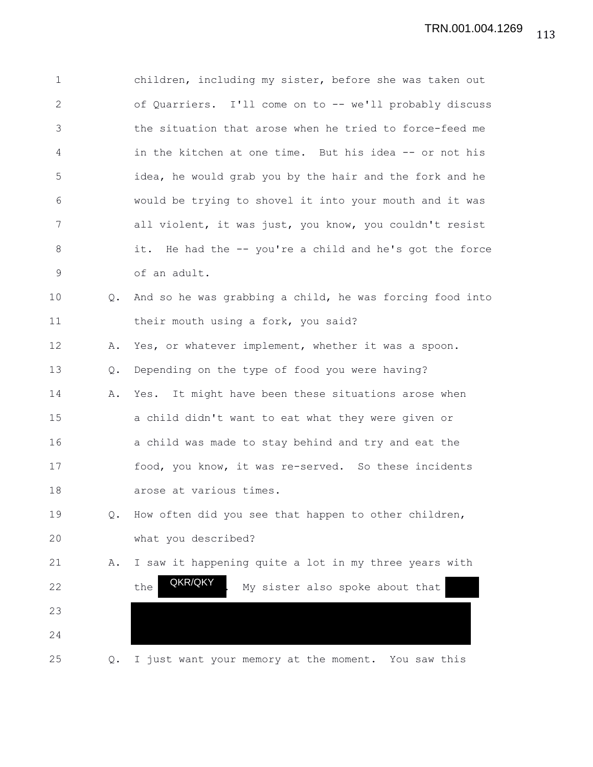1 children, including my sister, before she was taken out 2 of Quarriers. I'll come on to -- we'll probably discuss 3 the situation that arose when he tried to force-feed me 4 in the kitchen at one time. But his idea -- or not his 5 idea, he would grab you by the hair and the fork and he 6 would be trying to shovel it into your mouth and it was 7 all violent, it was just, you know, you couldn't resist 8 it. He had the -- you're a child and he's got the force 9 of an adult. 10 Q. And so he was grabbing a child, he was forcing food into 11 their mouth using a fork, you said? 12 A. Yes, or whatever implement, whether it was a spoon. 13 Q. Depending on the type of food you were having? 14 A. Yes. It might have been these situations arose when 15 a child didn't want to eat what they were given or 16 a child was made to stay behind and try and eat the 17 food, you know, it was re-served. So these incidents 18 arose at various times. 19 Q. How often did you see that happen to other children, 20 what you described? 21 A. I saw it happening quite a lot in my three years with 22 the **EARMEAT**. My sister also spoke about that 23 24 25 Q. I just want your memory at the moment. You saw this QKR/QKY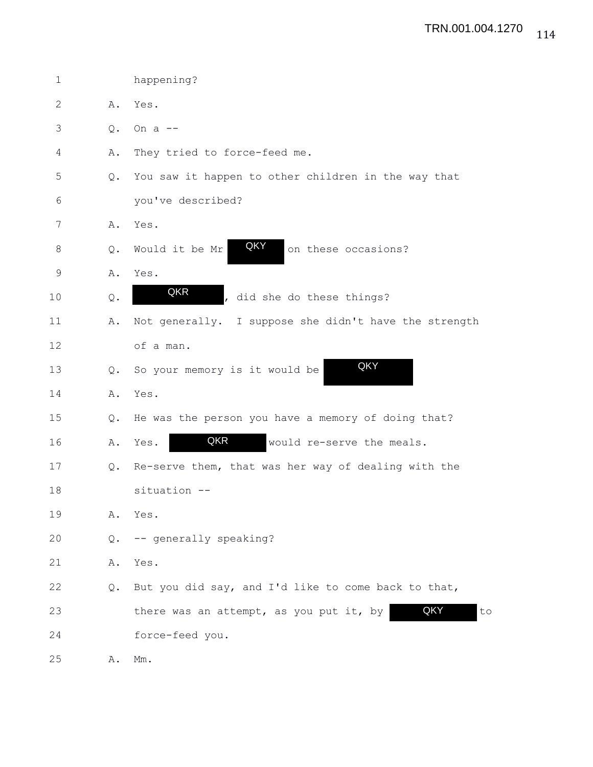| $\mathbf 1$  |                | happening?                                            |
|--------------|----------------|-------------------------------------------------------|
| $\mathbf{2}$ | Α.             | Yes.                                                  |
| 3            | Q.             | On $a$ $-$                                            |
| 4            | Α.             | They tried to force-feed me.                          |
| 5            | Q.             | You saw it happen to other children in the way that   |
| 6            |                | you've described?                                     |
| 7            | Α.             | Yes.                                                  |
| 8            | Q.             | QKY<br>Would it be Mr<br>on these occasions?          |
| 9            | Α.             | Yes.                                                  |
| 10           | $\mathsf{Q}$ . | QKR<br>did she do these things?                       |
| 11           | Α.             | Not generally. I suppose she didn't have the strength |
| 12           |                | of a man.                                             |
| 13           | Q.             | QKY<br>So your memory is it would be                  |
| 14           | Α.             | Yes.                                                  |
| 15           | Q.             | He was the person you have a memory of doing that?    |
| 16           | Α.             | QKR<br>would re-serve the meals.<br>Yes.              |
| 17           | Q.             | Re-serve them, that was her way of dealing with the   |
| 18           |                | situation --                                          |
| 19           | Α.             | Yes.                                                  |
| 20           | Q.             | -- generally speaking?                                |
| 21           | Α.             | Yes.                                                  |
| 22           | Q.             | But you did say, and I'd like to come back to that,   |
| 23           |                | QKY<br>to<br>there was an attempt, as you put it, by  |
| 24           |                | force-feed you.                                       |
| 25           | Α.             | $Mm$ .                                                |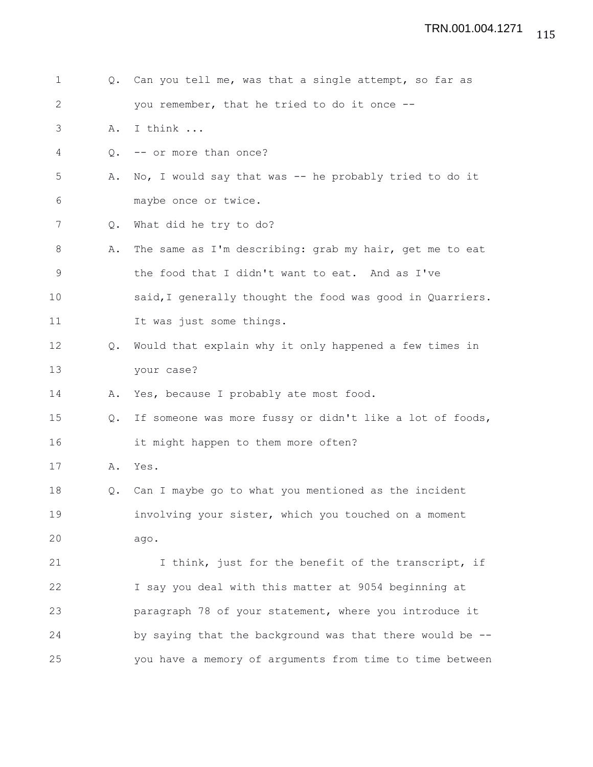| $\mathbf 1$  |    | Q. Can you tell me, was that a single attempt, so far as  |
|--------------|----|-----------------------------------------------------------|
| $\mathbf{2}$ |    | you remember, that he tried to do it once --              |
| 3            | Α. | I think                                                   |
| 4            | Q. | -- or more than once?                                     |
| 5            | Α. | No, I would say that was -- he probably tried to do it    |
| 6            |    | maybe once or twice.                                      |
| 7            | Q. | What did he try to do?                                    |
| 8            | Α. | The same as I'm describing: grab my hair, get me to eat   |
| 9            |    | the food that I didn't want to eat. And as I've           |
| 10           |    | said, I generally thought the food was good in Quarriers. |
| 11           |    | It was just some things.                                  |
| 12           | Q. | Would that explain why it only happened a few times in    |
| 13           |    | your case?                                                |
| 14           | Α. | Yes, because I probably ate most food.                    |
| 15           | Q. | If someone was more fussy or didn't like a lot of foods,  |
| 16           |    | it might happen to them more often?                       |
| 17           | Α. | Yes.                                                      |
| 18           | Q. | Can I maybe go to what you mentioned as the incident      |
| 19           |    | involving your sister, which you touched on a moment      |
| 20           |    | ago.                                                      |
| 21           |    | I think, just for the benefit of the transcript, if       |
| 22           |    | I say you deal with this matter at 9054 beginning at      |
| 23           |    | paragraph 78 of your statement, where you introduce it    |
| 24           |    | by saying that the background was that there would be --  |
| 25           |    | you have a memory of arguments from time to time between  |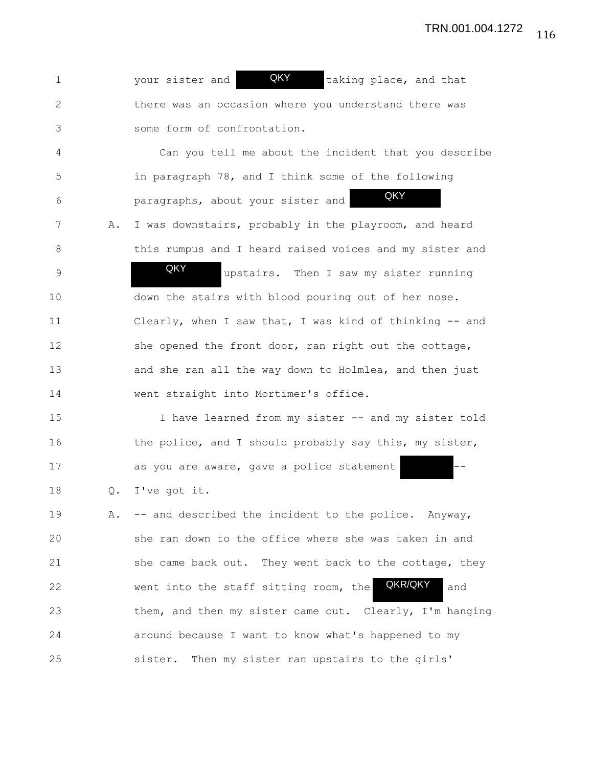116 TRN.001.004.1272

| $\mathbf 1$    |    | QKY<br>your sister and<br>taking place, and that        |
|----------------|----|---------------------------------------------------------|
| $\mathbf{2}$   |    | there was an occasion where you understand there was    |
| 3              |    | some form of confrontation.                             |
| 4              |    | Can you tell me about the incident that you describe    |
| 5              |    | in paragraph 78, and I think some of the following      |
| 6              |    | QKY<br>paragraphs, about your sister and                |
| 7              | Α. | I was downstairs, probably in the playroom, and heard   |
| 8              |    | this rumpus and I heard raised voices and my sister and |
| $\overline{9}$ |    | QKY<br>upstairs. Then I saw my sister running           |
| 10             |    | down the stairs with blood pouring out of her nose.     |
| 11             |    | Clearly, when I saw that, I was kind of thinking -- and |
| 12             |    | she opened the front door, ran right out the cottage,   |
| 13             |    | and she ran all the way down to Holmlea, and then just  |
| 14             |    | went straight into Mortimer's office.                   |
| 15             |    | I have learned from my sister -- and my sister told     |
| 16             |    | the police, and I should probably say this, my sister,  |
| 17             |    | as you are aware, gave a police statement               |
| 18             | Q. | I've got it.                                            |
| 19             | Α. | -- and described the incident to the police. Anyway,    |
| 20             |    | she ran down to the office where she was taken in and   |
| 21             |    | she came back out. They went back to the cottage, they  |
| 22             |    | QKR/QKY<br>went into the staff sitting room, the<br>and |
| 23             |    | them, and then my sister came out. Clearly, I'm hanging |
| 24             |    | around because I want to know what's happened to my     |
| 25             |    | Then my sister ran upstairs to the girls'<br>sister.    |
|                |    |                                                         |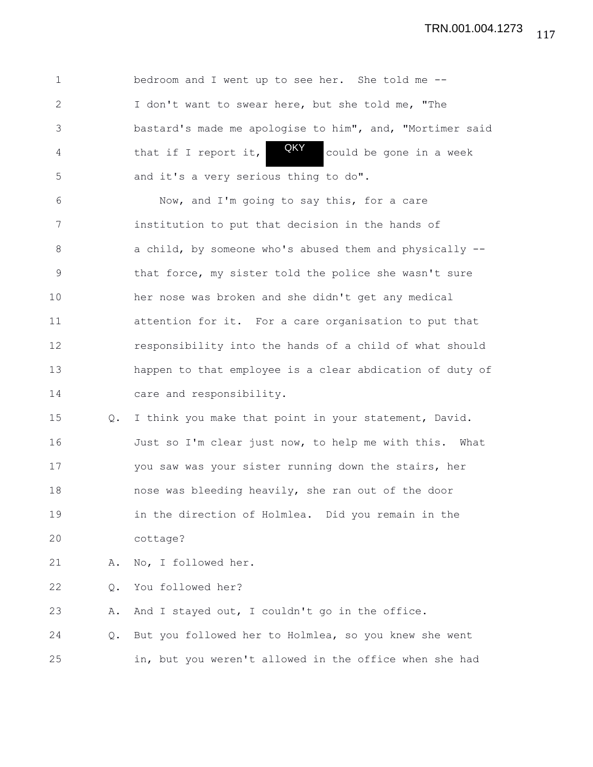1 bedroom and I went up to see her. She told me -- 2 I don't want to swear here, but she told me, "The 3 bastard's made me apologise to him", and, "Mortimer said 4 that if I report it, **CAY** could be gone in a week 5 and it's a very serious thing to do". 6 Now, and I'm going to say this, for a care 7 institution to put that decision in the hands of 8 a child, by someone who's abused them and physically --9 that force, my sister told the police she wasn't sure 10 her nose was broken and she didn't get any medical 11 attention for it. For a care organisation to put that 12 responsibility into the hands of a child of what should 13 happen to that employee is a clear abdication of duty of 14 care and responsibility. 15 Q. I think you make that point in your statement, David. 16 Just so I'm clear just now, to help me with this. What 17 you saw was your sister running down the stairs, her 18 nose was bleeding heavily, she ran out of the door 19 in the direction of Holmlea. Did you remain in the 20 cottage? 21 A. No, I followed her. 22 Q. You followed her? 23 A. And I stayed out, I couldn't go in the office. 24 Q. But you followed her to Holmlea, so you knew she went 25 in, but you weren't allowed in the office when she had QKY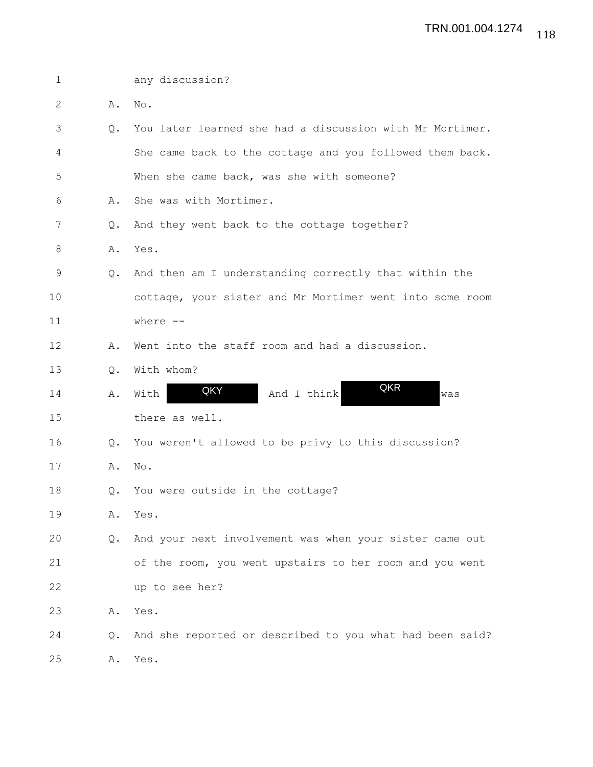| $\mathbf 1$  |               | any discussion?                                          |
|--------------|---------------|----------------------------------------------------------|
| $\mathbf{2}$ | Α.            | No.                                                      |
| 3            | Q.            | You later learned she had a discussion with Mr Mortimer. |
| 4            |               | She came back to the cottage and you followed them back. |
| 5            |               | When she came back, was she with someone?                |
| 6            | Α.            | She was with Mortimer.                                   |
| 7            | Q.            | And they went back to the cottage together?              |
| 8            | Α.            | Yes.                                                     |
| 9            | $Q_{\bullet}$ | And then am I understanding correctly that within the    |
| 10           |               | cottage, your sister and Mr Mortimer went into some room |
| 11           |               | where $--$                                               |
| 12           | Α.            | Went into the staff room and had a discussion.           |
| 13           | Q.            | With whom?                                               |
| 14           | Α.            | QKR<br>QKY<br>And I think<br>With<br>was                 |
| 15           |               | there as well.                                           |
| 16           | $Q_{\bullet}$ | You weren't allowed to be privy to this discussion?      |
| 17           | Α.            | No.                                                      |
| 18           | $Q_{\bullet}$ | You were outside in the cottage?                         |
| 19           | Α.            | Yes.                                                     |
| 20           | $Q_{\bullet}$ | And your next involvement was when your sister came out  |
| 21           |               | of the room, you went upstairs to her room and you went  |
| 22           |               | up to see her?                                           |
| 23           | Α.            | Yes.                                                     |
| 24           | Q.            | And she reported or described to you what had been said? |
| 25           | Α.            | Yes.                                                     |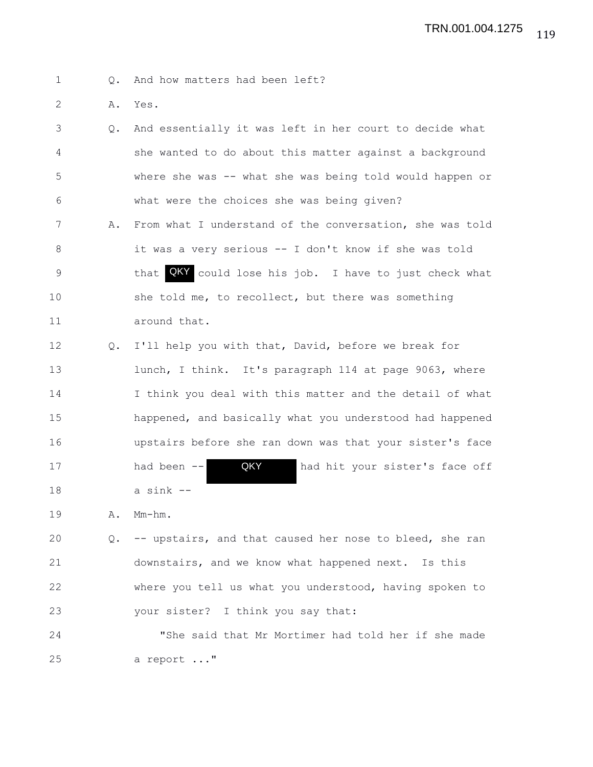1 Q. And how matters had been left?

2 A. Yes.

3 Q. And essentially it was left in her court to decide what 4 she wanted to do about this matter against a background 5 where she was -- what she was being told would happen or 6 what were the choices she was being given? 7 A. From what I understand of the conversation, she was told 8 it was a very serious -- I don't know if she was told 9 that QKY could lose his job. I have to just check what 10 she told me, to recollect, but there was something 11 around that.

12 Q. I'll help you with that, David, before we break for 13 lunch, I think. It's paragraph 114 at page 9063, where 14 I think you deal with this matter and the detail of what 15 happened, and basically what you understood had happened 16 upstairs before she ran down was that your sister's face 17 had been -- **QKY** had hit your sister's face off 18 a sink -- QKY

19 A. Mm-hm.

20 Q. -- upstairs, and that caused her nose to bleed, she ran 21 downstairs, and we know what happened next. Is this 22 where you tell us what you understood, having spoken to 23 your sister? I think you say that:

24 "She said that Mr Mortimer had told her if she made 25 a report ..."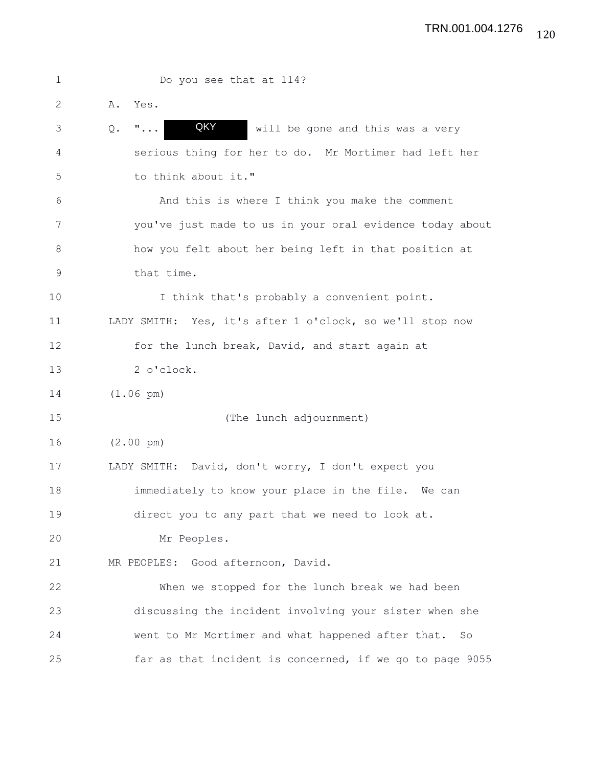| 1              | Do you see that at 114?                                     |  |
|----------------|-------------------------------------------------------------|--|
| 2              | Α.<br>Yes.                                                  |  |
| 3              | QKY<br>$" \ldots$<br>will be gone and this was a very<br>Q. |  |
| 4              | serious thing for her to do. Mr Mortimer had left her       |  |
| 5              | to think about it."                                         |  |
| 6              | And this is where I think you make the comment              |  |
| 7              | you've just made to us in your oral evidence today about    |  |
| 8              | how you felt about her being left in that position at       |  |
| $\overline{9}$ | that time.                                                  |  |
| 10             | I think that's probably a convenient point.                 |  |
| 11             | LADY SMITH: Yes, it's after 1 o'clock, so we'll stop now    |  |
| 12             | for the lunch break, David, and start again at              |  |
| 13             | 2 o'clock.                                                  |  |
| 14             | $(1.06 \text{ pm})$                                         |  |
| 15             | (The lunch adjournment)                                     |  |
| 16             | $(2.00 \text{ pm})$                                         |  |
| 17             | LADY SMITH: David, don't worry, I don't expect you          |  |
| 18             | immediately to know your place in the file. We can          |  |
| 19             | direct you to any part that we need to look at.             |  |
| 20             | Mr Peoples.                                                 |  |
| 21             | MR PEOPLES: Good afternoon, David.                          |  |
| 22             | When we stopped for the lunch break we had been             |  |
| 23             | discussing the incident involving your sister when she      |  |
| 24             | went to Mr Mortimer and what happened after that. So        |  |
| 25             | far as that incident is concerned, if we go to page 9055    |  |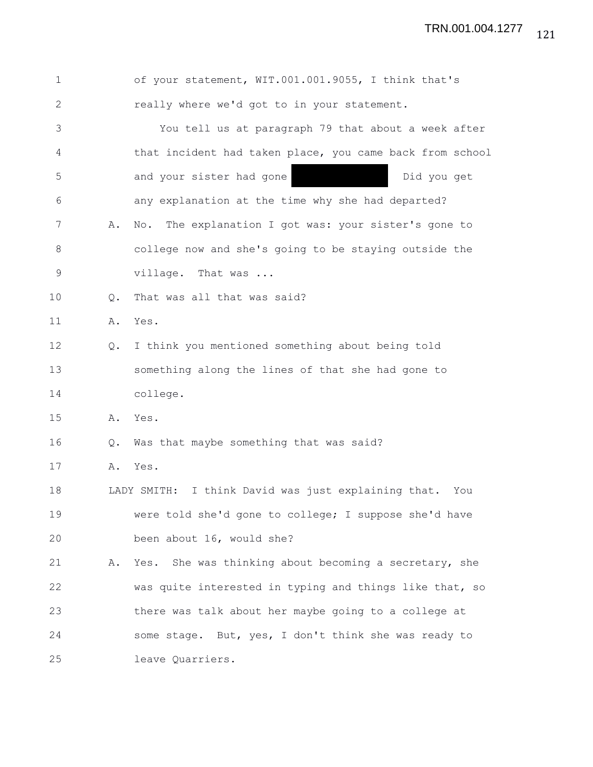| $\mathbf 1$  |               | of your statement, WIT.001.001.9055, I think that's           |
|--------------|---------------|---------------------------------------------------------------|
| $\mathbf{2}$ |               | really where we'd got to in your statement.                   |
| 3            |               | You tell us at paragraph 79 that about a week after           |
| 4            |               | that incident had taken place, you came back from school      |
| 5            |               | and your sister had gone<br>Did you get                       |
| 6            |               | any explanation at the time why she had departed?             |
| 7            | Α.            | The explanation I got was: your sister's gone to<br>No.       |
| 8            |               | college now and she's going to be staying outside the         |
| $\mathsf 9$  |               | village. That was                                             |
| 10           | $Q_{\bullet}$ | That was all that was said?                                   |
| 11           | Α.            | Yes.                                                          |
| 12           | $Q_{\bullet}$ | I think you mentioned something about being told              |
| 13           |               | something along the lines of that she had gone to             |
| 14           |               | college.                                                      |
| 15           | Α.            | Yes.                                                          |
| 16           | Q.            | Was that maybe something that was said?                       |
| 17           | Α.            | Yes.                                                          |
| 18           |               | I think David was just explaining that.<br>LADY SMITH:<br>You |
| 19           |               | were told she'd gone to college; I suppose she'd have         |
| 20           |               | been about 16, would she?                                     |
| 21           | Α.            | Yes. She was thinking about becoming a secretary, she         |
| 22           |               | was quite interested in typing and things like that, so       |
| 23           |               | there was talk about her maybe going to a college at          |
| 24           |               | some stage. But, yes, I don't think she was ready to          |
| 25           |               | leave Quarriers.                                              |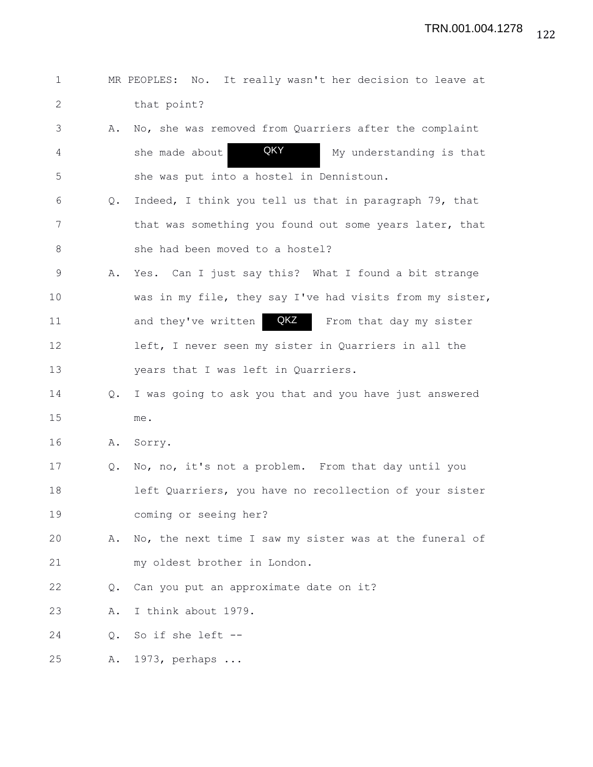1 MR PEOPLES: No. It really wasn't her decision to leave at 2 that point? 3 A. No, she was removed from Quarriers after the complaint 4 5 she made about ARY My understanding is that 5 she was put into a hostel in Dennistoun. 6 Q. Indeed, I think you tell us that in paragraph 79, that 7 that was something you found out some years later, that 8 she had been moved to a hostel? 9 A. Yes. Can I just say this? What I found a bit strange 10 was in my file, they say I've had visits from my sister, 11 and they've written **QKZ** From that day my sister 12 left, I never seen my sister in Quarriers in all the 13 years that I was left in Quarriers. 14 Q. I was going to ask you that and you have just answered 15 me. 16 A. Sorry. 17 Q. No, no, it's not a problem. From that day until you 18 left Quarriers, you have no recollection of your sister 19 coming or seeing her? 20 A. No, the next time I saw my sister was at the funeral of 21 my oldest brother in London. 22 Q. Can you put an approximate date on it? 23 A. I think about 1979. 24 Q. So if she left -- 25 A. 1973, perhaps ... QKY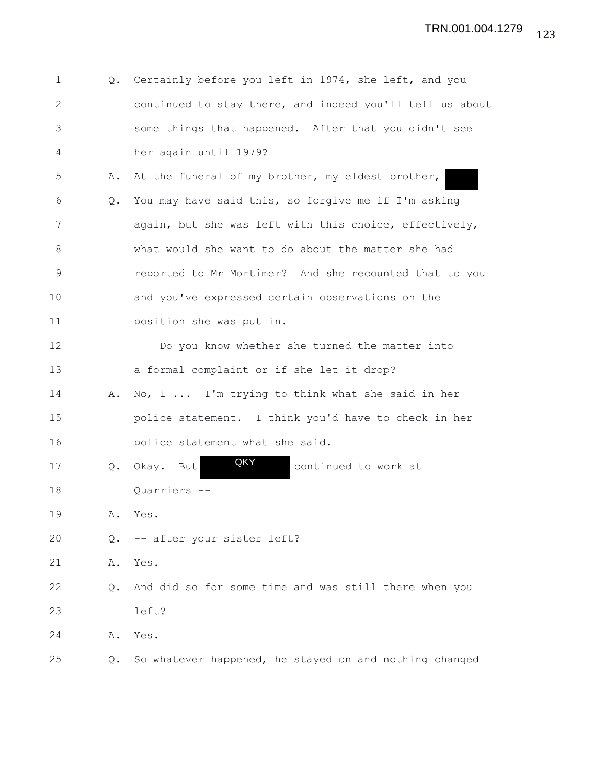| 1           | Q.            | Certainly before you left in 1974, she left, and you     |
|-------------|---------------|----------------------------------------------------------|
| 2           |               | continued to stay there, and indeed you'll tell us about |
| 3           |               | some things that happened. After that you didn't see     |
| 4           |               | her again until 1979?                                    |
| 5           | Α.            | At the funeral of my brother, my eldest brother,         |
| 6           | Q.            | You may have said this, so forgive me if I'm asking      |
| 7           |               | again, but she was left with this choice, effectively,   |
| 8           |               | what would she want to do about the matter she had       |
| $\mathsf 9$ |               | reported to Mr Mortimer? And she recounted that to you   |
| 10          |               | and you've expressed certain observations on the         |
| 11          |               | position she was put in.                                 |
| 12          |               | Do you know whether she turned the matter into           |
| 13          |               | a formal complaint or if she let it drop?                |
| 14          | Α.            | No, I  I'm trying to think what she said in her          |
| 15          |               | police statement. I think you'd have to check in her     |
| 16          |               | police statement what she said.                          |
| 17          | Q.            | QKY<br>continued to work at<br>Okay.<br>But              |
| 18          |               | Quarriers                                                |
| 19          | Α.            | Yes.                                                     |
| 20          | $Q_{\bullet}$ | -- after your sister left?                               |
| 21          | Α.            | Yes.                                                     |
| 22          | О.            | And did so for some time and was still there when you    |
| 23          |               | left?                                                    |
| 24          | Α.            | Yes.                                                     |
| 25          | Ο.            | So whatever happened, he stayed on and nothing changed   |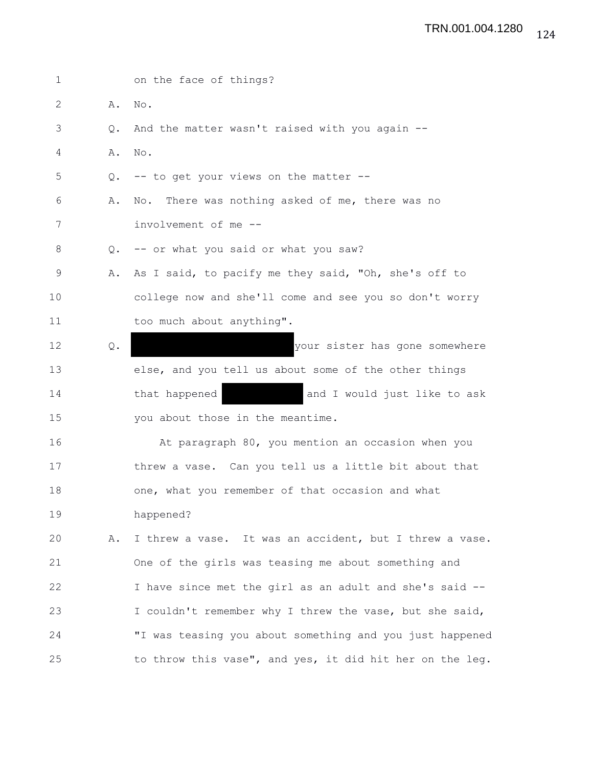## TRN.001.004.1280

| 1  |               | on the face of things?                                   |
|----|---------------|----------------------------------------------------------|
| 2  | Α.            | No.                                                      |
| 3  | Q.            | And the matter wasn't raised with you again --           |
| 4  | Α.            | No.                                                      |
| 5  |               | Q. -- to get your views on the matter --                 |
| 6  | Α.            | No. There was nothing asked of me, there was no          |
| 7  |               | involvement of me --                                     |
| 8  | $Q_{\bullet}$ | -- or what you said or what you saw?                     |
| 9  | Α.            | As I said, to pacify me they said, "Oh, she's off to     |
| 10 |               | college now and she'll come and see you so don't worry   |
| 11 |               | too much about anything".                                |
| 12 | $\mathbb Q$ . | your sister has gone somewhere                           |
| 13 |               | else, and you tell us about some of the other things     |
| 14 |               | and I would just like to ask<br>that happened            |
| 15 |               | you about those in the meantime.                         |
| 16 |               | At paragraph 80, you mention an occasion when you        |
| 17 |               | threw a vase. Can you tell us a little bit about that    |
| 18 |               | one, what you remember of that occasion and what         |
| 19 |               | happened?                                                |
| 20 | Α.            | I threw a vase. It was an accident, but I threw a vase.  |
| 21 |               | One of the girls was teasing me about something and      |
| 22 |               | I have since met the girl as an adult and she's said --  |
| 23 |               | I couldn't remember why I threw the vase, but she said,  |
| 24 |               | "I was teasing you about something and you just happened |
| 25 |               | to throw this vase", and yes, it did hit her on the leg. |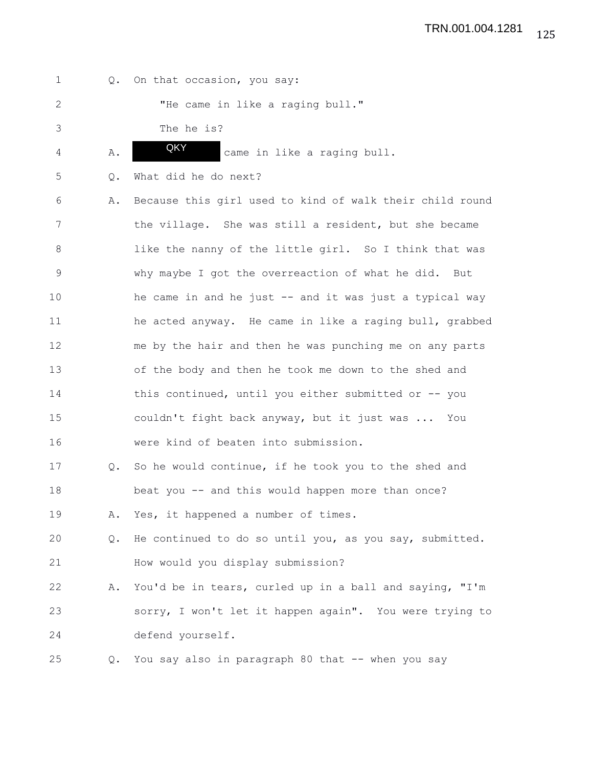| $\mathbf 1$  |               | Q. On that occasion, you say:                            |
|--------------|---------------|----------------------------------------------------------|
| $\mathbf{2}$ |               | "He came in like a raging bull."                         |
| 3            |               | The he is?                                               |
| 4            | Α.            | QKY<br>came in like a raging bull.                       |
| 5            | Q.            | What did he do next?                                     |
| 6            | Α.            | Because this girl used to kind of walk their child round |
| 7            |               | the village. She was still a resident, but she became    |
| 8            |               | like the nanny of the little girl. So I think that was   |
| 9            |               | why maybe I got the overreaction of what he did.<br>But  |
| 10           |               | he came in and he just -- and it was just a typical way  |
| 11           |               | he acted anyway. He came in like a raging bull, grabbed  |
| 12           |               | me by the hair and then he was punching me on any parts  |
| 13           |               | of the body and then he took me down to the shed and     |
| 14           |               | this continued, until you either submitted or -- you     |
| 15           |               | couldn't fight back anyway, but it just was  You         |
| 16           |               | were kind of beaten into submission.                     |
| 17           | Q.            | So he would continue, if he took you to the shed and     |
| 18           |               | beat you -- and this would happen more than once?        |
| 19           |               | A. Yes, it happened a number of times.                   |
| 20           | $Q_{\bullet}$ | He continued to do so until you, as you say, submitted.  |
| 21           |               | How would you display submission?                        |
| 22           | Α.            | You'd be in tears, curled up in a ball and saying, "I'm  |
| 23           |               | sorry, I won't let it happen again". You were trying to  |
| 24           |               | defend yourself.                                         |
| 25           | Q.            | You say also in paragraph 80 that -- when you say        |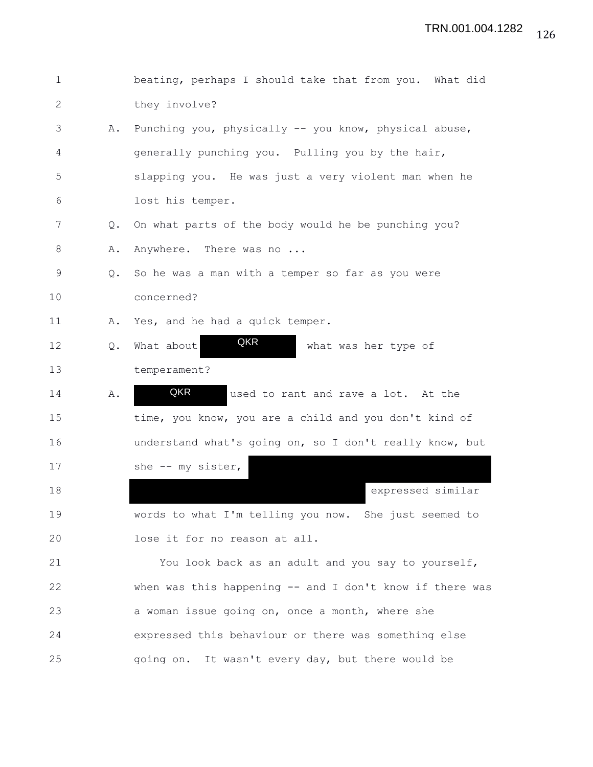| $\mathbf 1$    |               | beating, perhaps I should take that from you. What did     |
|----------------|---------------|------------------------------------------------------------|
| $\overline{2}$ |               | they involve?                                              |
| 3              | Α.            | Punching you, physically -- you know, physical abuse,      |
| 4              |               | generally punching you. Pulling you by the hair,           |
| 5              |               | slapping you. He was just a very violent man when he       |
| 6              |               | lost his temper.                                           |
| 7              | Q.            | On what parts of the body would he be punching you?        |
| 8              | Α.            | Anywhere. There was no                                     |
| 9              | $Q_{\bullet}$ | So he was a man with a temper so far as you were           |
| 10             |               | concerned?                                                 |
| 11             | Α.            | Yes, and he had a quick temper.                            |
| 12             | Q.            | QKR<br>What about<br>what was her type of                  |
| 13             |               | temperament?                                               |
| 14             | Α.            | QKR<br>used to rant and rave a lot. At the                 |
| 15             |               | time, you know, you are a child and you don't kind of      |
| 16             |               | understand what's going on, so I don't really know, but    |
| 17             |               | she -- my sister,                                          |
| 18             |               | expressed similar                                          |
| 19             |               | words to what I'm telling you now. She just seemed to      |
| 20             |               | lose it for no reason at all.                              |
| 21             |               | You look back as an adult and you say to yourself,         |
| 22             |               | when was this happening $--$ and I don't know if there was |
| 23             |               | a woman issue going on, once a month, where she            |
| 24             |               | expressed this behaviour or there was something else       |
| 25             |               | It wasn't every day, but there would be<br>going on.       |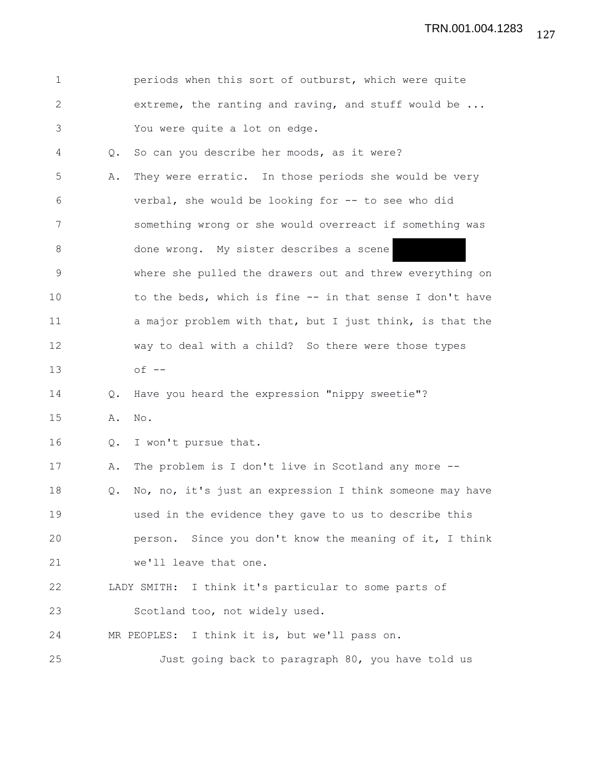| $\mathbf 1$    |               | periods when this sort of outburst, which were quite     |
|----------------|---------------|----------------------------------------------------------|
| $\mathbf{2}$   |               | extreme, the ranting and raving, and stuff would be      |
| 3              |               | You were quite a lot on edge.                            |
| 4              | Q.            | So can you describe her moods, as it were?               |
| 5              | Α.            | They were erratic. In those periods she would be very    |
| 6              |               | verbal, she would be looking for -- to see who did       |
| $\overline{7}$ |               | something wrong or she would overreact if something was  |
| 8              |               | done wrong. My sister describes a scene                  |
| $\mathcal{G}$  |               | where she pulled the drawers out and threw everything on |
| 10             |               | to the beds, which is fine -- in that sense I don't have |
| 11             |               | a major problem with that, but I just think, is that the |
| 12             |               | way to deal with a child? So there were those types      |
| 13             |               | $of --$                                                  |
| 14             | $Q_{\bullet}$ | Have you heard the expression "nippy sweetie"?           |
| 15             | Α.            | No.                                                      |
| 16             | Q.            | I won't pursue that.                                     |
| 17             | Α.            | The problem is I don't live in Scotland any more --      |
| 18             | Q.            | No, no, it's just an expression I think someone may have |
| 19             |               | used in the evidence they gave to us to describe this    |
| 20             |               | person. Since you don't know the meaning of it, I think  |
| 21             |               | we'll leave that one.                                    |
| 22             |               | I think it's particular to some parts of<br>LADY SMITH:  |
| 23             |               | Scotland too, not widely used.                           |
| 24             |               | MR PEOPLES: I think it is, but we'll pass on.            |
| 25             |               | Just going back to paragraph 80, you have told us        |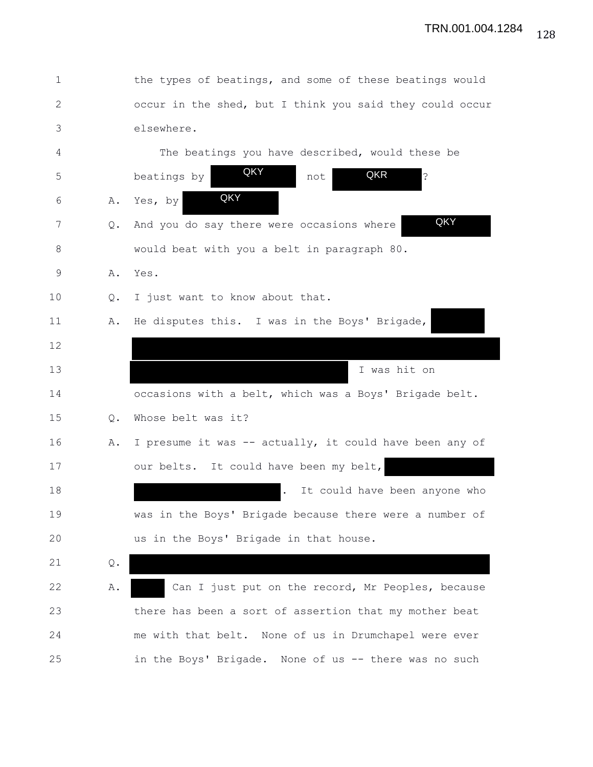| $\mathbf 1$ |                | the types of beatings, and some of these beatings would  |
|-------------|----------------|----------------------------------------------------------|
| 2           |                | occur in the shed, but I think you said they could occur |
| 3           |                | elsewhere.                                               |
| 4           |                | The beatings you have described, would these be          |
| 5           |                | QKY<br>QKR<br>$\mathcal{E}$<br>beatings by<br>not        |
| 6           | Α.             | QKY<br>Yes, by                                           |
| 7           | Q.             | QKY<br>And you do say there were occasions where         |
| 8           |                | would beat with you a belt in paragraph 80.              |
| $\mathsf 9$ | Α.             | Yes.                                                     |
| 10          | Q.             | I just want to know about that.                          |
| 11          | Α.             | He disputes this. I was in the Boys' Brigade,            |
| 12          |                |                                                          |
| 13          |                | I was hit on                                             |
| 14          |                | occasions with a belt, which was a Boys' Brigade belt.   |
| 15          | Q.             | Whose belt was it?                                       |
| 16          | Α.             | I presume it was -- actually, it could have been any of  |
| 17          |                | our belts. It could have been my belt,                   |
| 18          |                | It could have been anyone who                            |
| 19          |                | was in the Boys' Brigade because there were a number of  |
| 20          |                | us in the Boys' Brigade in that house.                   |
| 21          | $\mathsf{Q}$ . |                                                          |
| 22          | Α.             | Can I just put on the record, Mr Peoples, because        |
| 23          |                | there has been a sort of assertion that my mother beat   |
| 24          |                | me with that belt. None of us in Drumchapel were ever    |
| 25          |                | in the Boys' Brigade. None of us -- there was no such    |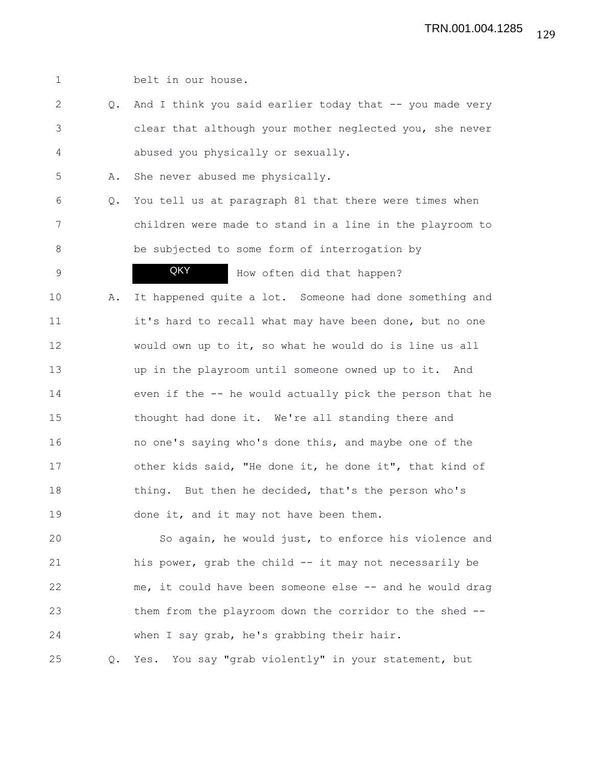1 belt in our house. 2 Q. And I think you said earlier today that -- you made very 3 clear that although your mother neglected you, she never 4 abused you physically or sexually. 5 A. She never abused me physically. 6 Q. You tell us at paragraph 81 that there were times when 7 children were made to stand in a line in the playroom to 8 be subjected to some form of interrogation by 9 **OKY** How often did that happen? 10 A. It happened quite a lot. Someone had done something and 11 it's hard to recall what may have been done, but no one 12 would own up to it, so what he would do is line us all 13 up in the playroom until someone owned up to it. And 14 even if the -- he would actually pick the person that he 15 thought had done it. We're all standing there and 16 no one's saying who's done this, and maybe one of the 17 other kids said, "He done it, he done it", that kind of 18 thing. But then he decided, that's the person who's 19 done it, and it may not have been them. 20 So again, he would just, to enforce his violence and 21 his power, grab the child -- it may not necessarily be 22 me, it could have been someone else -- and he would drag 23 them from the playroom down the corridor to the shed -- 24 when I say grab, he's grabbing their hair. 25 Q. Yes. You say "grab violently" in your statement, but QKY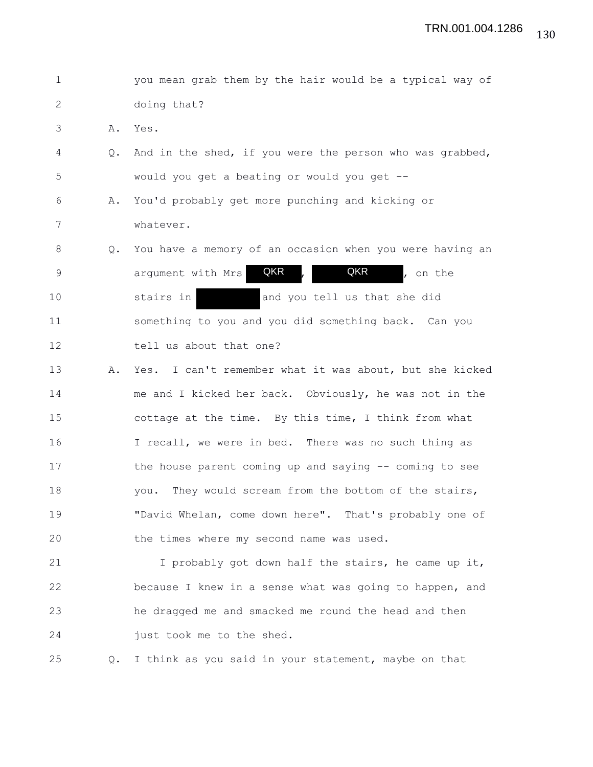1 you mean grab them by the hair would be a typical way of 2 doing that? 3 A. Yes. 4 Q. And in the shed, if you were the person who was grabbed, 5 would you get a beating or would you get -- 6 A. You'd probably get more punching and kicking or 7 whatever. 8 Q. You have a memory of an occasion when you were having an 9 argument with Mrs **QKR** , QKR , on the 10 stairs in and you tell us that she did 11 something to you and you did something back. Can you 12 tell us about that one? 13 A. Yes. I can't remember what it was about, but she kicked 14 me and I kicked her back. Obviously, he was not in the 15 cottage at the time. By this time, I think from what 16 I recall, we were in bed. There was no such thing as 17 the house parent coming up and saying -- coming to see 18 you. They would scream from the bottom of the stairs, 19 "David Whelan, come down here". That's probably one of 20 the times where my second name was used. QKR

21 I probably got down half the stairs, he came up it, 22 because I knew in a sense what was going to happen, and 23 he dragged me and smacked me round the head and then 24 just took me to the shed.

25 Q. I think as you said in your statement, maybe on that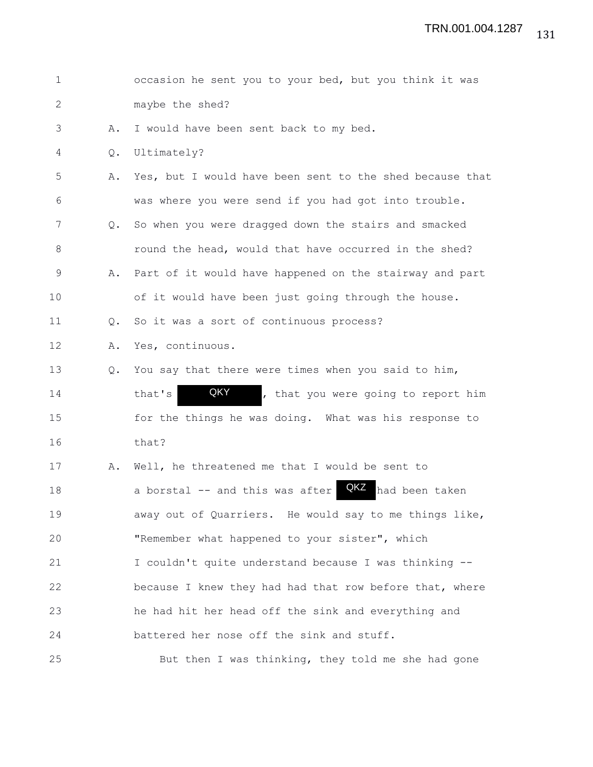| $\mathbf 1$ |               | occasion he sent you to your bed, but you think it was   |
|-------------|---------------|----------------------------------------------------------|
| 2           |               | maybe the shed?                                          |
| 3           | Α.            | I would have been sent back to my bed.                   |
| 4           | Q.            | Ultimately?                                              |
| 5           | Α.            | Yes, but I would have been sent to the shed because that |
| 6           |               | was where you were send if you had got into trouble.     |
| 7           | $Q_{\bullet}$ | So when you were dragged down the stairs and smacked     |
| 8           |               | round the head, would that have occurred in the shed?    |
| 9           | Α.            | Part of it would have happened on the stairway and part  |
| 10          |               | of it would have been just going through the house.      |
| 11          | Q.            | So it was a sort of continuous process?                  |
| 12          | Α.            | Yes, continuous.                                         |
| 13          | $Q_{\bullet}$ | You say that there were times when you said to him,      |
| 14          |               | QKY<br>that's<br>, that you were going to report him     |
| 15          |               | for the things he was doing. What was his response to    |
| 16          |               | that?                                                    |
| 17          | Α.            | Well, he threatened me that I would be sent to           |
| 18          |               | QKZ<br>a borstal -- and this was after<br>had been taken |
| 19          |               | away out of Quarriers. He would say to me things like,   |
| 20          |               | "Remember what happened to your sister", which           |
| 21          |               | I couldn't quite understand because I was thinking --    |
| 22          |               | because I knew they had had that row before that, where  |
| 23          |               | he had hit her head off the sink and everything and      |
| 24          |               | battered her nose off the sink and stuff.                |
| 25          |               | But then I was thinking, they told me she had gone       |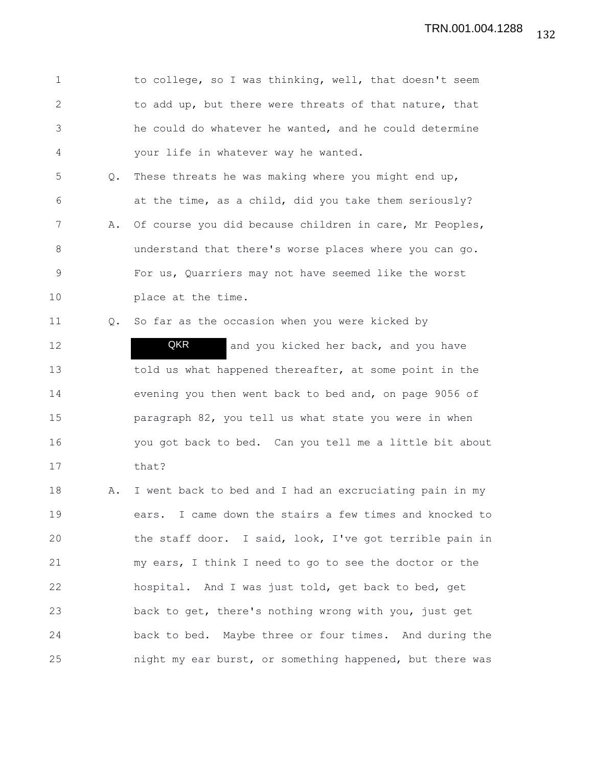1 to college, so I was thinking, well, that doesn't seem 2 to add up, but there were threats of that nature, that 3 he could do whatever he wanted, and he could determine 4 your life in whatever way he wanted.

5 Q. These threats he was making where you might end up, 6 at the time, as a child, did you take them seriously? 7 A. Of course you did because children in care, Mr Peoples, 8 understand that there's worse places where you can go. 9 For us, Quarriers may not have seemed like the worst 10 place at the time.

11 Q. So far as the occasion when you were kicked by 12 **QKR** and you kicked her back, and you have 13 told us what happened thereafter, at some point in the 14 evening you then went back to bed and, on page 9056 of 15 paragraph 82, you tell us what state you were in when 16 you got back to bed. Can you tell me a little bit about 17 that? QKR

18 A. I went back to bed and I had an excruciating pain in my 19 ears. I came down the stairs a few times and knocked to 20 the staff door. I said, look, I've got terrible pain in 21 my ears, I think I need to go to see the doctor or the 22 hospital. And I was just told, get back to bed, get 23 back to get, there's nothing wrong with you, just get 24 back to bed. Maybe three or four times. And during the 25 night my ear burst, or something happened, but there was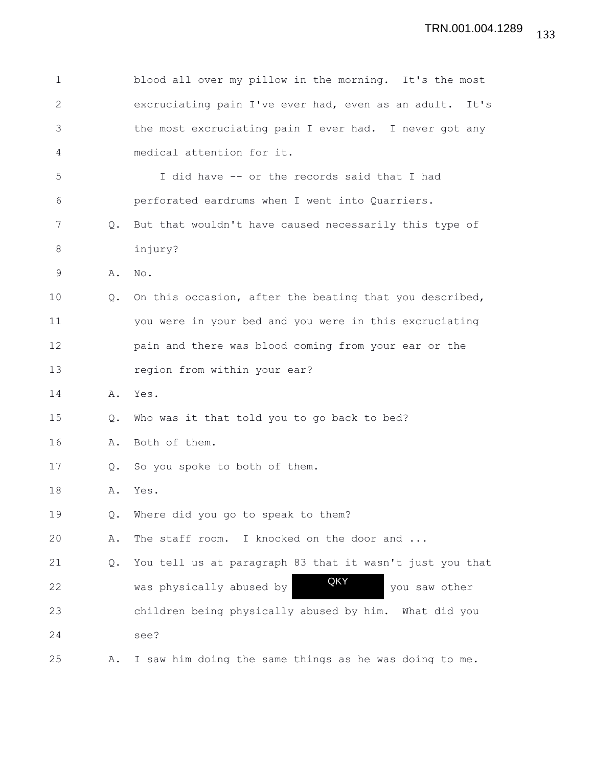| $\mathbf 1$  |               | blood all over my pillow in the morning. It's the most     |
|--------------|---------------|------------------------------------------------------------|
| $\mathbf{2}$ |               | excruciating pain I've ever had, even as an adult.<br>It's |
| 3            |               | the most excruciating pain I ever had. I never got any     |
| 4            |               | medical attention for it.                                  |
| 5            |               | I did have -- or the records said that I had               |
| 6            |               | perforated eardrums when I went into Quarriers.            |
| 7            | $\circ$ .     | But that wouldn't have caused necessarily this type of     |
| 8            |               | injury?                                                    |
| 9            | Α.            | No.                                                        |
| 10           | $Q_{\bullet}$ | On this occasion, after the beating that you described,    |
| 11           |               | you were in your bed and you were in this excruciating     |
| 12           |               | pain and there was blood coming from your ear or the       |
| 13           |               | region from within your ear?                               |
| 14           | Α.            | Yes.                                                       |
| 15           | Q.            | Who was it that told you to go back to bed?                |
| 16           | Α.            | Both of them.                                              |
| 17           | $Q_{\bullet}$ | So you spoke to both of them.                              |
| 18           | Α.            | Yes.                                                       |
| 19           | Q.            | Where did you go to speak to them?                         |
| 20           | Α.            | I knocked on the door and<br>The staff room.               |
| 21           | Q.            | You tell us at paragraph 83 that it wasn't just you that   |
| 22           |               | QKY<br>was physically abused by<br>you saw other           |
| 23           |               | children being physically abused by him. What did you      |
| 24           |               | see?                                                       |
| 25           | Α.            | I saw him doing the same things as he was doing to me.     |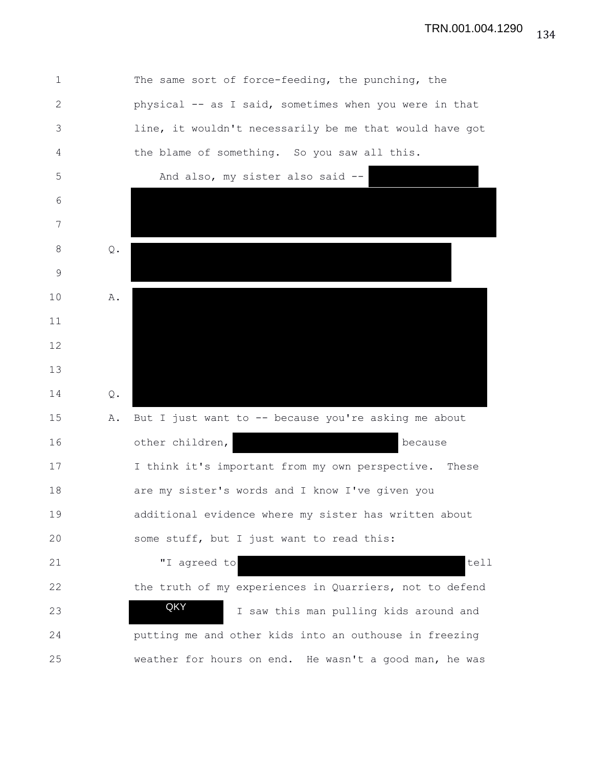| 1            |               | The same sort of force-feeding, the punching, the       |
|--------------|---------------|---------------------------------------------------------|
| $\mathbf{2}$ |               | physical -- as I said, sometimes when you were in that  |
| 3            |               | line, it wouldn't necessarily be me that would have got |
| 4            |               | the blame of something. So you saw all this.            |
| 5            |               | And also, my sister also said --                        |
| 6            |               |                                                         |
| 7            |               |                                                         |
| 8            | $\mathsf Q$ . |                                                         |
| 9            |               |                                                         |
| 10           | Α.            |                                                         |
| 11           |               |                                                         |
| 12           |               |                                                         |
| 13           |               |                                                         |
| 14           | $Q$ .         |                                                         |
| 15           | Α.            | But I just want to -- because you're asking me about    |
| 16           |               | other children,<br>because                              |
| 17           |               | I think it's important from my own perspective. These   |
| 18           |               | are my sister's words and I know I've given you         |
| 19           |               | additional evidence where my sister has written about   |
| 20           |               | some stuff, but I just want to read this:               |
| 21           |               | "I agreed to<br>tell                                    |
| 22           |               | the truth of my experiences in Quarriers, not to defend |
| 23           |               | QKY<br>I saw this man pulling kids around and           |
| 24           |               | putting me and other kids into an outhouse in freezing  |
| 25           |               | weather for hours on end. He wasn't a good man, he was  |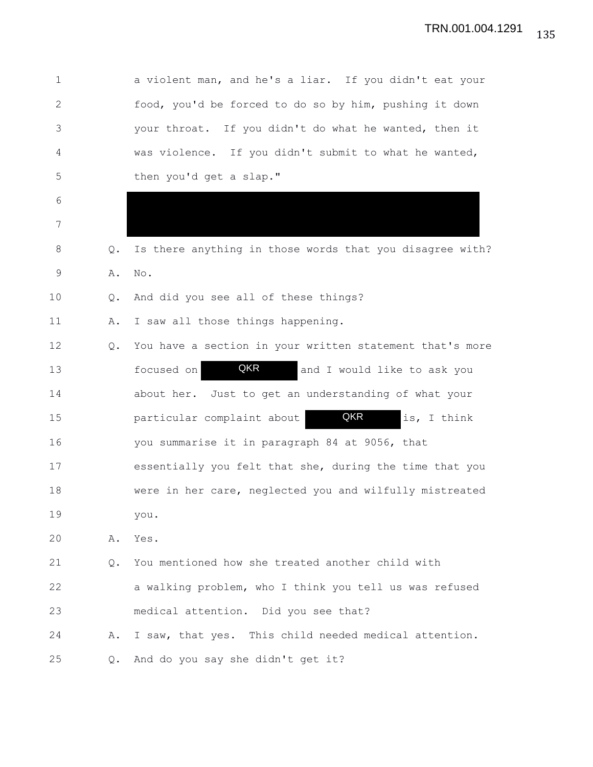| 1            |    | a violent man, and he's a liar. If you didn't eat your   |
|--------------|----|----------------------------------------------------------|
| $\mathbf{2}$ |    | food, you'd be forced to do so by him, pushing it down   |
| 3            |    | your throat. If you didn't do what he wanted, then it    |
| 4            |    | was violence. If you didn't submit to what he wanted,    |
| 5            |    | then you'd get a slap."                                  |
| 6            |    |                                                          |
| 7            |    |                                                          |
| 8            | Q. | Is there anything in those words that you disagree with? |
| 9            | Α. | No.                                                      |
| 10           | Q. | And did you see all of these things?                     |
| 11           | Α. | I saw all those things happening.                        |
| 12           | Q. | You have a section in your written statement that's more |
| 13           |    | QKR<br>focused on<br>and I would like to ask you         |
| 14           |    | about her. Just to get an understanding of what your     |
| 15           |    | QKR<br>particular complaint about<br>is, I think         |
| 16           |    | you summarise it in paragraph 84 at 9056, that           |
| 17           |    | essentially you felt that she, during the time that you  |
| 18           |    | were in her care, neglected you and wilfully mistreated  |
| 19           |    | you.                                                     |
| 20           | Α. | Yes.                                                     |
| 21           | Q. | You mentioned how she treated another child with         |
| 22           |    | a walking problem, who I think you tell us was refused   |
| 23           |    | medical attention. Did you see that?                     |
| 24           | Α. | I saw, that yes. This child needed medical attention.    |
| 25           | Q. | And do you say she didn't get it?                        |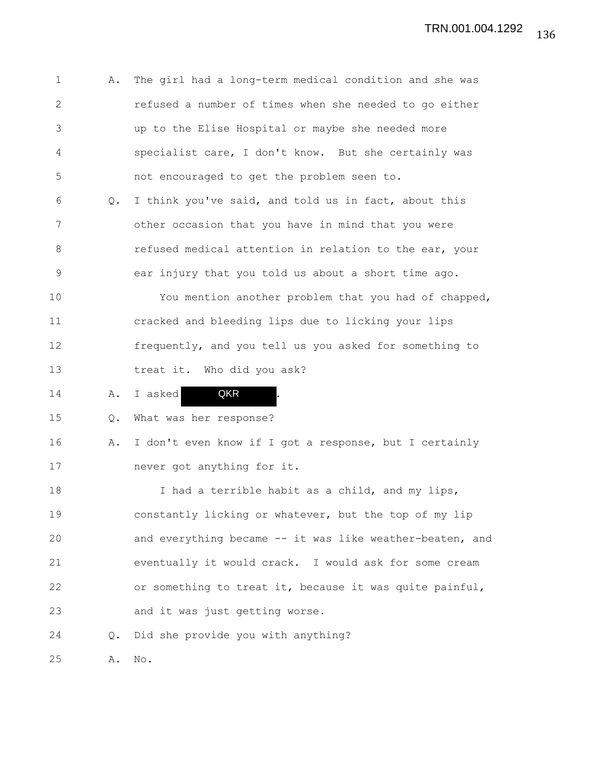| $\mathbf 1$ | Α.            | The girl had a long-term medical condition and she was   |
|-------------|---------------|----------------------------------------------------------|
| 2           |               | refused a number of times when she needed to go either   |
| 3           |               | up to the Elise Hospital or maybe she needed more        |
| 4           |               | specialist care, I don't know. But she certainly was     |
| 5           |               | not encouraged to get the problem seen to.               |
| 6           | Q.            | I think you've said, and told us in fact, about this     |
| 7           |               | other occasion that you have in mind that you were       |
| 8           |               | refused medical attention in relation to the ear, your   |
| 9           |               | ear injury that you told us about a short time ago.      |
| 10          |               | You mention another problem that you had of chapped,     |
| 11          |               | cracked and bleeding lips due to licking your lips       |
| 12          |               | frequently, and you tell us you asked for something to   |
| 13          |               | treat it. Who did you ask?                               |
| 14          | Α.            | QKR<br>I asked                                           |
| 15          | Q.            | What was her response?                                   |
| 16          | Α.            | I don't even know if I got a response, but I certainly   |
| 17          |               | never got anything for it.                               |
| 18          |               | I had a terrible habit as a child, and my lips,          |
| 19          |               | constantly licking or whatever, but the top of my lip    |
| 20          |               | and everything became -- it was like weather-beaten, and |
| 21          |               | eventually it would crack. I would ask for some cream    |
| 22          |               | or something to treat it, because it was quite painful,  |
| 23          |               | and it was just getting worse.                           |
| 24          | $Q_{\bullet}$ | Did she provide you with anything?                       |
|             |               |                                                          |

25 A. No.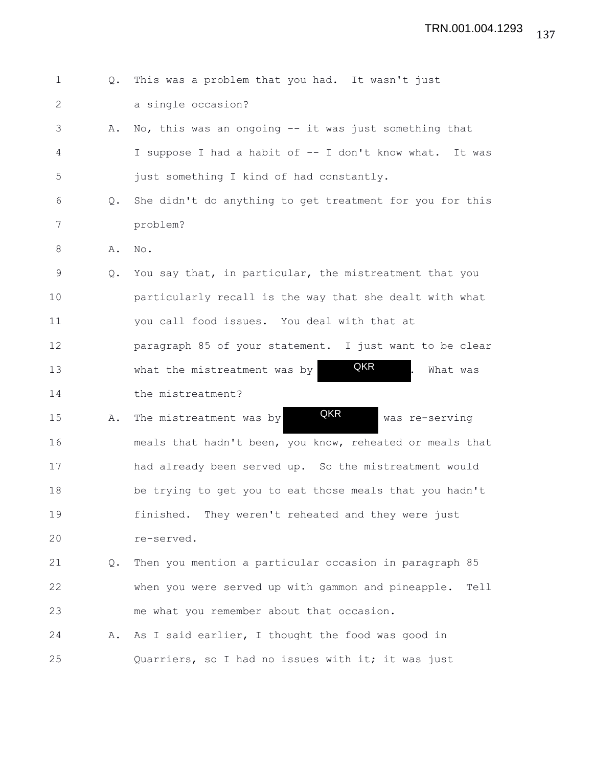| 1  | Q.            | This was a problem that you had. It wasn't just            |
|----|---------------|------------------------------------------------------------|
| 2  |               | a single occasion?                                         |
| 3  | Α.            | No, this was an ongoing $-$ it was just something that     |
| 4  |               | I suppose I had a habit of -- I don't know what.<br>It was |
| 5  |               | just something I kind of had constantly.                   |
| 6  | $Q_{\bullet}$ | She didn't do anything to get treatment for you for this   |
| 7  |               | problem?                                                   |
| 8  | Α.            | No.                                                        |
| 9  | $Q_{\bullet}$ | You say that, in particular, the mistreatment that you     |
| 10 |               | particularly recall is the way that she dealt with what    |
| 11 |               | you call food issues. You deal with that at                |
| 12 |               | paragraph 85 of your statement. I just want to be clear    |
| 13 |               | QKR<br>what the mistreatment was by<br>What was            |
| 14 |               | the mistreatment?                                          |
| 15 | Α.            | QKR<br>The mistreatment was by<br>was re-serving           |
| 16 |               | meals that hadn't been, you know, reheated or meals that   |
| 17 |               | had already been served up. So the mistreatment would      |
| 18 |               | be trying to get you to eat those meals that you hadn't    |
| 19 |               | finished. They weren't reheated and they were just         |
| 20 |               | re-served.                                                 |
| 21 | Q.            | Then you mention a particular occasion in paragraph 85     |
| 22 |               | when you were served up with gammon and pineapple.<br>Tell |
| 23 |               | me what you remember about that occasion.                  |
| 24 | Α.            | As I said earlier, I thought the food was good in          |
| 25 |               | Quarriers, so I had no issues with it; it was just         |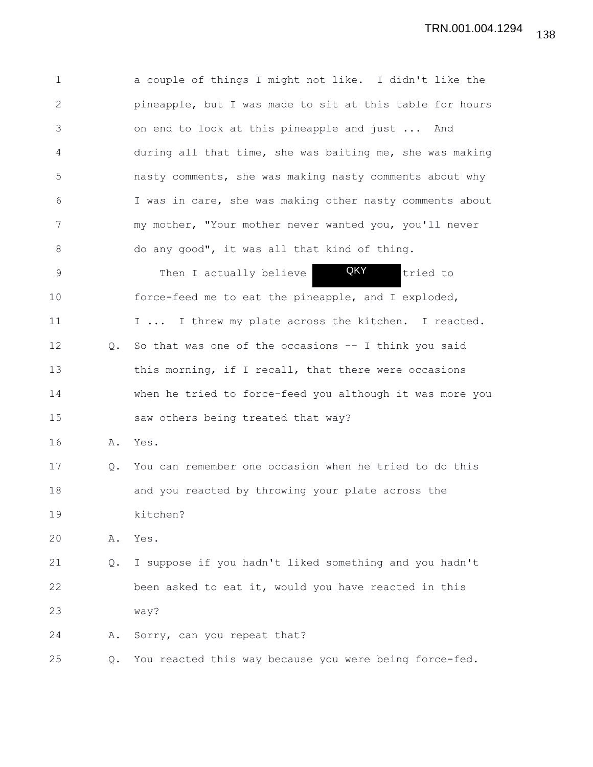1 a couple of things I might not like. I didn't like the 2 pineapple, but I was made to sit at this table for hours 3 on end to look at this pineapple and just ... And 4 during all that time, she was baiting me, she was making 5 nasty comments, she was making nasty comments about why 6 I was in care, she was making other nasty comments about 7 my mother, "Your mother never wanted you, you'll never 8 do any good", it was all that kind of thing. 9 Then I actually believe **QKY** tried to 10 force-feed me to eat the pineapple, and I exploded, 11 I ... I threw my plate across the kitchen. I reacted. 12 Q. So that was one of the occasions -- I think you said 13 this morning, if I recall, that there were occasions 14 when he tried to force-feed you although it was more you 15 saw others being treated that way? 16 A. Yes. 17 Q. You can remember one occasion when he tried to do this 18 and you reacted by throwing your plate across the 19 kitchen? 20 A. Yes. 21 Q. I suppose if you hadn't liked something and you hadn't 22 been asked to eat it, would you have reacted in this 23 way? 24 A. Sorry, can you repeat that? 25 Q. You reacted this way because you were being force-fed. **QKY**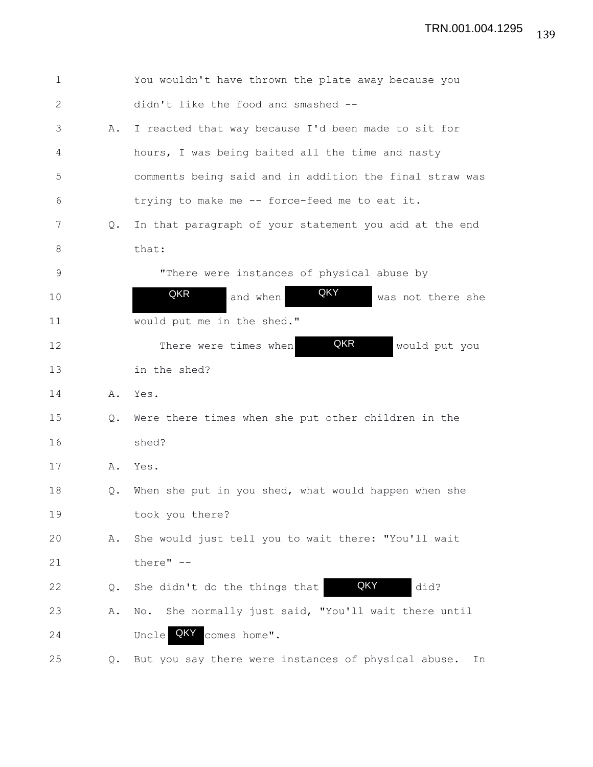| 1            |    | You wouldn't have thrown the plate away because you       |
|--------------|----|-----------------------------------------------------------|
| $\mathbf{2}$ |    | didn't like the food and smashed --                       |
| 3            | Α. | I reacted that way because I'd been made to sit for       |
| 4            |    | hours, I was being baited all the time and nasty          |
| 5            |    | comments being said and in addition the final straw was   |
| 6            |    | trying to make me -- force-feed me to eat it.             |
| 7            | Q. | In that paragraph of your statement you add at the end    |
| 8            |    | that:                                                     |
| 9            |    | "There were instances of physical abuse by                |
| 10           |    | QKY<br>QKR<br>and when<br>was not there she               |
| 11           |    | would put me in the shed."                                |
| 12           |    | QKR<br>There were times when<br>would put you             |
| 13           |    | in the shed?                                              |
| 14           | Α. | Yes.                                                      |
| 15           | Q. | Were there times when she put other children in the       |
| 16           |    | shed?                                                     |
| 17           | Α. | Yes.                                                      |
| 18           | Q. | When she put in you shed, what would happen when she      |
| 19           |    | took you there?                                           |
| 20           | Α. | She would just tell you to wait there: "You'll wait       |
| 21           |    | there" --                                                 |
| 22           | Q. | QKY<br>did?<br>She didn't do the things that              |
| 23           | Α. | She normally just said, "You'll wait there until<br>No.   |
| 24           |    | QKY<br>comes home".<br>Uncle                              |
| 25           | Q. | But you say there were instances of physical abuse.<br>In |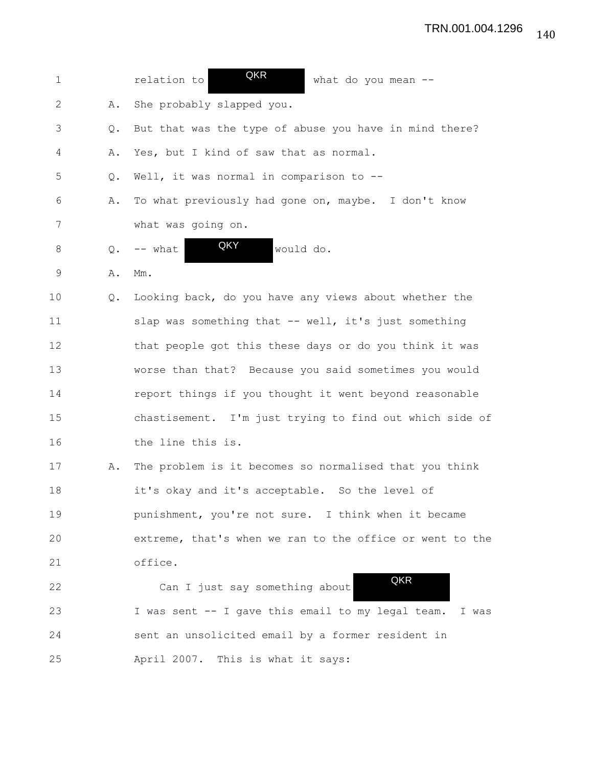| $\mathbf 1$ |       | QKR<br>relation to<br>what do you mean $-$ -               |
|-------------|-------|------------------------------------------------------------|
| 2           | Α.    | She probably slapped you.                                  |
| 3           | Q.    | But that was the type of abuse you have in mind there?     |
| 4           | Α.    | Yes, but I kind of saw that as normal.                     |
| 5           | Q.    | Well, it was normal in comparison to $-$ -                 |
| 6           | Α.    | To what previously had gone on, maybe. I don't know        |
| 7           |       | what was going on.                                         |
| 8           | $Q$ . | QKY<br>-- what<br>would do.                                |
| $\mathsf 9$ | Α.    | $Mm$ .                                                     |
| 10          | Q.    | Looking back, do you have any views about whether the      |
| 11          |       | slap was something that -- well, it's just something       |
| 12          |       | that people got this these days or do you think it was     |
| 13          |       | worse than that? Because you said sometimes you would      |
| 14          |       | report things if you thought it went beyond reasonable     |
| 15          |       | chastisement. I'm just trying to find out which side of    |
| 16          |       | the line this is.                                          |
| 17          | Α.    | The problem is it becomes so normalised that you think     |
| 18          |       | it's okay and it's acceptable. So the level of             |
| 19          |       | punishment, you're not sure. I think when it became        |
| 20          |       | extreme, that's when we ran to the office or went to the   |
| 21          |       | office.                                                    |
| 22          |       | QKR<br>Can I just say something about                      |
| 23          |       | I was sent -- I gave this email to my legal team.<br>I was |
| 24          |       | sent an unsolicited email by a former resident in          |
| 25          |       | April 2007. This is what it says:                          |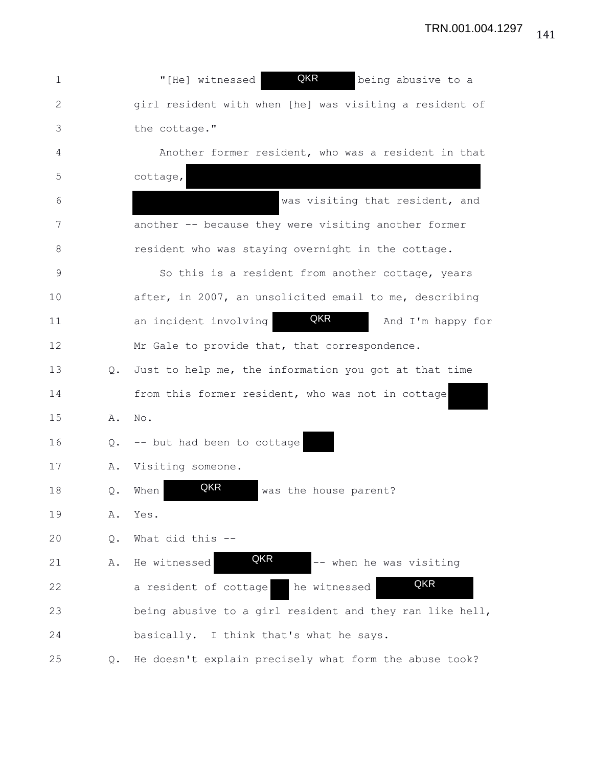| 1            |    | QKR<br>"[He] witnessed  <br>being abusive to a           |
|--------------|----|----------------------------------------------------------|
| $\mathbf{2}$ |    | girl resident with when [he] was visiting a resident of  |
| 3            |    | the cottage."                                            |
| 4            |    | Another former resident, who was a resident in that      |
| 5            |    | cottage,                                                 |
| 6            |    | was visiting that resident, and                          |
| 7            |    | another -- because they were visiting another former     |
| 8            |    | resident who was staying overnight in the cottage.       |
| 9            |    | So this is a resident from another cottage, years        |
| 10           |    | after, in 2007, an unsolicited email to me, describing   |
| 11           |    | QKR<br>an incident involving<br>And I'm happy for        |
| 12           |    | Mr Gale to provide that, that correspondence.            |
| 13           | Q. | Just to help me, the information you got at that time    |
| 14           |    | from this former resident, who was not in cottage        |
| 15           | Α. | No.                                                      |
| 16           | Q. | -- but had been to cottage                               |
| 17           | Α. | Visiting someone.                                        |
| 18           | Q. | QKR<br>was the house parent?<br>When                     |
| 19           | Α. | Yes.                                                     |
| 20           | Q. | What did this --                                         |
| 21           | Α. | QKR<br>-- when he was visiting<br>He witnessed           |
| 22           |    | QKR<br>he witnessed<br>a resident of cottage             |
| 23           |    | being abusive to a girl resident and they ran like hell, |
| 24           |    | basically. I think that's what he says.                  |
| 25           | Q. | He doesn't explain precisely what form the abuse took?   |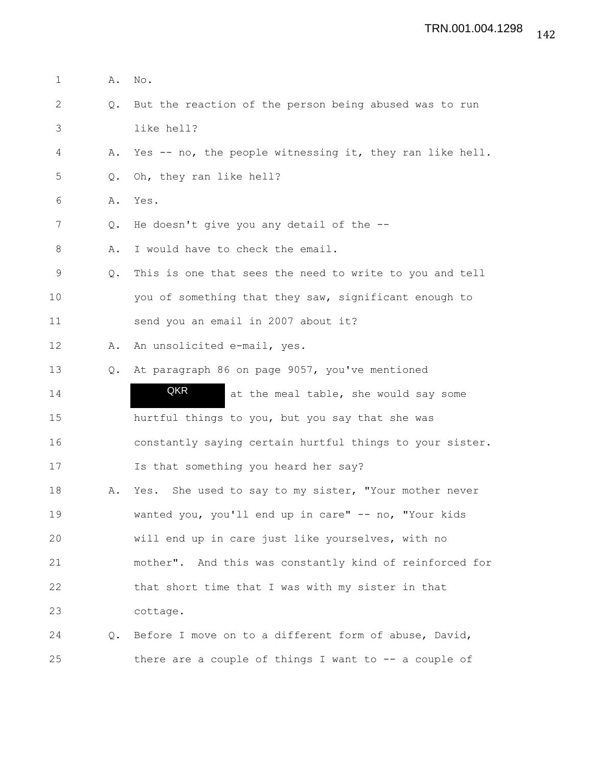| $\mathbf 1$  | Α.            | No.                                                      |
|--------------|---------------|----------------------------------------------------------|
| $\mathbf{2}$ | $Q_{\bullet}$ | But the reaction of the person being abused was to run   |
| 3            |               | like hell?                                               |
| 4            | Α.            | Yes -- no, the people witnessing it, they ran like hell. |
| 5            | $Q_{\bullet}$ | Oh, they ran like hell?                                  |
| 6            | Α.            | Yes.                                                     |
| 7            | Q.            | He doesn't give you any detail of the --                 |
| 8            | Α.            | I would have to check the email.                         |
| $\mathsf 9$  | $Q_{\bullet}$ | This is one that sees the need to write to you and tell  |
| 10           |               | you of something that they saw, significant enough to    |
| 11           |               | send you an email in 2007 about it?                      |
| 12           | Α.            | An unsolicited e-mail, yes.                              |
| 13           | Q.            | At paragraph 86 on page 9057, you've mentioned           |
| 14           |               | QKR<br>at the meal table, she would say some             |
| 15           |               | hurtful things to you, but you say that she was          |
| 16           |               | constantly saying certain hurtful things to your sister. |
| 17           |               | Is that something you heard her say?                     |
| 18           | Α.            | She used to say to my sister, "Your mother never<br>Yes. |
| 19           |               | wanted you, you'll end up in care" -- no, "Your kids     |
| 20           |               | will end up in care just like yourselves, with no        |
| 21           |               | mother". And this was constantly kind of reinforced for  |
| 22           |               | that short time that I was with my sister in that        |
| 23           |               | cottage.                                                 |
| 24           | Q.            | Before I move on to a different form of abuse, David,    |
| 25           |               | there are a couple of things I want to $-$ a couple of   |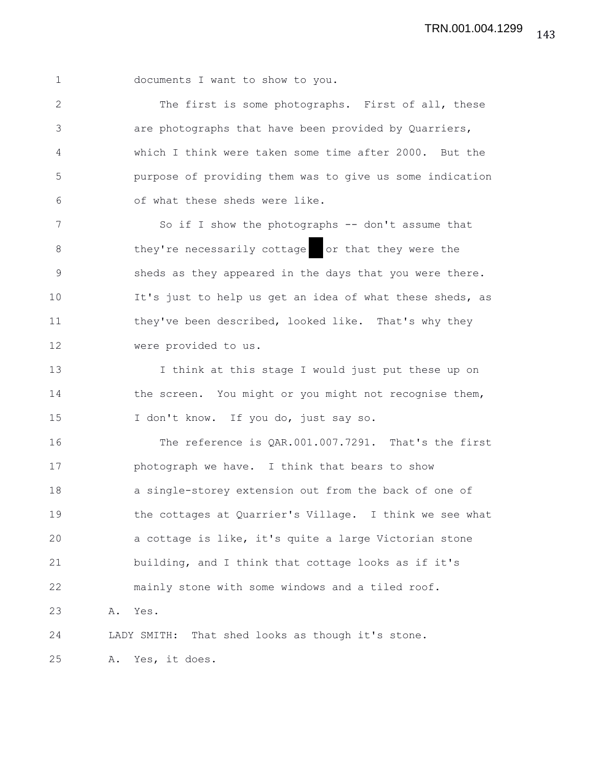1 documents I want to show to you.

2 The first is some photographs. First of all, these 3 are photographs that have been provided by Quarriers, 4 which I think were taken some time after 2000. But the 5 purpose of providing them was to give us some indication 6 of what these sheds were like.

7 So if I show the photographs -- don't assume that 8 they're necessarily cottage or that they were the 9 sheds as they appeared in the days that you were there. 10 It's just to help us get an idea of what these sheds, as 11 they've been described, looked like. That's why they 12 were provided to us.

13 I think at this stage I would just put these up on 14 the screen. You might or you might not recognise them, 15 I don't know. If you do, just say so.

16 The reference is QAR.001.007.7291. That's the first 17 photograph we have. I think that bears to show 18 a single-storey extension out from the back of one of 19 the cottages at Quarrier's Village. I think we see what 20 a cottage is like, it's quite a large Victorian stone 21 building, and I think that cottage looks as if it's 22 mainly stone with some windows and a tiled roof. 23 A. Yes. 24 LADY SMITH: That shed looks as though it's stone.

25 A. Yes, it does.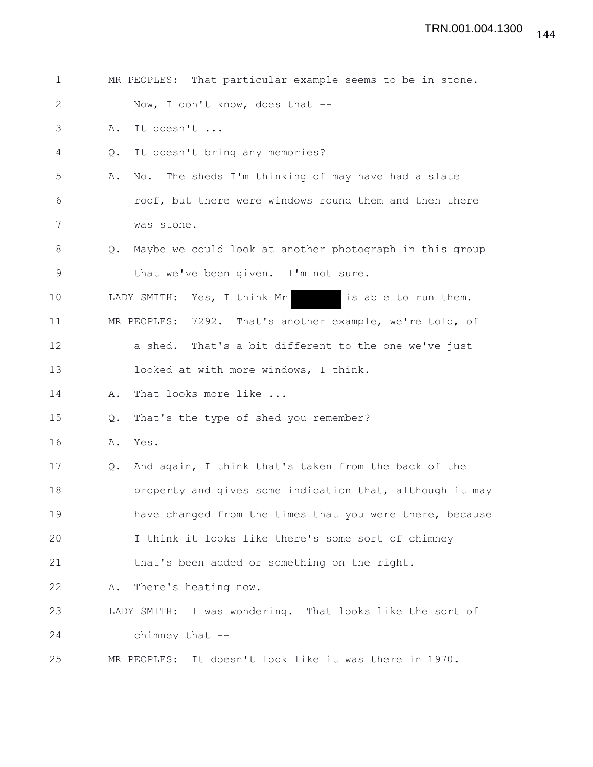| $\mathbf 1$  |               | MR PEOPLES: That particular example seems to be in stone. |
|--------------|---------------|-----------------------------------------------------------|
| $\mathbf{2}$ |               | Now, I don't know, does that --                           |
| 3            | Α.            | It doesn't                                                |
| 4            | Q.            | It doesn't bring any memories?                            |
| 5            | Α.            | The sheds I'm thinking of may have had a slate<br>No.     |
| 6            |               | roof, but there were windows round them and then there    |
| 7            |               | was stone.                                                |
| 8            | $Q_{\bullet}$ | Maybe we could look at another photograph in this group   |
| 9            |               | that we've been given. I'm not sure.                      |
| 10           |               | LADY SMITH: Yes, I think Mr<br>is able to run them.       |
| 11           |               | MR PEOPLES: 7292. That's another example, we're told, of  |
| 12           |               | That's a bit different to the one we've just<br>a shed.   |
| 13           |               | looked at with more windows, I think.                     |
| 14           | Α.            | That looks more like                                      |
| 15           | Q.            | That's the type of shed you remember?                     |
| 16           | Α.            | Yes.                                                      |
| 17           | Q.            | And again, I think that's taken from the back of the      |
| 18           |               | property and gives some indication that, although it may  |
| 19           |               | have changed from the times that you were there, because  |
| 20           |               | I think it looks like there's some sort of chimney        |
| 21           |               | that's been added or something on the right.              |
| 22           | Α.            | There's heating now.                                      |
| 23           |               | LADY SMITH: I was wondering. That looks like the sort of  |
| 24           |               | chimney that $--$                                         |
| 25           |               | MR PEOPLES: It doesn't look like it was there in 1970.    |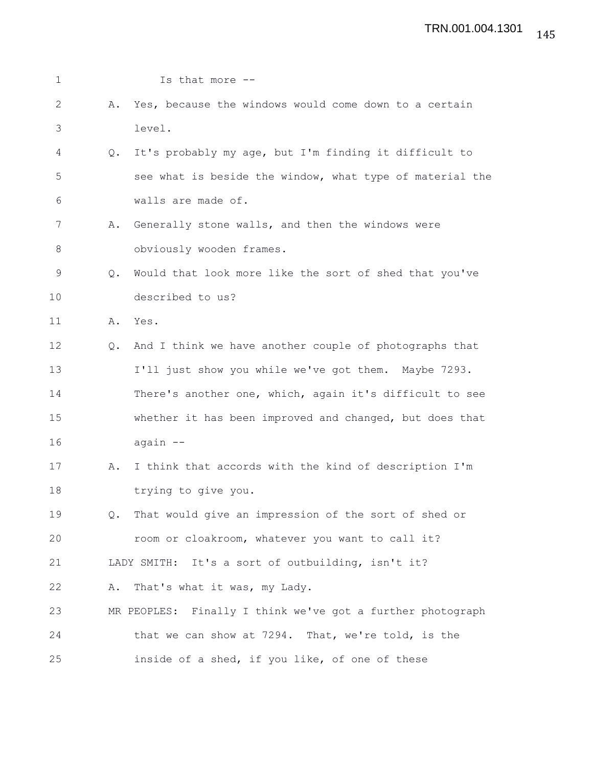| $\mathbf 1$   |               | Is that more --                                            |
|---------------|---------------|------------------------------------------------------------|
| $\mathbf{2}$  | Α.            | Yes, because the windows would come down to a certain      |
| $\mathcal{S}$ |               | level.                                                     |
| 4             | $Q_{\bullet}$ | It's probably my age, but I'm finding it difficult to      |
| 5             |               | see what is beside the window, what type of material the   |
| 6             |               | walls are made of.                                         |
| 7             | Α.            | Generally stone walls, and then the windows were           |
| 8             |               | obviously wooden frames.                                   |
| 9             | $Q_{\bullet}$ | Would that look more like the sort of shed that you've     |
| 10            |               | described to us?                                           |
| 11            | Α.            | Yes.                                                       |
| 12            | $Q_{\bullet}$ | And I think we have another couple of photographs that     |
| 13            |               | I'll just show you while we've got them. Maybe 7293.       |
| 14            |               | There's another one, which, again it's difficult to see    |
| 15            |               | whether it has been improved and changed, but does that    |
| 16            |               | again --                                                   |
| 17            | Α.            | I think that accords with the kind of description I'm      |
| 18            |               | trying to give you.                                        |
| 19            | Q.            | That would give an impression of the sort of shed or       |
| 20            |               | room or cloakroom, whatever you want to call it?           |
| 21            |               | LADY SMITH: It's a sort of outbuilding, isn't it?          |
| 22            | Α.            | That's what it was, my Lady.                               |
| 23            |               | MR PEOPLES: Finally I think we've got a further photograph |
| 24            |               | that we can show at 7294. That, we're told, is the         |
| 25            |               | inside of a shed, if you like, of one of these             |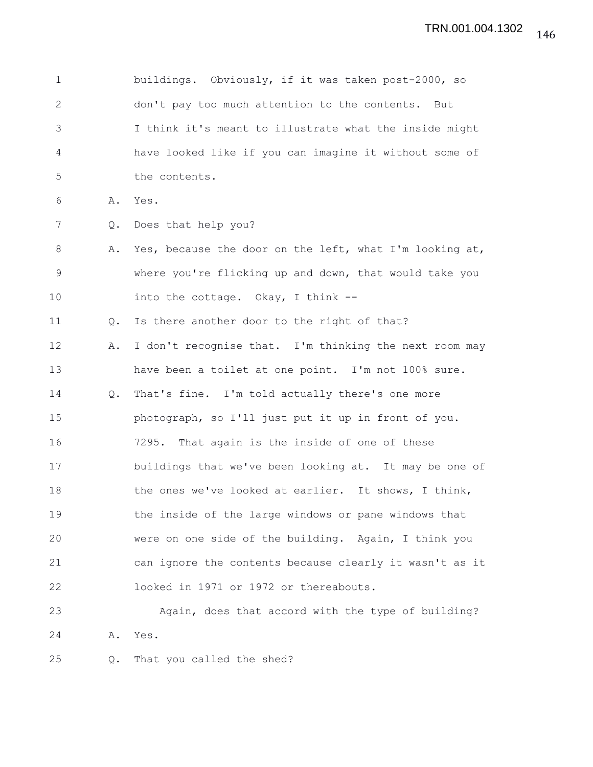| $\mathbf 1$  |    | buildings. Obviously, if it was taken post-2000, so     |
|--------------|----|---------------------------------------------------------|
| $\mathbf{2}$ |    | don't pay too much attention to the contents. But       |
| 3            |    | I think it's meant to illustrate what the inside might  |
| 4            |    | have looked like if you can imagine it without some of  |
| 5            |    | the contents.                                           |
| 6            | Α. | Yes.                                                    |
| 7            | Q. | Does that help you?                                     |
| 8            | Α. | Yes, because the door on the left, what I'm looking at, |
| 9            |    | where you're flicking up and down, that would take you  |
| 10           |    | into the cottage. Okay, I think --                      |
| 11           | Q. | Is there another door to the right of that?             |
| 12           | Α. | I don't recognise that. I'm thinking the next room may  |
| 13           |    | have been a toilet at one point. I'm not 100% sure.     |
| 14           | Q. | That's fine. I'm told actually there's one more         |
| 15           |    | photograph, so I'll just put it up in front of you.     |
| 16           |    | 7295. That again is the inside of one of these          |
| 17           |    | buildings that we've been looking at. It may be one of  |
| 18           |    | the ones we've looked at earlier. It shows, I think,    |
| 19           |    | the inside of the large windows or pane windows that    |
| 20           |    | were on one side of the building. Again, I think you    |
| 21           |    | can ignore the contents because clearly it wasn't as it |
| 22           |    | looked in 1971 or 1972 or thereabouts.                  |
| 23           |    | Again, does that accord with the type of building?      |
| 24           | Α. | Yes.                                                    |
|              |    |                                                         |

25 Q. That you called the shed?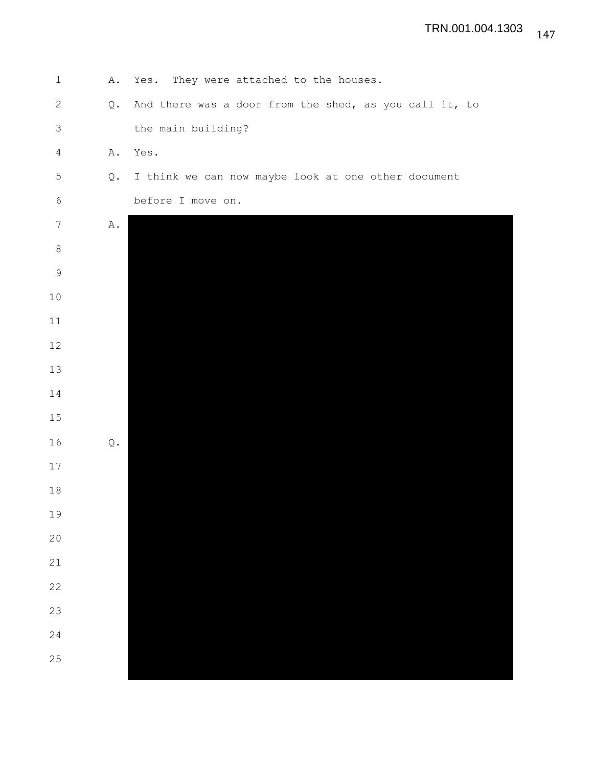| Yes. They were attached to the houses.                 |
|--------------------------------------------------------|
| And there was a door from the shed, as you call it, to |
| the main building?                                     |
| Yes.                                                   |
| I think we can now maybe look at one other document    |
| before I move on.                                      |
|                                                        |
|                                                        |
|                                                        |
|                                                        |
|                                                        |
|                                                        |
|                                                        |
|                                                        |
|                                                        |
|                                                        |
|                                                        |
|                                                        |
|                                                        |
|                                                        |
|                                                        |
|                                                        |
|                                                        |
|                                                        |
|                                                        |
| Α.<br>Q.<br>Α.<br>Q.<br>Α.<br>$\mathbb Q$ .            |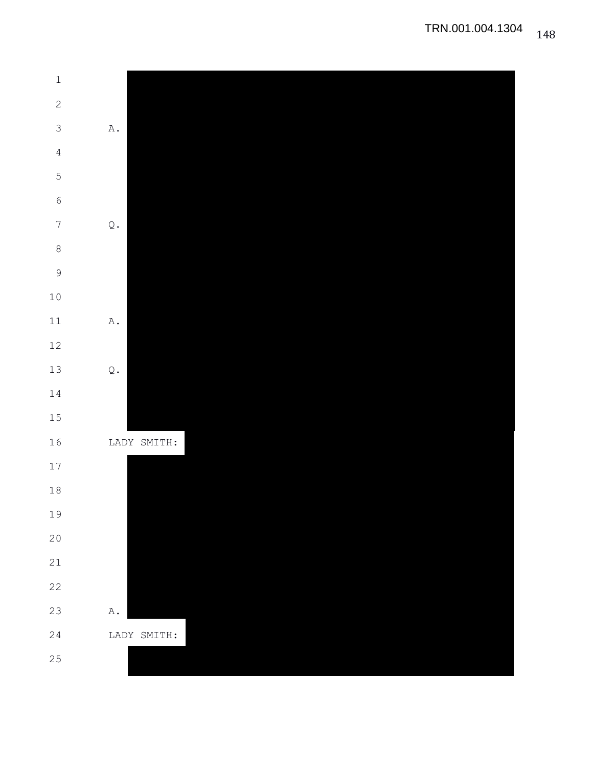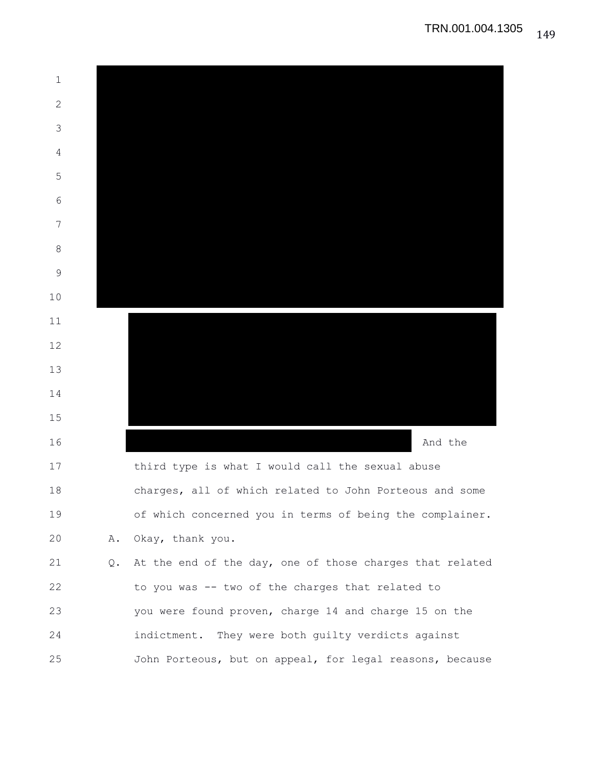| $\mathbf 1$   |    |                                                          |
|---------------|----|----------------------------------------------------------|
| $\mathbf{2}$  |    |                                                          |
| 3             |    |                                                          |
| 4             |    |                                                          |
| 5             |    |                                                          |
| 6             |    |                                                          |
| 7             |    |                                                          |
| 8             |    |                                                          |
| $\mathcal{G}$ |    |                                                          |
| 10            |    |                                                          |
| 11            |    |                                                          |
| 12            |    |                                                          |
| 13            |    |                                                          |
| 14            |    |                                                          |
| 15            |    |                                                          |
| 16            |    | And the                                                  |
| 17            |    | third type is what I would call the sexual abuse         |
| 18            |    | charges, all of which related to John Porteous and some  |
| 19            |    | of which concerned you in terms of being the complainer. |
| 20            | Α. | Okay, thank you.                                         |
| 21            | Q. | At the end of the day, one of those charges that related |
| 22            |    | to you was -- two of the charges that related to         |
| 23            |    | you were found proven, charge 14 and charge 15 on the    |
| 24            |    | indictment. They were both guilty verdicts against       |
| 25            |    | John Porteous, but on appeal, for legal reasons, because |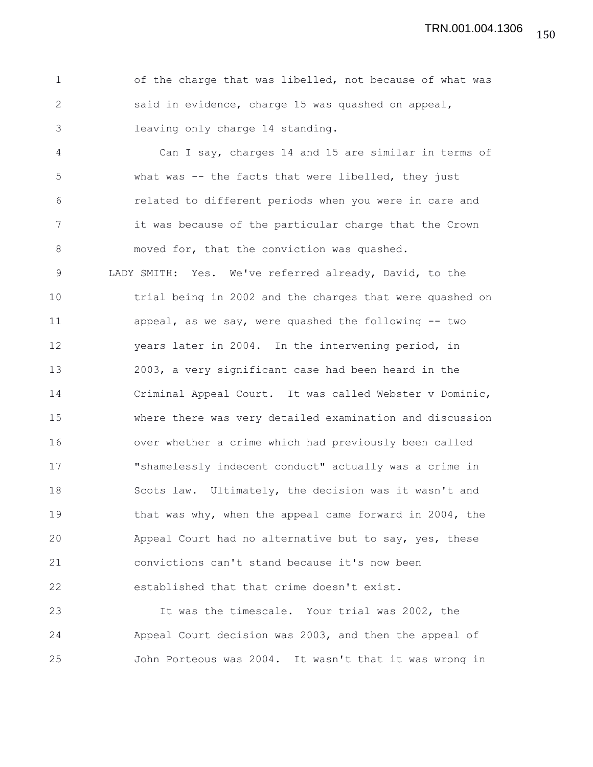1 of the charge that was libelled, not because of what was 2 said in evidence, charge 15 was quashed on appeal, 3 leaving only charge 14 standing.

4 Can I say, charges 14 and 15 are similar in terms of 5 what was -- the facts that were libelled, they just 6 related to different periods when you were in care and 7 it was because of the particular charge that the Crown 8 moved for, that the conviction was quashed. 9 LADY SMITH: Yes. We've referred already, David, to the 10 trial being in 2002 and the charges that were quashed on 11 appeal, as we say, were quashed the following -- two 12 years later in 2004. In the intervening period, in 13 2003, a very significant case had been heard in the 14 Criminal Appeal Court. It was called Webster v Dominic, 15 where there was very detailed examination and discussion 16 over whether a crime which had previously been called 17 "shamelessly indecent conduct" actually was a crime in 18 Scots law. Ultimately, the decision was it wasn't and 19 that was why, when the appeal came forward in 2004, the 20 Appeal Court had no alternative but to say, yes, these 21 convictions can't stand because it's now been 22 established that that crime doesn't exist.

23 It was the timescale. Your trial was 2002, the 24 Appeal Court decision was 2003, and then the appeal of 25 John Porteous was 2004. It wasn't that it was wrong in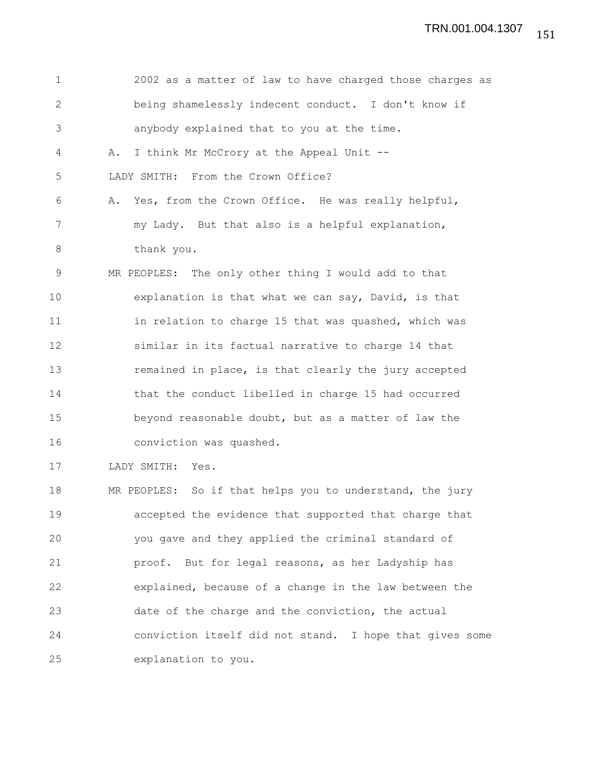1 2002 as a matter of law to have charged those charges as 2 being shamelessly indecent conduct. I don't know if 3 anybody explained that to you at the time. 4 A. I think Mr McCrory at the Appeal Unit -- 5 LADY SMITH: From the Crown Office? 6 A. Yes, from the Crown Office. He was really helpful, 7 my Lady. But that also is a helpful explanation, 8 thank you. 9 MR PEOPLES: The only other thing I would add to that 10 explanation is that what we can say, David, is that 11 in relation to charge 15 that was quashed, which was 12 similar in its factual narrative to charge 14 that 13 remained in place, is that clearly the jury accepted 14 that the conduct libelled in charge 15 had occurred 15 beyond reasonable doubt, but as a matter of law the 16 conviction was quashed. 17 LADY SMITH: Yes. 18 MR PEOPLES: So if that helps you to understand, the jury 19 accepted the evidence that supported that charge that 20 you gave and they applied the criminal standard of 21 proof. But for legal reasons, as her Ladyship has 22 explained, because of a change in the law between the 23 date of the charge and the conviction, the actual 24 conviction itself did not stand. I hope that gives some 25 explanation to you.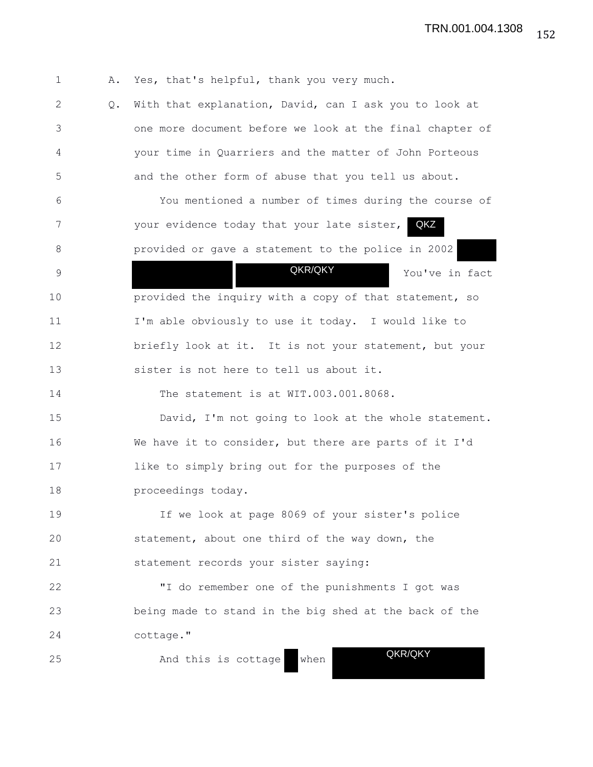1 A. Yes, that's helpful, thank you very much. 2 Q. With that explanation, David, can I ask you to look at 3 one more document before we look at the final chapter of 4 your time in Quarriers and the matter of John Porteous 5 and the other form of abuse that you tell us about. 6 You mentioned a number of times during the course of 7 your evidence today that your late sister, 8 provided or gave a statement to the police in 2002 9 NICOLA SERVICE SERVICE TO SERVICE THE SERVICE SERVICE SERVICE SERVICE SERVICE SERVICE SERVICE SERVICE SERVICE SERVICE SERVICE SERVICE SERVICE SERVICE SERVICE SERVICE SERVICE SERVICE SERVICE SERVICE SERVICE SERVICE SERVIC 10 **provided the inquiry with a copy of that statement, so** 11 I'm able obviously to use it today. I would like to 12 briefly look at it. It is not your statement, but your 13 sister is not here to tell us about it. 14 The statement is at WIT.003.001.8068. 15 David, I'm not going to look at the whole statement. 16 We have it to consider, but there are parts of it I'd 17 like to simply bring out for the purposes of the 18 proceedings today. 19 If we look at page 8069 of your sister's police 20 statement, about one third of the way down, the 21 statement records your sister saying: 22 "I do remember one of the punishments I got was 23 being made to stand in the big shed at the back of the 24 cottage." 25 And this is cottage when QKZ QKR/QKY QKR/QKY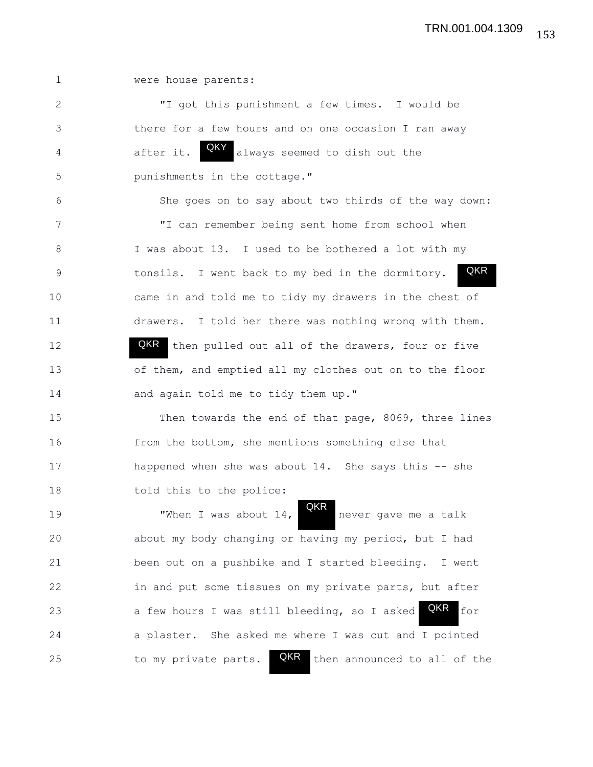| were hou |  |
|----------|--|

ise parents:

2 "I got this punishment a few times. I would be 3 there for a few hours and on one occasion I ran away 4 after it. **QKY** always seemed to dish out the 5 punishments in the cottage."

6 She goes on to say about two thirds of the way down: 7 "I can remember being sent home from school when 8 I was about 13. I used to be bothered a lot with my 9 tonsils. I went back to my bed in the dormitory. 10 came in and told me to tidy my drawers in the chest of 11 drawers. I told her there was nothing wrong with them. 12 **QKR** then pulled out all of the drawers, four or five 13 of them, and emptied all my clothes out on to the floor 14 and again told me to tidy them up." **QKR** 

15 Then towards the end of that page, 8069, three lines 16 from the bottom, she mentions something else that 17 happened when she was about 14. She says this -- she 18 told this to the police:

QKR

19 When I was about 14, never gave me a talk 20 about my body changing or having my period, but I had 21 been out on a pushbike and I started bleeding. I went 22 in and put some tissues on my private parts, but after 23 a few hours I was still bleeding, so I asked 24 a plaster. She asked me where I was cut and I pointed 25 to my private parts. **QKR** then announced to all of the QKR for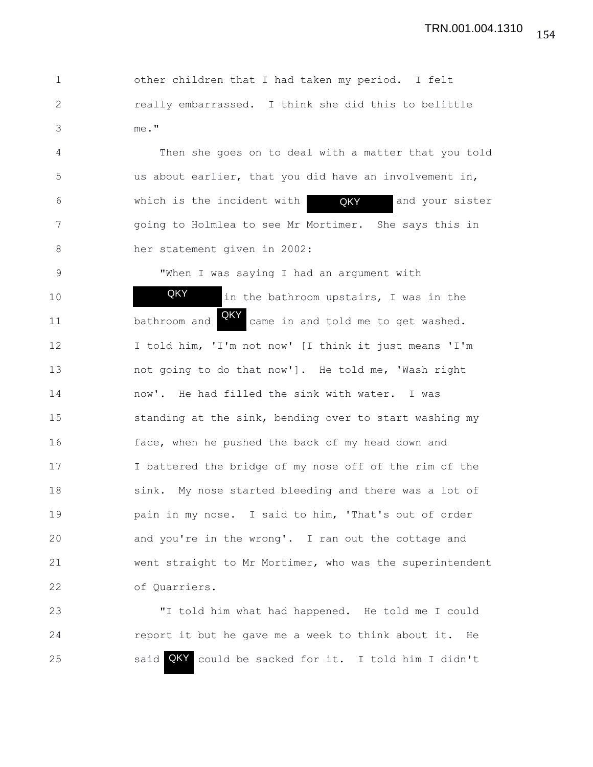1 other children that I had taken my period. I felt 2 really embarrassed. I think she did this to belittle 3 me."

4 Then she goes on to deal with a matter that you told 5 us about earlier, that you did have an involvement in, 6 Which is the incident with **QKY** and your sister 7 going to Holmlea to see Mr Mortimer. She says this in 8 her statement given in 2002: QKY

9 "When I was saying I had an argument with 10 **EXI** in the bathroom upstairs, I was in the 11 bathroom and came in and told me to get washed. 12 I told him, 'I'm not now' [I think it just means 'I'm 13 not going to do that now']. He told me, 'Wash right 14 now'. He had filled the sink with water. I was 15 standing at the sink, bending over to start washing my 16 face, when he pushed the back of my head down and 17 I battered the bridge of my nose off of the rim of the 18 sink. My nose started bleeding and there was a lot of 19 pain in my nose. I said to him, 'That's out of order 20 and you're in the wrong'. I ran out the cottage and 21 went straight to Mr Mortimer, who was the superintendent 22 of Quarriers. **QKY** QKY

23 "I told him what had happened. He told me I could 24 report it but he gave me a week to think about it. He 25 said QKY could be sacked for it. I told him I didn't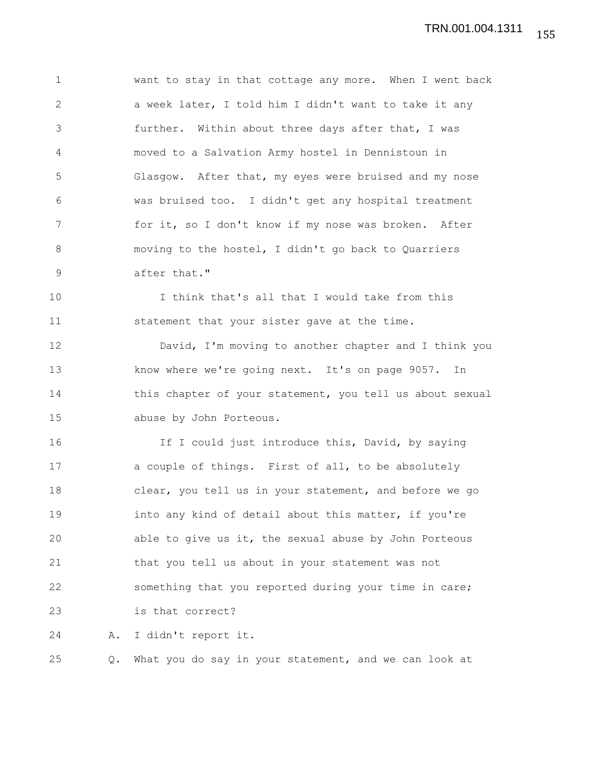1 want to stay in that cottage any more. When I went back 2 a week later, I told him I didn't want to take it any 3 further. Within about three days after that, I was 4 moved to a Salvation Army hostel in Dennistoun in 5 Glasgow. After that, my eyes were bruised and my nose 6 was bruised too. I didn't get any hospital treatment 7 for it, so I don't know if my nose was broken. After 8 moving to the hostel, I didn't go back to Quarriers 9 after that." 10 I think that's all that I would take from this 11 statement that your sister gave at the time. 12 David, I'm moving to another chapter and I think you 13 know where we're going next. It's on page 9057. In 14 this chapter of your statement, you tell us about sexual 15 abuse by John Porteous. 16 16 If I could just introduce this, David, by saying 17 a couple of things. First of all, to be absolutely 18 clear, you tell us in your statement, and before we go 19 **into any kind of detail about this matter, if you're** 20 able to give us it, the sexual abuse by John Porteous 21 that you tell us about in your statement was not 22 something that you reported during your time in care; 23 is that correct? 24 A. I didn't report it.

25 Q. What you do say in your statement, and we can look at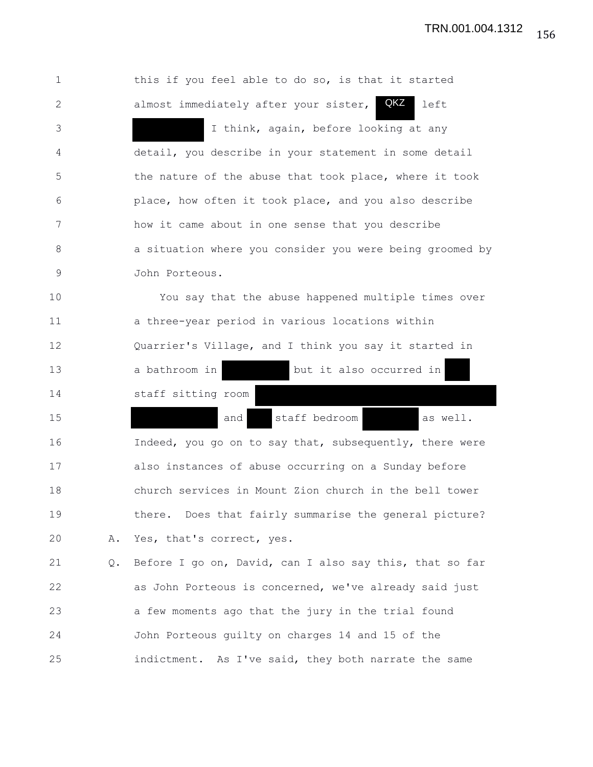| $\mathbf 1$  |    | this if you feel able to do so, is that it started       |
|--------------|----|----------------------------------------------------------|
| $\mathbf{2}$ |    | QKZ<br>almost immediately after your sister,<br>left     |
| 3            |    | I think, again, before looking at any                    |
| 4            |    | detail, you describe in your statement in some detail    |
| 5            |    | the nature of the abuse that took place, where it took   |
| 6            |    | place, how often it took place, and you also describe    |
| 7            |    | how it came about in one sense that you describe         |
| 8            |    | a situation where you consider you were being groomed by |
| $\mathsf 9$  |    | John Porteous.                                           |
| 10           |    | You say that the abuse happened multiple times over      |
| 11           |    | a three-year period in various locations within          |
| 12           |    | Quarrier's Village, and I think you say it started in    |
| 13           |    | a bathroom in<br>but it also occurred in                 |
| 14           |    | staff sitting room                                       |
| 15           |    | staff bedroom<br>as well.<br>and                         |
| 16           |    | Indeed, you go on to say that, subsequently, there were  |
| 17           |    | also instances of abuse occurring on a Sunday before     |
| 18           |    | church services in Mount Zion church in the bell tower   |
| 19           |    | there. Does that fairly summarise the general picture?   |
| 20           | Α. | Yes, that's correct, yes.                                |
| 21           | Q. | Before I go on, David, can I also say this, that so far  |
| 22           |    | as John Porteous is concerned, we've already said just   |
| 23           |    | a few moments ago that the jury in the trial found       |
| 24           |    | John Porteous guilty on charges 14 and 15 of the         |
| 25           |    | indictment. As I've said, they both narrate the same     |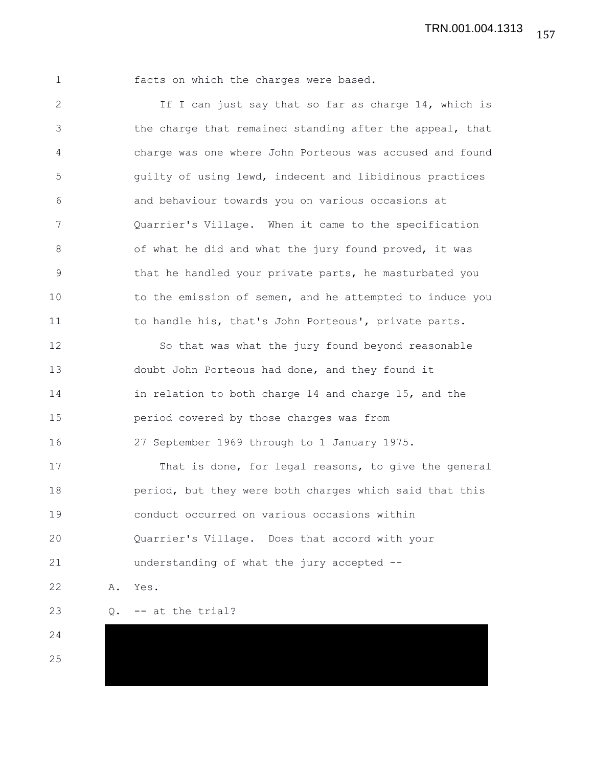1 facts on which the charges were based.

2 If I can just say that so far as charge 14, which is 3 the charge that remained standing after the appeal, that 4 charge was one where John Porteous was accused and found 5 guilty of using lewd, indecent and libidinous practices 6 and behaviour towards you on various occasions at 7 Quarrier's Village. When it came to the specification 8 of what he did and what the jury found proved, it was 9 that he handled your private parts, he masturbated you 10 to the emission of semen, and he attempted to induce you 11 to handle his, that's John Porteous', private parts.

12 So that was what the jury found beyond reasonable 13 doubt John Porteous had done, and they found it 14 in relation to both charge 14 and charge 15, and the 15 period covered by those charges was from 16 27 September 1969 through to 1 January 1975.

17 That is done, for legal reasons, to give the general 18 **period, but they were both charges which said that this** 19 conduct occurred on various occasions within 20 Quarrier's Village. Does that accord with your 21 understanding of what the jury accepted --

22 A. Yes.

24

23  $Q. -a$ t the trial?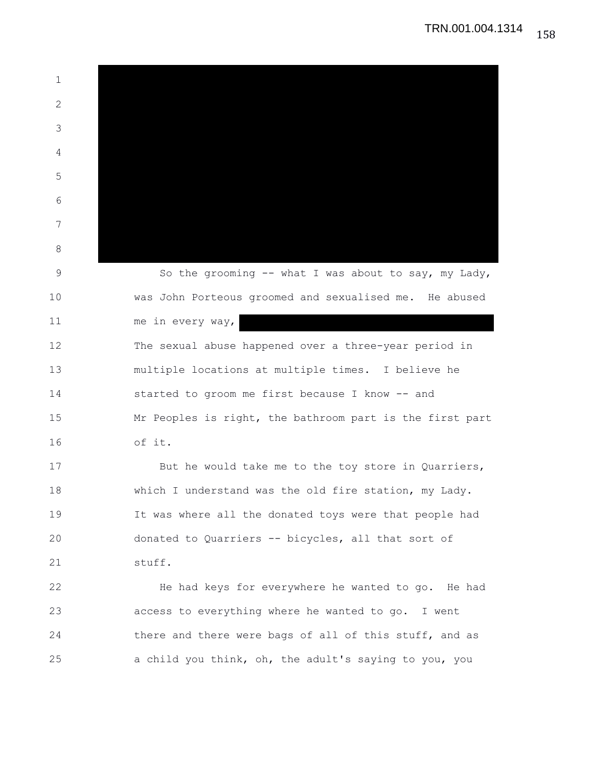1 2 3 4 5 6 7 8 9 So the grooming -- what I was about to say, my Lady, 10 was John Porteous groomed and sexualised me. He abused 11 me in every way, 12 The sexual abuse happened over a three-year period in 13 multiple locations at multiple times. I believe he 14 started to groom me first because I know -- and 15 Mr Peoples is right, the bathroom part is the first part 16 of it. 17 But he would take me to the toy store in Quarriers, 18 which I understand was the old fire station, my Lady. 19 It was where all the donated toys were that people had 20 donated to Quarriers -- bicycles, all that sort of 21 stuff. 22 He had keys for everywhere he wanted to go. He had 23 access to everything where he wanted to go. I went 24 there and there were bags of all of this stuff, and as 25 a child you think, oh, the adult's saying to you, you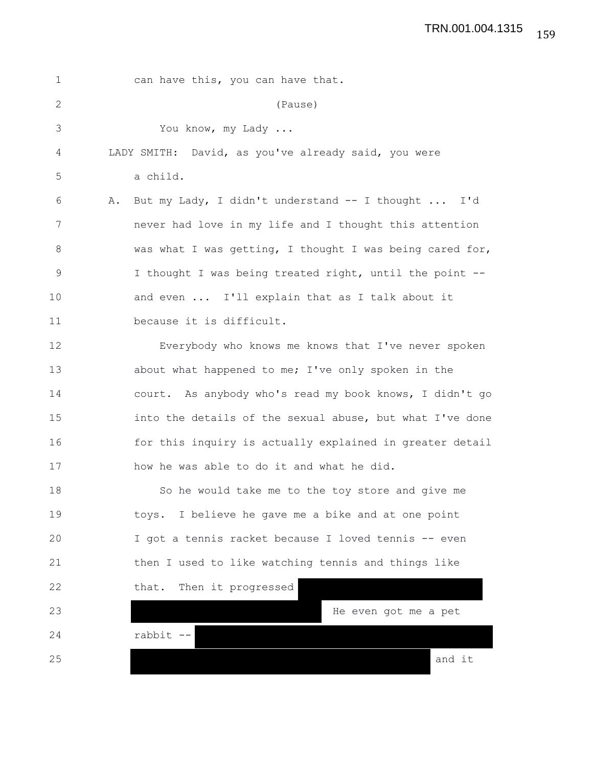| 1           | can have this, you can have that.                        |
|-------------|----------------------------------------------------------|
| 2           | (Pause)                                                  |
| 3           | You know, my Lady                                        |
| 4           | LADY SMITH: David, as you've already said, you were      |
| 5           | a child.                                                 |
| 6           | But my Lady, I didn't understand -- I thought  I'd<br>Α. |
| 7           | never had love in my life and I thought this attention   |
| 8           | was what I was getting, I thought I was being cared for, |
| $\mathsf 9$ | I thought I was being treated right, until the point --  |
| 10          | and even  I'll explain that as I talk about it           |
| 11          | because it is difficult.                                 |
| 12          | Everybody who knows me knows that I've never spoken      |
| 13          | about what happened to me; I've only spoken in the       |
| 14          | court. As anybody who's read my book knows, I didn't go  |
| 15          | into the details of the sexual abuse, but what I've done |
| 16          | for this inquiry is actually explained in greater detail |
| 17          | how he was able to do it and what he did.                |
| 18          | So he would take me to the toy store and give me         |
| 19          | toys. I believe he gave me a bike and at one point       |
| 20          | I got a tennis racket because I loved tennis -- even     |
| 21          | then I used to like watching tennis and things like      |
| 22          | Then it progressed<br>that.                              |
| 23          | He even got me a pet                                     |
| 24          | rabbit --                                                |
| 25          | and it                                                   |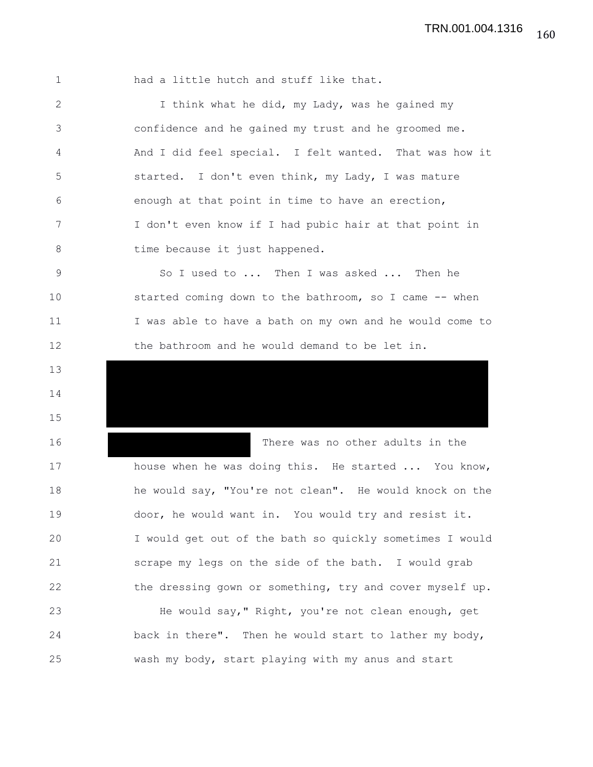1 had a little hutch and stuff like that.

13

14

2 I think what he did, my Lady, was he gained my 3 confidence and he gained my trust and he groomed me. 4 And I did feel special. I felt wanted. That was how it 5 started. I don't even think, my Lady, I was mature 6 enough at that point in time to have an erection, 7 I don't even know if I had pubic hair at that point in 8 time because it just happened.

9 So I used to ... Then I was asked ... Then he 10 started coming down to the bathroom, so I came -- when 11 I was able to have a bath on my own and he would come to 12 the bathroom and he would demand to be let in.

15 16 There was no other adults in the 17 house when he was doing this. He started ... You know, 18 he would say, "You're not clean". He would knock on the 19 door, he would want in. You would try and resist it. 20 I would get out of the bath so quickly sometimes I would 21 scrape my legs on the side of the bath. I would grab 22 the dressing gown or something, try and cover myself up. 23 He would say," Right, you're not clean enough, get 24 back in there". Then he would start to lather my body, 25 wash my body, start playing with my anus and start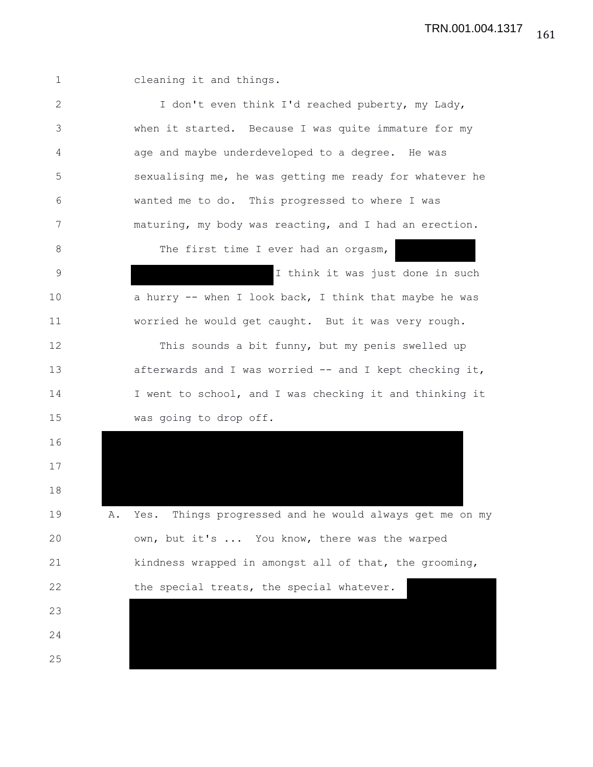| ٦ |
|---|
|   |
|   |

cleaning it and things.

| $\mathbf{2}$   |    | I don't even think I'd reached puberty, my Lady,           |
|----------------|----|------------------------------------------------------------|
| $\mathfrak{Z}$ |    | when it started. Because I was quite immature for my       |
| 4              |    | age and maybe underdeveloped to a degree. He was           |
| 5              |    | sexualising me, he was getting me ready for whatever he    |
| 6              |    | wanted me to do. This progressed to where I was            |
| 7              |    | maturing, my body was reacting, and I had an erection.     |
| 8              |    | The first time I ever had an orgasm,                       |
| 9              |    | I think it was just done in such                           |
| 10             |    | a hurry -- when I look back, I think that maybe he was     |
| 11             |    | worried he would get caught. But it was very rough.        |
| 12             |    | This sounds a bit funny, but my penis swelled up           |
| 13             |    | afterwards and I was worried -- and I kept checking it,    |
| 14             |    | I went to school, and I was checking it and thinking it    |
| 15             |    | was going to drop off.                                     |
| 16             |    |                                                            |
| 17             |    |                                                            |
| 18             |    |                                                            |
| 19             | Α. | Things progressed and he would always get me on my<br>Yes. |
| 20             |    | own, but it's  You know, there was the warped              |
| 21             |    | kindness wrapped in amongst all of that, the grooming,     |
| 22             |    | the special treats, the special whatever.                  |
| 23             |    |                                                            |
| 24             |    |                                                            |
| 25             |    |                                                            |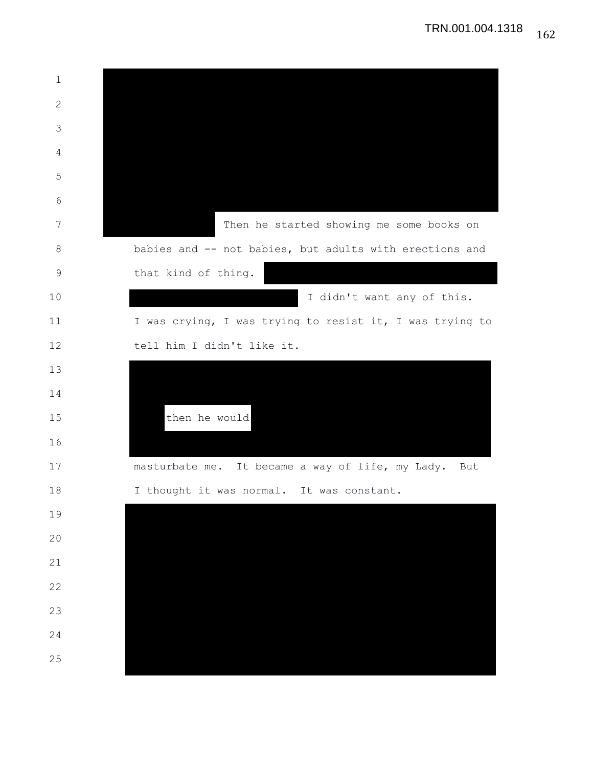| 1             |                                                          |
|---------------|----------------------------------------------------------|
| $\mathbf{2}$  |                                                          |
| $\mathcal{S}$ |                                                          |
| 4             |                                                          |
| 5             |                                                          |
| $6\,$         |                                                          |
| 7             | Then he started showing me some books on                 |
| $8\,$         | babies and -- not babies, but adults with erections and  |
| $\mathsf 9$   | that kind of thing.                                      |
| 10            | I didn't want any of this.                               |
| 11            | I was crying, I was trying to resist it, I was trying to |
| 12            | tell him I didn't like it.                               |
| 13            |                                                          |
| 14            |                                                          |
| 15            | then he would                                            |
| 16            |                                                          |
| 17            | masturbate me. It became a way of life, my Lady. But     |
| 18            | I thought it was normal. It was constant.                |
| 19            |                                                          |
| 20            |                                                          |
| 21            |                                                          |
| 22            |                                                          |
| 23            |                                                          |
| 24            |                                                          |
| 25            |                                                          |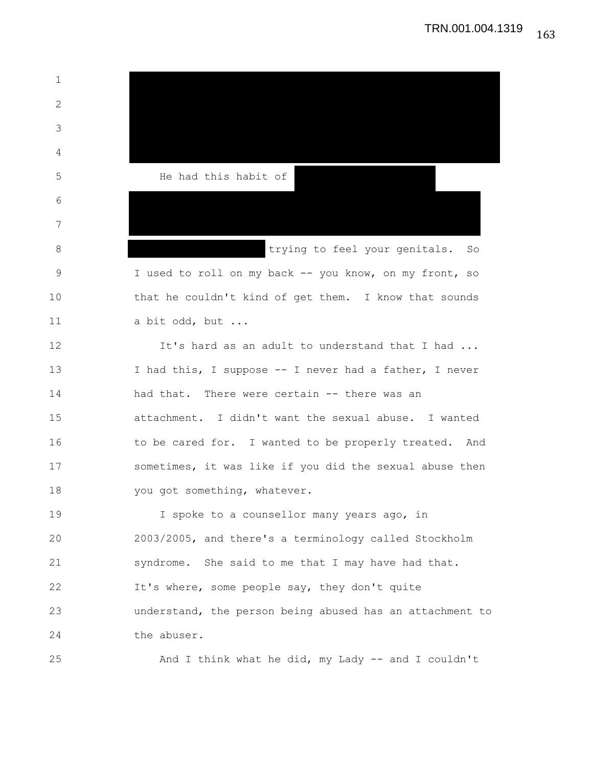1 2 3 4 5 He had this habit of 6 7 8 trying to feel your genitals. So 9 I used to roll on my back -- you know, on my front, so 10 that he couldn't kind of get them. I know that sounds 11 a bit odd, but ... 12 It's hard as an adult to understand that I had ... 13 I had this, I suppose -- I never had a father, I never 14 had that. There were certain -- there was an 15 attachment. I didn't want the sexual abuse. I wanted 16 to be cared for. I wanted to be properly treated. And 17 sometimes, it was like if you did the sexual abuse then 18 you got something, whatever. 19 19 I spoke to a counsellor many years ago, in 20 2003/2005, and there's a terminology called Stockholm 21 syndrome. She said to me that I may have had that. 22 It's where, some people say, they don't quite 23 understand, the person being abused has an attachment to 24 the abuser. 25 And I think what he did, my Lady -- and I couldn't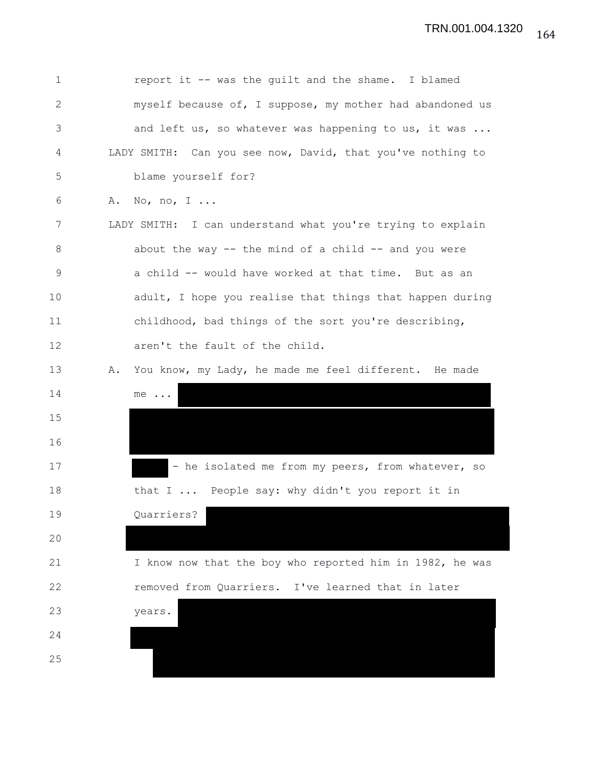| 1  |    | report it -- was the guilt and the shame. I blamed         |
|----|----|------------------------------------------------------------|
| 2  |    | myself because of, I suppose, my mother had abandoned us   |
| 3  |    | and left us, so whatever was happening to us, it was       |
| 4  |    | LADY SMITH: Can you see now, David, that you've nothing to |
| 5  |    | blame yourself for?                                        |
| 6  | Α. | No, no, $I \ldots$                                         |
| 7  |    | LADY SMITH: I can understand what you're trying to explain |
| 8  |    | about the way $-$ - the mind of a child $-$ - and you were |
| 9  |    | a child -- would have worked at that time. But as an       |
| 10 |    | adult, I hope you realise that things that happen during   |
| 11 |    | childhood, bad things of the sort you're describing,       |
| 12 |    | aren't the fault of the child.                             |
| 13 | Α. | You know, my Lady, he made me feel different. He made      |
| 14 |    | $me \dots$                                                 |
| 15 |    |                                                            |
| 16 |    |                                                            |
| 17 |    | - he isolated me from my peers, from whatever, so          |
| 18 |    | that I  People say: why didn't you report it in            |
| 19 |    | Quarriers?                                                 |
| 20 |    |                                                            |
| 21 |    | I know now that the boy who reported him in 1982, he was   |
| 22 |    | removed from Quarriers. I've learned that in later         |
| 23 |    | years.                                                     |
| 24 |    |                                                            |
| 25 |    |                                                            |
|    |    |                                                            |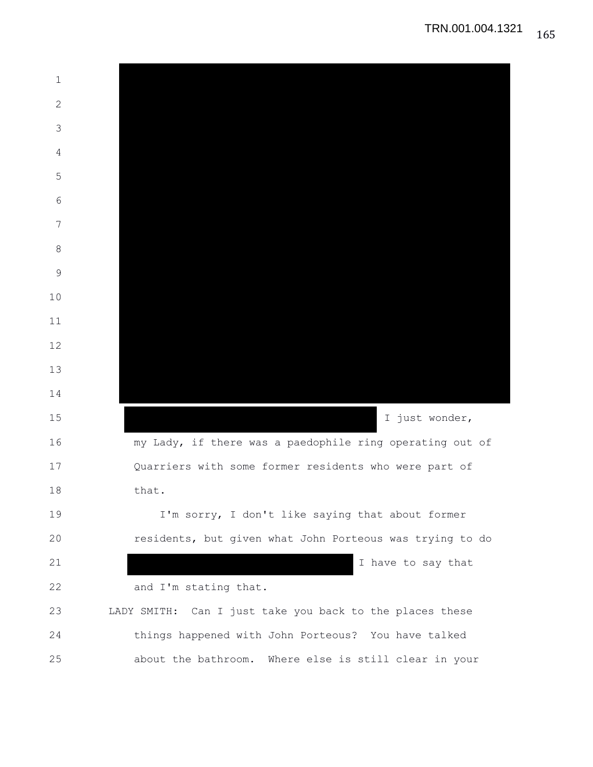| $\mathbf 1$   |                                                          |  |
|---------------|----------------------------------------------------------|--|
| $\mathbf{2}$  |                                                          |  |
| 3             |                                                          |  |
| 4             |                                                          |  |
| 5             |                                                          |  |
| 6             |                                                          |  |
| 7             |                                                          |  |
| 8             |                                                          |  |
| $\mathcal{G}$ |                                                          |  |
| 10            |                                                          |  |
| 11            |                                                          |  |
| 12            |                                                          |  |
| 13            |                                                          |  |
| 14            |                                                          |  |
| 15            | I just wonder,                                           |  |
| 16            | my Lady, if there was a paedophile ring operating out of |  |
| 17            | Quarriers with some former residents who were part of    |  |
| 18            | that.                                                    |  |
| 19            | I'm sorry, I don't like saying that about former         |  |
| 20            | residents, but given what John Porteous was trying to do |  |
| 21            | I have to say that                                       |  |
| 22            | and I'm stating that.                                    |  |
| 23            | LADY SMITH: Can I just take you back to the places these |  |
| 24            | things happened with John Porteous? You have talked      |  |
| 25            | about the bathroom. Where else is still clear in your    |  |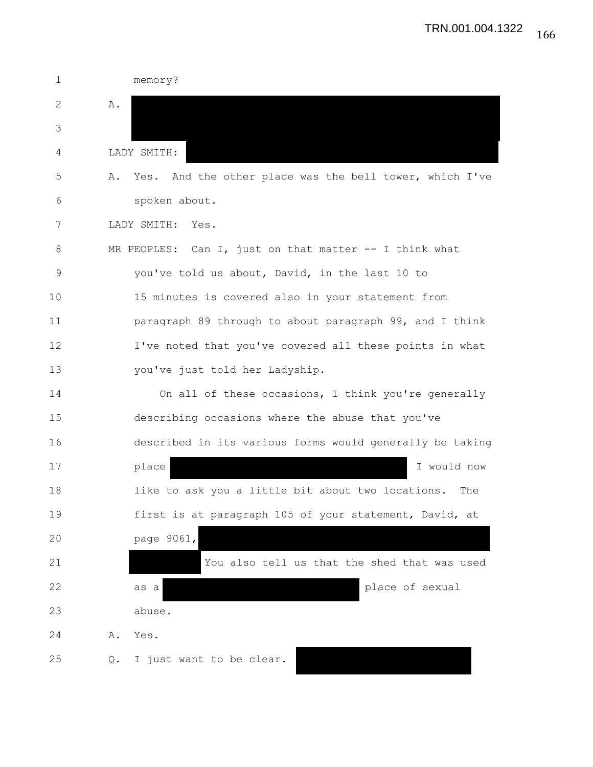| $\mathbf 1$ | memory?                                                       |
|-------------|---------------------------------------------------------------|
| 2           | $A$ .                                                         |
| 3           |                                                               |
| 4           | LADY SMITH:                                                   |
| 5           | Yes. And the other place was the bell tower, which I've<br>Α. |
| 6           | spoken about.                                                 |
| 7           | LADY SMITH:<br>Yes.                                           |
| 8           | MR PEOPLES: Can I, just on that matter -- I think what        |
| $\mathsf 9$ | you've told us about, David, in the last 10 to                |
| 10          | 15 minutes is covered also in your statement from             |
| 11          | paragraph 89 through to about paragraph 99, and I think       |
| 12          | I've noted that you've covered all these points in what       |
| 13          | you've just told her Ladyship.                                |
| 14          | On all of these occasions, I think you're generally           |
| 15          | describing occasions where the abuse that you've              |
| 16          | described in its various forms would generally be taking      |
| 17          | I would now<br>place                                          |
| 18          | like to ask you a little bit about two locations.<br>The      |
| 19          | first is at paragraph 105 of your statement, David, at        |
| 20          | page 9061,                                                    |
| 21          | You also tell us that the shed that was used                  |
| 22          | place of sexual<br>as a                                       |
| 23          | abuse.                                                        |
| 24          | Α.<br>Yes.                                                    |
| 25          | I just want to be clear.<br>Q.                                |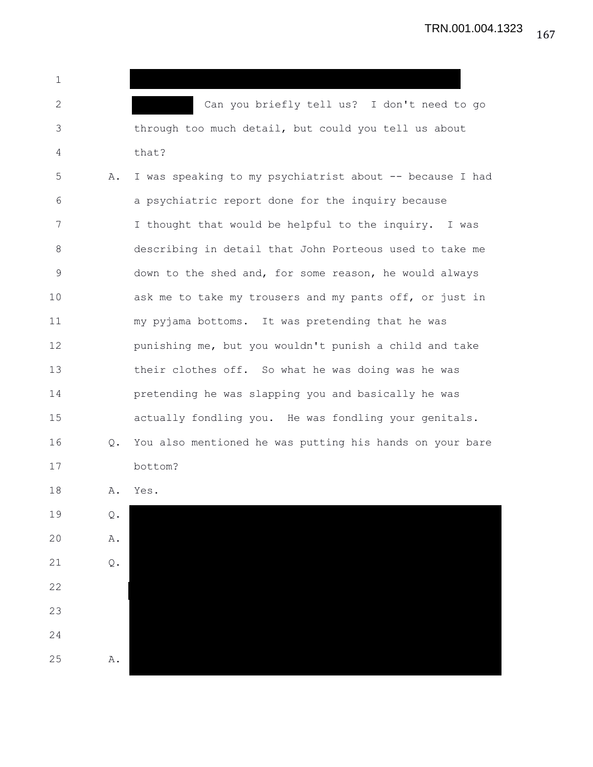| $\mathbf 1$  |                          |                                                          |
|--------------|--------------------------|----------------------------------------------------------|
| $\mathbf{2}$ |                          | Can you briefly tell us? I don't need to go              |
| 3            |                          | through too much detail, but could you tell us about     |
| 4            |                          | that?                                                    |
| 5            | Α.                       | I was speaking to my psychiatrist about -- because I had |
| 6            |                          | a psychiatric report done for the inquiry because        |
| 7            |                          | I thought that would be helpful to the inquiry. I was    |
| 8            |                          | describing in detail that John Porteous used to take me  |
| 9            |                          | down to the shed and, for some reason, he would always   |
| 10           |                          | ask me to take my trousers and my pants off, or just in  |
| 11           |                          | my pyjama bottoms. It was pretending that he was         |
| 12           |                          | punishing me, but you wouldn't punish a child and take   |
| 13           |                          | their clothes off. So what he was doing was he was       |
| 14           |                          | pretending he was slapping you and basically he was      |
| 15           |                          | actually fondling you. He was fondling your genitals.    |
| 16           | $Q_{\bullet}$            | You also mentioned he was putting his hands on your bare |
| 17           |                          | bottom?                                                  |
| 18           | Α.                       | Yes.                                                     |
| 19           | $\mathbf{\mathcal{Q}}$ . |                                                          |
| 20           | Α.                       |                                                          |
| 21           | $\mathbb Q$ .            |                                                          |
| 22           |                          |                                                          |
| 23           |                          |                                                          |
| 24           |                          |                                                          |
| 25           | Α.                       |                                                          |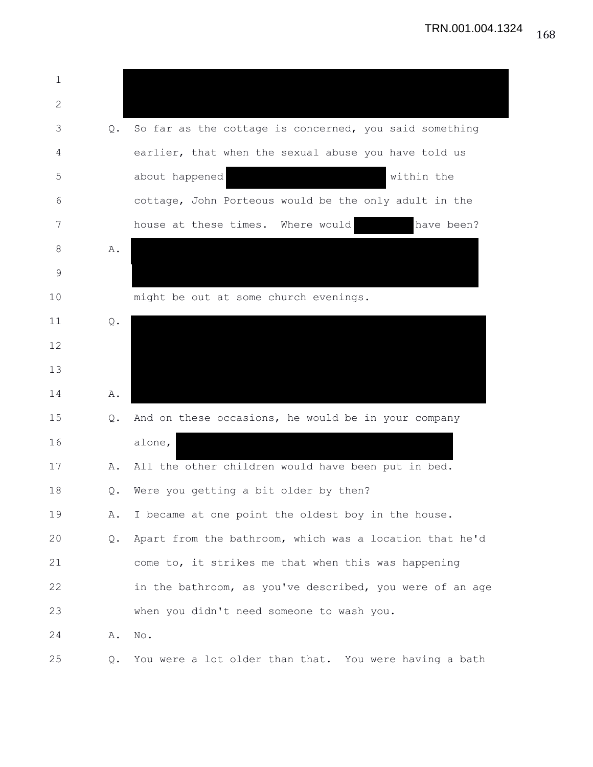| 1           |               |                                                          |
|-------------|---------------|----------------------------------------------------------|
| $\sqrt{2}$  |               |                                                          |
| 3           | $\mathbb Q$ . | So far as the cottage is concerned, you said something   |
| 4           |               | earlier, that when the sexual abuse you have told us     |
| 5           |               | about happened<br>within the                             |
| 6           |               | cottage, John Porteous would be the only adult in the    |
| 7           |               | have been?<br>house at these times. Where would          |
| 8           | Α.            |                                                          |
| $\mathsf 9$ |               |                                                          |
| 10          |               | might be out at some church evenings.                    |
| 11          | Q.            |                                                          |
| 12          |               |                                                          |
| 13          |               |                                                          |
| 14          | Α.            |                                                          |
| 15          | $Q_{\bullet}$ | And on these occasions, he would be in your company      |
| 16          |               | alone,                                                   |
| 17          | Α.            | All the other children would have been put in bed.       |
| 18          | Q.            | Were you getting a bit older by then?                    |
| 19          | Α.            | I became at one point the oldest boy in the house.       |
| 20          | Q.            | Apart from the bathroom, which was a location that he'd  |
| 21          |               | come to, it strikes me that when this was happening      |
| 22          |               | in the bathroom, as you've described, you were of an age |
| 23          |               | when you didn't need someone to wash you.                |
| 24          | Α.            | No.                                                      |
| 25          | Q.            | You were a lot older than that. You were having a bath   |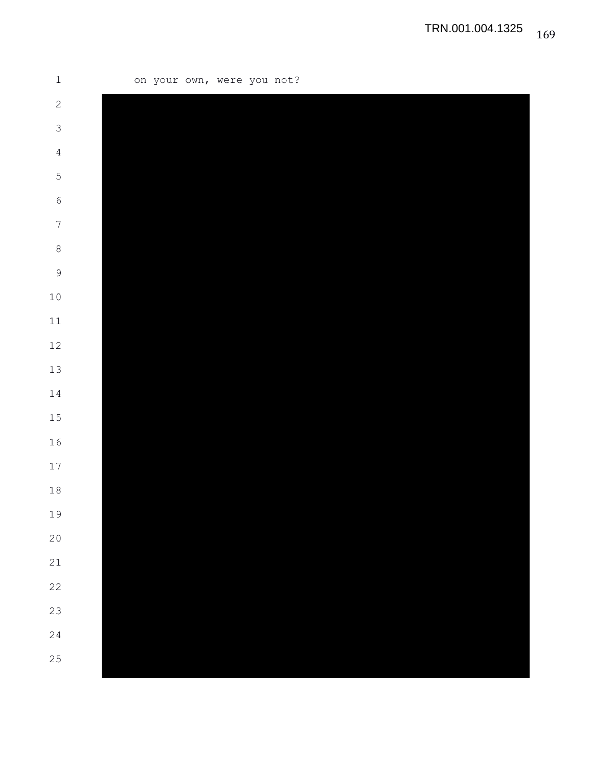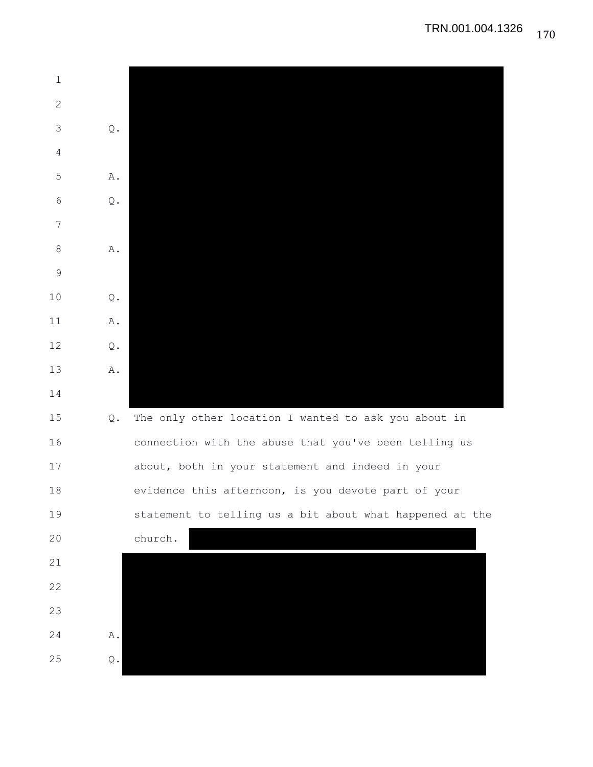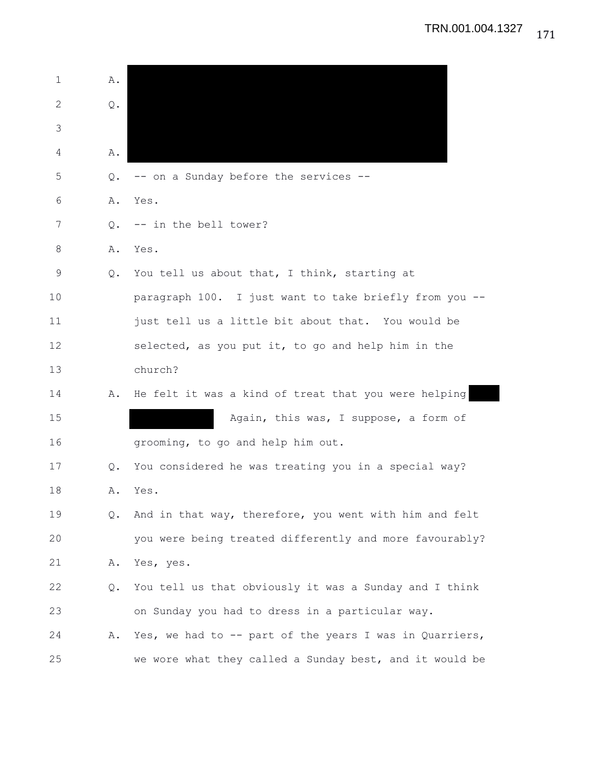| 1            | Α.        |                                                         |
|--------------|-----------|---------------------------------------------------------|
| $\mathbf{2}$ | Q.        |                                                         |
| 3            |           |                                                         |
| 4            | Α.        |                                                         |
| 5            | Q.        | -- on a Sunday before the services --                   |
| 6            | Α.        | Yes.                                                    |
| 7            | $\circ$ . | -- in the bell tower?                                   |
| 8            | Α.        | Yes.                                                    |
| 9            | Q.        | You tell us about that, I think, starting at            |
| 10           |           | paragraph 100. I just want to take briefly from you --  |
| 11           |           | just tell us a little bit about that. You would be      |
| 12           |           | selected, as you put it, to go and help him in the      |
| 13           |           | church?                                                 |
| 14           | Α.        | He felt it was a kind of treat that you were helping    |
| 15           |           | Again, this was, I suppose, a form of                   |
| 16           |           | grooming, to go and help him out.                       |
| 17           | Q.        | You considered he was treating you in a special way?    |
| 18           | Α.        | Yes.                                                    |
| 19           | Q.        | And in that way, therefore, you went with him and felt  |
| 20           |           | you were being treated differently and more favourably? |
| 21           | Α.        | Yes, yes.                                               |
| 22           | Q.        | You tell us that obviously it was a Sunday and I think  |
| 23           |           | on Sunday you had to dress in a particular way.         |
| 24           | Α.        | Yes, we had to -- part of the years I was in Quarriers, |
| 25           |           | we wore what they called a Sunday best, and it would be |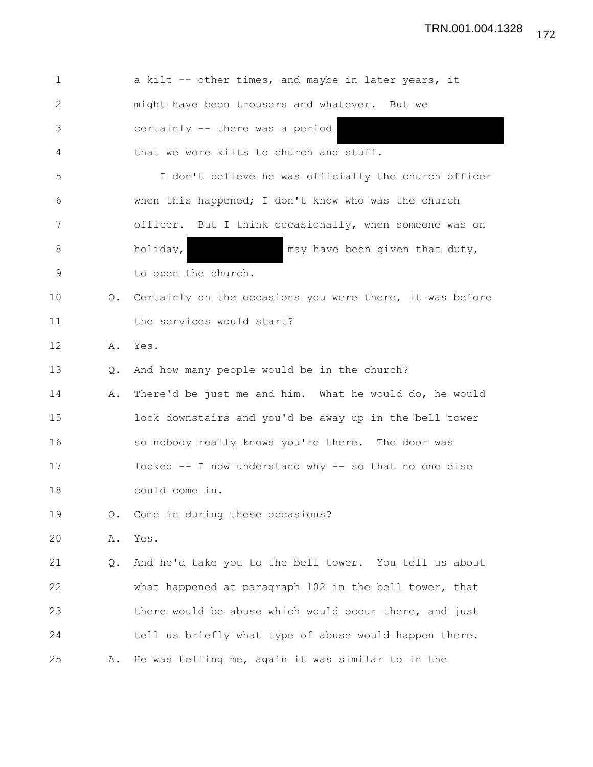| $\mathbf 1$ |               | a kilt -- other times, and maybe in later years, it      |
|-------------|---------------|----------------------------------------------------------|
| 2           |               | might have been trousers and whatever. But we            |
| 3           |               | certainly -- there was a period                          |
| 4           |               | that we wore kilts to church and stuff.                  |
| 5           |               | I don't believe he was officially the church officer     |
| 6           |               | when this happened; I don't know who was the church      |
| 7           |               | officer. But I think occasionally, when someone was on   |
| 8           |               | holiday,<br>may have been given that duty,               |
| $\mathsf 9$ |               | to open the church.                                      |
| 10          | $Q_{\bullet}$ | Certainly on the occasions you were there, it was before |
| 11          |               | the services would start?                                |
| 12          | Α.            | Yes.                                                     |
| 13          | Q.            | And how many people would be in the church?              |
| 14          | Α.            | There'd be just me and him. What he would do, he would   |
| 15          |               | lock downstairs and you'd be away up in the bell tower   |
| 16          |               | so nobody really knows you're there. The door was        |
| 17          |               | locked -- I now understand why -- so that no one else    |
| 18          |               | could come in.                                           |
| 19          | Q.            | Come in during these occasions?                          |
| 20          | Α.            | Yes.                                                     |
| 21          | Q.            | And he'd take you to the bell tower. You tell us about   |
| 22          |               | what happened at paragraph 102 in the bell tower, that   |
| 23          |               | there would be abuse which would occur there, and just   |
| 24          |               | tell us briefly what type of abuse would happen there.   |
| 25          | Α.            | He was telling me, again it was similar to in the        |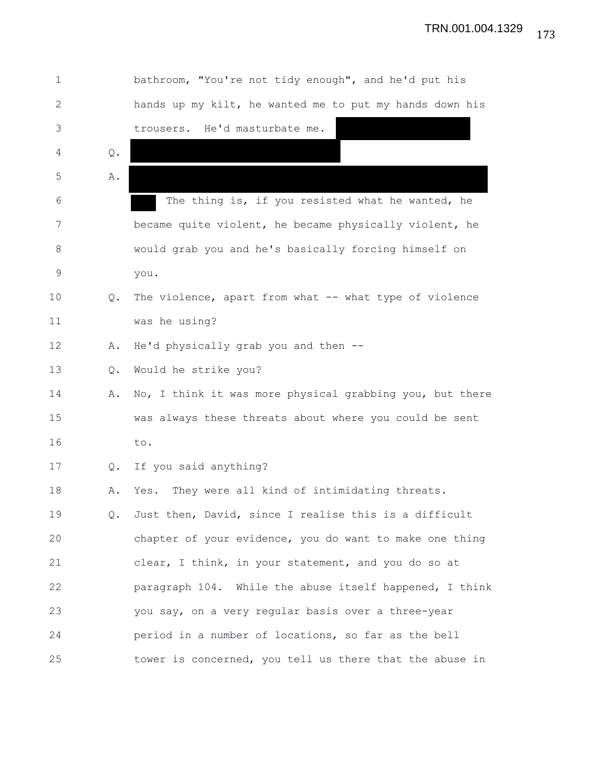| $\mathbf 1$  |               | bathroom, "You're not tidy enough", and he'd put his     |
|--------------|---------------|----------------------------------------------------------|
| $\mathbf{2}$ |               | hands up my kilt, he wanted me to put my hands down his  |
| 3            |               | trousers. He'd masturbate me.                            |
| 4            | $\mathbb Q$ . |                                                          |
| 5            | Α.            |                                                          |
| 6            |               | The thing is, if you resisted what he wanted, he         |
| 7            |               | became quite violent, he became physically violent, he   |
| 8            |               | would grab you and he's basically forcing himself on     |
| 9            |               | you.                                                     |
| 10           | Q.            | The violence, apart from what -- what type of violence   |
| 11           |               | was he using?                                            |
| 12           | Α.            | He'd physically grab you and then --                     |
| 13           | Q.            | Would he strike you?                                     |
| 14           | Α.            | No, I think it was more physical grabbing you, but there |
| 15           |               | was always these threats about where you could be sent   |
| 16           |               | to.                                                      |
| 17           | Q.            | If you said anything?                                    |
| 18           | Α.            | Yes. They were all kind of intimidating threats.         |
| 19           | Q.            | Just then, David, since I realise this is a difficult    |
| 20           |               | chapter of your evidence, you do want to make one thing  |
| 21           |               | clear, I think, in your statement, and you do so at      |
| 22           |               | paragraph 104. While the abuse itself happened, I think  |
| 23           |               | you say, on a very regular basis over a three-year       |
| 24           |               | period in a number of locations, so far as the bell      |
| 25           |               | tower is concerned, you tell us there that the abuse in  |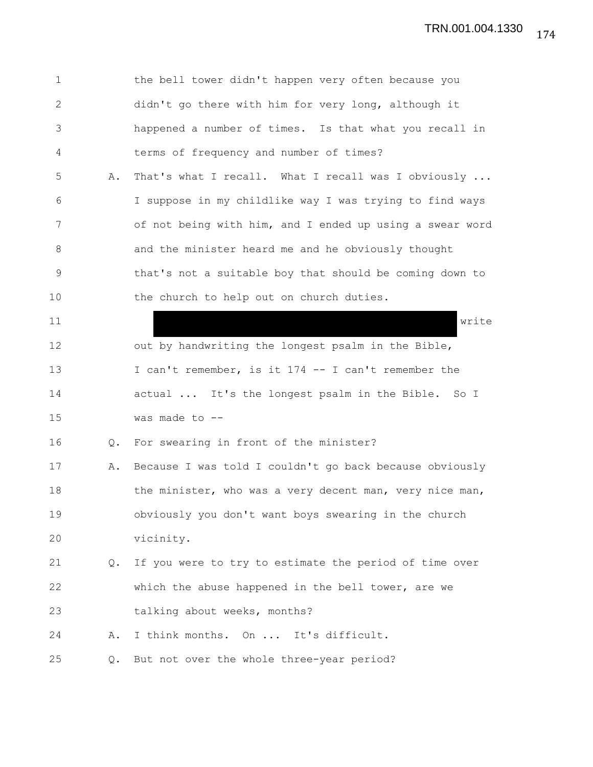| $\mathbf 1$  |               | the bell tower didn't happen very often because you      |
|--------------|---------------|----------------------------------------------------------|
| $\mathbf{2}$ |               | didn't go there with him for very long, although it      |
| 3            |               | happened a number of times. Is that what you recall in   |
| 4            |               | terms of frequency and number of times?                  |
| 5            | Α.            | That's what I recall. What I recall was I obviously      |
| 6            |               | I suppose in my childlike way I was trying to find ways  |
| 7            |               | of not being with him, and I ended up using a swear word |
| 8            |               | and the minister heard me and he obviously thought       |
| $\mathsf 9$  |               | that's not a suitable boy that should be coming down to  |
| 10           |               | the church to help out on church duties.                 |
| 11           |               | write                                                    |
| 12           |               | out by handwriting the longest psalm in the Bible,       |
| 13           |               | I can't remember, is it 174 -- I can't remember the      |
| 14           |               | actual  It's the longest psalm in the Bible. So I        |
| 15           |               | was made to --                                           |
| 16           | Q.            | For swearing in front of the minister?                   |
| 17           | Α.            | Because I was told I couldn't go back because obviously  |
| 18           |               | the minister, who was a very decent man, very nice man,  |
| 19           |               | obviously you don't want boys swearing in the church     |
| 20           |               | vicinity.                                                |
| 21           | $Q_{\bullet}$ | If you were to try to estimate the period of time over   |
| 22           |               | which the abuse happened in the bell tower, are we       |
| 23           |               | talking about weeks, months?                             |
| 24           | Α.            | I think months. On  It's difficult.                      |
| 25           | Q.            | But not over the whole three-year period?                |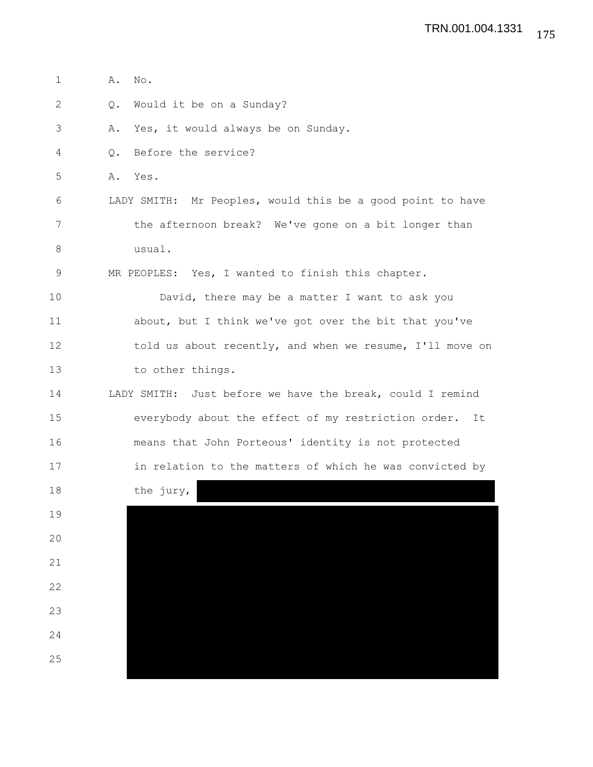| 1  | Α.<br>No.                                                  |
|----|------------------------------------------------------------|
| 2  | Would it be on a Sunday?<br>Q.                             |
| 3  | Yes, it would always be on Sunday.<br>Α.                   |
| 4  | Before the service?<br>Q.                                  |
| 5  | Α.<br>Yes.                                                 |
| 6  | LADY SMITH: Mr Peoples, would this be a good point to have |
| 7  | the afternoon break? We've gone on a bit longer than       |
| 8  | usual.                                                     |
| 9  | MR PEOPLES: Yes, I wanted to finish this chapter.          |
| 10 | David, there may be a matter I want to ask you             |
| 11 | about, but I think we've got over the bit that you've      |
| 12 | told us about recently, and when we resume, I'll move on   |
| 13 | to other things.                                           |
| 14 | LADY SMITH: Just before we have the break, could I remind  |
| 15 | everybody about the effect of my restriction order.<br>It  |
| 16 | means that John Porteous' identity is not protected        |
| 17 | in relation to the matters of which he was convicted by    |
| 18 | the jury,                                                  |
| 19 |                                                            |
| 20 |                                                            |
| 21 |                                                            |
| 22 |                                                            |
| 23 |                                                            |
| 24 |                                                            |
| 25 |                                                            |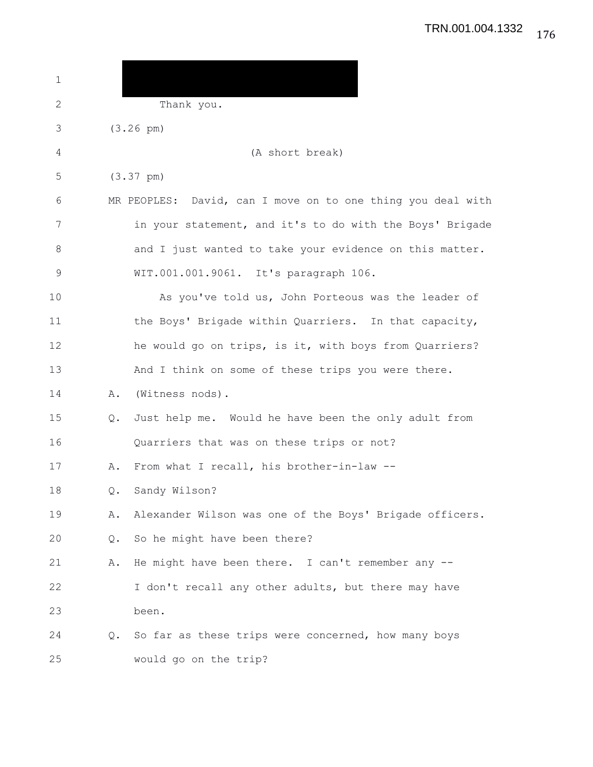| $\mathbf 1$ |    |                                                             |
|-------------|----|-------------------------------------------------------------|
| 2           |    | Thank you.                                                  |
| 3           |    | $(3.26 \text{ pm})$                                         |
| 4           |    | (A short break)                                             |
| 5           |    | $(3.37 \text{ pm})$                                         |
| 6           |    | MR PEOPLES: David, can I move on to one thing you deal with |
| 7           |    | in your statement, and it's to do with the Boys' Brigade    |
| 8           |    | and I just wanted to take your evidence on this matter.     |
| $\mathsf 9$ |    | WIT.001.001.9061. It's paragraph 106.                       |
| 10          |    | As you've told us, John Porteous was the leader of          |
| 11          |    | the Boys' Brigade within Quarriers. In that capacity,       |
| 12          |    | he would go on trips, is it, with boys from Quarriers?      |
| 13          |    | And I think on some of these trips you were there.          |
| 14          | Α. | (Witness nods).                                             |
| 15          | Q. | Just help me. Would he have been the only adult from        |
| 16          |    | Quarriers that was on these trips or not?                   |
| 17          | Α. | From what I recall, his brother-in-law --                   |
| 18          |    | Q. Sandy Wilson?                                            |
| 19          | Α. | Alexander Wilson was one of the Boys' Brigade officers.     |
| 20          | Q. | So he might have been there?                                |
| 21          | Α. | He might have been there. I can't remember any --           |
| 22          |    | I don't recall any other adults, but there may have         |
| 23          |    | been.                                                       |
| 24          | Q. | So far as these trips were concerned, how many boys         |
| 25          |    | would go on the trip?                                       |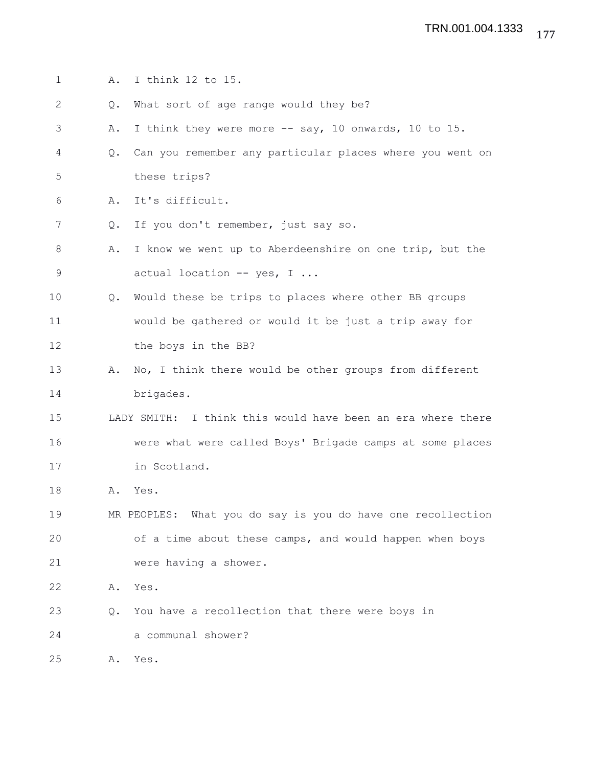| 1           | Α.            | I think 12 to 15.                                           |
|-------------|---------------|-------------------------------------------------------------|
| 2           | Q.            | What sort of age range would they be?                       |
| 3           | Α.            | I think they were more -- say, 10 onwards, 10 to 15.        |
| 4           | Q.            | Can you remember any particular places where you went on    |
| 5           |               | these trips?                                                |
| 6           | Α.            | It's difficult.                                             |
| 7           | $Q_{\bullet}$ | If you don't remember, just say so.                         |
| 8           | Α.            | I know we went up to Aberdeenshire on one trip, but the     |
| $\mathsf 9$ |               | actual location -- yes, I                                   |
| 10          | Q.            | Would these be trips to places where other BB groups        |
| 11          |               | would be gathered or would it be just a trip away for       |
| 12          |               | the boys in the BB?                                         |
| 13          | Α.            | No, I think there would be other groups from different      |
| 14          |               | brigades.                                                   |
| 15          |               | LADY SMITH: I think this would have been an era where there |
| 16          |               | were what were called Boys' Brigade camps at some places    |
| 17          |               | in Scotland.                                                |
| 18          | Α.            | Yes.                                                        |
| 19          |               | MR PEOPLES: What you do say is you do have one recollection |
| 20          |               | of a time about these camps, and would happen when boys     |
| 21          |               | were having a shower.                                       |
| 22          | Α.            | Yes.                                                        |
| 23          | Q.            | You have a recollection that there were boys in             |
| 24          |               | a communal shower?                                          |
| 25          | Α.            | Yes.                                                        |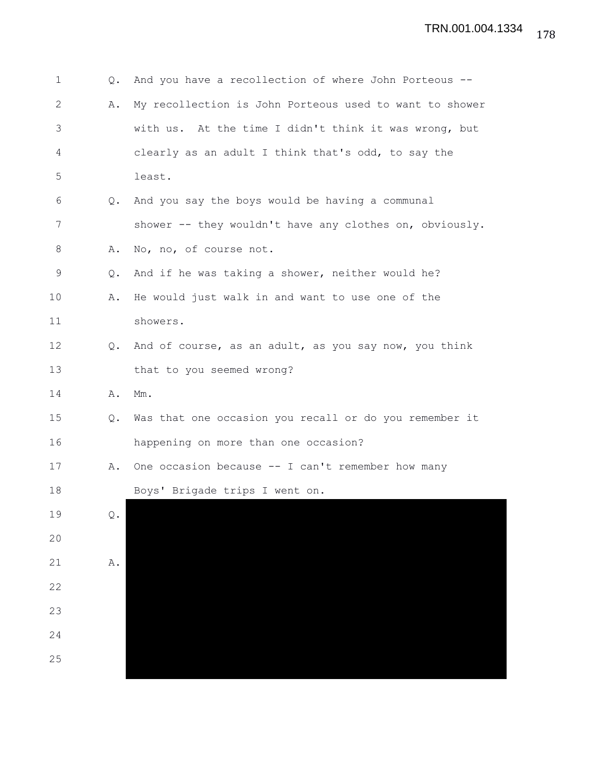| $\mathbf 1$  | $Q_{\bullet}$ | And you have a recollection of where John Porteous --   |
|--------------|---------------|---------------------------------------------------------|
| $\mathbf{2}$ | Α.            | My recollection is John Porteous used to want to shower |
| 3            |               | with us. At the time I didn't think it was wrong, but   |
| 4            |               | clearly as an adult I think that's odd, to say the      |
| 5            |               | least.                                                  |
| 6            | Q.            | And you say the boys would be having a communal         |
| 7            |               | shower -- they wouldn't have any clothes on, obviously. |
| 8            | Α.            | No, no, of course not.                                  |
| 9            | Q.            | And if he was taking a shower, neither would he?        |
| 10           | Α.            | He would just walk in and want to use one of the        |
| 11           |               | showers.                                                |
| 12           | Q.            | And of course, as an adult, as you say now, you think   |
| 13           |               | that to you seemed wrong?                               |
| 14           | Α.            | $Mm$ .                                                  |
| 15           | $Q_{\bullet}$ | Was that one occasion you recall or do you remember it  |
| 16           |               | happening on more than one occasion?                    |
| 17           | Α.            | One occasion because -- I can't remember how many       |
| 18           |               | Boys' Brigade trips I went on.                          |
| 19           | $\mathbb Q$ . |                                                         |
| 20           |               |                                                         |
| 21           | Α.            |                                                         |
| 22           |               |                                                         |
| 23           |               |                                                         |
| 24           |               |                                                         |
| 25           |               |                                                         |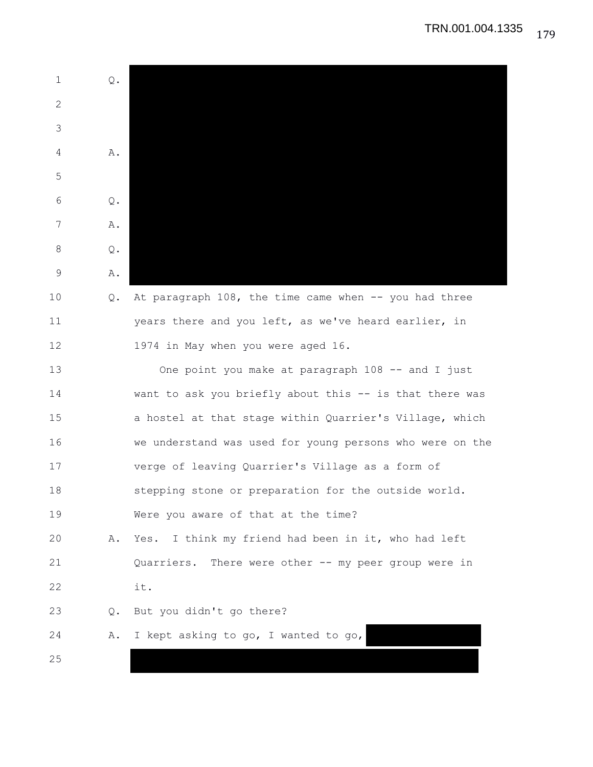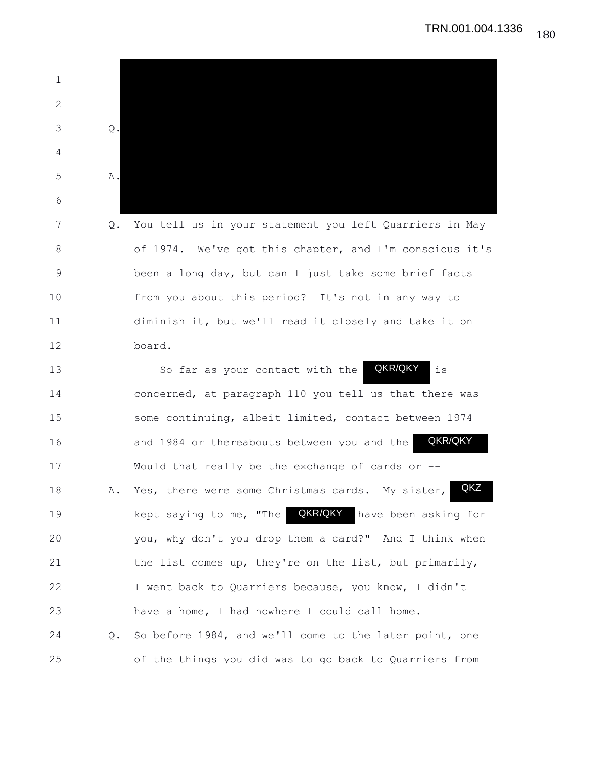1 2 3 Q. 4 5 A. 6 7 Q. You tell us in your statement you left Quarriers in May 8 of 1974. We've got this chapter, and I'm conscious it's 9 been a long day, but can I just take some brief facts 10 from you about this period? It's not in any way to 11 diminish it, but we'll read it closely and take it on 12 board. 13 So far as your contact with the **QKR/QKY** is 14 concerned, at paragraph 110 you tell us that there was 15 some continuing, albeit limited, contact between 1974 16 and 1984 or thereabouts between you and the 17 Would that really be the exchange of cards or -- 18 A. Yes, there were some Christmas cards. My sister, 19 61 19 kept saying to me, "The **QKR/QKY** have been asking for 20 you, why don't you drop them a card?" And I think when 21 the list comes up, they're on the list, but primarily, 22 I went back to Quarriers because, you know, I didn't 23 have a home, I had nowhere I could call home. 24 Q. So before 1984, and we'll come to the later point, one 25 of the things you did was to go back to Quarriers from **QKZ** QKR/QKY QKR/QKY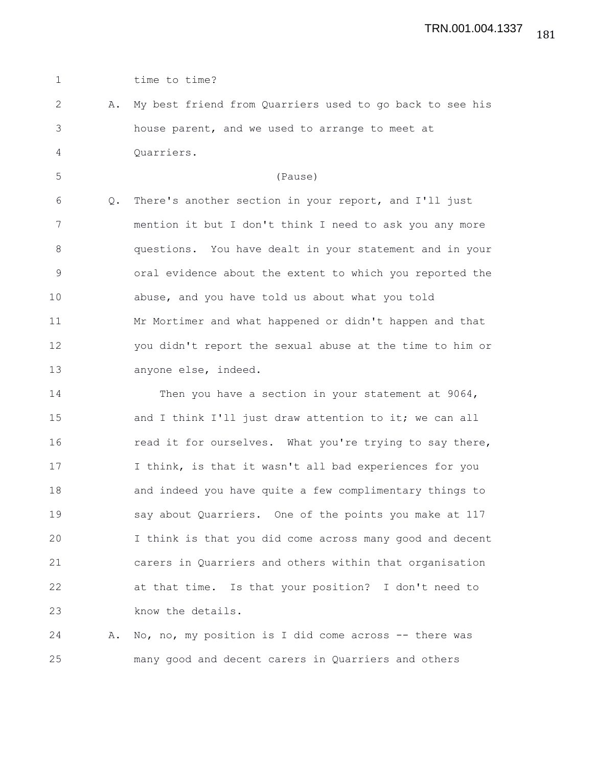1 time to time?

2 A. My best friend from Quarriers used to go back to see his 3 house parent, and we used to arrange to meet at 4 Quarriers.

5 (Pause)

6 Q. There's another section in your report, and I'll just 7 mention it but I don't think I need to ask you any more 8 questions. You have dealt in your statement and in your 9 oral evidence about the extent to which you reported the 10 abuse, and you have told us about what you told 11 Mr Mortimer and what happened or didn't happen and that 12 you didn't report the sexual abuse at the time to him or 13 anyone else, indeed.

14 Then you have a section in your statement at 9064, 15 and I think I'll just draw attention to it; we can all 16 **read it for ourselves.** What you're trying to say there, 17 I think, is that it wasn't all bad experiences for you 18 and indeed you have quite a few complimentary things to 19 say about Quarriers. One of the points you make at 117 20 I think is that you did come across many good and decent 21 carers in Quarriers and others within that organisation 22 at that time. Is that your position? I don't need to 23 know the details.

24 A. No, no, my position is I did come across -- there was 25 many good and decent carers in Quarriers and others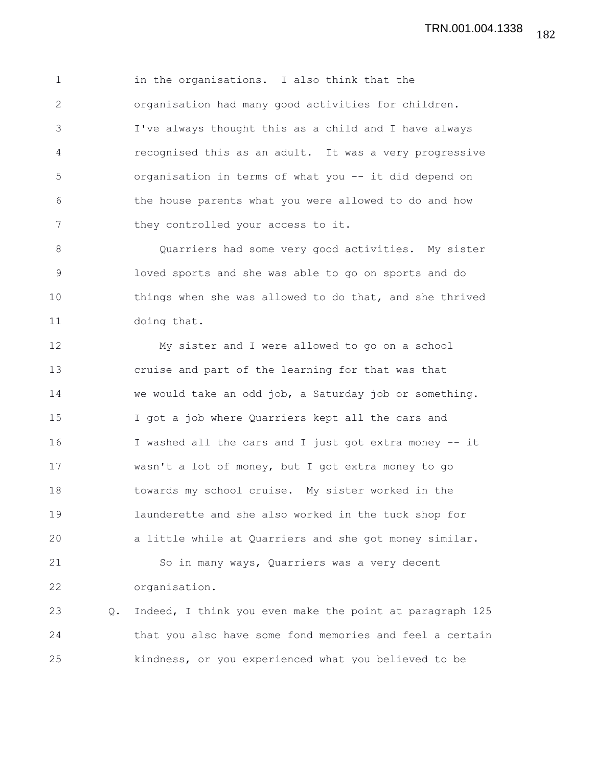1 in the organisations. I also think that the 2 organisation had many good activities for children. 3 I've always thought this as a child and I have always 4 recognised this as an adult. It was a very progressive 5 organisation in terms of what you -- it did depend on 6 the house parents what you were allowed to do and how 7 they controlled your access to it.

8 Quarriers had some very good activities. My sister 9 loved sports and she was able to go on sports and do 10 things when she was allowed to do that, and she thrived 11 doing that.

12 My sister and I were allowed to go on a school 13 cruise and part of the learning for that was that 14 we would take an odd job, a Saturday job or something. 15 I got a job where Quarriers kept all the cars and 16 I washed all the cars and I just got extra money -- it 17 wasn't a lot of money, but I got extra money to go 18 towards my school cruise. My sister worked in the 19 launderette and she also worked in the tuck shop for 20 a little while at Quarriers and she got money similar. 21 So in many ways, Quarriers was a very decent

22 organisation.

23 Q. Indeed, I think you even make the point at paragraph 125 24 that you also have some fond memories and feel a certain 25 kindness, or you experienced what you believed to be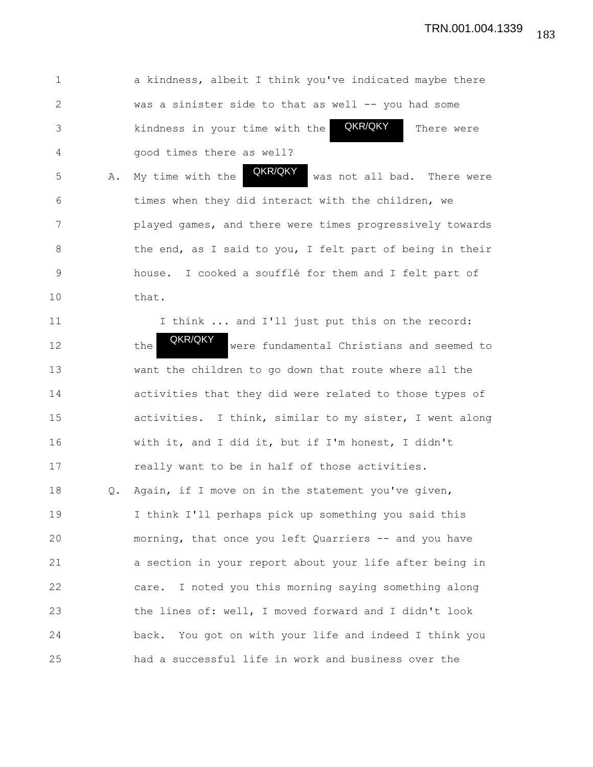1 a kindness, albeit I think you've indicated maybe there 2 was a sinister side to that as well -- you had some 3 kindness in your time with the **QKR/QKY** There were 4 good times there as well? QKR/QKY

5 A. My time with the **WANCAR** was not all bad. There were 6 times when they did interact with the children, we 7 played games, and there were times progressively towards 8 the end, as I said to you, I felt part of being in their 9 house. I cooked a soufflé for them and I felt part of 10 that. QKR/QKY

11 I think ... and I'll just put this on the record: 12 the **WANWAT** were fundamental Christians and seemed to 13 want the children to go down that route where all the 14 activities that they did were related to those types of 15 activities. I think, similar to my sister, I went along 16 with it, and I did it, but if I'm honest, I didn't 17 really want to be in half of those activities. 18 Q. Again, if I move on in the statement you've given, 19 I think I'll perhaps pick up something you said this 20 morning, that once you left Quarriers -- and you have 21 a section in your report about your life after being in QKR/QKY

22 care. I noted you this morning saying something along 23 the lines of: well, I moved forward and I didn't look 24 back. You got on with your life and indeed I think you 25 had a successful life in work and business over the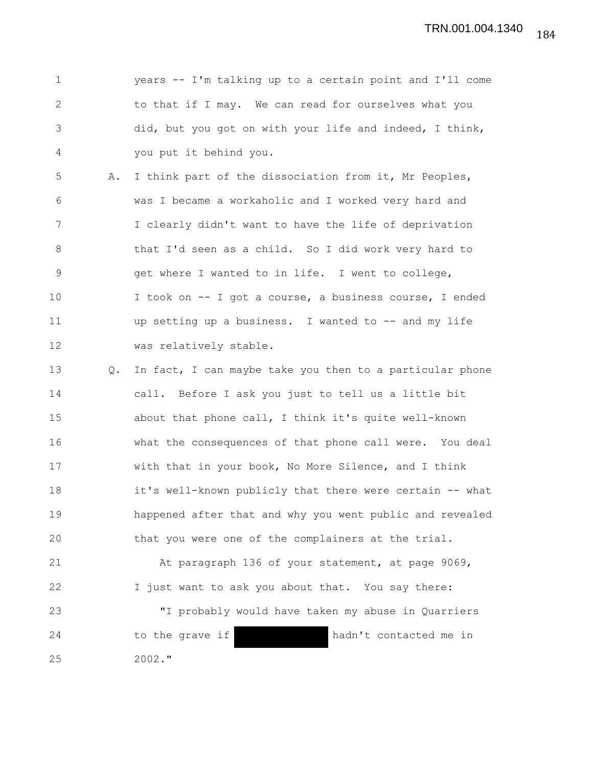1 years -- I'm talking up to a certain point and I'll come 2 to that if I may. We can read for ourselves what you 3 did, but you got on with your life and indeed, I think, 4 you put it behind you.

5 A. I think part of the dissociation from it, Mr Peoples, 6 was I became a workaholic and I worked very hard and 7 I clearly didn't want to have the life of deprivation 8 that I'd seen as a child. So I did work very hard to 9 get where I wanted to in life. I went to college, 10 I took on -- I got a course, a business course, I ended 11 up setting up a business. I wanted to -- and my life 12 was relatively stable.

13 Q. In fact, I can maybe take you then to a particular phone 14 call. Before I ask you just to tell us a little bit 15 about that phone call, I think it's quite well-known 16 what the consequences of that phone call were. You deal 17 with that in your book, No More Silence, and I think 18 it's well-known publicly that there were certain -- what 19 happened after that and why you went public and revealed 20 that you were one of the complainers at the trial.

21 At paragraph 136 of your statement, at page 9069, 22 I just want to ask you about that. You say there: 23 "I probably would have taken my abuse in Quarriers 24 to the grave if hadn't contacted me in 25 2002."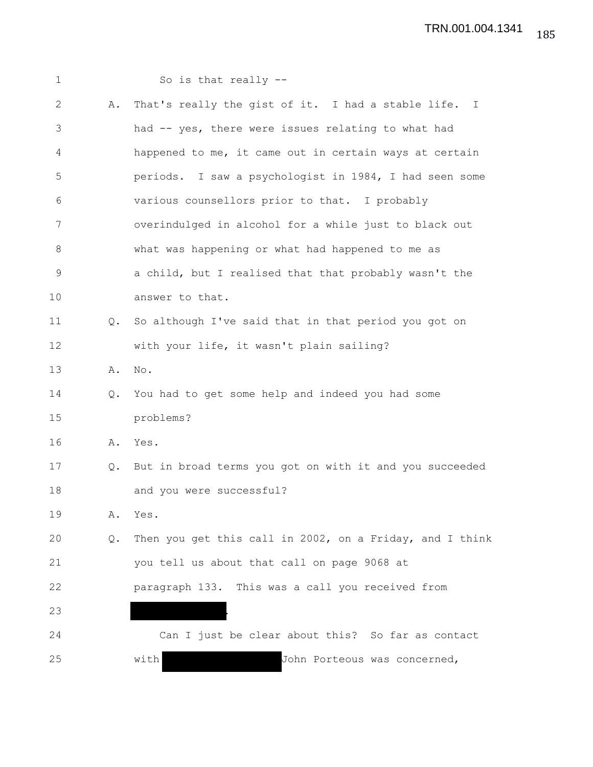| $\mathbf{1}$   |               | So is that really --                                     |
|----------------|---------------|----------------------------------------------------------|
| $\mathbf{2}$   | Α.            | That's really the gist of it. I had a stable life. I     |
| 3              |               | had -- yes, there were issues relating to what had       |
| 4              |               | happened to me, it came out in certain ways at certain   |
| 5              |               | periods. I saw a psychologist in 1984, I had seen some   |
| 6              |               | various counsellors prior to that. I probably            |
| 7              |               | overindulged in alcohol for a while just to black out    |
| $8\,$          |               | what was happening or what had happened to me as         |
| $\overline{9}$ |               | a child, but I realised that that probably wasn't the    |
| 10             |               | answer to that.                                          |
| 11             | Q.            | So although I've said that in that period you got on     |
| 12             |               | with your life, it wasn't plain sailing?                 |
| 13             | Α.            | No.                                                      |
| 14             | Q.            | You had to get some help and indeed you had some         |
| 15             |               | problems?                                                |
| 16             | Α.            | Yes.                                                     |
| 17             | $Q_{\bullet}$ | But in broad terms you got on with it and you succeeded  |
| 18             |               | and you were successful?                                 |
| 19             | Α.            | Yes.                                                     |
| 20             | Q.            | Then you get this call in 2002, on a Friday, and I think |
| 21             |               | you tell us about that call on page 9068 at              |
| 22             |               | paragraph 133. This was a call you received from         |
| 23             |               |                                                          |
| 24             |               | Can I just be clear about this? So far as contact        |
| 25             |               | John Porteous was concerned,<br>with                     |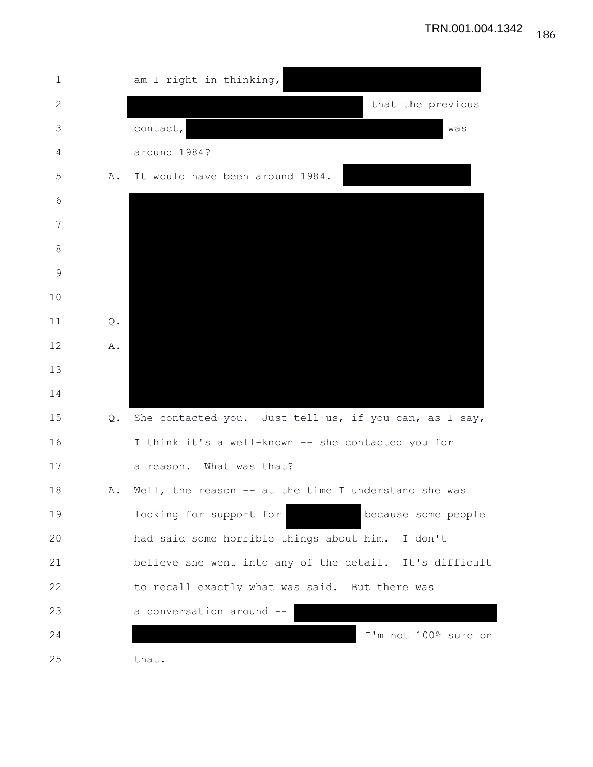| 1            |    | am I right in thinking,                                 |
|--------------|----|---------------------------------------------------------|
| $\mathbf{2}$ |    | that the previous                                       |
| 3            |    | contact,<br>was                                         |
| 4            |    | around 1984?                                            |
| 5            | Α. | It would have been around 1984.                         |
| 6            |    |                                                         |
| 7            |    |                                                         |
| $\,8\,$      |    |                                                         |
| $\mathsf 9$  |    |                                                         |
| 10           |    |                                                         |
| 11           | Q. |                                                         |
| 12           | Α. |                                                         |
| 13           |    |                                                         |
| 14           |    |                                                         |
| 15           | Q. | She contacted you. Just tell us, if you can, as I say,  |
| 16           |    | I think it's a well-known -- she contacted you for      |
| 17           |    | a reason. What was that?                                |
| 18           |    | A. Well, the reason -- at the time I understand she was |
| 19           |    | looking for support for<br>because some people          |
| 20           |    | had said some horrible things about him. I don't        |
| 21           |    | believe she went into any of the detail. It's difficult |
| 22           |    | to recall exactly what was said. But there was          |
| 23           |    | a conversation around --                                |
| 24           |    | I'm not 100% sure on                                    |
| 25           |    | that.                                                   |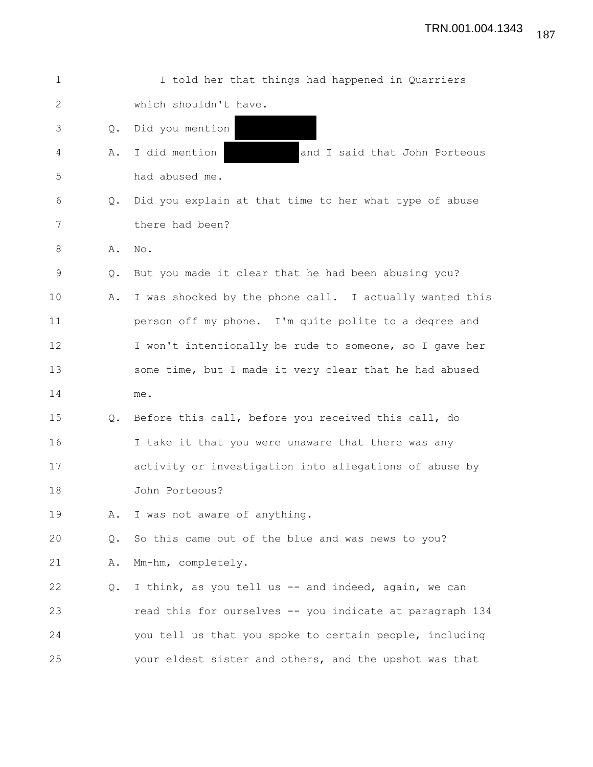| $\mathbf 1$ |               | I told her that things had happened in Quarriers         |
|-------------|---------------|----------------------------------------------------------|
| 2           |               | which shouldn't have.                                    |
| 3           | $Q_{\bullet}$ | Did you mention                                          |
| 4           | Α.            | I did mention<br>and I said that John Porteous           |
| 5           |               | had abused me.                                           |
| 6           | Q.            | Did you explain at that time to her what type of abuse   |
| 7           |               | there had been?                                          |
| 8           | Α.            | No.                                                      |
| 9           | Q.            | But you made it clear that he had been abusing you?      |
| 10          | Α.            | I was shocked by the phone call. I actually wanted this  |
| 11          |               | person off my phone. I'm quite polite to a degree and    |
| 12          |               | I won't intentionally be rude to someone, so I gave her  |
| 13          |               | some time, but I made it very clear that he had abused   |
| 14          |               | me.                                                      |
| 15          | Q.            | Before this call, before you received this call, do      |
| 16          |               | I take it that you were unaware that there was any       |
| 17          |               | activity or investigation into allegations of abuse by   |
| 18          |               | John Porteous?                                           |
| 19          | Α.            | I was not aware of anything.                             |
| 20          | Q.            | So this came out of the blue and was news to you?        |
| 21          | Α.            | Mm-hm, completely.                                       |
| 22          | Q.            | I think, as you tell us -- and indeed, again, we can     |
| 23          |               | read this for ourselves -- you indicate at paragraph 134 |
| 24          |               | you tell us that you spoke to certain people, including  |
| 25          |               | your eldest sister and others, and the upshot was that   |

187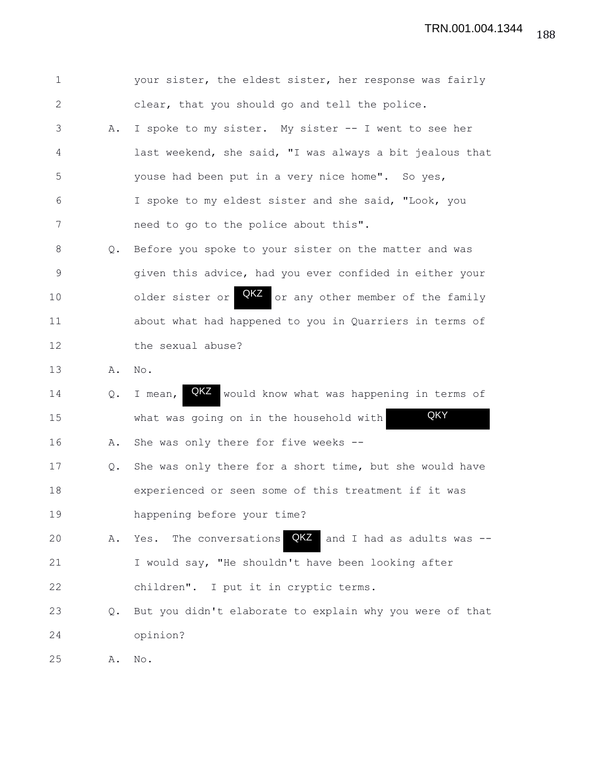| $\mathbf 1$    |               | your sister, the eldest sister, her response was fairly     |
|----------------|---------------|-------------------------------------------------------------|
| $\mathbf{2}$   |               | clear, that you should go and tell the police.              |
| 3              | Α.            | I spoke to my sister. My sister -- I went to see her        |
| 4              |               | last weekend, she said, "I was always a bit jealous that    |
| 5              |               | youse had been put in a very nice home". So yes,            |
| 6              |               | I spoke to my eldest sister and she said, "Look, you        |
| 7              |               | need to go to the police about this".                       |
| 8              | $Q_{\bullet}$ | Before you spoke to your sister on the matter and was       |
| $\overline{9}$ |               | given this advice, had you ever confided in either your     |
| 10             |               | QKZ or any other member of the family<br>older sister or    |
| 11             |               | about what had happened to you in Quarriers in terms of     |
| 12             |               | the sexual abuse?                                           |
| 13             | Α.            | No.                                                         |
| 14             | Q.            | QKZ<br>would know what was happening in terms of<br>I mean, |
| 15             |               | QKY<br>what was going on in the household with              |
| 16             | Α.            | She was only there for five weeks --                        |
| 17             | Q.            | She was only there for a short time, but she would have     |
| 18             |               | experienced or seen some of this treatment if it was        |
| 19             |               | happening before your time?                                 |
| 20             | Α.            | QKZ<br>Yes. The conversations<br>and I had as adults was -- |
| 21             |               | I would say, "He shouldn't have been looking after          |
| 22             |               | children". I put it in cryptic terms.                       |
| 23             | Q.            | But you didn't elaborate to explain why you were of that    |
| 24             |               | opinion?                                                    |
| 25             | Α.            | No.                                                         |

188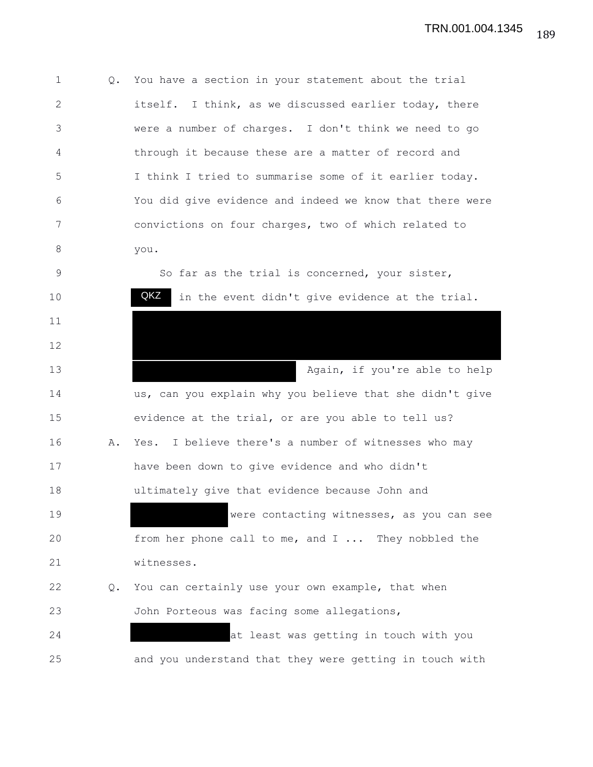1 Q. You have a section in your statement about the trial 2 itself. I think, as we discussed earlier today, there 3 were a number of charges. I don't think we need to go 4 through it because these are a matter of record and 5 I think I tried to summarise some of it earlier today. 6 You did give evidence and indeed we know that there were 7 convictions on four charges, two of which related to 8 you.

9 So far as the trial is concerned, your sister, 10 **QKZ** in the event didn't give evidence at the trial. 11 12 13 Again, if you're able to help 14 us, can you explain why you believe that she didn't give 15 evidence at the trial, or are you able to tell us? 16 A. Yes. I believe there's a number of witnesses who may 17 have been down to give evidence and who didn't 18 ultimately give that evidence because John and 19 were contacting witnesses, as you can see 20 from her phone call to me, and I ... They nobbled the 21 witnesses. 22 Q. You can certainly use your own example, that when 23 John Porteous was facing some allegations, 24 at least was getting in touch with you 25 and you understand that they were getting in touch with QKZ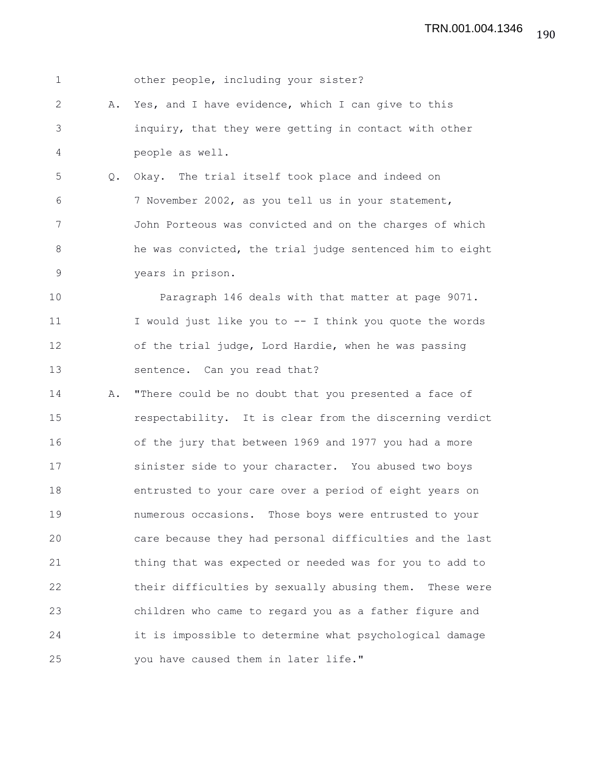1 other people, including your sister? 2 A. Yes, and I have evidence, which I can give to this 3 inquiry, that they were getting in contact with other 4 people as well. 5 Q. Okay. The trial itself took place and indeed on 6 7 November 2002, as you tell us in your statement, 7 John Porteous was convicted and on the charges of which 8 he was convicted, the trial judge sentenced him to eight 9 years in prison. 10 Paragraph 146 deals with that matter at page 9071. 11 I would just like you to -- I think you quote the words 12 of the trial judge, Lord Hardie, when he was passing 13 sentence. Can you read that? 14 A. "There could be no doubt that you presented a face of 15 respectability. It is clear from the discerning verdict 16 of the jury that between 1969 and 1977 you had a more 17 sinister side to your character. You abused two boys 18 entrusted to your care over a period of eight years on 19 numerous occasions. Those boys were entrusted to your 20 care because they had personal difficulties and the last 21 thing that was expected or needed was for you to add to 22 their difficulties by sexually abusing them. These were 23 children who came to regard you as a father figure and 24 it is impossible to determine what psychological damage 25 you have caused them in later life."

190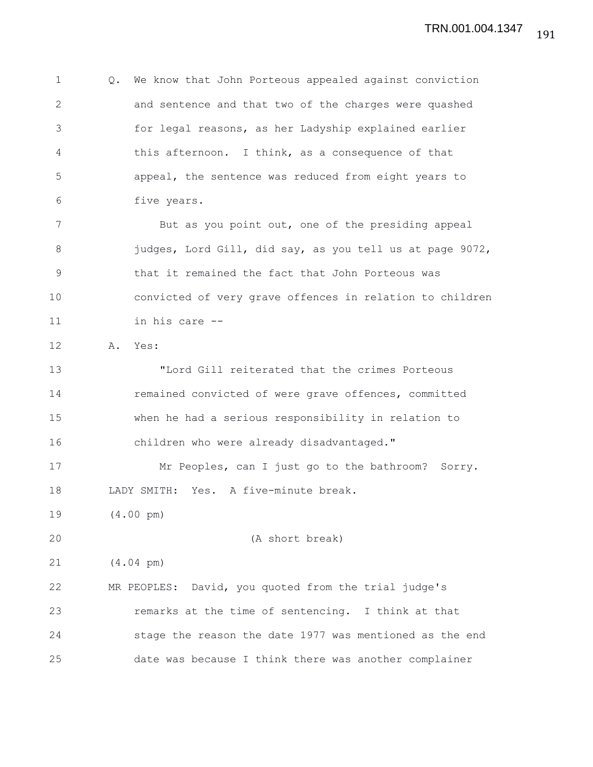1 Q. We know that John Porteous appealed against conviction 2 and sentence and that two of the charges were quashed 3 for legal reasons, as her Ladyship explained earlier 4 this afternoon. I think, as a consequence of that 5 appeal, the sentence was reduced from eight years to 6 five years. 7 But as you point out, one of the presiding appeal 8 judges, Lord Gill, did say, as you tell us at page 9072, 9 that it remained the fact that John Porteous was 10 convicted of very grave offences in relation to children 11 in his care -- 12 A. Yes: 13 "Lord Gill reiterated that the crimes Porteous 14 **remained convicted of were grave offences, committed** 15 when he had a serious responsibility in relation to 16 children who were already disadvantaged." 17 Mr Peoples, can I just go to the bathroom? Sorry. 18 LADY SMITH: Yes. A five-minute break. 19 (4.00 pm) 20 (A short break) 21 (4.04 pm) 22 MR PEOPLES: David, you quoted from the trial judge's 23 remarks at the time of sentencing. I think at that 24 stage the reason the date 1977 was mentioned as the end 25 date was because I think there was another complainer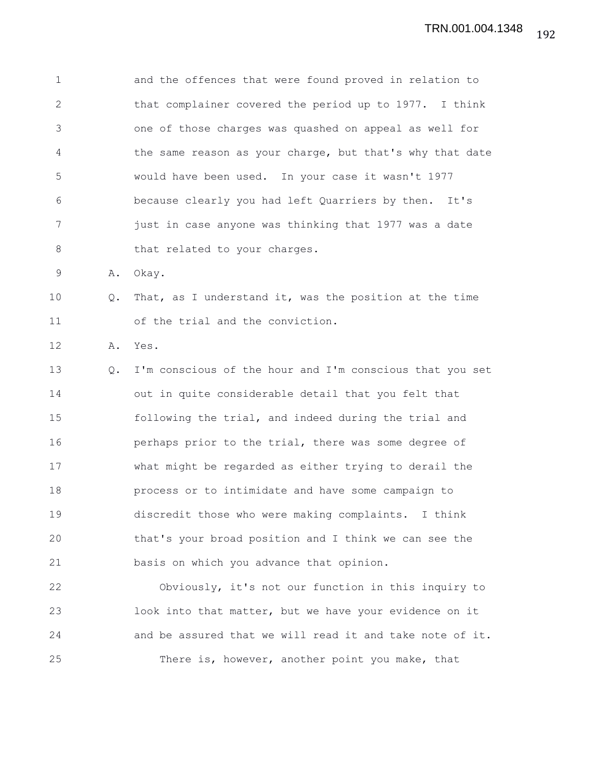1 and the offences that were found proved in relation to 2 that complainer covered the period up to 1977. I think 3 one of those charges was quashed on appeal as well for 4 the same reason as your charge, but that's why that date 5 would have been used. In your case it wasn't 1977 6 because clearly you had left Quarriers by then. It's 7 **just in case anyone was thinking that 1977 was a date** 8 that related to your charges. 9 A. Okay. 10 Q. That, as I understand it, was the position at the time 11 of the trial and the conviction. 12 A. Yes. 13 Q. I'm conscious of the hour and I'm conscious that you set 14 out in quite considerable detail that you felt that 15 following the trial, and indeed during the trial and 16 **perhaps prior to the trial, there was some degree of** 17 what might be regarded as either trying to derail the 18 process or to intimidate and have some campaign to 19 discredit those who were making complaints. I think 20 that's your broad position and I think we can see the 21 basis on which you advance that opinion. 22 Obviously, it's not our function in this inquiry to 23 look into that matter, but we have your evidence on it

25 There is, however, another point you make, that

24 and be assured that we will read it and take note of it.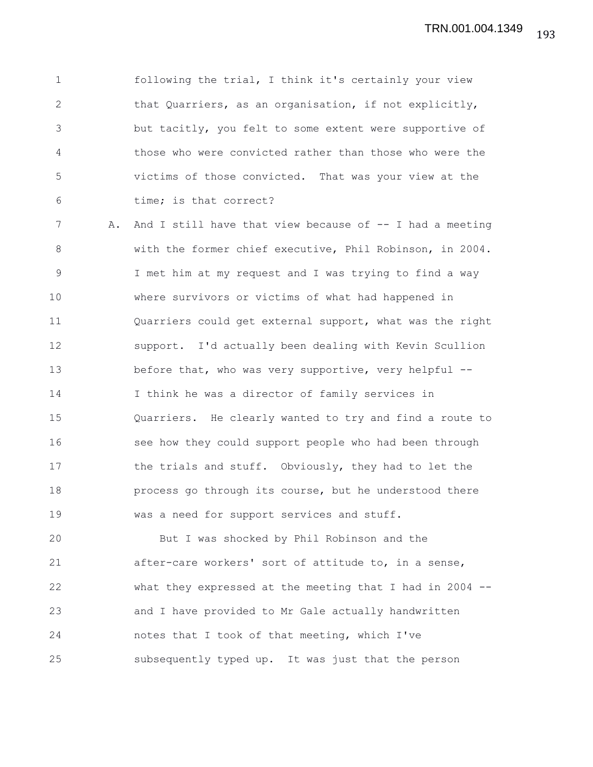1 following the trial, I think it's certainly your view 2 that Quarriers, as an organisation, if not explicitly, 3 but tacitly, you felt to some extent were supportive of 4 those who were convicted rather than those who were the 5 victims of those convicted. That was your view at the 6 time; is that correct?

7 A. And I still have that view because of -- I had a meeting 8 with the former chief executive, Phil Robinson, in 2004. 9 I met him at my request and I was trying to find a way 10 where survivors or victims of what had happened in 11 Quarriers could get external support, what was the right 12 support. I'd actually been dealing with Kevin Scullion 13 before that, who was very supportive, very helpful --14 I think he was a director of family services in 15 Quarriers. He clearly wanted to try and find a route to 16 see how they could support people who had been through 17 the trials and stuff. Obviously, they had to let the 18 **process go through its course, but he understood there** 19 was a need for support services and stuff.

20 But I was shocked by Phil Robinson and the 21 after-care workers' sort of attitude to, in a sense, 22 what they expressed at the meeting that I had in 2004 -- 23 and I have provided to Mr Gale actually handwritten 24 notes that I took of that meeting, which I've 25 subsequently typed up. It was just that the person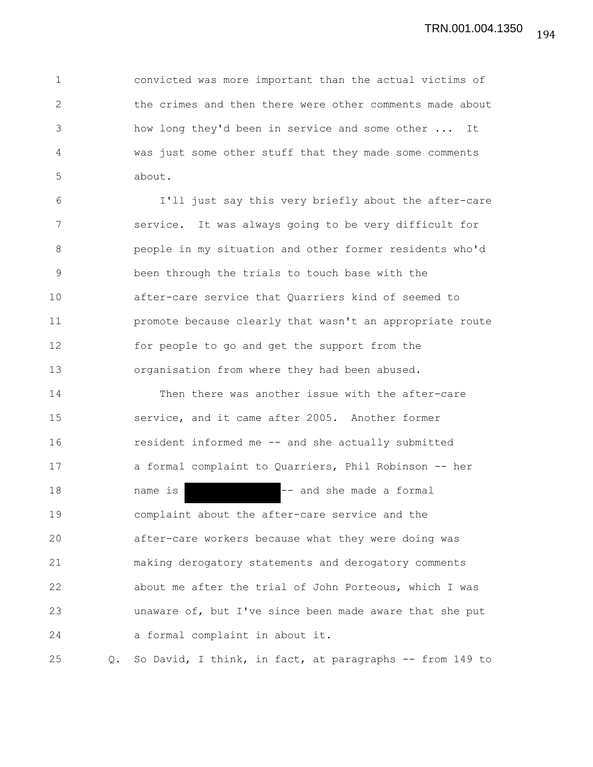1 convicted was more important than the actual victims of 2 the crimes and then there were other comments made about 3 how long they'd been in service and some other ... It 4 was just some other stuff that they made some comments 5 about.

6 I'll just say this very briefly about the after-care 7 service. It was always going to be very difficult for 8 people in my situation and other former residents who'd 9 been through the trials to touch base with the 10 after-care service that Quarriers kind of seemed to 11 promote because clearly that wasn't an appropriate route 12 for people to go and get the support from the 13 organisation from where they had been abused.

14 Then there was another issue with the after-care 15 service, and it came after 2005. Another former 16 resident informed me -- and she actually submitted 17 a formal complaint to Quarriers, Phil Robinson -- her 18 mame is  $-$  and she made a formal 19 complaint about the after-care service and the 20 after-care workers because what they were doing was 21 making derogatory statements and derogatory comments 22 about me after the trial of John Porteous, which I was 23 unaware of, but I've since been made aware that she put 24 a formal complaint in about it. 25 Q. So David, I think, in fact, at paragraphs -- from 149 to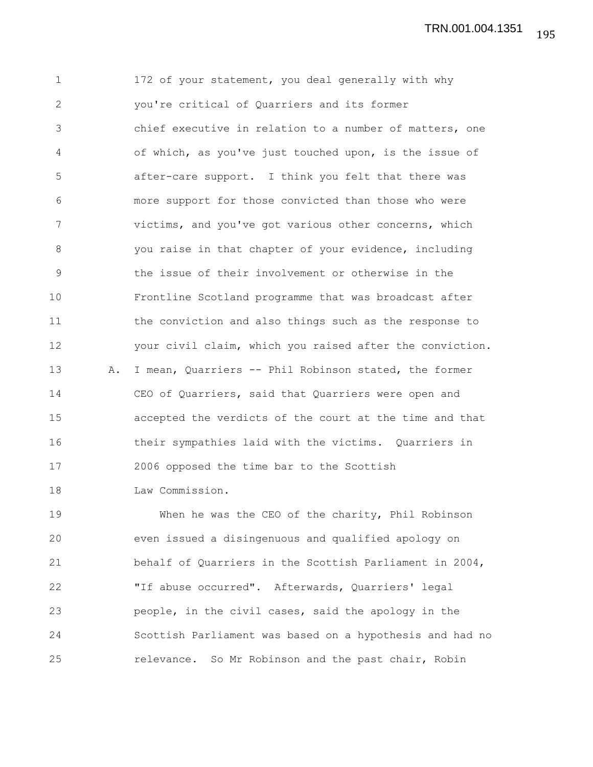1 172 of your statement, you deal generally with why 2 you're critical of Quarriers and its former 3 chief executive in relation to a number of matters, one 4 of which, as you've just touched upon, is the issue of 5 after-care support. I think you felt that there was 6 more support for those convicted than those who were 7 victims, and you've got various other concerns, which 8 you raise in that chapter of your evidence, including 9 the issue of their involvement or otherwise in the 10 Frontline Scotland programme that was broadcast after 11 the conviction and also things such as the response to 12 your civil claim, which you raised after the conviction. 13 A. I mean, Quarriers -- Phil Robinson stated, the former 14 CEO of Quarriers, said that Quarriers were open and 15 accepted the verdicts of the court at the time and that 16 their sympathies laid with the victims. Quarriers in 17 2006 opposed the time bar to the Scottish 18 Law Commission.

19 When he was the CEO of the charity, Phil Robinson 20 even issued a disingenuous and qualified apology on 21 behalf of Quarriers in the Scottish Parliament in 2004, 22 "If abuse occurred". Afterwards, Quarriers' legal 23 people, in the civil cases, said the apology in the 24 Scottish Parliament was based on a hypothesis and had no 25 relevance. So Mr Robinson and the past chair, Robin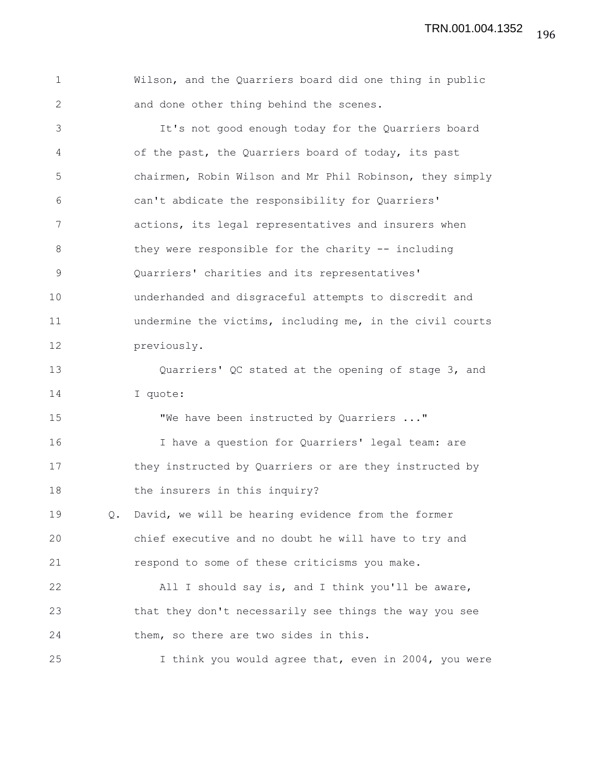| 1 | Wilson, and the Quarriers board did one thing in public |
|---|---------------------------------------------------------|
|   | and done other thing behind the scenes.                 |
|   | It's not good enough today for the Quarriers board      |

4 of the past, the Quarriers board of today, its past 5 chairmen, Robin Wilson and Mr Phil Robinson, they simply 6 can't abdicate the responsibility for Quarriers' 7 actions, its legal representatives and insurers when 8 they were responsible for the charity -- including 9 Quarriers' charities and its representatives' 10 underhanded and disgraceful attempts to discredit and 11 undermine the victims, including me, in the civil courts 12 previously.

13 Quarriers' QC stated at the opening of stage 3, and 14 I quote:

15 "We have been instructed by Quarriers ..." 16 I have a question for Quarriers' legal team: are 17 they instructed by Quarriers or are they instructed by 18 the insurers in this inquiry?

19 Q. David, we will be hearing evidence from the former 20 chief executive and no doubt he will have to try and 21 respond to some of these criticisms you make.

22 All I should say is, and I think you'll be aware, 23 that they don't necessarily see things the way you see 24 them, so there are two sides in this.

25 I think you would agree that, even in 2004, you were

196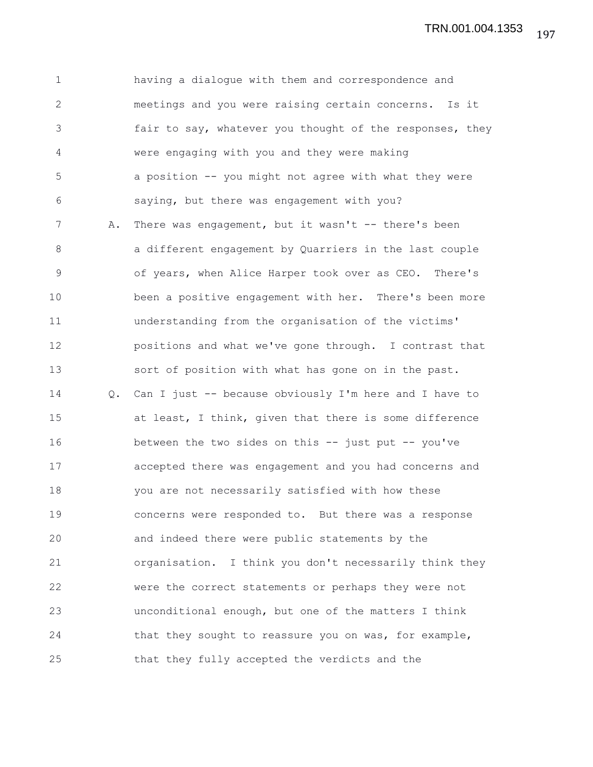1 having a dialogue with them and correspondence and 2 meetings and you were raising certain concerns. Is it 3 fair to say, whatever you thought of the responses, they 4 were engaging with you and they were making 5 a position -- you might not agree with what they were 6 saying, but there was engagement with you? 7 A. There was engagement, but it wasn't -- there's been 8 **8 a** different engagement by Quarriers in the last couple 9 of years, when Alice Harper took over as CEO. There's 10 been a positive engagement with her. There's been more 11 understanding from the organisation of the victims' 12 positions and what we've gone through. I contrast that 13 sort of position with what has gone on in the past. 14 Q. Can I just -- because obviously I'm here and I have to 15 at least, I think, given that there is some difference 16 between the two sides on this -- just put -- you've 17 accepted there was engagement and you had concerns and 18 you are not necessarily satisfied with how these 19 concerns were responded to. But there was a response 20 and indeed there were public statements by the 21 organisation. I think you don't necessarily think they 22 were the correct statements or perhaps they were not 23 unconditional enough, but one of the matters I think 24 that they sought to reassure you on was, for example, 25 that they fully accepted the verdicts and the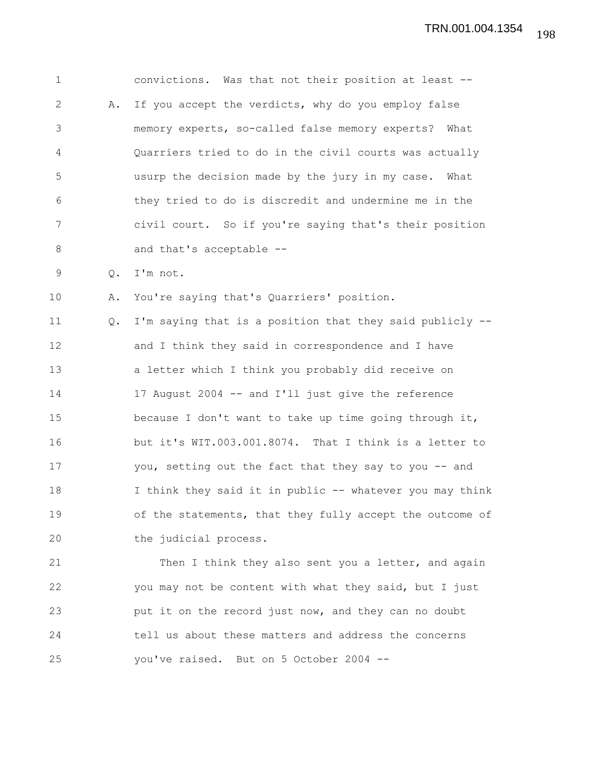1 convictions. Was that not their position at least -- 2 A. If you accept the verdicts, why do you employ false 3 memory experts, so-called false memory experts? What 4 Quarriers tried to do in the civil courts was actually 5 usurp the decision made by the jury in my case. What 6 they tried to do is discredit and undermine me in the 7 civil court. So if you're saying that's their position 8 and that's acceptable --9 Q. I'm not. 10 A. You're saying that's Quarriers' position. 11 Q. I'm saying that is a position that they said publicly -- 12 and I think they said in correspondence and I have 13 a letter which I think you probably did receive on 14 17 August 2004 -- and I'll just give the reference 15 because I don't want to take up time going through it, 16 but it's WIT.003.001.8074. That I think is a letter to 17 you, setting out the fact that they say to you -- and 18 I think they said it in public -- whatever you may think 19 of the statements, that they fully accept the outcome of 20 the judicial process.

21 Then I think they also sent you a letter, and again 22 you may not be content with what they said, but I just 23 put it on the record just now, and they can no doubt 24 tell us about these matters and address the concerns 25 you've raised. But on 5 October 2004 --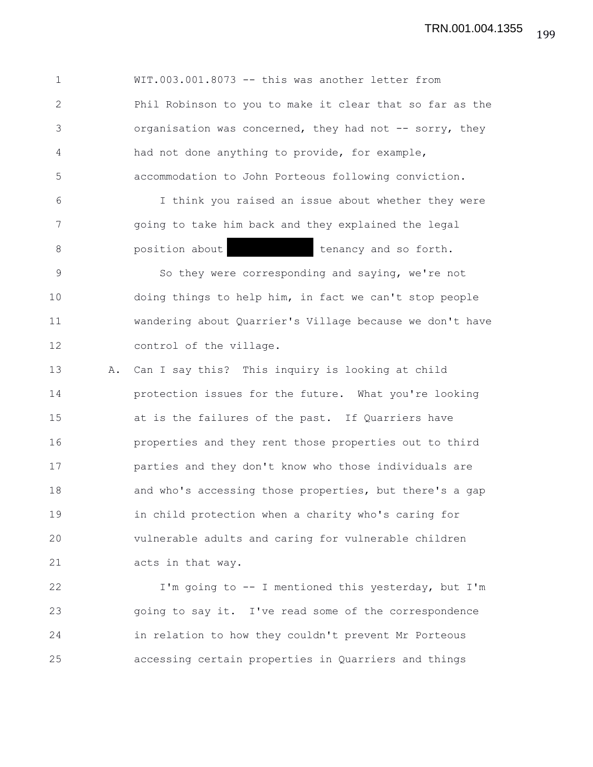1 WIT.003.001.8073 -- this was another letter from 2 Phil Robinson to you to make it clear that so far as the 3 organisation was concerned, they had not -- sorry, they 4 had not done anything to provide, for example, 5 accommodation to John Porteous following conviction.

6 I think you raised an issue about whether they were 7 going to take him back and they explained the legal 8 **b** position about tenancy and so forth.

9 So they were corresponding and saying, we're not 10 doing things to help him, in fact we can't stop people 11 wandering about Quarrier's Village because we don't have 12 control of the village.

13 A. Can I say this? This inquiry is looking at child 14 protection issues for the future. What you're looking 15 at is the failures of the past. If Quarriers have 16 properties and they rent those properties out to third 17 parties and they don't know who those individuals are 18 and who's accessing those properties, but there's a gap 19 in child protection when a charity who's caring for 20 vulnerable adults and caring for vulnerable children 21 acts in that way.

22 I'm going to -- I mentioned this yesterday, but I'm 23 going to say it. I've read some of the correspondence 24 in relation to how they couldn't prevent Mr Porteous 25 accessing certain properties in Quarriers and things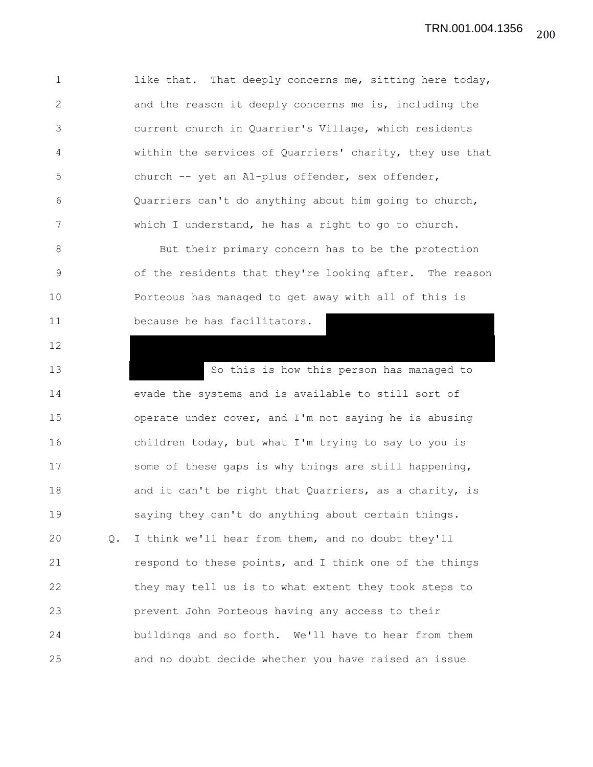1 like that. That deeply concerns me, sitting here today, 2 and the reason it deeply concerns me is, including the 3 current church in Quarrier's Village, which residents 4 within the services of Quarriers' charity, they use that 5 church -- yet an A1-plus offender, sex offender, 6 Quarriers can't do anything about him going to church, 7 which I understand, he has a right to go to church.

8 But their primary concern has to be the protection 9 of the residents that they're looking after. The reason 10 Porteous has managed to get away with all of this is 11 because he has facilitators.

12

13 So this is how this person has managed to 14 evade the systems and is available to still sort of 15 operate under cover, and I'm not saying he is abusing 16 children today, but what I'm trying to say to you is 17 some of these gaps is why things are still happening, 18 and it can't be right that Quarriers, as a charity, is 19 saying they can't do anything about certain things. 20 Q. I think we'll hear from them, and no doubt they'll 21 respond to these points, and I think one of the things 22 they may tell us is to what extent they took steps to 23 prevent John Porteous having any access to their 24 buildings and so forth. We'll have to hear from them 25 and no doubt decide whether you have raised an issue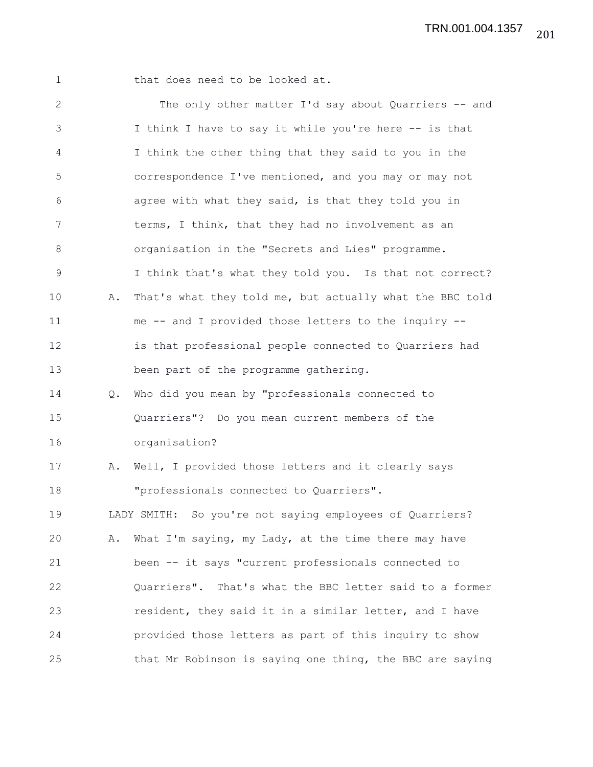1 that does need to be looked at.

2 The only other matter I'd say about Quarriers -- and 3 I think I have to say it while you're here -- is that 4 I think the other thing that they said to you in the 5 correspondence I've mentioned, and you may or may not 6 agree with what they said, is that they told you in 7 terms, I think, that they had no involvement as an 8 organisation in the "Secrets and Lies" programme. 9 I think that's what they told you. Is that not correct? 10 A. That's what they told me, but actually what the BBC told 11 me -- and I provided those letters to the inquiry -- 12 is that professional people connected to Quarriers had 13 been part of the programme gathering. 14 Q. Who did you mean by "professionals connected to 15 Quarriers"? Do you mean current members of the 16 organisation? 17 A. Well, I provided those letters and it clearly says 18 "professionals connected to Quarriers". 19 LADY SMITH: So you're not saying employees of Quarriers? 20 A. What I'm saying, my Lady, at the time there may have 21 been -- it says "current professionals connected to 22 Quarriers". That's what the BBC letter said to a former 23 resident, they said it in a similar letter, and I have 24 provided those letters as part of this inquiry to show 25 that Mr Robinson is saying one thing, the BBC are saying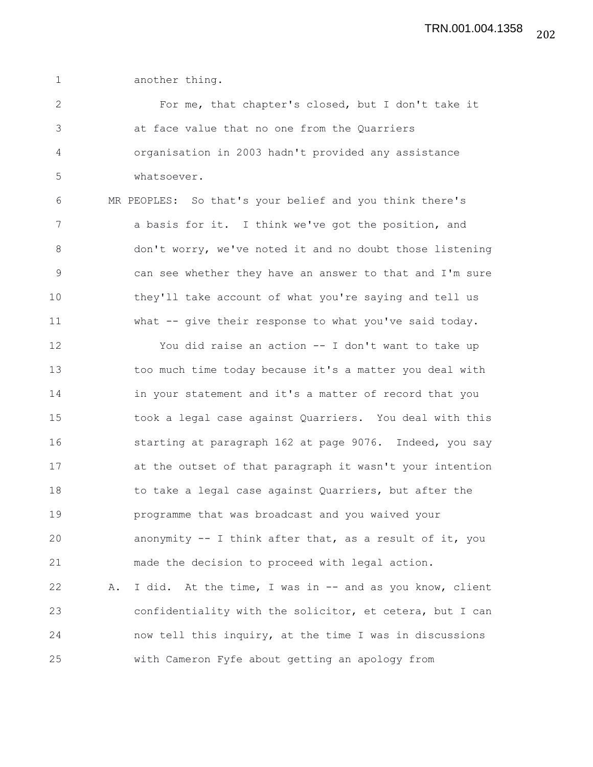1 another thing.

2 For me, that chapter's closed, but I don't take it 3 at face value that no one from the Quarriers 4 organisation in 2003 hadn't provided any assistance 5 whatsoever.

6 MR PEOPLES: So that's your belief and you think there's 7 a basis for it. I think we've got the position, and 8 don't worry, we've noted it and no doubt those listening 9 can see whether they have an answer to that and I'm sure 10 they'll take account of what you're saying and tell us 11 what -- give their response to what you've said today.

12 You did raise an action -- I don't want to take up 13 too much time today because it's a matter you deal with 14 in your statement and it's a matter of record that you 15 took a legal case against Quarriers. You deal with this 16 starting at paragraph 162 at page 9076. Indeed, you say 17 at the outset of that paragraph it wasn't your intention 18 to take a legal case against Quarriers, but after the 19 programme that was broadcast and you waived your 20 anonymity -- I think after that, as a result of it, you 21 made the decision to proceed with legal action. 22 A. I did. At the time, I was in -- and as you know, client 23 confidentiality with the solicitor, et cetera, but I can 24 now tell this inquiry, at the time I was in discussions

25 with Cameron Fyfe about getting an apology from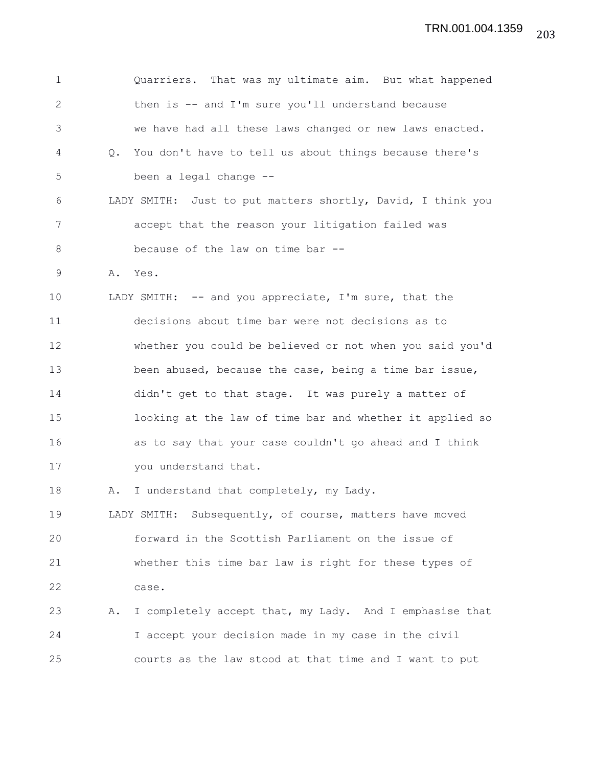1 Quarriers. That was my ultimate aim. But what happened 2 then is -- and I'm sure you'll understand because 3 we have had all these laws changed or new laws enacted. 4 Q. You don't have to tell us about things because there's 5 been a legal change -- 6 LADY SMITH: Just to put matters shortly, David, I think you 7 accept that the reason your litigation failed was 8 because of the law on time bar -- 9 A. Yes. 10 LADY SMITH: -- and you appreciate, I'm sure, that the 11 decisions about time bar were not decisions as to 12 whether you could be believed or not when you said you'd 13 been abused, because the case, being a time bar issue, 14 didn't get to that stage. It was purely a matter of 15 looking at the law of time bar and whether it applied so 16 as to say that your case couldn't go ahead and I think 17 you understand that. 18 A. I understand that completely, my Lady. 19 LADY SMITH: Subsequently, of course, matters have moved 20 forward in the Scottish Parliament on the issue of 21 whether this time bar law is right for these types of 22 case. 23 A. I completely accept that, my Lady. And I emphasise that 24 I accept your decision made in my case in the civil 25 courts as the law stood at that time and I want to put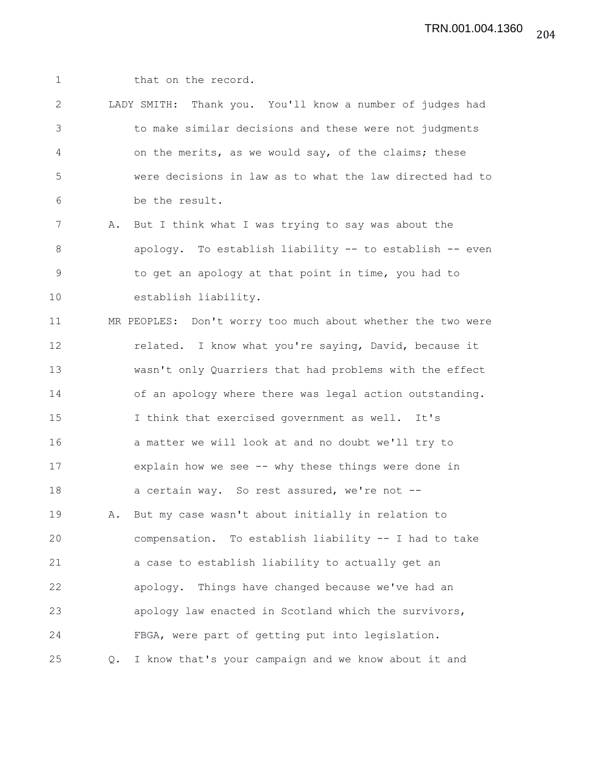1 that on the record.

2 LADY SMITH: Thank you. You'll know a number of judges had 3 to make similar decisions and these were not judgments 4 on the merits, as we would say, of the claims; these 5 were decisions in law as to what the law directed had to 6 be the result.

7 A. But I think what I was trying to say was about the 8 apology. To establish liability -- to establish -- even 9 to get an apology at that point in time, you had to 10 establish liability.

11 MR PEOPLES: Don't worry too much about whether the two were 12 **related.** I know what you're saying, David, because it 13 wasn't only Quarriers that had problems with the effect 14 of an apology where there was legal action outstanding. 15 I think that exercised government as well. It's 16 a matter we will look at and no doubt we'll try to 17 explain how we see -- why these things were done in 18 a certain way. So rest assured, we're not --19 A. But my case wasn't about initially in relation to 20 compensation. To establish liability -- I had to take 21 a case to establish liability to actually get an 22 apology. Things have changed because we've had an 23 apology law enacted in Scotland which the survivors, 24 FBGA, were part of getting put into legislation. 25 Q. I know that's your campaign and we know about it and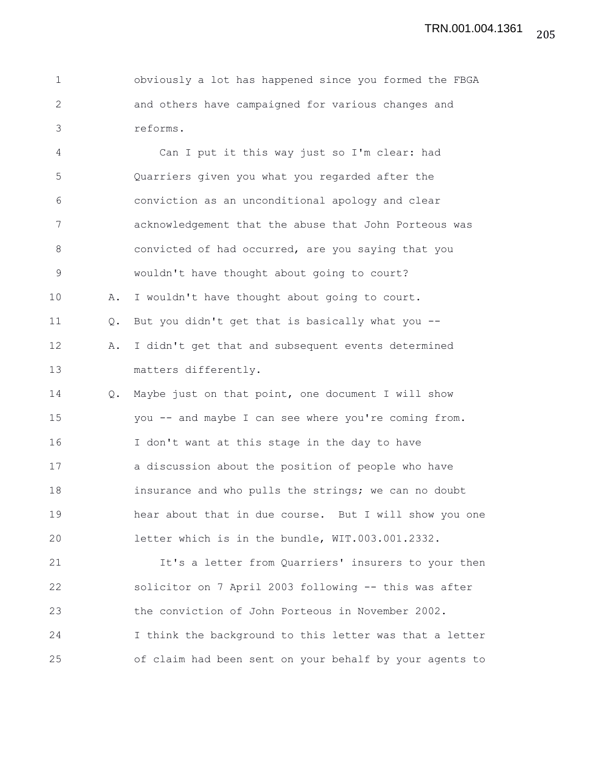1 obviously a lot has happened since you formed the FBGA 2 and others have campaigned for various changes and 3 reforms.

4 Can I put it this way just so I'm clear: had 5 Quarriers given you what you regarded after the 6 conviction as an unconditional apology and clear 7 acknowledgement that the abuse that John Porteous was 8 convicted of had occurred, are you saying that you 9 wouldn't have thought about going to court? 10 A. I wouldn't have thought about going to court. 11 Q. But you didn't get that is basically what you -- 12 A. I didn't get that and subsequent events determined 13 matters differently. 14 Q. Maybe just on that point, one document I will show 15 you -- and maybe I can see where you're coming from. 16 I don't want at this stage in the day to have 17 a discussion about the position of people who have 18 **insurance and who pulls the strings; we can no doubt** 19 hear about that in due course. But I will show you one

21 It's a letter from Quarriers' insurers to your then 22 solicitor on 7 April 2003 following -- this was after 23 the conviction of John Porteous in November 2002. 24 I think the background to this letter was that a letter 25 of claim had been sent on your behalf by your agents to

20 letter which is in the bundle, WIT.003.001.2332.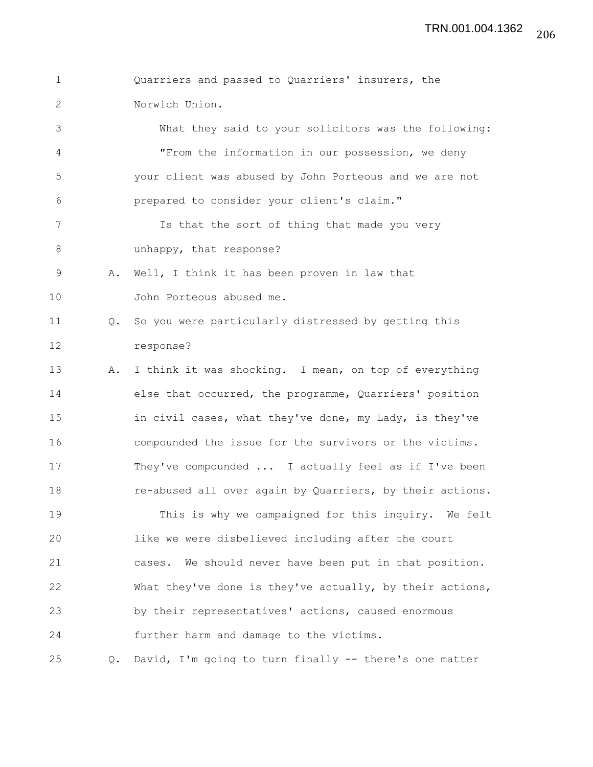1 Quarriers and passed to Quarriers' insurers, the 2 Norwich Union. 3 What they said to your solicitors was the following: 4 "From the information in our possession, we deny 5 your client was abused by John Porteous and we are not 6 prepared to consider your client's claim." 7 Is that the sort of thing that made you very 8 unhappy, that response? 9 A. Well, I think it has been proven in law that 10 John Porteous abused me. 11 Q. So you were particularly distressed by getting this 12 response? 13 A. I think it was shocking. I mean, on top of everything 14 else that occurred, the programme, Quarriers' position 15 in civil cases, what they've done, my Lady, is they've 16 compounded the issue for the survivors or the victims. 17 They've compounded ... I actually feel as if I've been 18 re-abused all over again by Quarriers, by their actions. 19 This is why we campaigned for this inquiry. We felt 20 like we were disbelieved including after the court 21 cases. We should never have been put in that position. 22 What they've done is they've actually, by their actions, 23 by their representatives' actions, caused enormous 24 further harm and damage to the victims. 25 Q. David, I'm going to turn finally -- there's one matter

206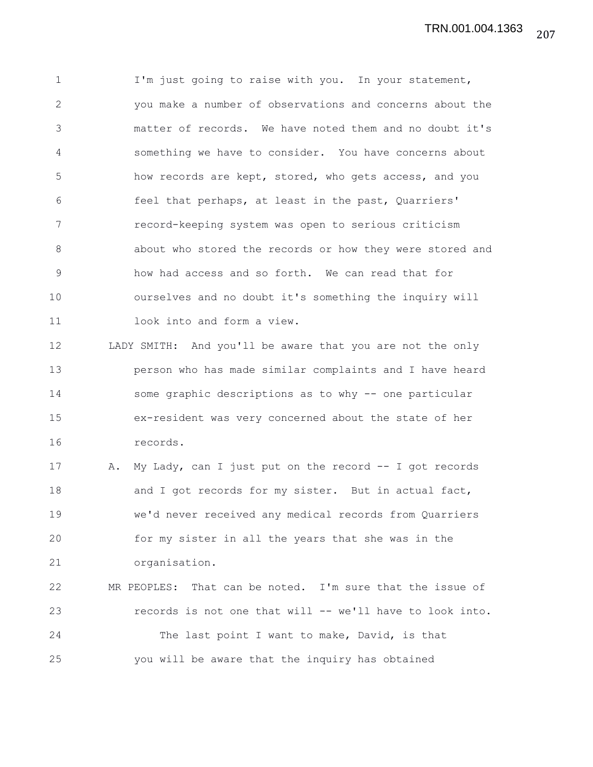1 I'm just going to raise with you. In your statement, 2 you make a number of observations and concerns about the 3 matter of records. We have noted them and no doubt it's 4 something we have to consider. You have concerns about 5 how records are kept, stored, who gets access, and you 6 feel that perhaps, at least in the past, Quarriers' 7 record-keeping system was open to serious criticism 8 about who stored the records or how they were stored and 9 how had access and so forth. We can read that for 10 ourselves and no doubt it's something the inquiry will 11 look into and form a view.

12 LADY SMITH: And you'll be aware that you are not the only 13 person who has made similar complaints and I have heard 14 some graphic descriptions as to why -- one particular 15 ex-resident was very concerned about the state of her 16 records.

17 A. My Lady, can I just put on the record -- I got records 18 and I got records for my sister. But in actual fact, 19 we'd never received any medical records from Quarriers 20 for my sister in all the years that she was in the 21 organisation.

22 MR PEOPLES: That can be noted. I'm sure that the issue of 23 records is not one that will -- we'll have to look into. 24 The last point I want to make, David, is that 25 you will be aware that the inquiry has obtained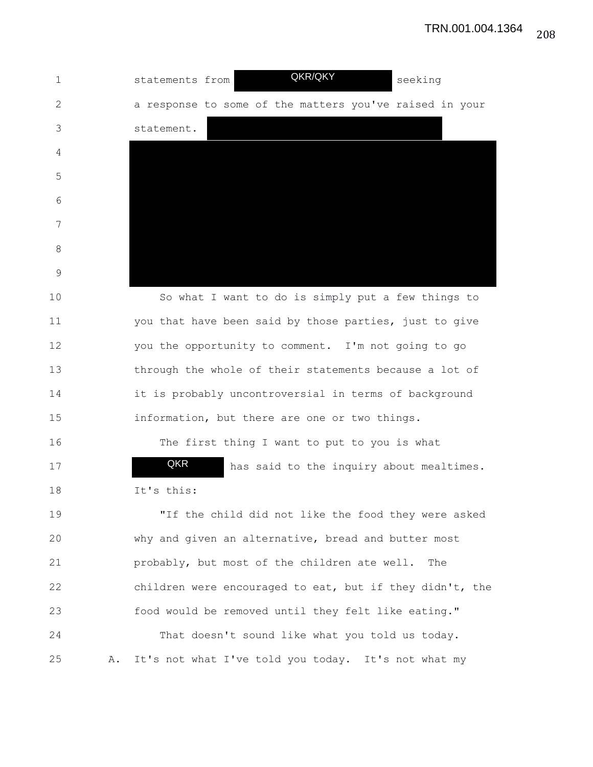| 1  |    | QKR/QKY<br>seeking<br>statements from                    |
|----|----|----------------------------------------------------------|
|    |    |                                                          |
| 2  |    | a response to some of the matters you've raised in your  |
| 3  |    | statement.                                               |
| 4  |    |                                                          |
| 5  |    |                                                          |
| 6  |    |                                                          |
| 7  |    |                                                          |
| 8  |    |                                                          |
| 9  |    |                                                          |
| 10 |    |                                                          |
|    |    | So what I want to do is simply put a few things to       |
| 11 |    | you that have been said by those parties, just to give   |
| 12 |    | you the opportunity to comment. I'm not going to go      |
| 13 |    | through the whole of their statements because a lot of   |
| 14 |    | it is probably uncontroversial in terms of background    |
| 15 |    | information, but there are one or two things.            |
| 16 |    | The first thing I want to put to you is what             |
| 17 |    | QKR<br>has said to the inquiry about mealtimes.          |
| 18 |    | It's this:                                               |
| 19 |    | "If the child did not like the food they were asked      |
| 20 |    | why and given an alternative, bread and butter most      |
| 21 |    | probably, but most of the children ate well.<br>The      |
| 22 |    | children were encouraged to eat, but if they didn't, the |
| 23 |    | food would be removed until they felt like eating."      |
| 24 |    | That doesn't sound like what you told us today.          |
| 25 | Α. | It's not what I've told you today. It's not what my      |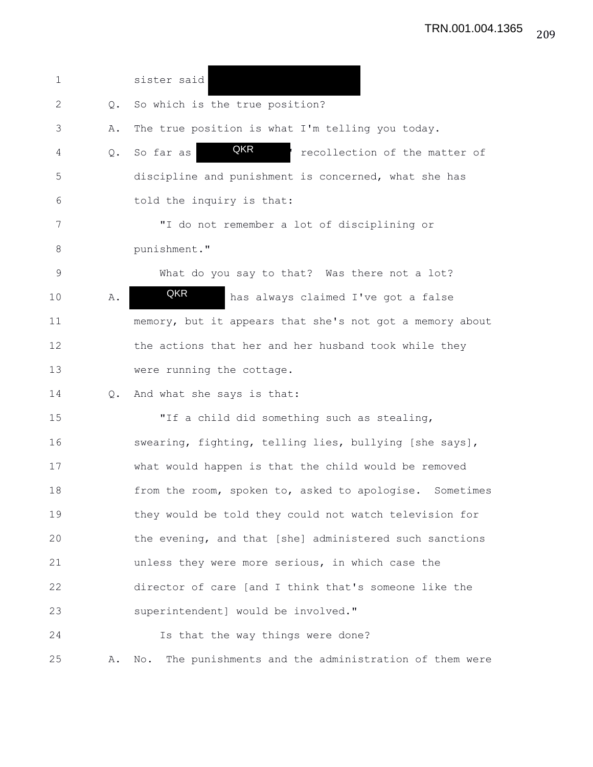| 1              |    | sister said                                                |
|----------------|----|------------------------------------------------------------|
| 2              | Q. | So which is the true position?                             |
| 3              | Α. | The true position is what I'm telling you today.           |
| 4              | Q. | QKR<br>So far as<br>recollection of the matter of          |
| 5              |    | discipline and punishment is concerned, what she has       |
| 6              |    | told the inquiry is that:                                  |
| 7              |    | "I do not remember a lot of disciplining or                |
| $8\,$          |    | punishment."                                               |
| $\overline{9}$ |    | What do you say to that? Was there not a lot?              |
| 10             | Α. | QKR<br>has always claimed I've got a false                 |
| 11             |    | memory, but it appears that she's not got a memory about   |
| 12             |    | the actions that her and her husband took while they       |
| 13             |    | were running the cottage.                                  |
| 14             | Q. | And what she says is that:                                 |
| 15             |    | "If a child did something such as stealing,                |
| 16             |    | swearing, fighting, telling lies, bullying [she says],     |
| 17             |    | what would happen is that the child would be removed       |
| 18             |    | from the room, spoken to, asked to apologise.<br>Sometimes |
| 19             |    | they would be told they could not watch television for     |
| 20             |    | the evening, and that [she] administered such sanctions    |
| 21             |    | unless they were more serious, in which case the           |
| 22             |    | director of care [and I think that's someone like the      |
| 23             |    | superintendent] would be involved."                        |
| 24             |    | Is that the way things were done?                          |
| 25             | Α. | The punishments and the administration of them were<br>No. |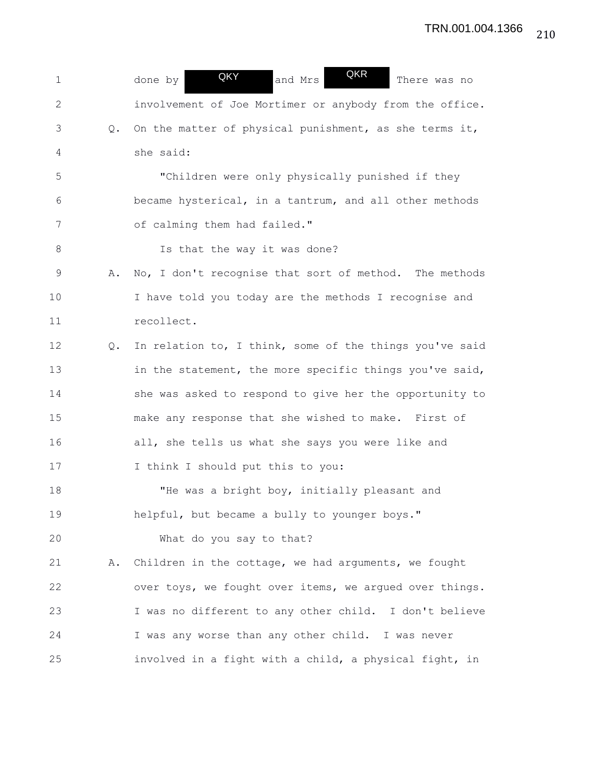| 1           |               | QKR<br>QKY<br>and Mrs<br>done by<br>There was no        |
|-------------|---------------|---------------------------------------------------------|
| 2           |               | involvement of Joe Mortimer or anybody from the office. |
| 3           | $Q_{\bullet}$ | On the matter of physical punishment, as she terms it,  |
| 4           |               | she said:                                               |
| 5           |               | "Children were only physically punished if they         |
| 6           |               | became hysterical, in a tantrum, and all other methods  |
| 7           |               | of calming them had failed."                            |
| 8           |               | Is that the way it was done?                            |
| $\mathsf 9$ | Α.            | No, I don't recognise that sort of method. The methods  |
| 10          |               | I have told you today are the methods I recognise and   |
| 11          |               | recollect.                                              |
| 12          | $Q_{\bullet}$ | In relation to, I think, some of the things you've said |
| 13          |               | in the statement, the more specific things you've said, |
| 14          |               | she was asked to respond to give her the opportunity to |
| 15          |               | make any response that she wished to make. First of     |
| 16          |               | all, she tells us what she says you were like and       |
| 17          |               | I think I should put this to you:                       |
| 18          |               | "He was a bright boy, initially pleasant and            |
| 19          |               | helpful, but became a bully to younger boys."           |
| 20          |               | What do you say to that?                                |
| 21          | Α.            | Children in the cottage, we had arguments, we fought    |
| 22          |               | over toys, we fought over items, we argued over things. |
| 23          |               | I was no different to any other child. I don't believe  |
| 24          |               | I was any worse than any other child. I was never       |
| 25          |               | involved in a fight with a child, a physical fight, in  |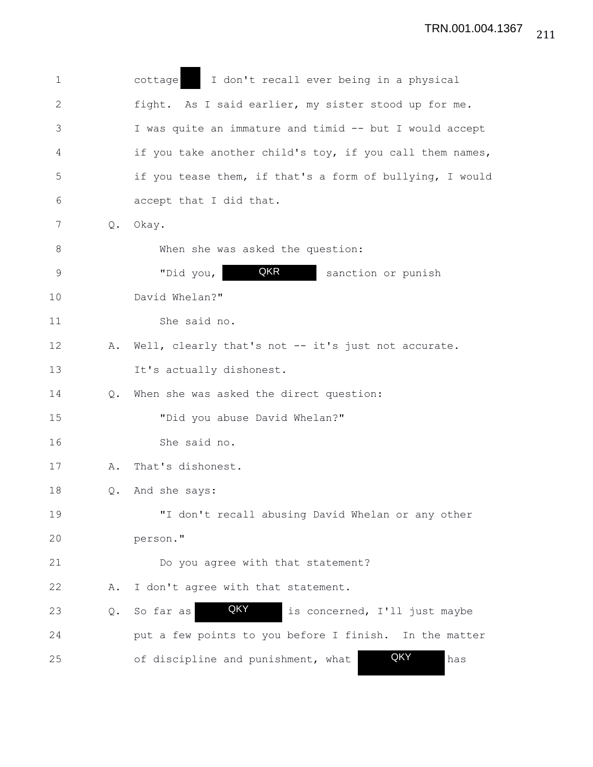| 1            |               | I don't recall ever being in a physical<br>cottage       |
|--------------|---------------|----------------------------------------------------------|
| $\mathbf{2}$ |               | fight. As I said earlier, my sister stood up for me.     |
| 3            |               | I was quite an immature and timid -- but I would accept  |
| 4            |               | if you take another child's toy, if you call them names, |
| 5            |               | if you tease them, if that's a form of bullying, I would |
| 6            |               | accept that I did that.                                  |
| 7            | Q.            | Okay.                                                    |
| 8            |               | When she was asked the question:                         |
| $\mathsf 9$  |               | QKR<br>"Did you,<br>sanction or punish                   |
| 10           |               | David Whelan?"                                           |
| 11           |               | She said no.                                             |
| 12           | Α.            | Well, clearly that's not -- it's just not accurate.      |
| 13           |               | It's actually dishonest.                                 |
| 14           | $Q_{\bullet}$ | When she was asked the direct question:                  |
| 15           |               | "Did you abuse David Whelan?"                            |
| 16           |               | She said no.                                             |
| 17           | Α.            | That's dishonest.                                        |
| 18           | Q.            | And she says:                                            |
| 19           |               | "I don't recall abusing David Whelan or any other        |
| 20           |               | person."                                                 |
| 21           |               | Do you agree with that statement?                        |
| 22           | Α.            | I don't agree with that statement.                       |
| 23           | Q.            | QKY<br>So far as<br>is concerned, I'll just maybe        |
| 24           |               | put a few points to you before I finish. In the matter   |
| 25           |               | QKY<br>of discipline and punishment, what<br>has         |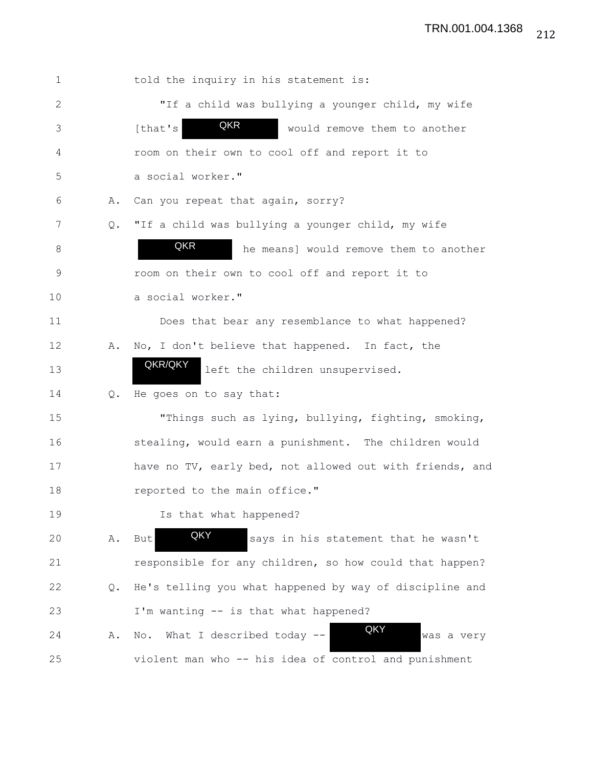| $\mathbf 1$  |    | told the inquiry in his statement is:                    |
|--------------|----|----------------------------------------------------------|
| $\mathbf{2}$ |    | "If a child was bullying a younger child, my wife        |
| 3            |    | QKR<br>[that's<br>would remove them to another           |
| 4            |    | room on their own to cool off and report it to           |
| 5            |    | a social worker."                                        |
| 6            | Α. | Can you repeat that again, sorry?                        |
| 7            | Q. | "If a child was bullying a younger child, my wife        |
| 8            |    | QKR<br>he means] would remove them to another            |
| 9            |    | room on their own to cool off and report it to           |
| 10           |    | a social worker."                                        |
| 11           |    | Does that bear any resemblance to what happened?         |
| 12           | Α. | No, I don't believe that happened. In fact, the          |
| 13           |    | QKR/QKY<br>left the children unsupervised.               |
| 14           | Q. | He goes on to say that:                                  |
| 15           |    | "Things such as lying, bullying, fighting, smoking,      |
| 16           |    | stealing, would earn a punishment. The children would    |
| 17           |    | have no TV, early bed, not allowed out with friends, and |
| 18           |    | reported to the main office."                            |
| 19           |    | Is that what happened?                                   |
| 20           | Α. | QKY<br>says in his statement that he wasn't<br>But       |
| 21           |    | responsible for any children, so how could that happen?  |
| 22           | Q. | He's telling you what happened by way of discipline and  |
| 23           |    | I'm wanting -- is that what happened?                    |
| 24           | Α. | QKY<br>What I described today --<br>No.<br>was a very    |
| 25           |    | violent man who -- his idea of control and punishment    |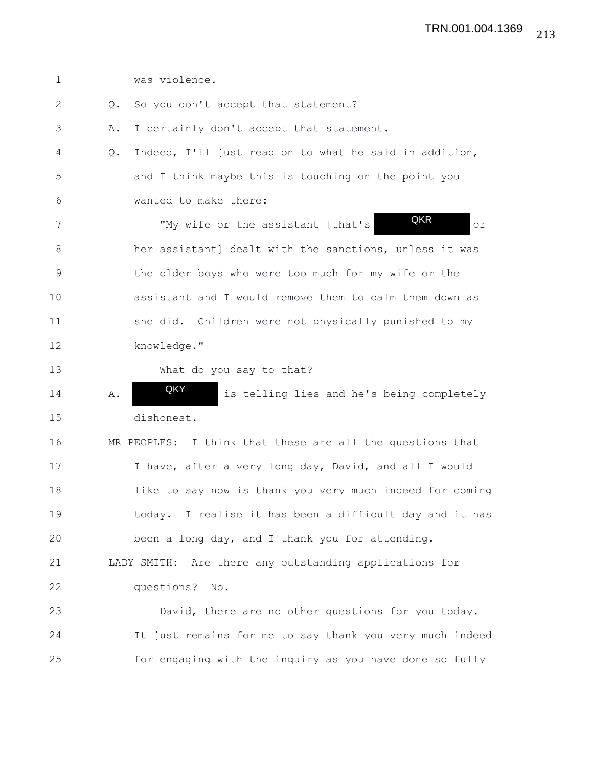1 was violence.

2 Q. So you don't accept that statement? 3 A. I certainly don't accept that statement. 4 Q. Indeed, I'll just read on to what he said in addition, 5 and I think maybe this is touching on the point you 6 wanted to make there: 7 Thy wife or the assistant [that's Take Or 8 her assistant] dealt with the sanctions, unless it was 9 the older boys who were too much for my wife or the 10 assistant and I would remove them to calm them down as 11 she did. Children were not physically punished to my 12 knowledge." 13 What do you say to that? 14 A. WAY is telling lies and he's being completely 15 dishonest. 16 MR PEOPLES: I think that these are all the questions that 17 I have, after a very long day, David, and all I would 18 like to say now is thank you very much indeed for coming 19 today. I realise it has been a difficult day and it has 20 been a long day, and I thank you for attending. 21 LADY SMITH: Are there any outstanding applications for 22 questions? No. 23 David, there are no other questions for you today. 24 It just remains for me to say thank you very much indeed **QKR** QKY

25 for engaging with the inquiry as you have done so fully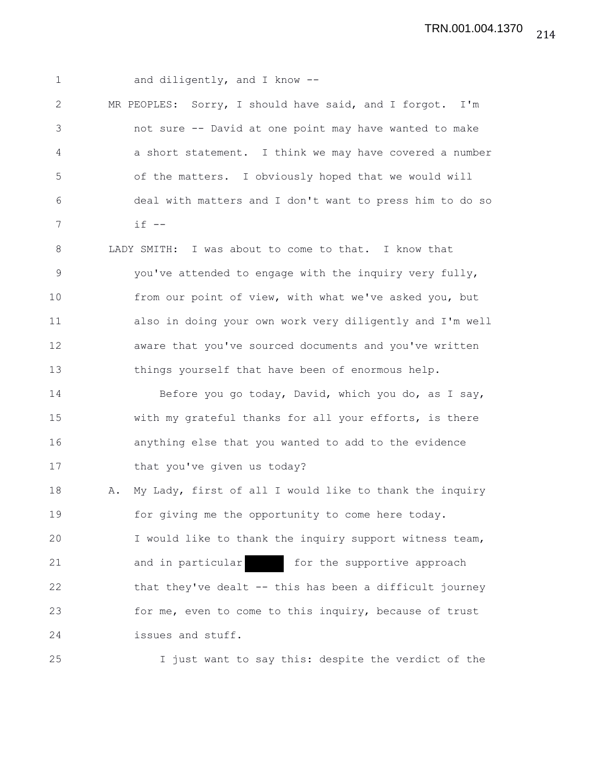1 and diligently, and I know --2 MR PEOPLES: Sorry, I should have said, and I forgot. I'm 3 not sure -- David at one point may have wanted to make 4 a short statement. I think we may have covered a number 5 of the matters. I obviously hoped that we would will 6 deal with matters and I don't want to press him to do so 7 if -- 8 LADY SMITH: I was about to come to that. I know that 9 you've attended to engage with the inquiry very fully, 10 from our point of view, with what we've asked you, but 11 also in doing your own work very diligently and I'm well 12 aware that you've sourced documents and you've written 13 things yourself that have been of enormous help. 14 Before you go today, David, which you do, as I say, 15 with my grateful thanks for all your efforts, is there 16 anything else that you wanted to add to the evidence 17 that you've given us today? 18 A. My Lady, first of all I would like to thank the inquiry 19 for giving me the opportunity to come here today. 20 I would like to thank the inquiry support witness team, 21 and in particular for the supportive approach 22 that they've dealt -- this has been a difficult journey 23 for me, even to come to this inquiry, because of trust 24 issues and stuff. 25 I just want to say this: despite the verdict of the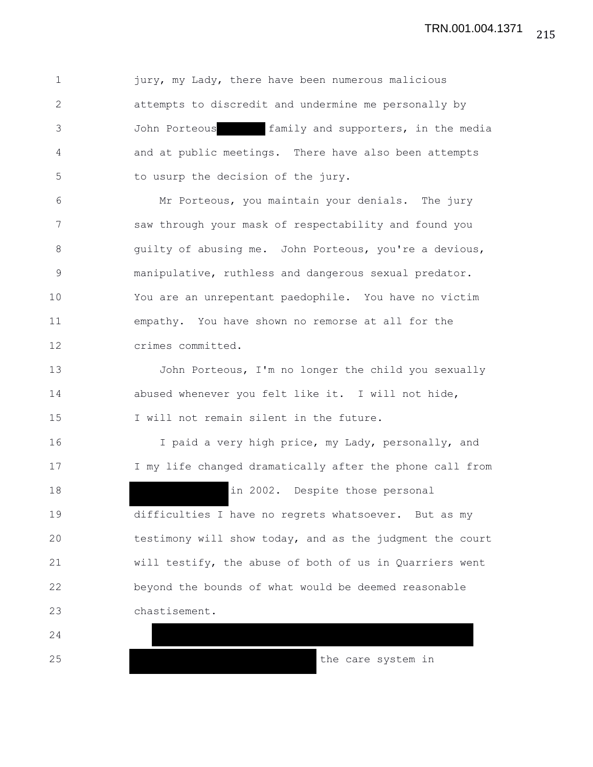1 jury, my Lady, there have been numerous malicious 2 attempts to discredit and undermine me personally by 3 John Porteous family and supporters, in the media 4 and at public meetings. There have also been attempts 5 to usurp the decision of the jury.

6 Mr Porteous, you maintain your denials. The jury 7 saw through your mask of respectability and found you 8 3 3 guilty of abusing me. John Porteous, you're a devious, 9 manipulative, ruthless and dangerous sexual predator. 10 You are an unrepentant paedophile. You have no victim 11 empathy. You have shown no remorse at all for the 12 crimes committed.

13 John Porteous, I'm no longer the child you sexually 14 abused whenever you felt like it. I will not hide, 15 I will not remain silent in the future.

16 I paid a very high price, my Lady, personally, and 17 I my life changed dramatically after the phone call from 18 in 2002. Despite those personal 19 difficulties I have no regrets whatsoever. But as my 20 testimony will show today, and as the judgment the court 21 will testify, the abuse of both of us in Quarriers went 22 beyond the bounds of what would be deemed reasonable 23 chastisement.

24

25 the care system in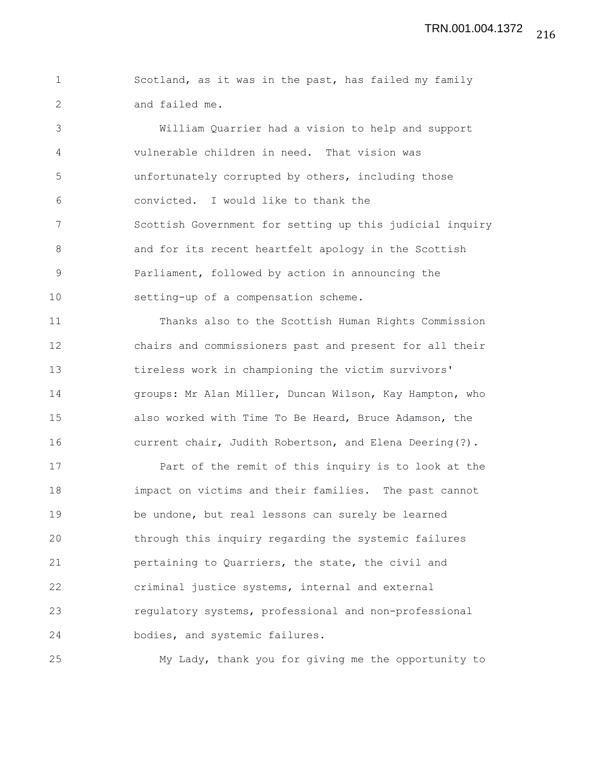1 Scotland, as it was in the past, has failed my family 2 and failed me.

3 William Quarrier had a vision to help and support 4 vulnerable children in need. That vision was 5 unfortunately corrupted by others, including those 6 convicted. I would like to thank the 7 Scottish Government for setting up this judicial inquiry 8 and for its recent heartfelt apology in the Scottish 9 Parliament, followed by action in announcing the 10 setting-up of a compensation scheme.

11 Thanks also to the Scottish Human Rights Commission 12 chairs and commissioners past and present for all their 13 tireless work in championing the victim survivors' 14 groups: Mr Alan Miller, Duncan Wilson, Kay Hampton, who 15 also worked with Time To Be Heard, Bruce Adamson, the 16 current chair, Judith Robertson, and Elena Deering(?).

17 Part of the remit of this inquiry is to look at the 18 impact on victims and their families. The past cannot 19 be undone, but real lessons can surely be learned 20 through this inquiry regarding the systemic failures 21 pertaining to Quarriers, the state, the civil and 22 criminal justice systems, internal and external 23 regulatory systems, professional and non-professional 24 bodies, and systemic failures.

25 My Lady, thank you for giving me the opportunity to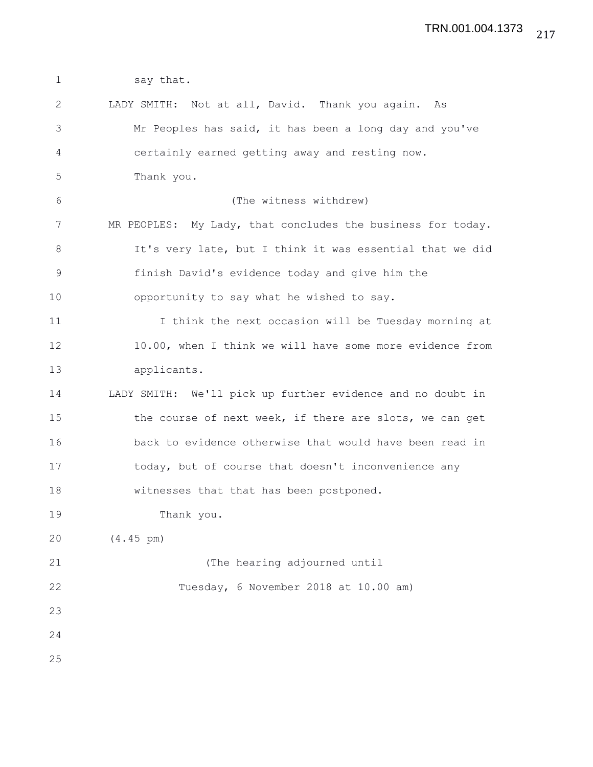| $\mathbf 1$    | say that.                                                   |
|----------------|-------------------------------------------------------------|
| 2              | LADY SMITH: Not at all, David. Thank you again. As          |
| 3              | Mr Peoples has said, it has been a long day and you've      |
| 4              | certainly earned getting away and resting now.              |
| 5              | Thank you.                                                  |
| 6              | (The witness withdrew)                                      |
| 7              | MR PEOPLES: My Lady, that concludes the business for today. |
| 8              | It's very late, but I think it was essential that we did    |
| $\overline{9}$ | finish David's evidence today and give him the              |
| 10             | opportunity to say what he wished to say.                   |
| 11             | I think the next occasion will be Tuesday morning at        |
| 12             | 10.00, when I think we will have some more evidence from    |
| 13             | applicants.                                                 |
| 14             | LADY SMITH: We'll pick up further evidence and no doubt in  |
| 15             | the course of next week, if there are slots, we can get     |
| 16             | back to evidence otherwise that would have been read in     |
| 17             | today, but of course that doesn't inconvenience any         |
| 18             | witnesses that that has been postponed.                     |
| 19             | Thank you.                                                  |
| 20             | $(4.45 \text{ pm})$                                         |
| 21             | (The hearing adjourned until                                |
| 22             | Tuesday, 6 November 2018 at 10.00 am)                       |
| 23             |                                                             |
| 24             |                                                             |
| 25             |                                                             |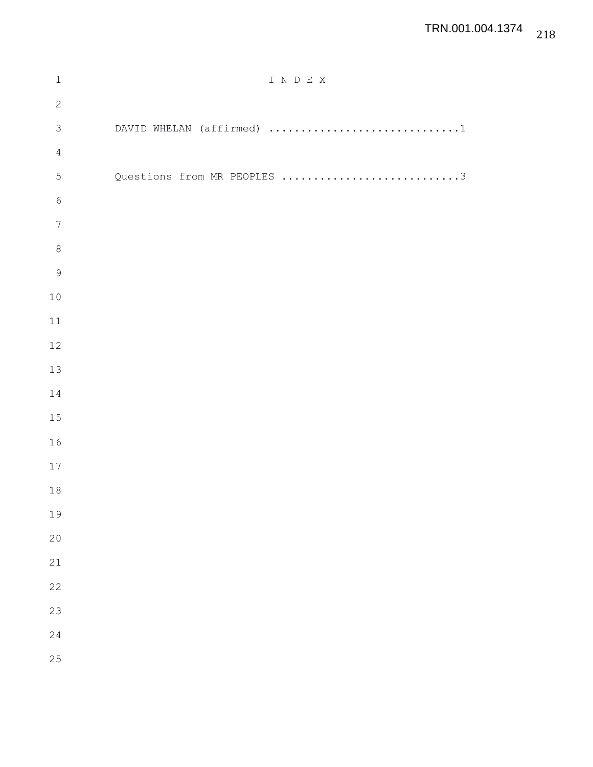| $\mathbf 1$      | I N D E X                   |
|------------------|-----------------------------|
| $\mathbf{2}$     |                             |
| $\mathfrak{Z}$   | DAVID WHELAN (affirmed) 1   |
| $\sqrt{4}$       |                             |
| 5                | Questions from MR PEOPLES 3 |
| $\epsilon$       |                             |
| $\boldsymbol{7}$ |                             |
| $\,8\,$          |                             |
| $\mathcal{G}$    |                             |
| $10$             |                             |
| $11\,$           |                             |
| 12               |                             |
| 13               |                             |
| 14               |                             |
| 15               |                             |
| 16               |                             |
| $17$             |                             |
| 18               |                             |
| 19               |                             |
| 20               |                             |
| 21               |                             |
| 22               |                             |
| 23               |                             |
| 24               |                             |
| 25               |                             |